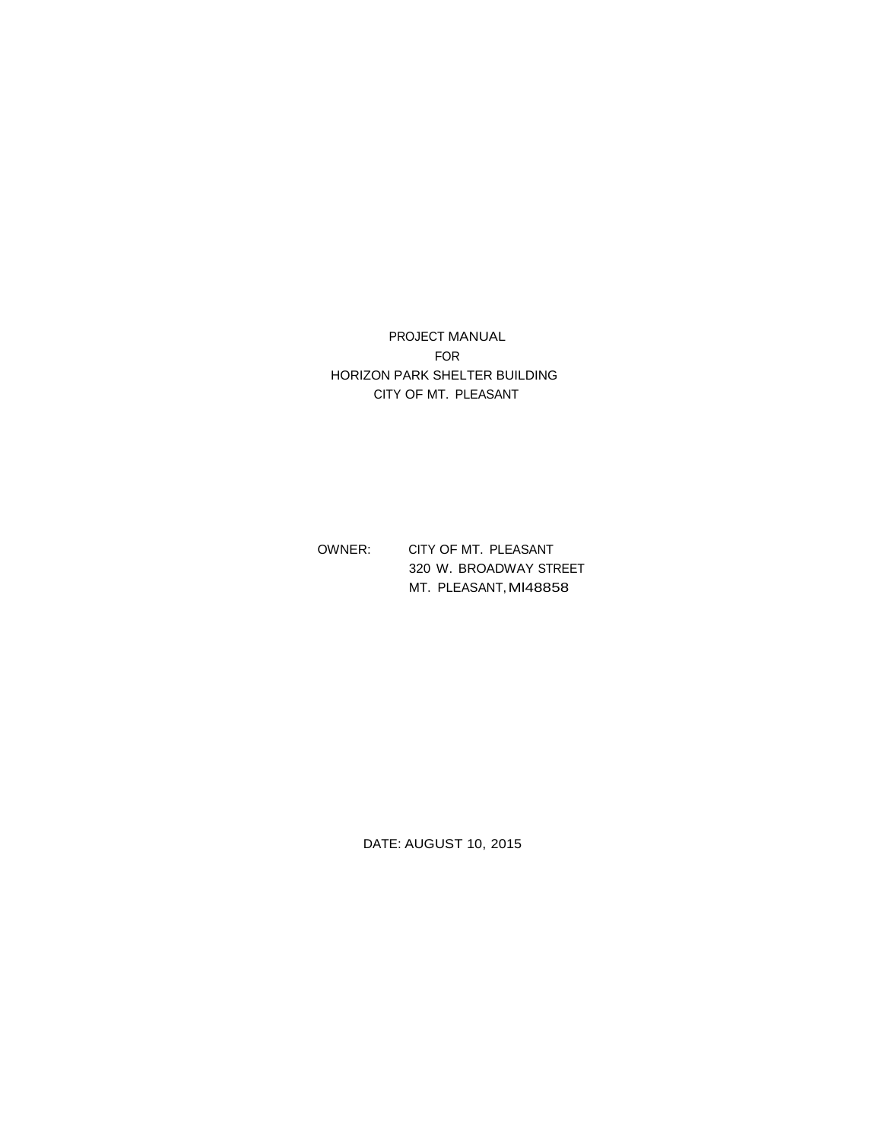PROJECT MANUAL FOR HORIZON PARK SHELTER BUILDING CITY OF MT. PLEASANT

OWNER: CITY OF MT. PLEASANT 320 W. BROADWAY STREET MT. PLEASANT, MI48858

DATE: AUGUST 10, 2015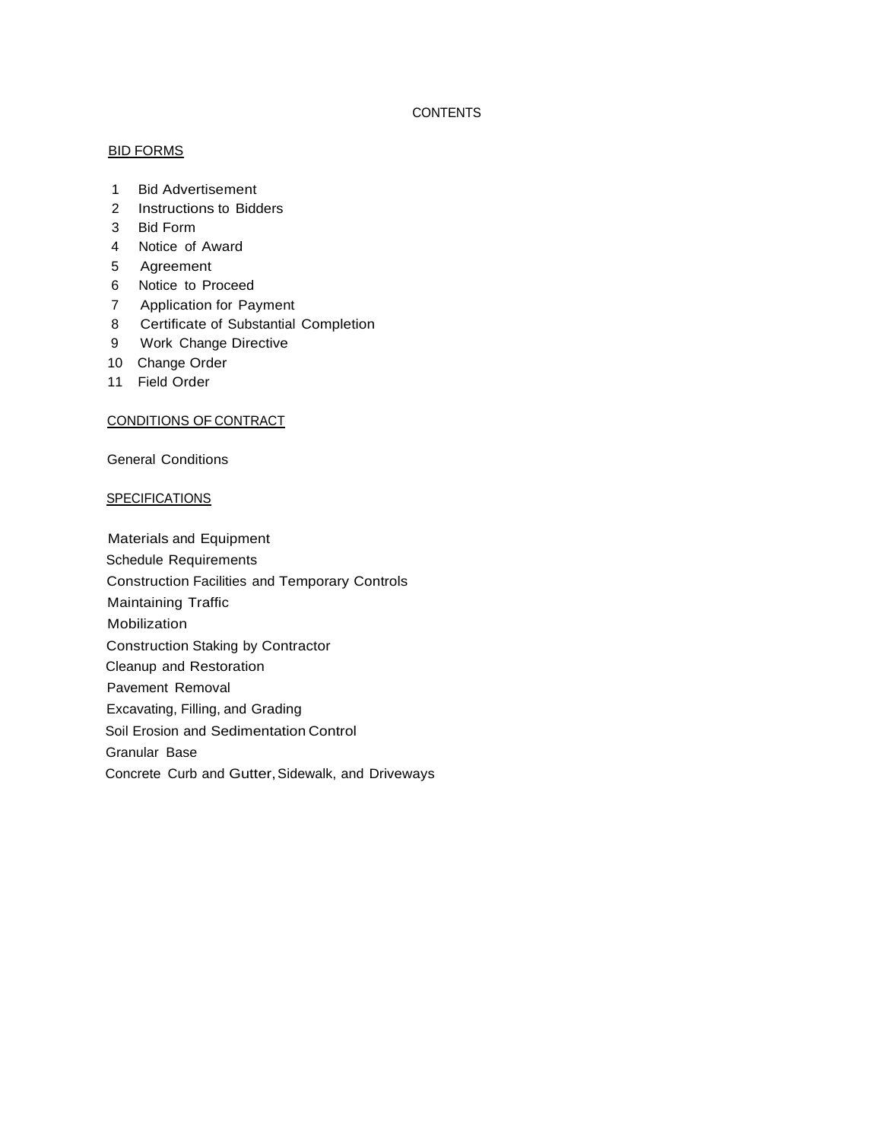## **CONTENTS**

#### BID FORMS

- 1 Bid Advertisement
- 2 Instructions to Bidders
- 3 Bid Form
- 4 Notice of Award
- 5 Agreement
- 6 Notice to Proceed
- 7 Application for Payment
- 8 Certificate of Substantial Completion
- 9 Work Change Directive
- 10 Change Order
- 11 Field Order

#### CONDITIONS OF CONTRACT

General Conditions

#### **SPECIFICATIONS**

 Materials and Equipment Schedule Requirements Construction Facilities and Temporary Controls Maintaining Traffic Mobilization Construction Staking by Contractor Cleanup and Restoration Pavement Removal Excavating, Filling, and Grading Soil Erosion and Sedimentation Control Granular Base Concrete Curb and Gutter, Sidewalk, and Driveways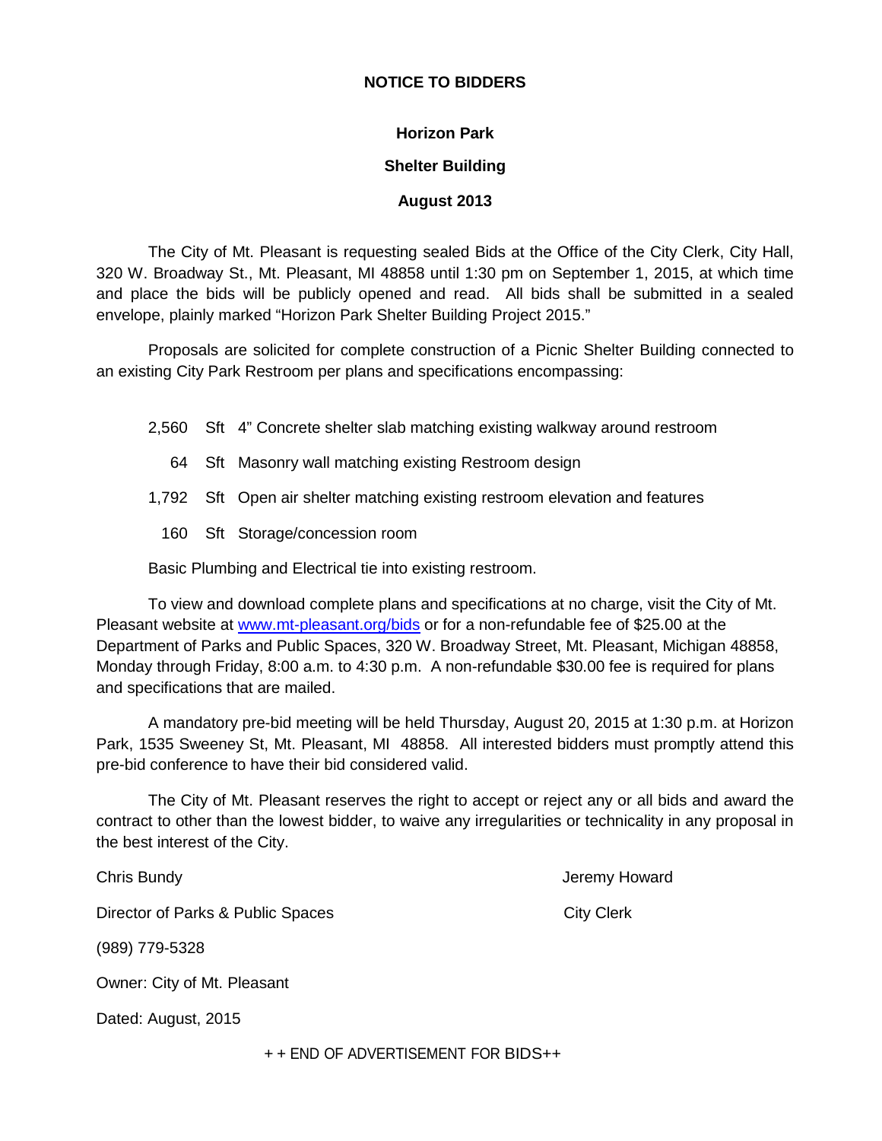## **NOTICE TO BIDDERS**

## **Horizon Park**

## **Shelter Building**

## **August 2013**

The City of Mt. Pleasant is requesting sealed Bids at the Office of the City Clerk, City Hall, 320 W. Broadway St., Mt. Pleasant, MI 48858 until 1:30 pm on September 1, 2015, at which time and place the bids will be publicly opened and read. All bids shall be submitted in a sealed envelope, plainly marked "Horizon Park Shelter Building Project 2015."

Proposals are solicited for complete construction of a Picnic Shelter Building connected to an existing City Park Restroom per plans and specifications encompassing:

- 2,560 Sft 4" Concrete shelter slab matching existing walkway around restroom
	- 64 Sft Masonry wall matching existing Restroom design
- 1,792 Sft Open air shelter matching existing restroom elevation and features
	- 160 Sft Storage/concession room

Basic Plumbing and Electrical tie into existing restroom.

To view and download complete plans and specifications at no charge, visit the City of Mt. Pleasant website at [www.mt-pleasant.org/bids](http://www.mt-pleasant.org/bids) or for a non-refundable fee of \$25.00 at the Department of Parks and Public Spaces, 320 W. Broadway Street, Mt. Pleasant, Michigan 48858, Monday through Friday, 8:00 a.m. to 4:30 p.m. A non-refundable \$30.00 fee is required for plans and specifications that are mailed.

A mandatory pre-bid meeting will be held Thursday, August 20, 2015 at 1:30 p.m. at Horizon Park, 1535 Sweeney St, Mt. Pleasant, MI 48858. All interested bidders must promptly attend this pre-bid conference to have their bid considered valid.

The City of Mt. Pleasant reserves the right to accept or reject any or all bids and award the contract to other than the lowest bidder, to waive any irregularities or technicality in any proposal in the best interest of the City.

Chris Bundy Jeremy Howard

Director of Parks & Public Spaces City Clerk

(989) 779-5328

Owner: City of Mt. Pleasant

Dated: August, 2015

+ + END OF ADVERTISEMENT FOR BIDS++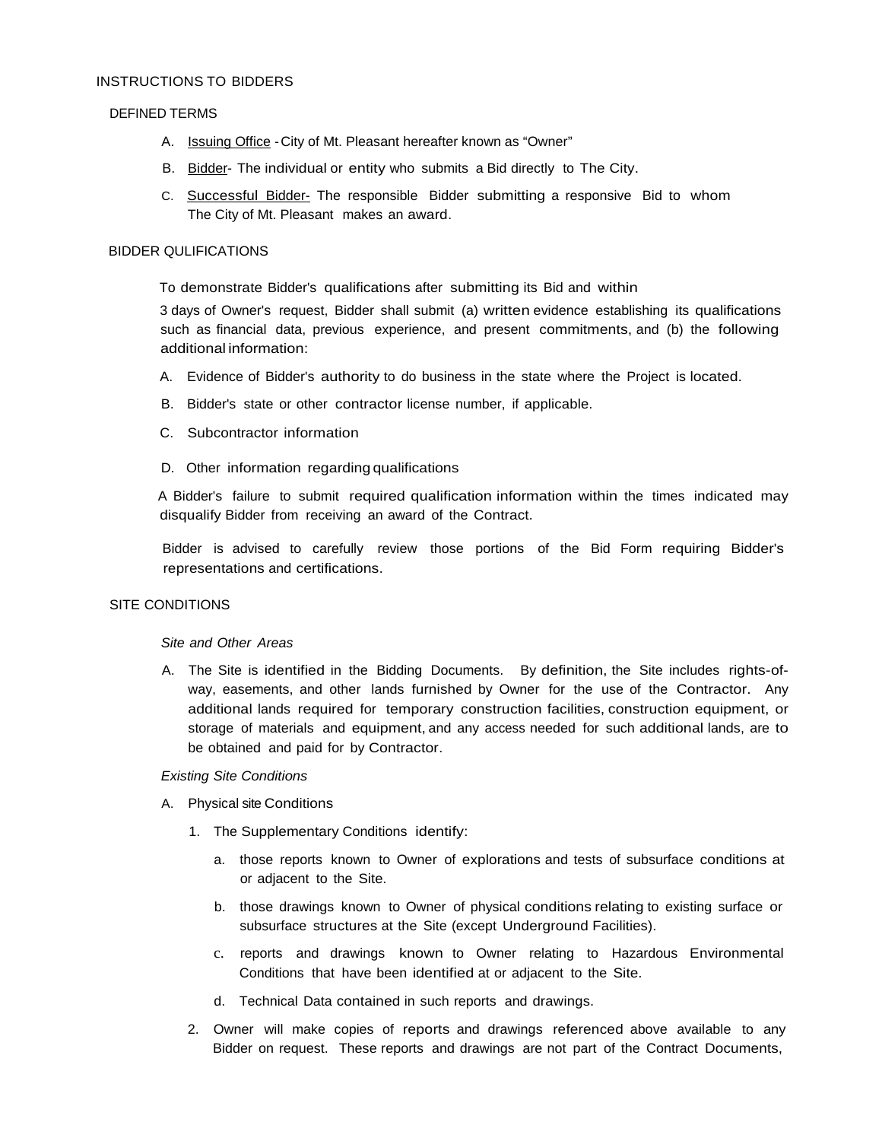#### INSTRUCTIONS TO BIDDERS

#### DEFINED TERMS

- A. Issuing Office -City of Mt. Pleasant hereafter known as "Owner"
- B. Bidder- The individual or entity who submits a Bid directly to The City.
- C. Successful Bidder- The responsible Bidder submitting a responsive Bid to whom The City of Mt. Pleasant makes an award.

#### BIDDER QULIFICATIONS

To demonstrate Bidder's qualifications after submitting its Bid and within

3 days of Owner's request, Bidder shall submit (a) written evidence establishing its qualifications such as financial data, previous experience, and present commitments, and (b) the following additional information:

- A. Evidence of Bidder's authority to do business in the state where the Project is located.
- B. Bidder's state or other contractor license number, if applicable.
- C. Subcontractor information
- D. Other information regarding qualifications

A Bidder's failure to submit required qualification information within the times indicated may disqualify Bidder from receiving an award of the Contract.

Bidder is advised to carefully review those portions of the Bid Form requiring Bidder's representations and certifications.

#### SITE CONDITIONS

#### *Site and Other Areas*

A. The Site is identified in the Bidding Documents. By definition, the Site includes rights-ofway, easements, and other lands furnished by Owner for the use of the Contractor. Any additional lands required for temporary construction facilities, construction equipment, or storage of materials and equipment, and any access needed for such additional lands, are to be obtained and paid for by Contractor.

#### *Existing Site Conditions*

- A. Physical site Conditions
	- 1. The Supplementary Conditions identify:
		- a. those reports known to Owner of explorations and tests of subsurface conditions at or adjacent to the Site.
		- b. those drawings known to Owner of physical conditions relating to existing surface or subsurface structures at the Site (except Underground Facilities).
		- c. reports and drawings known to Owner relating to Hazardous Environmental Conditions that have been identified at or adjacent to the Site.
		- d. Technical Data contained in such reports and drawings.
	- 2. Owner will make copies of reports and drawings referenced above available to any Bidder on request. These reports and drawings are not part of the Contract Documents,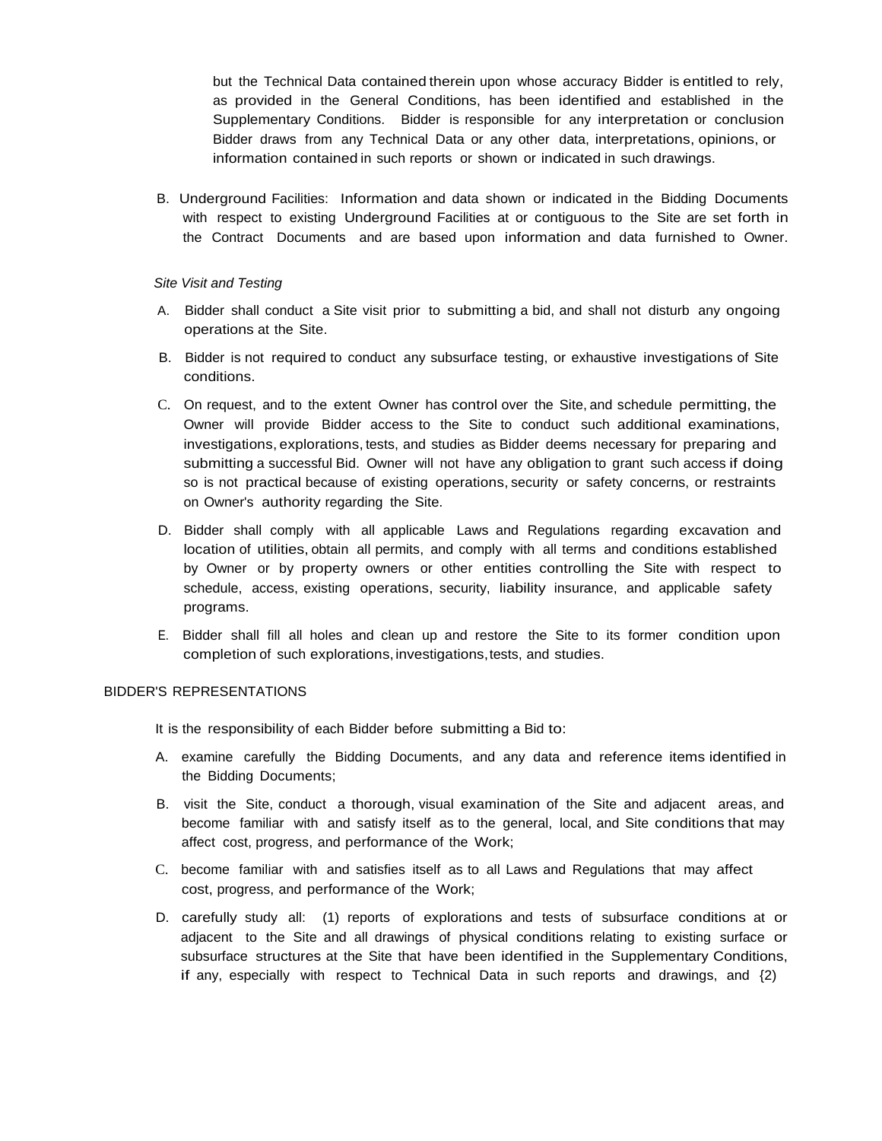but the Technical Data contained therein upon whose accuracy Bidder is entitled to rely, as provided in the General Conditions, has been identified and established in the Supplementary Conditions. Bidder is responsible for any interpretation or conclusion Bidder draws from any Technical Data or any other data, interpretations, opinions, or information contained in such reports or shown or indicated in such drawings.

B. Underground Facilities: Information and data shown or indicated in the Bidding Documents with respect to existing Underground Facilities at or contiguous to the Site are set forth in the Contract Documents and are based upon information and data furnished to Owner.

#### *Site Visit and Testing*

- A. Bidder shall conduct a Site visit prior to submitting a bid, and shall not disturb any ongoing operations at the Site.
- B. Bidder is not required to conduct any subsurface testing, or exhaustive investigations of Site conditions.
- C. On request, and to the extent Owner has control over the Site, and schedule permitting, the Owner will provide Bidder access to the Site to conduct such additional examinations, investigations, explorations, tests, and studies as Bidder deems necessary for preparing and submitting a successful Bid. Owner will not have any obligation to grant such access if doing so is not practical because of existing operations, security or safety concerns, or restraints on Owner's authority regarding the Site.
- D. Bidder shall comply with all applicable Laws and Regulations regarding excavation and location of utilities, obtain all permits, and comply with all terms and conditions established by Owner or by property owners or other entities controlling the Site with respect to schedule, access, existing operations, security, liability insurance, and applicable safety programs.
- E. Bidder shall fill all holes and clean up and restore the Site to its former condition upon completion of such explorations,investigations,tests, and studies.

#### BIDDER'S REPRESENTATIONS

It is the responsibility of each Bidder before submitting a Bid to:

- A. examine carefully the Bidding Documents, and any data and reference items identified in the Bidding Documents;
- B. visit the Site, conduct a thorough, visual examination of the Site and adjacent areas, and become familiar with and satisfy itself as to the general, local, and Site conditions that may affect cost, progress, and performance of the Work;
- C. become familiar with and satisfies itself as to all Laws and Regulations that may affect cost, progress, and performance of the Work;
- D. carefully study all: (1) reports of explorations and tests of subsurface conditions at or adjacent to the Site and all drawings of physical conditions relating to existing surface or subsurface structures at the Site that have been identified in the Supplementary Conditions, if any, especially with respect to Technical Data in such reports and drawings, and {2)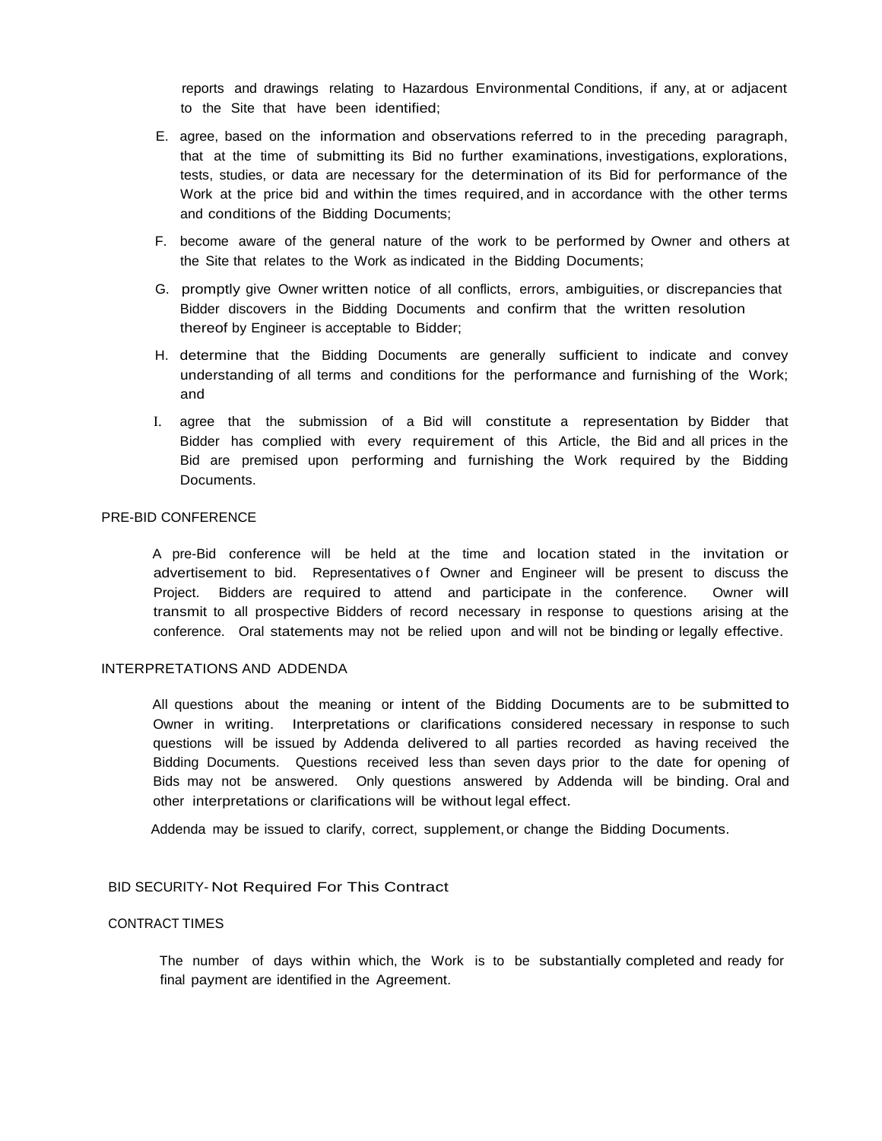reports and drawings relating to Hazardous Environmental Conditions, if any, at or adjacent to the Site that have been identified;

- E. agree, based on the information and observations referred to in the preceding paragraph, that at the time of submitting its Bid no further examinations, investigations, explorations, tests, studies, or data are necessary for the determination of its Bid for performance of the Work at the price bid and within the times required, and in accordance with the other terms and conditions of the Bidding Documents;
- F. become aware of the general nature of the work to be performed by Owner and others at the Site that relates to the Work as indicated in the Bidding Documents;
- G. promptly give Owner written notice of all conflicts, errors, ambiguities, or discrepancies that Bidder discovers in the Bidding Documents and confirm that the written resolution thereof by Engineer is acceptable to Bidder;
- H. determine that the Bidding Documents are generally sufficient to indicate and convey understanding of all terms and conditions for the performance and furnishing of the Work; and
- I. agree that the submission of a Bid will constitute a representation by Bidder that Bidder has complied with every requirement of this Article, the Bid and all prices in the Bid are premised upon performing and furnishing the Work required by the Bidding Documents.

#### PRE-BID CONFERENCE

A pre-Bid conference will be held at the time and location stated in the invitation or advertisement to bid. Representatives of Owner and Engineer will be present to discuss the Project. Bidders are required to attend and participate in the conference. Owner will transmit to all prospective Bidders of record necessary in response to questions arising at the conference. Oral statements may not be relied upon and will not be binding or legally effective.

#### INTERPRETATIONS AND ADDENDA

All questions about the meaning or intent of the Bidding Documents are to be submitted to Owner in writing. Interpretations or clarifications considered necessary in response to such questions will be issued by Addenda delivered to all parties recorded as having received the Bidding Documents. Questions received less than seven days prior to the date for opening of Bids may not be answered. Only questions answered by Addenda will be binding. Oral and other interpretations or clarifications will be without legal effect.

Addenda may be issued to clarify, correct, supplement, or change the Bidding Documents.

#### BID SECURITY- Not Required For This Contract

#### CONTRACT TIMES

The number of days within which, the Work is to be substantially completed and ready for final payment are identified in the Agreement.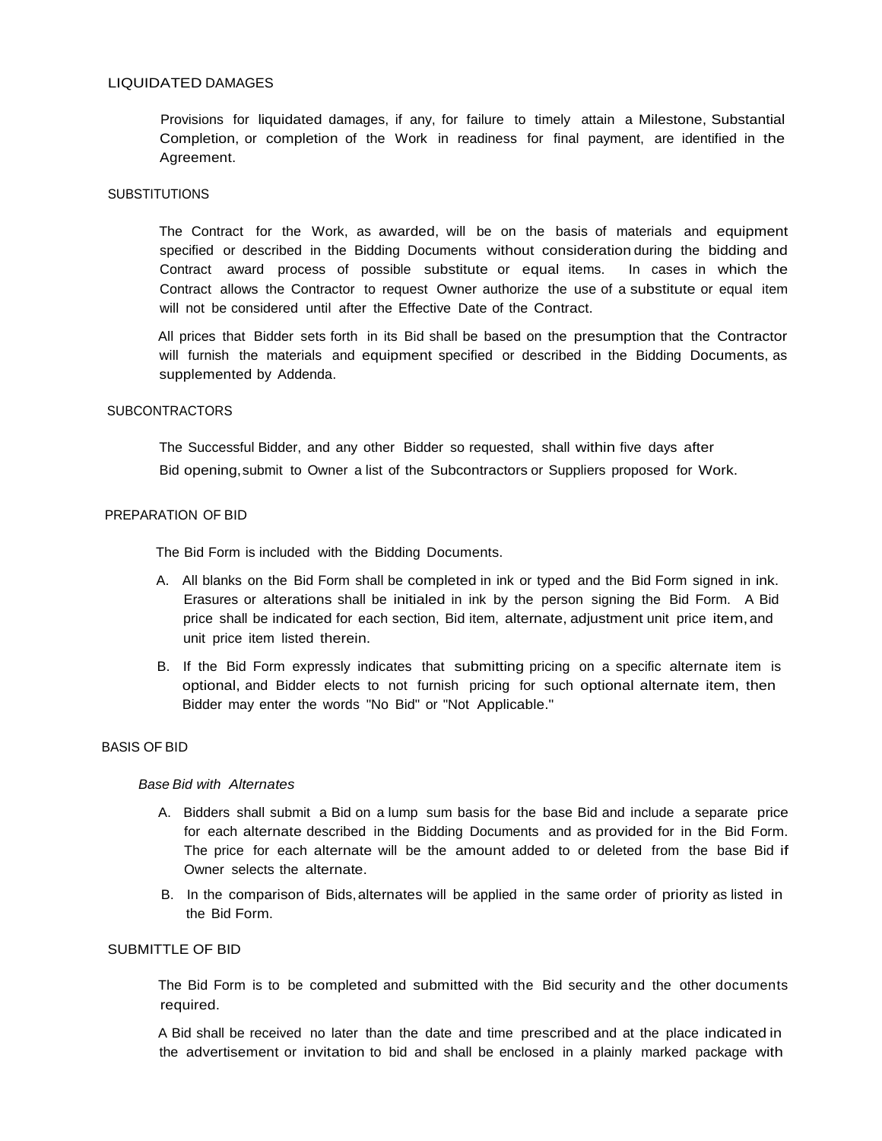#### LIQUIDATED DAMAGES

 Provisions for liquidated damages, if any, for failure to timely attain a Milestone, Substantial Completion, or completion of the Work in readiness for final payment, are identified in the Agreement.

#### SUBSTITUTIONS

 The Contract for the Work, as awarded, will be on the basis of materials and equipment specified or described in the Bidding Documents without consideration during the bidding and Contract award process of possible substitute or equal items. In cases in which the Contract allows the Contractor to request Owner authorize the use of a substitute or equal item will not be considered until after the Effective Date of the Contract.

All prices that Bidder sets forth in its Bid shall be based on the presumption that the Contractor will furnish the materials and equipment specified or described in the Bidding Documents, as supplemented by Addenda.

#### SUBCONTRACTORS

 The Successful Bidder, and any other Bidder so requested, shall within five days after Bid opening,submit to Owner a list of the Subcontractors or Suppliers proposed for Work.

#### PREPARATION OF BID

The Bid Form is included with the Bidding Documents.

- A. All blanks on the Bid Form shall be completed in ink or typed and the Bid Form signed in ink. Erasures or alterations shall be initialed in ink by the person signing the Bid Form. A Bid price shall be indicated for each section, Bid item, alternate, adjustment unit price item,and unit price item listed therein.
- B. If the Bid Form expressly indicates that submitting pricing on a specific alternate item is optional, and Bidder elects to not furnish pricing for such optional alternate item, then Bidder may enter the words "No Bid" or "Not Applicable."

#### BASIS OF BID

#### *Base Bid with Alternates*

- A. Bidders shall submit a Bid on a lump sum basis for the base Bid and include a separate price for each alternate described in the Bidding Documents and as provided for in the Bid Form. The price for each alternate will be the amount added to or deleted from the base Bid if Owner selects the alternate.
- B. In the comparison of Bids, alternates will be applied in the same order of priority as listed in the Bid Form.

## SUBMITTLE OF BID

 The Bid Form is to be completed and submitted with the Bid security and the other documents required.

A Bid shall be received no later than the date and time prescribed and at the place indicated in the advertisement or invitation to bid and shall be enclosed in a plainly marked package with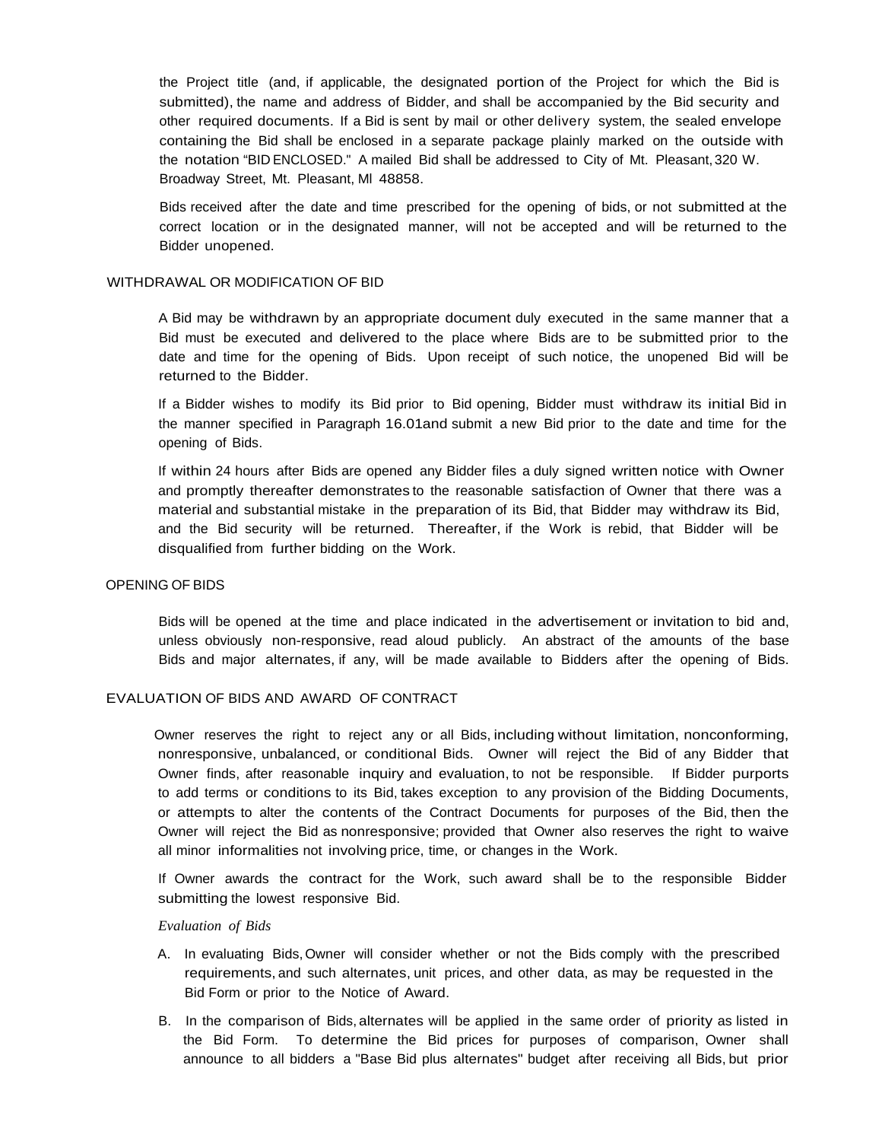the Project title (and, if applicable, the designated portion of the Project for which the Bid is submitted), the name and address of Bidder, and shall be accompanied by the Bid security and other required documents. If a Bid is sent by mail or other delivery system, the sealed envelope containing the Bid shall be enclosed in a separate package plainly marked on the outside with the notation "BID ENCLOSED." A mailed Bid shall be addressed to City of Mt. Pleasant, 320 W. Broadway Street, Mt. Pleasant, Ml 48858.

Bids received after the date and time prescribed for the opening of bids, or not submitted at the correct location or in the designated manner, will not be accepted and will be returned to the Bidder unopened.

#### WITHDRAWAL OR MODIFICATION OF BID

 A Bid may be withdrawn by an appropriate document duly executed in the same manner that a Bid must be executed and delivered to the place where Bids are to be submitted prior to the date and time for the opening of Bids. Upon receipt of such notice, the unopened Bid will be returned to the Bidder.

If a Bidder wishes to modify its Bid prior to Bid opening, Bidder must withdraw its initial Bid in the manner specified in Paragraph 16.01and submit a new Bid prior to the date and time for the opening of Bids.

If within 24 hours after Bids are opened any Bidder files a duly signed written notice with Owner and promptly thereafter demonstrates to the reasonable satisfaction of Owner that there was a material and substantial mistake in the preparation of its Bid, that Bidder may withdraw its Bid, and the Bid security will be returned. Thereafter, if the Work is rebid, that Bidder will be disqualified from further bidding on the Work.

#### OPENING OF BIDS

 Bids will be opened at the time and place indicated in the advertisement or invitation to bid and, unless obviously non-responsive, read aloud publicly. An abstract of the amounts of the base Bids and major alternates, if any, will be made available to Bidders after the opening of Bids.

#### EVALUATION OF BIDS AND AWARD OF CONTRACT

 Owner reserves the right to reject any or all Bids, including without limitation, nonconforming, nonresponsive, unbalanced, or conditional Bids. Owner will reject the Bid of any Bidder that Owner finds, after reasonable inquiry and evaluation, to not be responsible. If Bidder purports to add terms or conditions to its Bid, takes exception to any provision of the Bidding Documents, or attempts to alter the contents of the Contract Documents for purposes of the Bid, then the Owner will reject the Bid as nonresponsive; provided that Owner also reserves the right to waive all minor informalities not involving price, time, or changes in the Work.

If Owner awards the contract for the Work, such award shall be to the responsible Bidder submitting the lowest responsive Bid.

#### *Evaluation of Bids*

- A. In evaluating Bids,Owner will consider whether or not the Bids comply with the prescribed requirements, and such alternates, unit prices, and other data, as may be requested in the Bid Form or prior to the Notice of Award.
- B. In the comparison of Bids, alternates will be applied in the same order of priority as listed in the Bid Form. To determine the Bid prices for purposes of comparison, Owner shall announce to all bidders a "Base Bid plus alternates" budget after receiving all Bids, but prior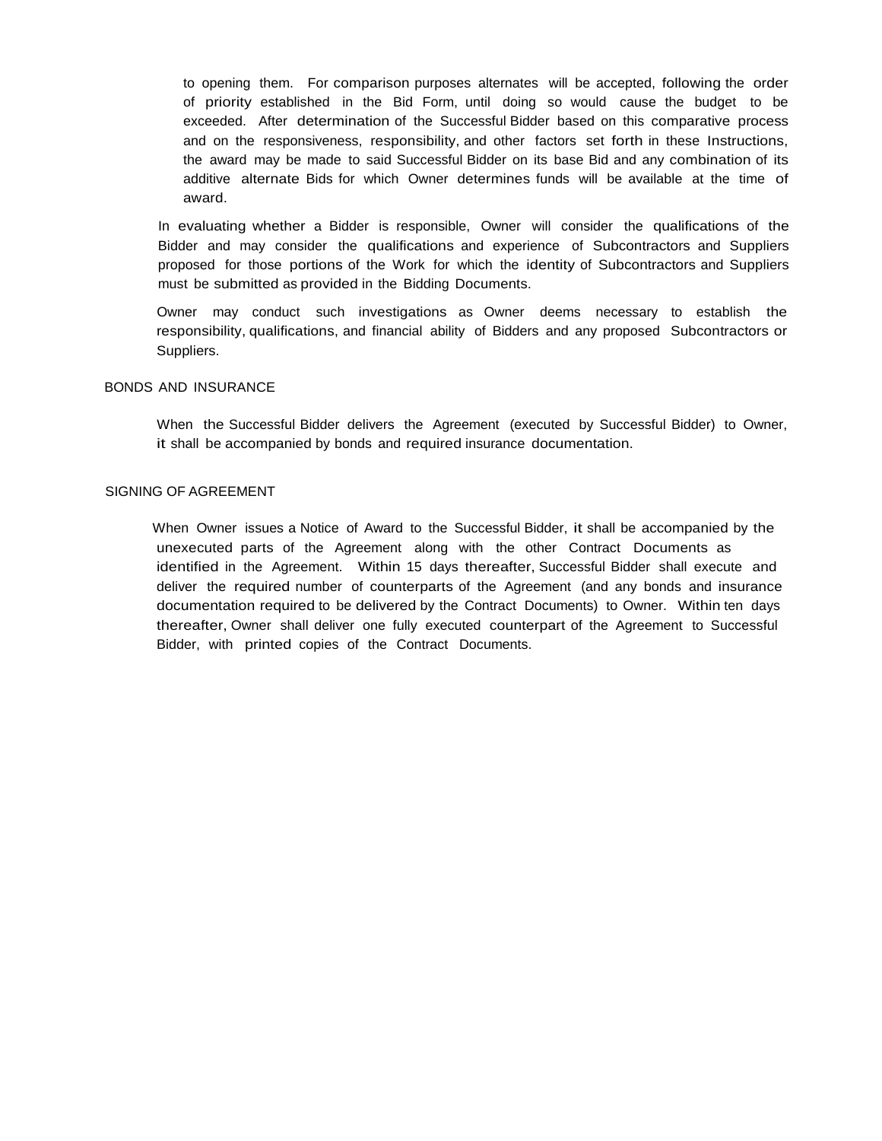to opening them. For comparison purposes alternates will be accepted, following the order of priority established in the Bid Form, until doing so would cause the budget to be exceeded. After determination of the Successful Bidder based on this comparative process and on the responsiveness, responsibility, and other factors set forth in these Instructions, the award may be made to said Successful Bidder on its base Bid and any combination of its additive alternate Bids for which Owner determines funds will be available at the time of award.

In evaluating whether a Bidder is responsible, Owner will consider the qualifications of the Bidder and may consider the qualifications and experience of Subcontractors and Suppliers proposed for those portions of the Work for which the identity of Subcontractors and Suppliers must be submitted as provided in the Bidding Documents.

Owner may conduct such investigations as Owner deems necessary to establish the responsibility, qualifications, and financial ability of Bidders and any proposed Subcontractors or Suppliers.

#### BONDS AND INSURANCE

 When the Successful Bidder delivers the Agreement (executed by Successful Bidder) to Owner, it shall be accompanied by bonds and required insurance documentation.

#### SIGNING OF AGREEMENT

 When Owner issues a Notice of Award to the Successful Bidder, it shall be accompanied by the unexecuted parts of the Agreement along with the other Contract Documents as identified in the Agreement. Within 15 days thereafter, Successful Bidder shall execute and deliver the required number of counterparts of the Agreement (and any bonds and insurance documentation required to be delivered by the Contract Documents) to Owner. Within ten days thereafter, Owner shall deliver one fully executed counterpart of the Agreement to Successful Bidder, with printed copies of the Contract Documents.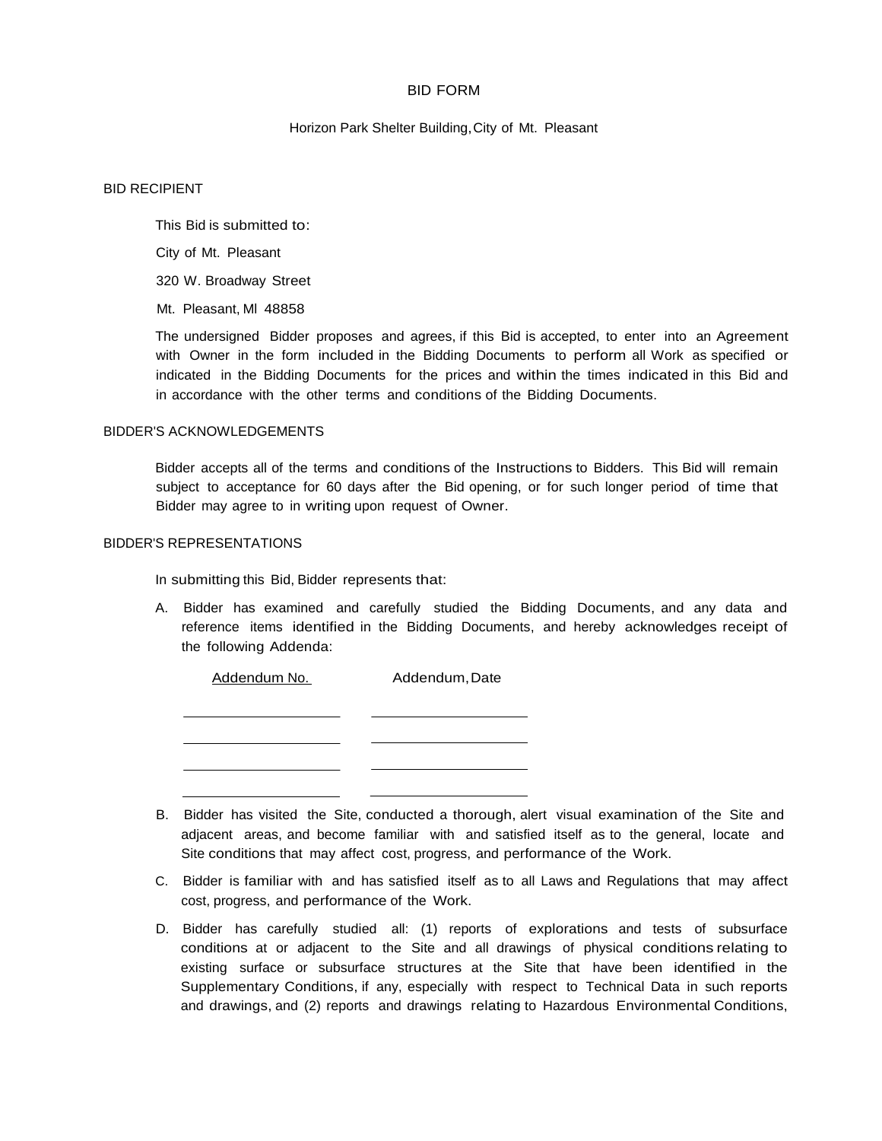#### BID FORM

#### Horizon Park Shelter Building,City of Mt. Pleasant

#### BID RECIPIENT

This Bid is submitted to:

City of Mt. Pleasant

320 W. Broadway Street

Mt. Pleasant, Ml 48858

The undersigned Bidder proposes and agrees, if this Bid is accepted, to enter into an Agreement with Owner in the form included in the Bidding Documents to perform all Work as specified or indicated in the Bidding Documents for the prices and within the times indicated in this Bid and in accordance with the other terms and conditions of the Bidding Documents.

#### BIDDER'S ACKNOWLEDGEMENTS

Bidder accepts all of the terms and conditions of the Instructions to Bidders. This Bid will remain subject to acceptance for 60 days after the Bid opening, or for such longer period of time that Bidder may agree to in writing upon request of Owner.

#### BIDDER'S REPRESENTATIONS

In submitting this Bid, Bidder represents that:

A. Bidder has examined and carefully studied the Bidding Documents, and any data and reference items identified in the Bidding Documents, and hereby acknowledges receipt of the following Addenda:

| Addendum No. | Addendum, Date |
|--------------|----------------|
|              |                |
|              |                |
|              |                |
|              |                |
|              |                |

- B. Bidder has visited the Site, conducted a thorough, alert visual examination of the Site and adjacent areas, and become familiar with and satisfied itself as to the general, locate and Site conditions that may affect cost, progress, and performance of the Work.
- C. Bidder is familiar with and has satisfied itself as to all Laws and Regulations that may affect cost, progress, and performance of the Work.
- D. Bidder has carefully studied all: (1) reports of explorations and tests of subsurface conditions at or adjacent to the Site and all drawings of physical conditions relating to existing surface or subsurface structures at the Site that have been identified in the Supplementary Conditions, if any, especially with respect to Technical Data in such reports and drawings, and (2) reports and drawings relating to Hazardous Environmental Conditions,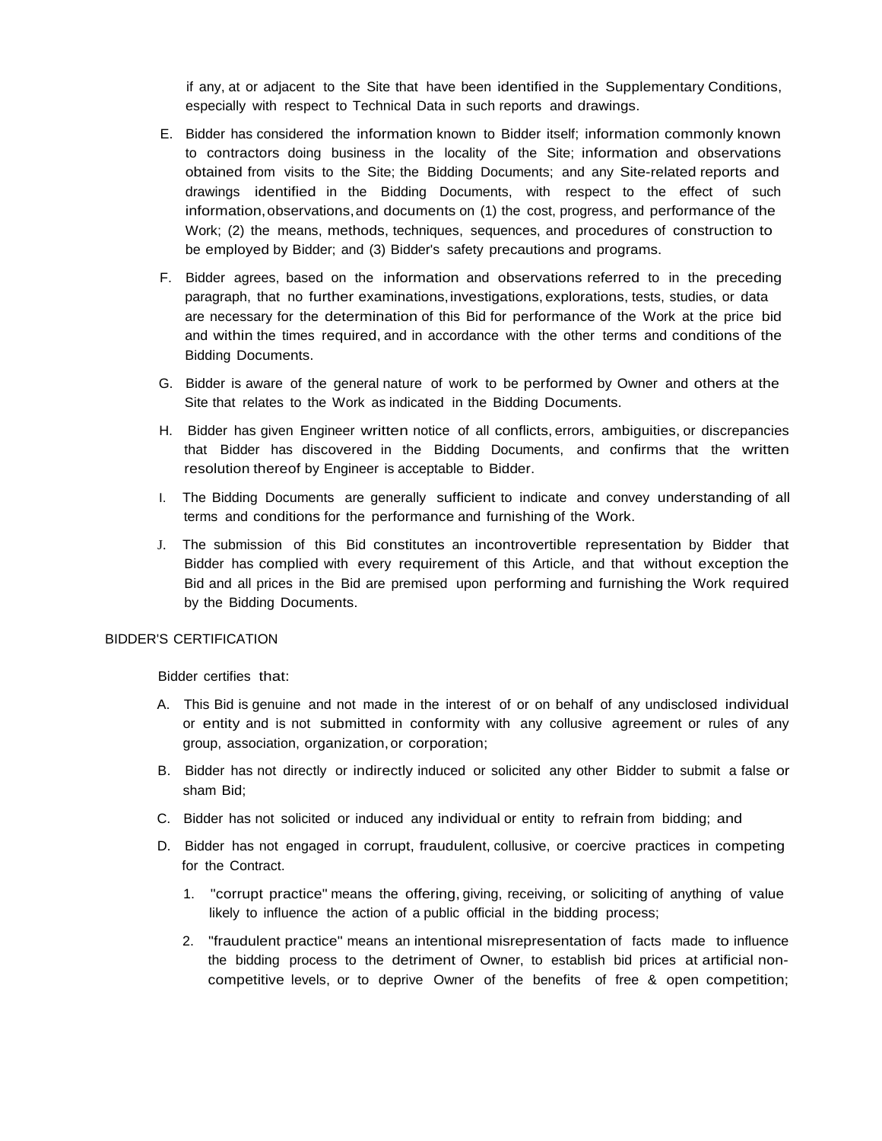if any, at or adjacent to the Site that have been identified in the Supplementary Conditions, especially with respect to Technical Data in such reports and drawings.

- E. Bidder has considered the information known to Bidder itself; information commonly known to contractors doing business in the locality of the Site; information and observations obtained from visits to the Site; the Bidding Documents; and any Site-related reports and drawings identified in the Bidding Documents, with respect to the effect of such information,observations,and documents on (1) the cost, progress, and performance of the Work; (2) the means, methods, techniques, sequences, and procedures of construction to be employed by Bidder; and (3) Bidder's safety precautions and programs.
- F. Bidder agrees, based on the information and observations referred to in the preceding paragraph, that no further examinations, investigations, explorations, tests, studies, or data are necessary for the determination of this Bid for performance of the Work at the price bid and within the times required, and in accordance with the other terms and conditions of the Bidding Documents.
- G. Bidder is aware of the general nature of work to be performed by Owner and others at the Site that relates to the Work as indicated in the Bidding Documents.
- H. Bidder has given Engineer written notice of all conflicts, errors, ambiguities, or discrepancies that Bidder has discovered in the Bidding Documents, and confirms that the written resolution thereof by Engineer is acceptable to Bidder.
- I. The Bidding Documents are generally sufficient to indicate and convey understanding of all terms and conditions for the performance and furnishing of the Work.
- J. The submission of this Bid constitutes an incontrovertible representation by Bidder that Bidder has complied with every requirement of this Article, and that without exception the Bid and all prices in the Bid are premised upon performing and furnishing the Work required by the Bidding Documents.

#### BIDDER'S CERTIFICATION

Bidder certifies that:

- A. This Bid is genuine and not made in the interest of or on behalf of any undisclosed individual or entity and is not submitted in conformity with any collusive agreement or rules of any group, association, organization,or corporation;
- B. Bidder has not directly or indirectly induced or solicited any other Bidder to submit a false or sham Bid;
- C. Bidder has not solicited or induced any individual or entity to refrain from bidding; and
- D. Bidder has not engaged in corrupt, fraudulent, collusive, or coercive practices in competing for the Contract.
	- 1. "corrupt practice" means the offering, giving, receiving, or soliciting of anything of value likely to influence the action of a public official in the bidding process;
	- 2. "fraudulent practice" means an intentional misrepresentation of facts made to influence the bidding process to the detriment of Owner, to establish bid prices at artificial noncompetitive levels, or to deprive Owner of the benefits of free & open competition;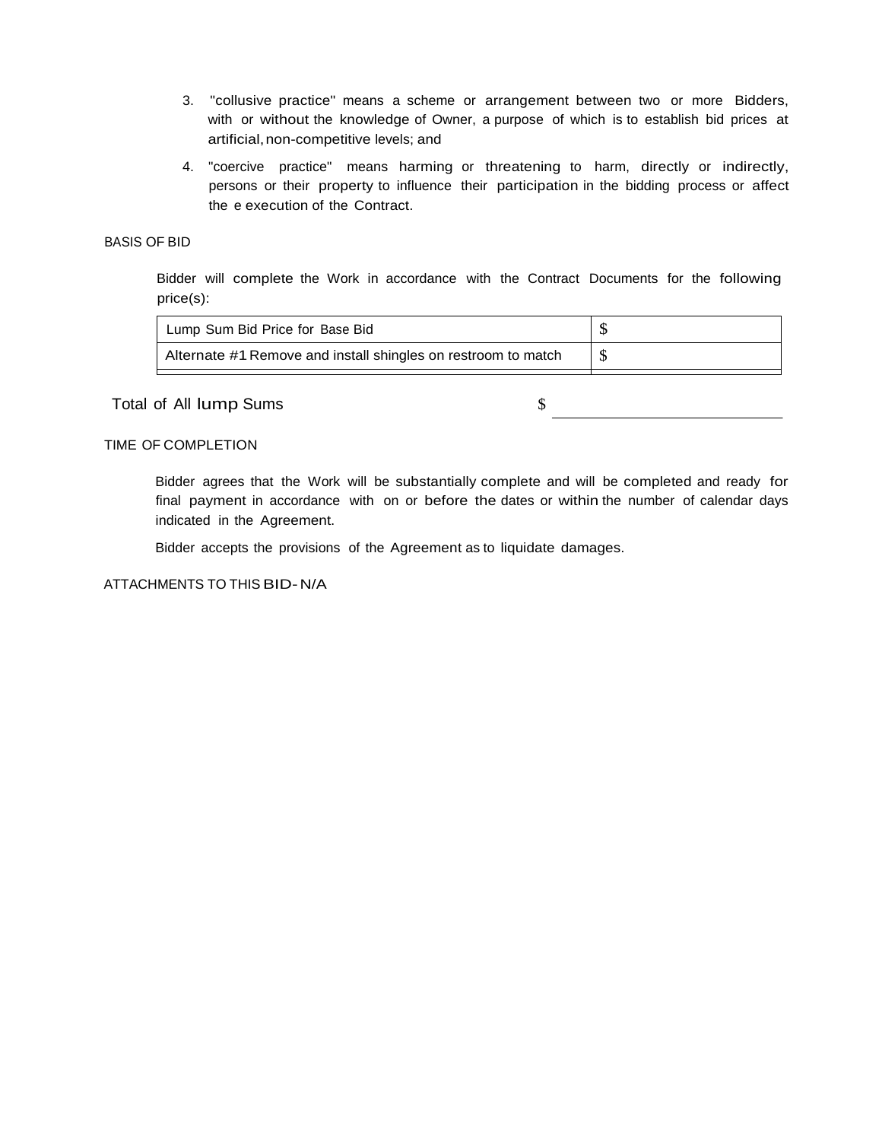- 3. "collusive practice" means a scheme or arrangement between two or more Bidders, with or without the knowledge of Owner, a purpose of which is to establish bid prices at artificial,non-competitive levels; and
- 4. "coercive practice" means harming or threatening to harm, directly or indirectly, persons or their property to influence their participation in the bidding process or affect the e execution of the Contract.

### BASIS OF BID

Bidder will complete the Work in accordance with the Contract Documents for the following price(s):

| Lump Sum Bid Price for Base Bid                               | кD |
|---------------------------------------------------------------|----|
| Alternate #1 Remove and install shingles on restroom to match |    |

# Total of All lump Sums  $\sim$  \$

#### TIME OF COMPLETION

Bidder agrees that the Work will be substantially complete and will be completed and ready for final payment in accordance with on or before the dates or within the number of calendar days indicated in the Agreement.

Bidder accepts the provisions of the Agreement as to liquidate damages.

#### ATTACHMENTS TO THIS BID-N/A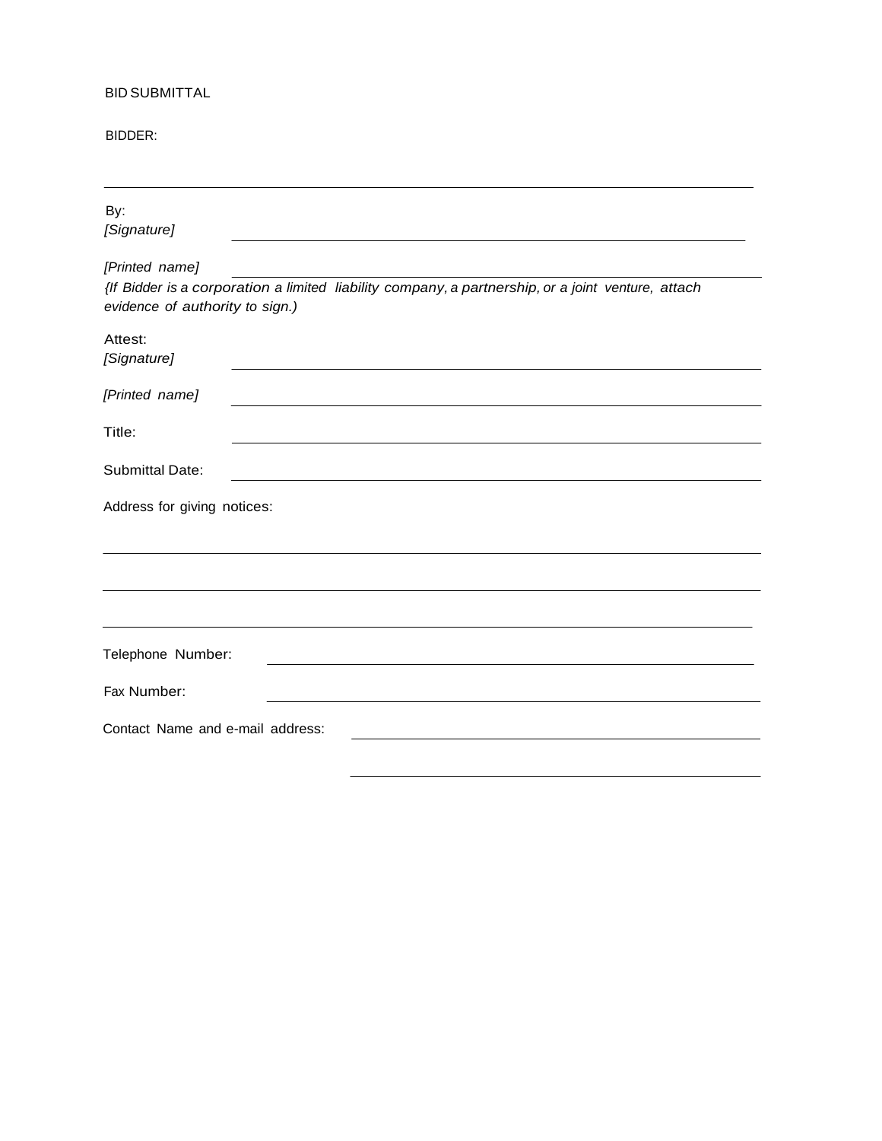#### BID SUBMITTAL

BIDDER:

| By:<br>[Signature]                                                                                                                    |
|---------------------------------------------------------------------------------------------------------------------------------------|
| [Printed name]                                                                                                                        |
| {If Bidder is a corporation a limited liability company, a partnership, or a joint venture, attach<br>evidence of authority to sign.) |
| Attest:<br>[Signature]                                                                                                                |
| [Printed name]                                                                                                                        |
| Title:                                                                                                                                |
| <b>Submittal Date:</b>                                                                                                                |
| Address for giving notices:                                                                                                           |
|                                                                                                                                       |
|                                                                                                                                       |
| Telephone Number:                                                                                                                     |
| Fax Number:                                                                                                                           |
| Contact Name and e-mail address:                                                                                                      |
|                                                                                                                                       |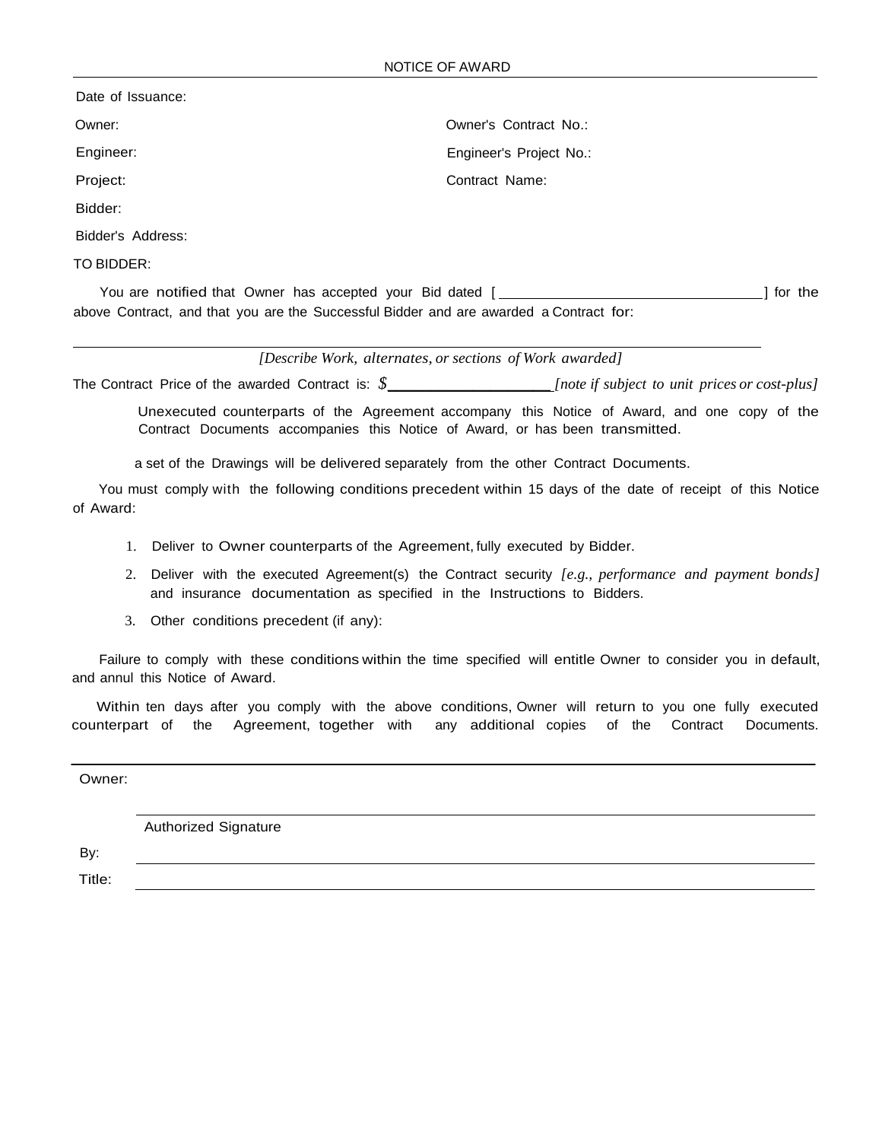| Date of Issuance:                                         |                         |
|-----------------------------------------------------------|-------------------------|
| Owner:                                                    | Owner's Contract No.:   |
| Engineer:                                                 | Engineer's Project No.: |
| Project:                                                  | Contract Name:          |
| Bidder:                                                   |                         |
| Bidder's Address:                                         |                         |
| TO BIDDER:                                                |                         |
| Vou are notified that Oumer has acconted vous Did dated I | $1$ fax the             |

You are notified that Owner has accepted your Bid dated [ \_\_\_\_\_\_\_\_\_\_\_\_\_\_\_\_\_\_\_\_\_\_\_\_\_\_\_\_\_\_\_\_\_] for the above Contract, and that you are the Successful Bidder and are awarded a Contract for:

#### *[Describe Work, alternates, or sections of Work awarded]*

The Contract Price of the awarded Contract is: *\$\_\_\_\_\_\_\_\_\_\_\_\_\_\_\_\_\_\_\_ [note if subject to unit prices or cost-plus]*

Unexecuted counterparts of the Agreement accompany this Notice of Award, and one copy of the Contract Documents accompanies this Notice of Award, or has been transmitted.

a set of the Drawings will be delivered separately from the other Contract Documents.

You must comply with the following conditions precedent within 15 days of the date of receipt of this Notice of Award:

- 1. Deliver to Owner counterparts of the Agreement, fully executed by Bidder.
- 2. Deliver with the executed Agreement(s) the Contract security *[e.g., performance and payment bonds]*  and insurance documentation as specified in the Instructions to Bidders.
- 3. Other conditions precedent (if any):

Failure to comply with these conditions within the time specified will entitle Owner to consider you in default, and annul this Notice of Award.

Within ten days after you comply with the above conditions, Owner will return to you one fully executed counterpart of the Agreement, together with any additional copies of the Contract Documents.

Owner:

Authorized Signature

By:

Title: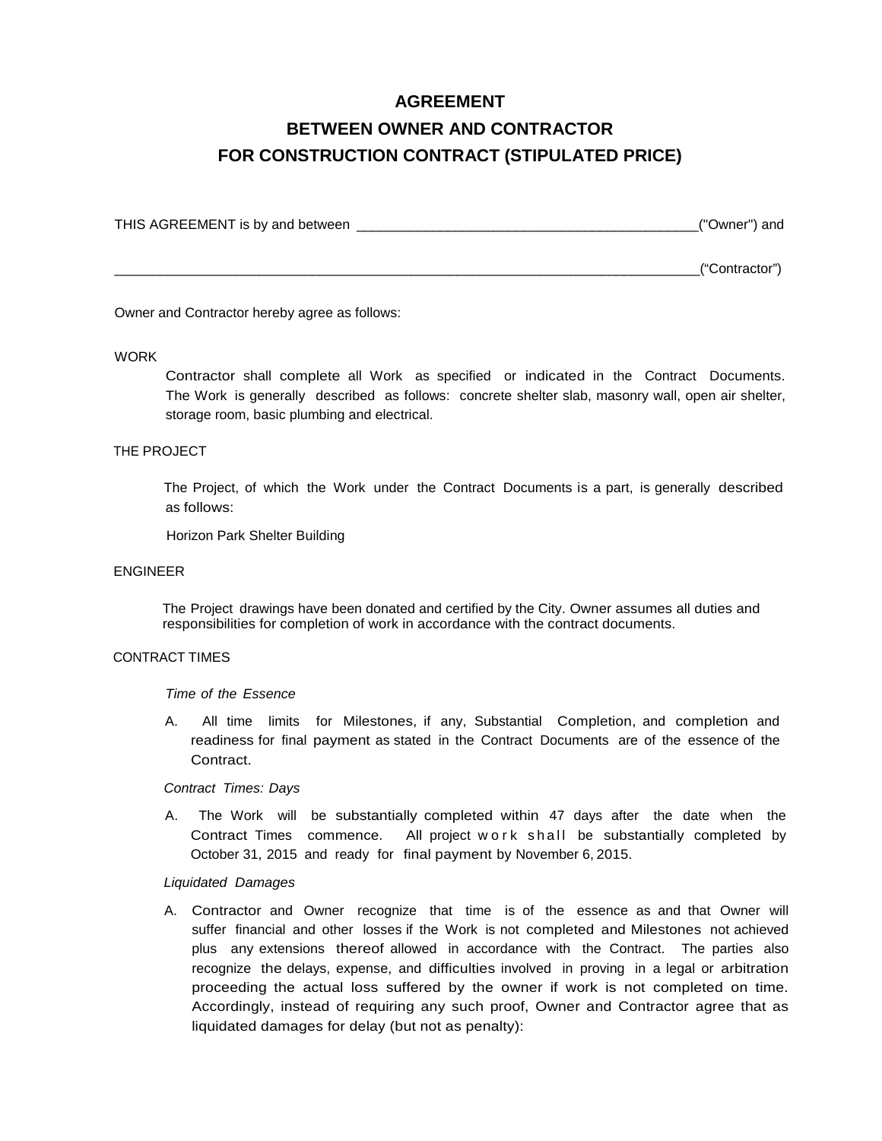## **AGREEMENT BETWEEN OWNER AND CONTRACTOR FOR CONSTRUCTION CONTRACT (STIPULATED PRICE)**

THIS AGREEMENT is by and between \_\_\_\_\_\_\_\_\_\_\_\_\_\_\_\_\_\_\_\_\_\_\_\_\_\_\_\_\_\_\_\_\_\_\_\_\_\_\_\_\_\_\_\_\_("Owner") and

\_\_\_\_\_\_\_\_\_\_\_\_\_\_\_\_\_\_\_\_\_\_\_\_\_\_\_\_\_\_\_\_\_\_\_\_\_\_\_\_\_\_\_\_\_\_\_\_\_\_\_\_\_\_\_\_\_\_\_\_\_\_\_\_\_\_\_\_\_\_\_\_\_\_\_\_\_("Contractor")

Owner and Contractor hereby agree as follows:

#### WORK

Contractor shall complete all Work as specified or indicated in the Contract Documents. The Work is generally described as follows: concrete shelter slab, masonry wall, open air shelter, storage room, basic plumbing and electrical.

#### THE PROJECT

The Project, of which the Work under the Contract Documents is a part, is generally described as follows:

Horizon Park Shelter Building

#### ENGINEER

The Project drawings have been donated and certified by the City. Owner assumes all duties and responsibilities for completion of work in accordance with the contract documents.

#### CONTRACT TIMES

#### *Time of the Essence*

A. All time limits for Milestones, if any, Substantial Completion, and completion and readiness for final payment as stated in the Contract Documents are of the essence of the Contract.

#### *Contract Times: Days*

A. The Work will be substantially completed within 47 days after the date when the Contract Times commence. All project work shall be substantially completed by October 31, 2015 and ready for final payment by November 6, 2015.

#### *Liquidated Damages*

A. Contractor and Owner recognize that time is of the essence as and that Owner will suffer financial and other losses if the Work is not completed and Milestones not achieved plus any extensions thereof allowed in accordance with the Contract. The parties also recognize the delays, expense, and difficulties involved in proving in a legal or arbitration proceeding the actual loss suffered by the owner if work is not completed on time. Accordingly, instead of requiring any such proof, Owner and Contractor agree that as liquidated damages for delay (but not as penalty):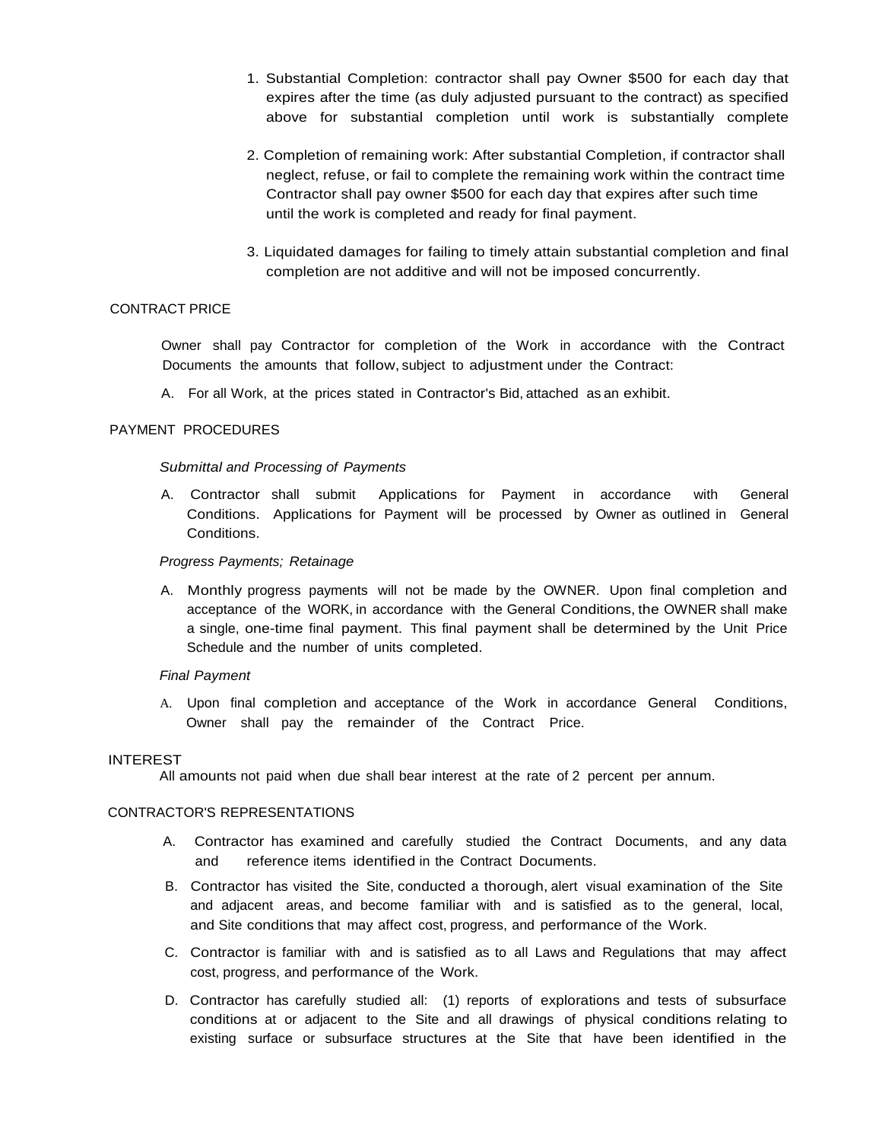- 1. Substantial Completion: contractor shall pay Owner \$500 for each day that expires after the time (as duly adjusted pursuant to the contract) as specified above for substantial completion until work is substantially complete
- 2. Completion of remaining work: After substantial Completion, if contractor shall neglect, refuse, or fail to complete the remaining work within the contract time Contractor shall pay owner \$500 for each day that expires after such time until the work is completed and ready for final payment.
- 3. Liquidated damages for failing to timely attain substantial completion and final completion are not additive and will not be imposed concurrently.

#### CONTRACT PRICE

Owner shall pay Contractor for completion of the Work in accordance with the Contract Documents the amounts that follow, subject to adjustment under the Contract:

A. For all Work, at the prices stated in Contractor's Bid, attached as an exhibit.

#### PAYMENT PROCEDURES

#### *Submittal and Processing of Payments*

A. Contractor shall submit Applications for Payment in accordance with General Conditions. Applications for Payment will be processed by Owner as outlined in General Conditions.

#### *Progress Payments; Retainage*

A. Monthly progress payments will not be made by the OWNER. Upon final completion and acceptance of the WORK, in accordance with the General Conditions, the OWNER shall make a single, one-time final payment. This final payment shall be determined by the Unit Price Schedule and the number of units completed.

#### *Final Payment*

A. Upon final completion and acceptance of the Work in accordance General Conditions, Owner shall pay the remainder of the Contract Price.

#### INTEREST

All amounts not paid when due shall bear interest at the rate of 2 percent per annum.

#### CONTRACTOR'S REPRESENTATIONS

- A. Contractor has examined and carefully studied the Contract Documents, and any data and reference items identified in the Contract Documents.
- B. Contractor has visited the Site, conducted a thorough, alert visual examination of the Site and adjacent areas, and become familiar with and is satisfied as to the general, local, and Site conditions that may affect cost, progress, and performance of the Work.
- C. Contractor is familiar with and is satisfied as to all Laws and Regulations that may affect cost, progress, and performance of the Work.
- D. Contractor has carefully studied all: (1) reports of explorations and tests of subsurface conditions at or adjacent to the Site and all drawings of physical conditions relating to existing surface or subsurface structures at the Site that have been identified in the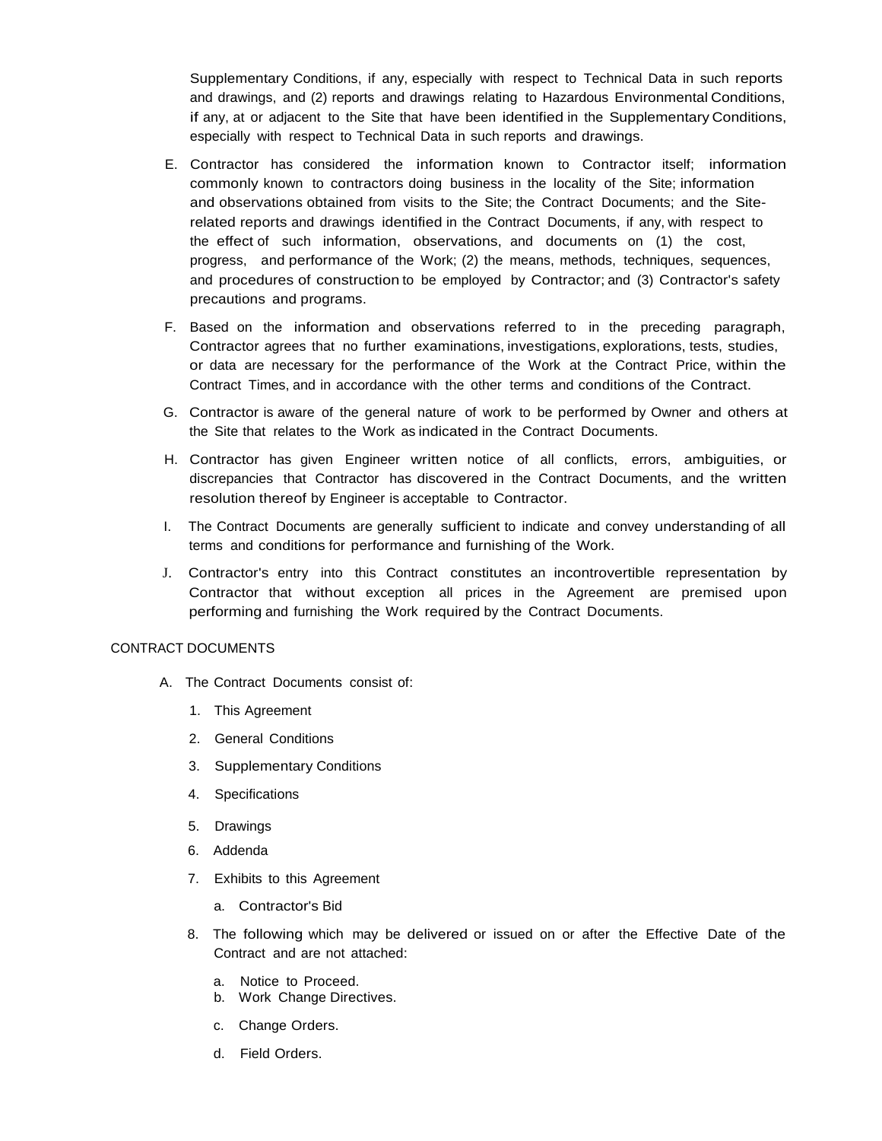Supplementary Conditions, if any, especially with respect to Technical Data in such reports and drawings, and (2) reports and drawings relating to Hazardous Environmental Conditions, if any, at or adjacent to the Site that have been identified in the Supplementary Conditions, especially with respect to Technical Data in such reports and drawings.

- E. Contractor has considered the information known to Contractor itself; information commonly known to contractors doing business in the locality of the Site; information and observations obtained from visits to the Site; the Contract Documents; and the Siterelated reports and drawings identified in the Contract Documents, if any, with respect to the effect of such information, observations, and documents on (1) the cost, progress, and performance of the Work; (2) the means, methods, techniques, sequences, and procedures of construction to be employed by Contractor; and (3) Contractor's safety precautions and programs.
- F. Based on the information and observations referred to in the preceding paragraph, Contractor agrees that no further examinations, investigations, explorations, tests, studies, or data are necessary for the performance of the Work at the Contract Price, within the Contract Times, and in accordance with the other terms and conditions of the Contract.
- G. Contractor is aware of the general nature of work to be performed by Owner and others at the Site that relates to the Work as indicated in the Contract Documents.
- H. Contractor has given Engineer written notice of all conflicts, errors, ambiguities, or discrepancies that Contractor has discovered in the Contract Documents, and the written resolution thereof by Engineer is acceptable to Contractor.
- I. The Contract Documents are generally sufficient to indicate and convey understanding of all terms and conditions for performance and furnishing of the Work.
- J. Contractor's entry into this Contract constitutes an incontrovertible representation by Contractor that without exception all prices in the Agreement are premised upon performing and furnishing the Work required by the Contract Documents.

#### CONTRACT DOCUMENTS

- A. The Contract Documents consist of:
	- 1. This Agreement
	- 2. General Conditions
	- 3. Supplementary Conditions
	- 4. Specifications
	- 5. Drawings
	- 6. Addenda
	- 7. Exhibits to this Agreement
		- a. Contractor's Bid
	- 8. The following which may be delivered or issued on or after the Effective Date of the Contract and are not attached:
		- a. Notice to Proceed.
		- b. Work Change Directives.
		- c. Change Orders.
		- d. Field Orders.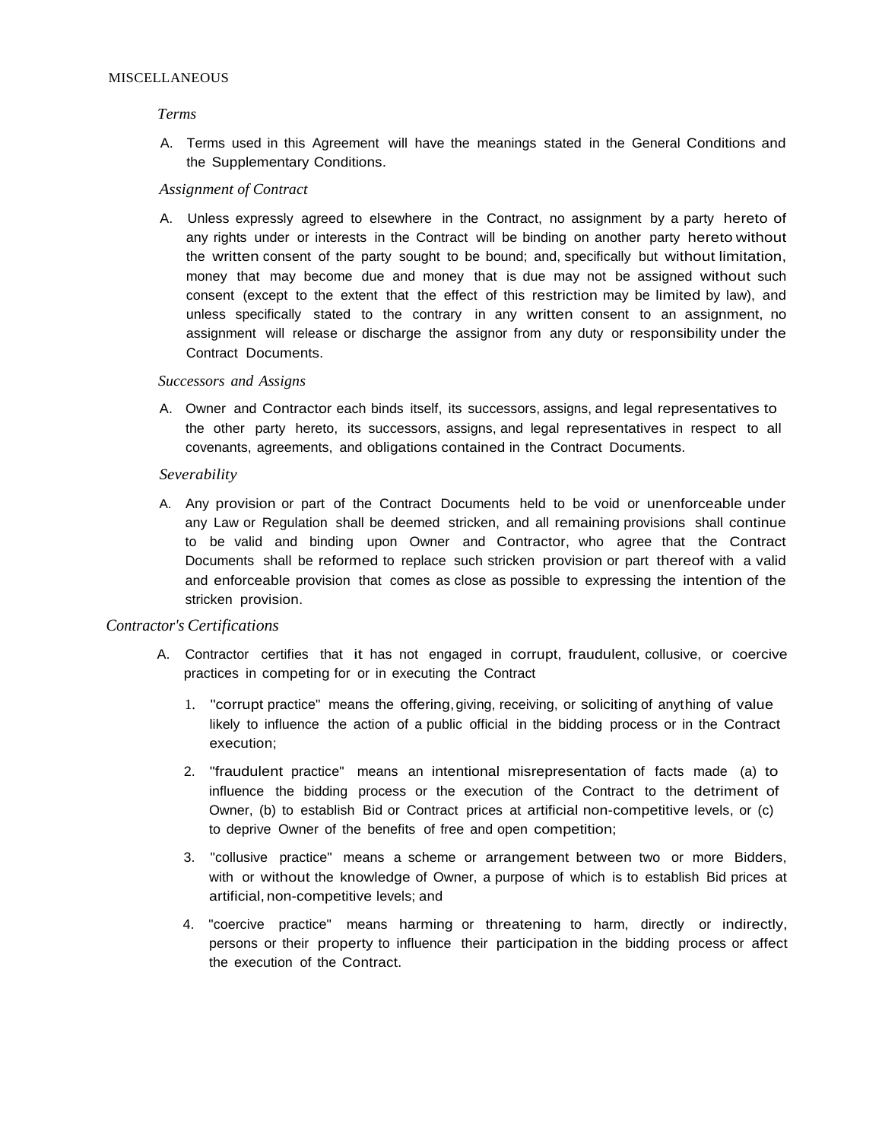#### *Terms*

A. Terms used in this Agreement will have the meanings stated in the General Conditions and the Supplementary Conditions.

#### *Assignment of Contract*

A. Unless expressly agreed to elsewhere in the Contract, no assignment by a party hereto of any rights under or interests in the Contract will be binding on another party hereto without the written consent of the party sought to be bound; and, specifically but without limitation, money that may become due and money that is due may not be assigned without such consent (except to the extent that the effect of this restriction may be limited by law), and unless specifically stated to the contrary in any written consent to an assignment, no assignment will release or discharge the assignor from any duty or responsibility under the Contract Documents.

#### *Successors and Assigns*

A. Owner and Contractor each binds itself, its successors, assigns, and legal representatives to the other party hereto, its successors, assigns, and legal representatives in respect to all covenants, agreements, and obligations contained in the Contract Documents.

#### *Severability*

A. Any provision or part of the Contract Documents held to be void or unenforceable under any Law or Regulation shall be deemed stricken, and all remaining provisions shall continue to be valid and binding upon Owner and Contractor, who agree that the Contract Documents shall be reformed to replace such stricken provision or part thereof with a valid and enforceable provision that comes as close as possible to expressing the intention of the stricken provision.

#### *Contractor's Certifications*

- A. Contractor certifies that it has not engaged in corrupt, fraudulent, collusive, or coercive practices in competing for or in executing the Contract
	- 1. "corrupt practice" means the offering,giving, receiving, or soliciting of anything of value likely to influence the action of a public official in the bidding process or in the Contract execution;
	- 2. "fraudulent practice" means an intentional misrepresentation of facts made (a) to influence the bidding process or the execution of the Contract to the detriment of Owner, (b) to establish Bid or Contract prices at artificial non-competitive levels, or (c) to deprive Owner of the benefits of free and open competition;
	- 3. "collusive practice" means a scheme or arrangement between two or more Bidders, with or without the knowledge of Owner, a purpose of which is to establish Bid prices at artificial, non-competitive levels; and
	- 4. "coercive practice" means harming or threatening to harm, directly or indirectly, persons or their property to influence their participation in the bidding process or affect the execution of the Contract.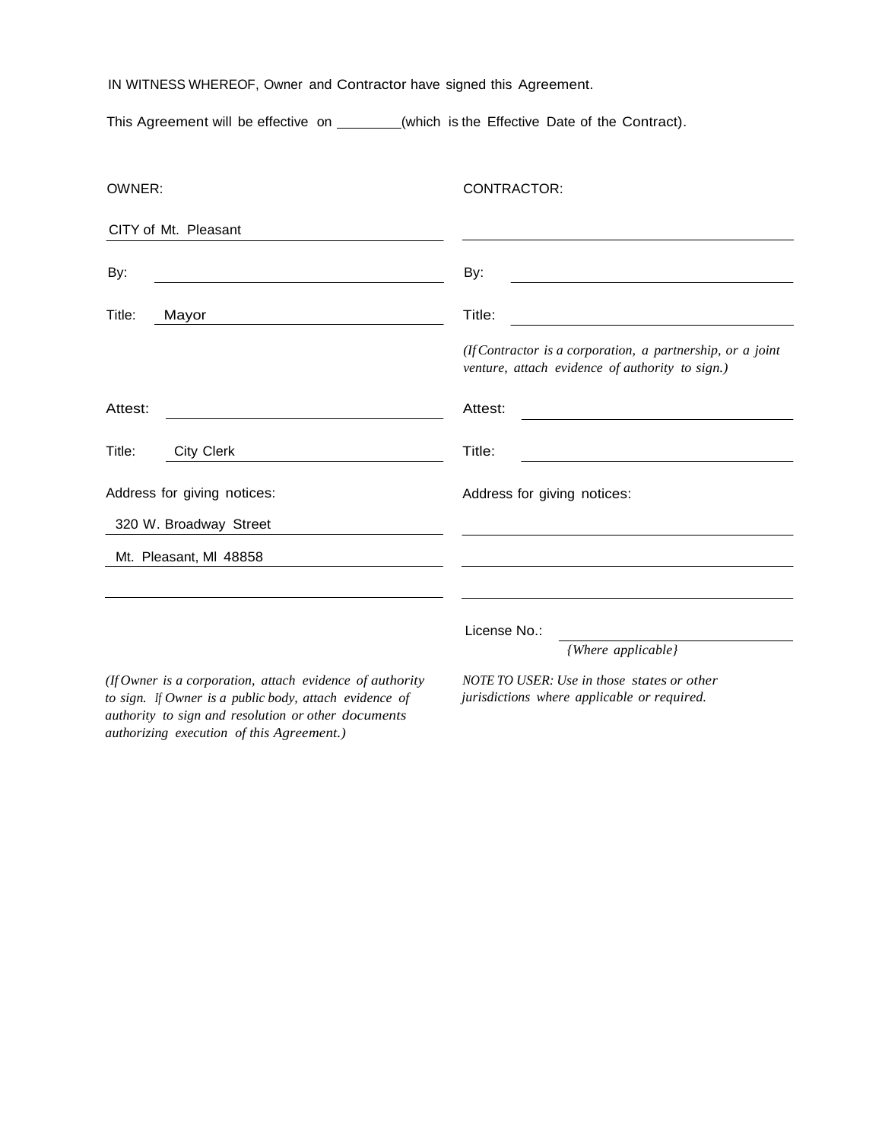IN WITNESS WHEREOF, Owner and Contractor have signed this Agreement.

*authority to sign and resolution or other documents* 

*authorizing execution of this Agreement.)*

This Agreement will be effective on \_\_\_\_\_\_\_(which is the Effective Date of the Contract).

| OWNER:                                                                                                                                  | CONTRACTOR:                                                                                                     |  |  |
|-----------------------------------------------------------------------------------------------------------------------------------------|-----------------------------------------------------------------------------------------------------------------|--|--|
| CITY of Mt. Pleasant                                                                                                                    |                                                                                                                 |  |  |
| By:                                                                                                                                     | By:                                                                                                             |  |  |
| Title:<br>Mayor<br><u> 1989 - John Stein, mars and de Branden en de Branden en de Branden en de Branden en de Branden en de Branden</u> | Title:                                                                                                          |  |  |
|                                                                                                                                         | $(If Contractor is a corporation, a partnership, or a joint$<br>venture, attach evidence of authority to sign.) |  |  |
| Attest:<br><u> 1980 - Johann Barbara, martxa alemaniar a</u>                                                                            | Attest:                                                                                                         |  |  |
| Title:<br><b>City Clerk</b>                                                                                                             | Title:                                                                                                          |  |  |
| Address for giving notices:<br>320 W. Broadway Street                                                                                   | Address for giving notices:                                                                                     |  |  |
| Mt. Pleasant, MI 48858                                                                                                                  |                                                                                                                 |  |  |
|                                                                                                                                         | License No.:<br>{Where applicable}                                                                              |  |  |
| (If Owner is a corporation, attach evidence of authority<br>to sign. If Owner is a public body, attach evidence of                      | NOTE TO USER: Use in those states or other<br>jurisdictions where applicable or required.                       |  |  |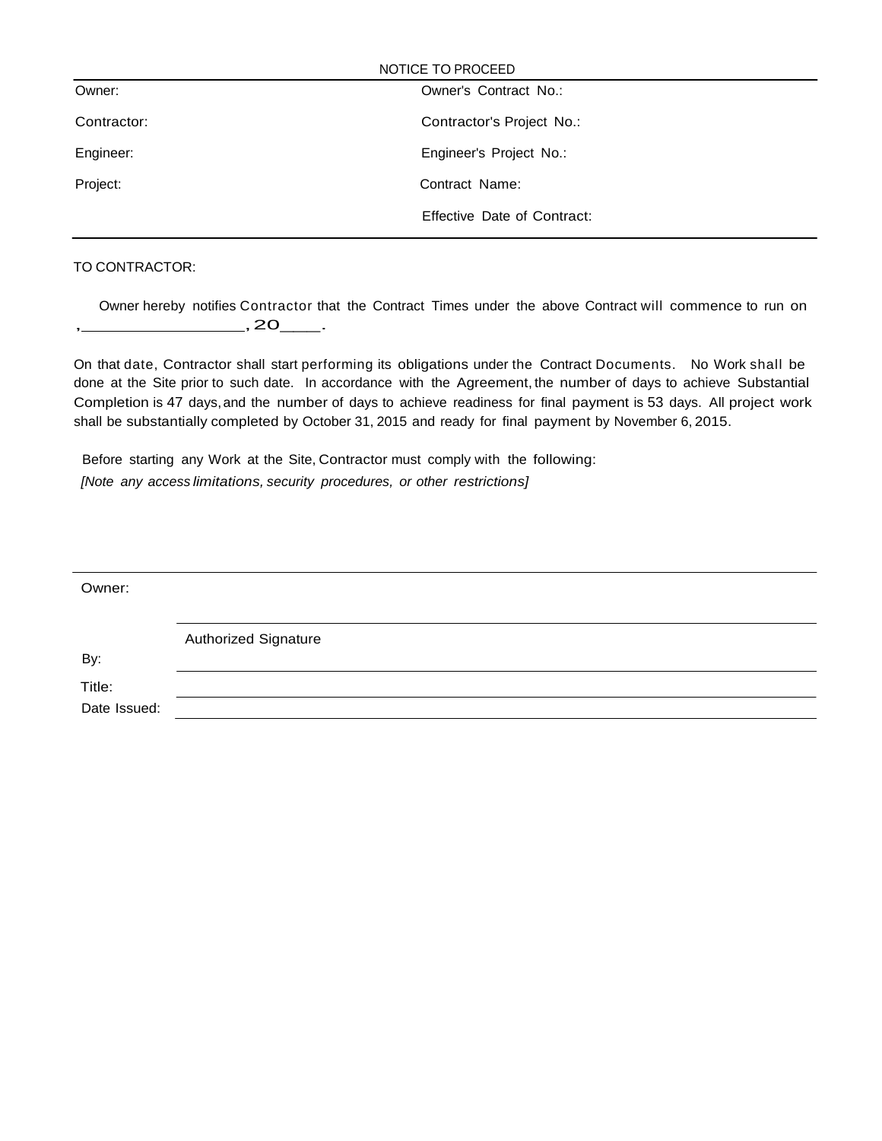| NOTICE TO PROCEED |                             |  |
|-------------------|-----------------------------|--|
| Owner:            | Owner's Contract No.:       |  |
| Contractor:       | Contractor's Project No.:   |  |
| Engineer:         | Engineer's Project No.:     |  |
| Project:          | Contract Name:              |  |
|                   | Effective Date of Contract: |  |

#### TO CONTRACTOR:

Owner hereby notifies Contractor that the Contract Times under the above Contract will commence to run on , ,20\_\_\_.

On that date, Contractor shall start performing its obligations under the Contract Documents. No Work shall be done at the Site prior to such date. In accordance with the Agreement, the number of days to achieve Substantial Completion is 47 days,and the number of days to achieve readiness for final payment is 53 days. All project work shall be substantially completed by October 31, 2015 and ready for final payment by November 6, 2015.

Before starting any Work at the Site, Contractor must comply with the following: *[Note any access limitations, security procedures, or other restrictions]*

| Owner:       |                      |
|--------------|----------------------|
|              | Authorized Signature |
| By:          |                      |
| Title:       |                      |
| Date Issued: |                      |
|              |                      |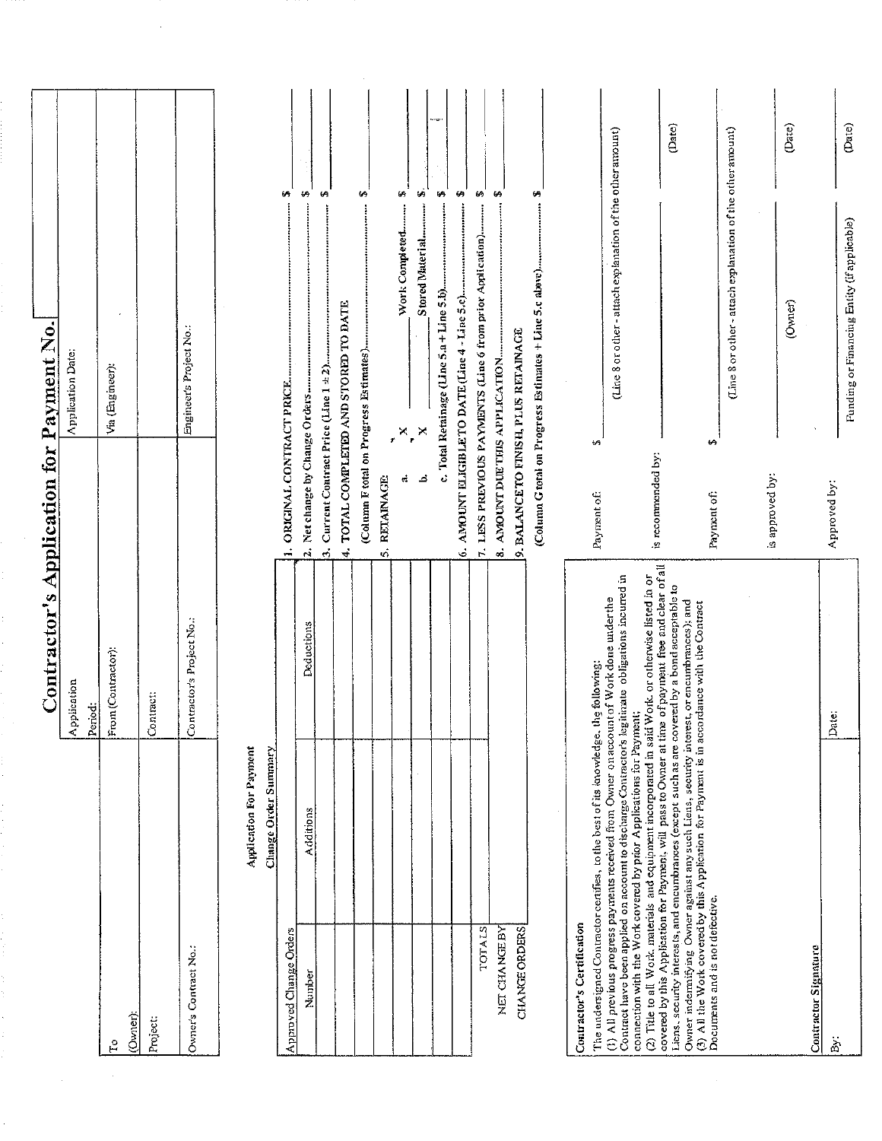|                                                                                                                                                                                                                                                                       | Contractor's Application for Payment No |                                      |                                                                 |        |
|-----------------------------------------------------------------------------------------------------------------------------------------------------------------------------------------------------------------------------------------------------------------------|-----------------------------------------|--------------------------------------|-----------------------------------------------------------------|--------|
|                                                                                                                                                                                                                                                                       | Application<br>Period:                  |                                      | Application Date:                                               |        |
| (Owner):<br>۹Ţ                                                                                                                                                                                                                                                        | From (Contractor):                      |                                      | Via (Engineer):                                                 |        |
| Project:                                                                                                                                                                                                                                                              | Contract:                               |                                      |                                                                 |        |
| Owner's Contract No.:                                                                                                                                                                                                                                                 | Contractor's Project No.:               |                                      | Engineers Project No.:                                          |        |
| Application For Payment<br>Change Order Summary                                                                                                                                                                                                                       |                                         |                                      |                                                                 |        |
| Approved Change Orders                                                                                                                                                                                                                                                |                                         | 1. ORIGINAL CONTRACT PRICE.          | 69<br>ļ                                                         |        |
| Additions<br>Number                                                                                                                                                                                                                                                   | Deductions                              | $\vec{r}$                            | 49<br>----------                                                |        |
|                                                                                                                                                                                                                                                                       |                                         | $\vec{e}$                            | Ψ,                                                              |        |
|                                                                                                                                                                                                                                                                       |                                         | $\ddot{ }$                           | TOTAL COMPLETED AND STORED TO DATE                              |        |
|                                                                                                                                                                                                                                                                       |                                         |                                      | 59<br>(Column F total on Progress Estimates)                    |        |
|                                                                                                                                                                                                                                                                       |                                         | RETAINAGE<br>ŵ,                      |                                                                 |        |
|                                                                                                                                                                                                                                                                       |                                         | ત                                    | 65<br>Work Completed<br>$\times$                                |        |
|                                                                                                                                                                                                                                                                       |                                         | S                                    | U)<br>Stored Material<br>×                                      |        |
|                                                                                                                                                                                                                                                                       |                                         |                                      | 65                                                              |        |
|                                                                                                                                                                                                                                                                       |                                         |                                      | G9                                                              |        |
| <b>TOTALS</b>                                                                                                                                                                                                                                                         |                                         |                                      | 69<br>7. LESS PREVIOUS PAYMENTS (Line 6 from prior Application) |        |
| NET CHANGE BY                                                                                                                                                                                                                                                         |                                         |                                      | 69                                                              |        |
| CHANGE ORDERS                                                                                                                                                                                                                                                         |                                         | 9. BALANCE TO FINISH, PLUS RETAINAGE |                                                                 |        |
|                                                                                                                                                                                                                                                                       |                                         |                                      | 69<br>(Column G total on Progress Estimates + Line 5.c alove)   |        |
| Contractor's Certification                                                                                                                                                                                                                                            |                                         |                                      |                                                                 |        |
| Contract have been applied on account to discharge Contractor's legitimate obligations incurred in<br>(i) All previous progress payments received from Owner on account of Work done under the<br>The undersigned Contractor certifies, to the best of its knowledge. | the following:                          | 59<br>Payment of:                    | (Line 8 or other - attach explanation of the other amount)      |        |
| covered by this Application for Payment, will pass to Owner at time of payment free and clear of all<br>connection with the Work covered by prior Applications for Payment;<br>(2) Title to all Work materials and equipment incorporated in said                     | Work, or otherwise listed in or         | is recommended by:                   |                                                                 |        |
| Liens, security interests, and encumbrances (except such as are covered by a bond acceptable to                                                                                                                                                                       |                                         |                                      |                                                                 | (Date) |
| Owner indemnifying Owner against any such Liens, security interest, or encumbrances); and (3) All the Work covered by this Application for Payment is in accordance with the Contract Documents and is not defective.                                                 |                                         | tĄ.<br>Payment of:                   |                                                                 |        |
|                                                                                                                                                                                                                                                                       |                                         |                                      | (Line 8 or other-attach explanation of the other amount)        |        |
|                                                                                                                                                                                                                                                                       |                                         | is approved by:                      |                                                                 |        |
| <b>Contractor Signature</b>                                                                                                                                                                                                                                           |                                         |                                      | (Owner)                                                         | (Date) |
| $\mathbf{S}$                                                                                                                                                                                                                                                          | Date:                                   | Approved by:                         | Funding or Financing Entity (if applicable)                     | (Date) |

 $\frac{1}{2}$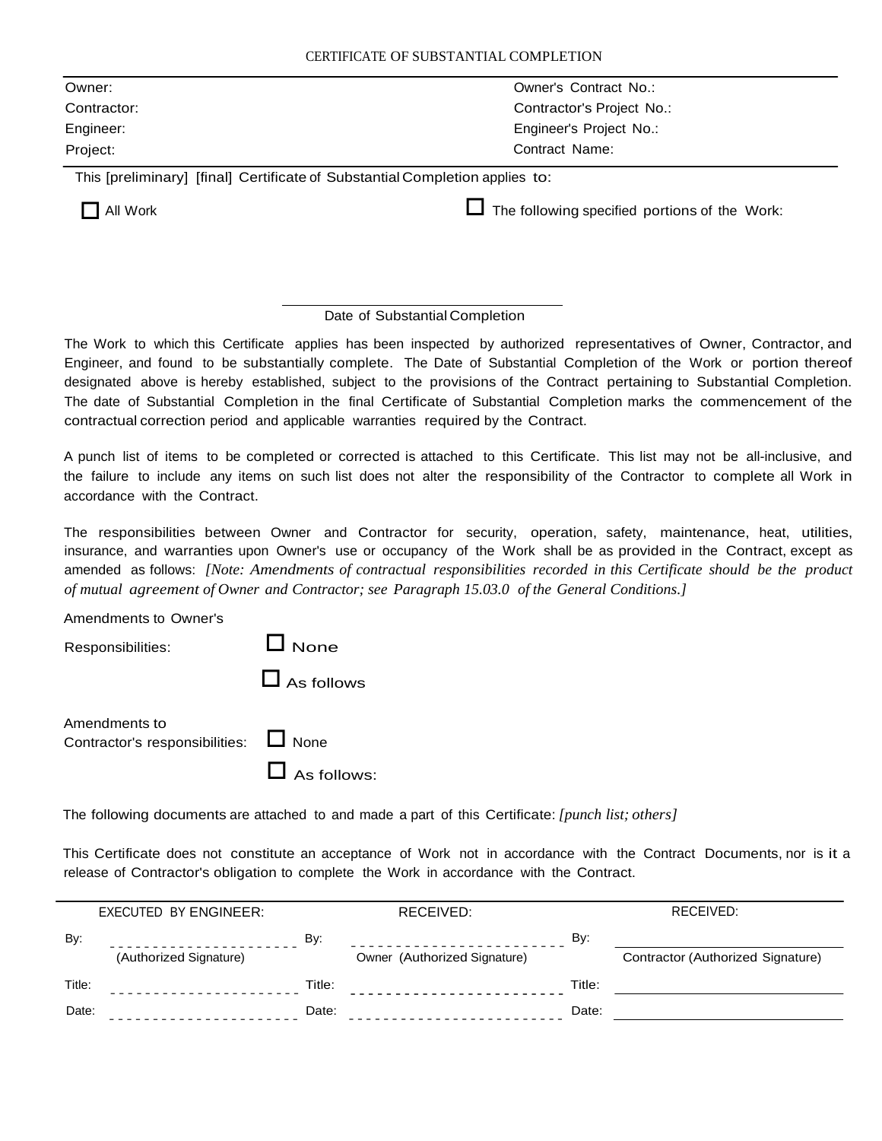| CERTIFICATE OF SUBSTANTIAL COMPLETION |  |  |  |
|---------------------------------------|--|--|--|
|---------------------------------------|--|--|--|

| Owner:                                                                       | Owner's Contract No.:     |  |  |
|------------------------------------------------------------------------------|---------------------------|--|--|
| Contractor:                                                                  | Contractor's Project No.: |  |  |
| Engineer:                                                                    | Engineer's Project No.:   |  |  |
| Project:                                                                     | Contract Name:            |  |  |
| This [preliminary] [final] Certificate of Substantial Completion applies to: |                           |  |  |
|                                                                              |                           |  |  |

All Work The following specified portions of the Work:

#### Date of Substantial Completion

The Work to which this Certificate applies has been inspected by authorized representatives of Owner, Contractor, and Engineer, and found to be substantially complete. The Date of Substantial Completion of the Work or portion thereof designated above is hereby established, subject to the provisions of the Contract pertaining to Substantial Completion. The date of Substantial Completion in the final Certificate of Substantial Completion marks the commencement of the contractual correction period and applicable warranties required by the Contract.

A punch list of items to be completed or corrected is attached to this Certificate. This list may not be all-inclusive, and the failure to include any items on such list does not alter the responsibility of the Contractor to complete all Work in accordance with the Contract.

The responsibilities between Owner and Contractor for security, operation, safety, maintenance, heat, utilities, insurance, and warranties upon Owner's use or occupancy of the Work shall be as provided in the Contract, except as amended as follows: *[Note: Amendments of contractual responsibilities recorded in this Certificate should be the product of mutual agreement of Owner and Contractor; see Paragraph 15.03.0 of the General Conditions.]*

| Amendments to Owner's                                   |                   |
|---------------------------------------------------------|-------------------|
| Responsibilities:                                       | $\Box$ None       |
|                                                         | $\Box$ As follows |
| Amendments to<br>Contractor's responsibilities: LJ None |                   |

 $\Box$  As follows:

The following documents are attached to and made a part of this Certificate:*[punch list; others]*

This Certificate does not constitute an acceptance of Work not in accordance with the Contract Documents, nor is it a release of Contractor's obligation to complete the Work in accordance with the Contract.

|        | EXECUTED BY ENGINEER:  |        | RECEIVED:                    |        | RECEIVED:                         |
|--------|------------------------|--------|------------------------------|--------|-----------------------------------|
| By:    |                        | By:    |                              | By:    |                                   |
|        | (Authorized Signature) |        | Owner (Authorized Signature) |        | Contractor (Authorized Signature) |
| Title: |                        | Title: |                              | Title: |                                   |
| Date:  |                        | Date:  |                              | Date:  |                                   |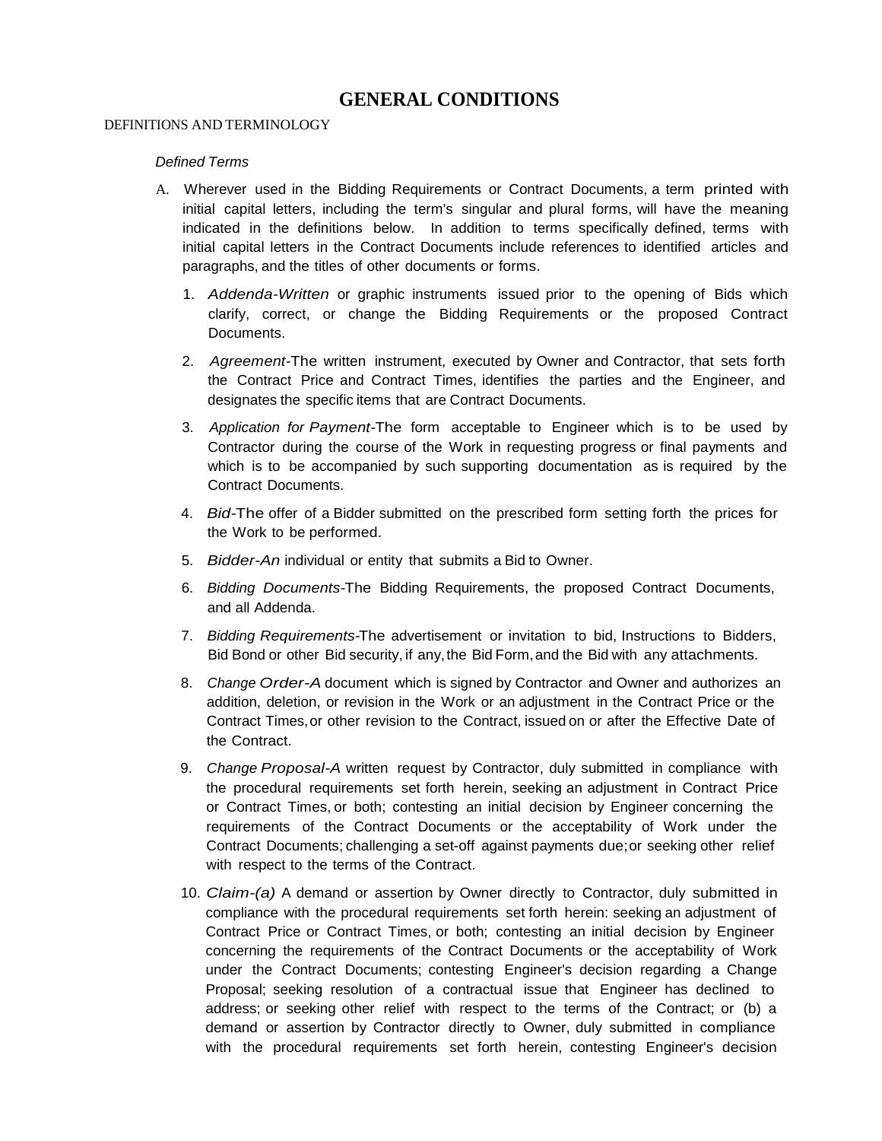## **GENERAL CONDITIONS**

#### DEFINITIONS AND TERMINOLOGY

#### *Defined Terms*

- A. Wherever used in the Bidding Requirements or Contract Documents, a term printed with initial capital letters, including the term's singular and plural forms, will have the meaning indicated in the definitions below. In addition to terms specifically defined, terms with initial capital letters in the Contract Documents include references to identified articles and paragraphs, and the titles of other documents or forms.
	- 1. *Addenda-Written* or graphic instruments issued prior to the opening of Bids which clarify, correct, or change the Bidding Requirements or the proposed Contract **Documents**
	- 2. *Agreement-*The written instrument, executed by Owner and Contractor, that sets forth the Contract Price and Contract Times, identifies the parties and the Engineer, and designates the specific items that are Contract Documents.
	- 3. *Application for Payment-*The form acceptable to Engineer which is to be used by Contractor during the course of the Work in requesting progress or final payments and which is to be accompanied by such supporting documentation as is required by the Contract Documents.
	- 4. *Bid-*The offer of a Bidder submitted on the prescribed form setting forth the prices for the Work to be performed.
	- 5. *Bidder-An* individual or entity that submits a Bid to Owner.
	- 6. *Bidding Documents-*The Bidding Requirements, the proposed Contract Documents, and all Addenda.
	- 7. *Bidding Requirements-*The advertisement or invitation to bid, Instructions to Bidders, Bid Bond or other Bid security, if any,the Bid Form,and the Bid with any attachments.
	- 8. *Change Order-A* document which is signed by Contractor and Owner and authorizes an addition, deletion, or revision in the Work or an adjustment in the Contract Price or the Contract Times,or other revision to the Contract, issued on or after the Effective Date of the Contract.
	- 9. *Change Proposal-A* written request by Contractor, duly submitted in compliance with the procedural requirements set forth herein, seeking an adjustment in Contract Price or Contract Times, or both; contesting an initial decision by Engineer concerning the requirements of the Contract Documents or the acceptability of Work under the Contract Documents; challenging a set-off against payments due;or seeking other relief with respect to the terms of the Contract.
	- 10. *Claim-(a)* A demand or assertion by Owner directly to Contractor, duly submitted in compliance with the procedural requirements set forth herein: seeking an adjustment of Contract Price or Contract Times, or both; contesting an initial decision by Engineer concerning the requirements of the Contract Documents or the acceptability of Work under the Contract Documents; contesting Engineer's decision regarding a Change Proposal; seeking resolution of a contractual issue that Engineer has declined to address; or seeking other relief with respect to the terms of the Contract; or (b) a demand or assertion by Contractor directly to Owner, duly submitted in compliance with the procedural requirements set forth herein, contesting Engineer's decision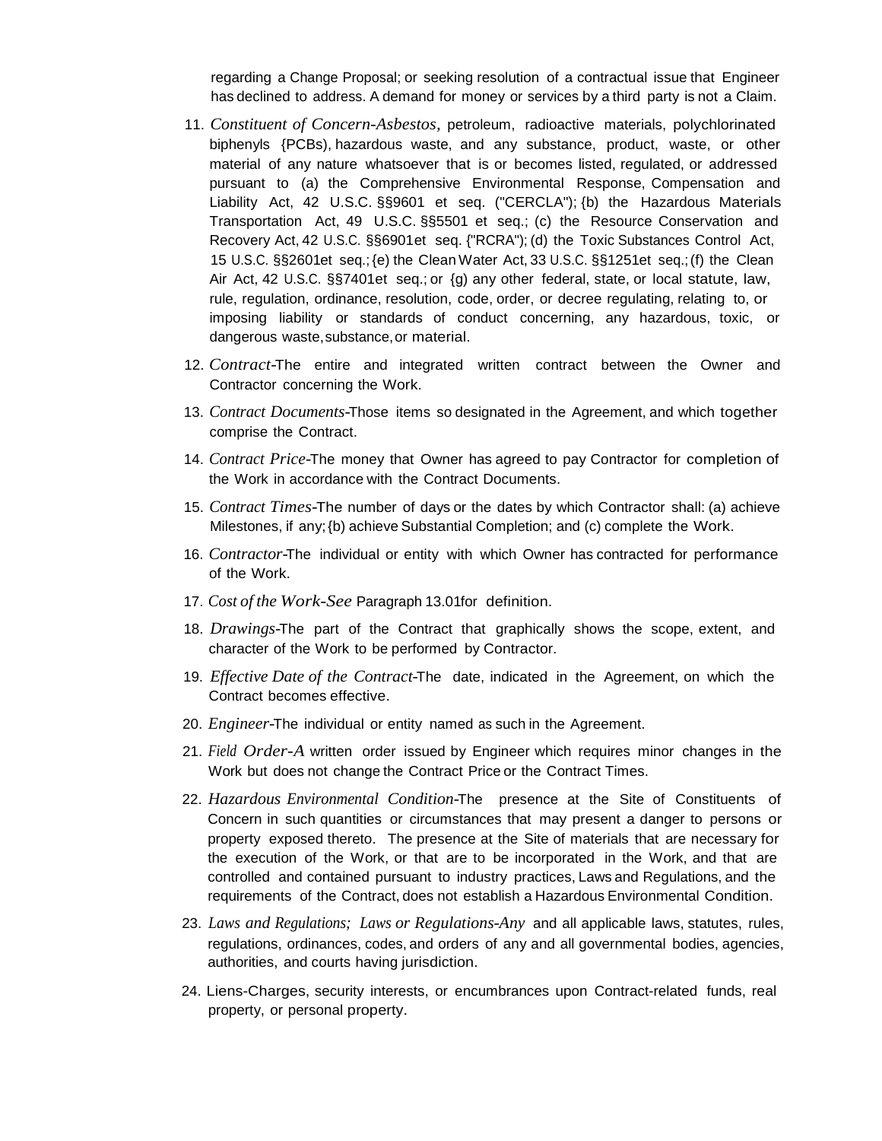regarding a Change Proposal; or seeking resolution of a contractual issue that Engineer has declined to address. A demand for money or services by a third party is not a Claim.

- 11. *Constituent of Concern-Asbestos,* petroleum, radioactive materials, polychlorinated biphenyls {PCBs), hazardous waste, and any substance, product, waste, or other material of any nature whatsoever that is or becomes listed, regulated, or addressed pursuant to (a) the Comprehensive Environmental Response, Compensation and Liability Act, 42 U.S.C. §§9601 et seq. ("CERCLA"); {b) the Hazardous Materials Transportation Act, 49 U.S.C. §§5501 et seq.; (c) the Resource Conservation and Recovery Act, 42 U.S.C. §§6901et seq. {"RCRA"); (d) the Toxic Substances Control Act, 15 U.S.C. §§2601et seq.;{e) the Clean Water Act, 33 U.S.C. §§1251et seq.;(f) the Clean Air Act, 42 U.S.C. §§7401et seq.; or {g) any other federal, state, or local statute, law, rule, regulation, ordinance, resolution, code, order, or decree regulating, relating to, or imposing liability or standards of conduct concerning, any hazardous, toxic, or dangerous waste,substance,or material.
- 12. *Contract-*The entire and integrated written contract between the Owner and Contractor concerning the Work.
- 13. *Contract Documents-*Those items so designated in the Agreement, and which together comprise the Contract.
- 14. *Contract Price-*The money that Owner has agreed to pay Contractor for completion of the Work in accordance with the Contract Documents.
- 15. *Contract Times-*The number of days or the dates by which Contractor shall: (a) achieve Milestones, if any;{b) achieve Substantial Completion; and (c) complete the Work.
- 16. *Contractor-*The individual or entity with which Owner has contracted for performance of the Work.
- 17. *Cost of the Work-See* Paragraph 13.01for definition.
- 18. *Drawings-*The part of the Contract that graphically shows the scope, extent, and character of the Work to be performed by Contractor.
- 19. *Effective Date of the Contract-*The date, indicated in the Agreement, on which the Contract becomes effective.
- 20. *Engineer-*The individual or entity named as such in the Agreement.
- 21. *Field Order-A* written order issued by Engineer which requires minor changes in the Work but does not change the Contract Price or the Contract Times.
- 22. *Hazardous Environmental Condition-*The presence at the Site of Constituents of Concern in such quantities or circumstances that may present a danger to persons or property exposed thereto. The presence at the Site of materials that are necessary for the execution of the Work, or that are to be incorporated in the Work, and that are controlled and contained pursuant to industry practices, Laws and Regulations, and the requirements of the Contract, does not establish a Hazardous Environmental Condition.
- 23. *Laws and Regulations; Laws or Regulations-Any* and all applicable laws, statutes, rules, regulations, ordinances, codes, and orders of any and all governmental bodies, agencies, authorities, and courts having jurisdiction.
- 24. Liens-Charges, security interests, or encumbrances upon Contract-related funds, real property, or personal property.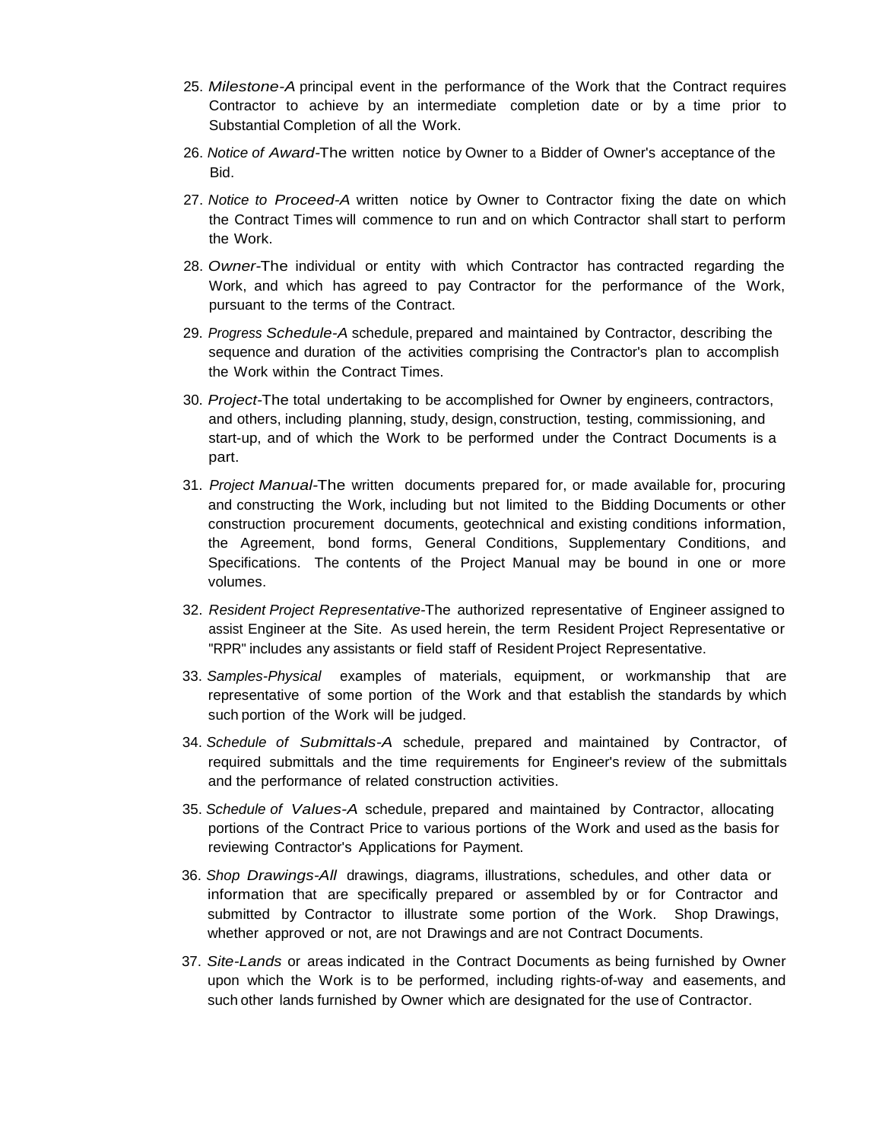- 25. *Milestone-A* principal event in the performance of the Work that the Contract requires Contractor to achieve by an intermediate completion date or by a time prior to Substantial Completion of all the Work.
- 26. *Notice of Award-*The written notice by Owner to a Bidder of Owner's acceptance of the Bid.
- 27. *Notice to Proceed-A* written notice by Owner to Contractor fixing the date on which the Contract Times will commence to run and on which Contractor shall start to perform the Work.
- 28. *Owner-*The individual or entity with which Contractor has contracted regarding the Work, and which has agreed to pay Contractor for the performance of the Work, pursuant to the terms of the Contract.
- 29. *Progress Schedule-A* schedule, prepared and maintained by Contractor, describing the sequence and duration of the activities comprising the Contractor's plan to accomplish the Work within the Contract Times.
- 30. *Project-*The total undertaking to be accomplished for Owner by engineers, contractors, and others, including planning, study, design, construction, testing, commissioning, and start-up, and of which the Work to be performed under the Contract Documents is a part.
- 31. *Project Manual-*The written documents prepared for, or made available for, procuring and constructing the Work, including but not limited to the Bidding Documents or other construction procurement documents, geotechnical and existing conditions information, the Agreement, bond forms, General Conditions, Supplementary Conditions, and Specifications. The contents of the Project Manual may be bound in one or more volumes.
- 32. *Resident Project Representative-*The authorized representative of Engineer assigned to assist Engineer at the Site. As used herein, the term Resident Project Representative or "RPR" includes any assistants or field staff of Resident Project Representative.
- 33. *Samples-Physical* examples of materials, equipment, or workmanship that are representative of some portion of the Work and that establish the standards by which such portion of the Work will be judged.
- 34. *Schedule of Submittals-A* schedule, prepared and maintained by Contractor, of required submittals and the time requirements for Engineer's review of the submittals and the performance of related construction activities.
- 35. *Schedule of Values-A* schedule, prepared and maintained by Contractor, allocating portions of the Contract Price to various portions of the Work and used as the basis for reviewing Contractor's Applications for Payment.
- 36. *Shop Drawings-All* drawings, diagrams, illustrations, schedules, and other data or information that are specifically prepared or assembled by or for Contractor and submitted by Contractor to illustrate some portion of the Work. Shop Drawings, whether approved or not, are not Drawings and are not Contract Documents.
- 37. *Site-Lands* or areas indicated in the Contract Documents as being furnished by Owner upon which the Work is to be performed, including rights-of-way and easements, and such other lands furnished by Owner which are designated for the use of Contractor.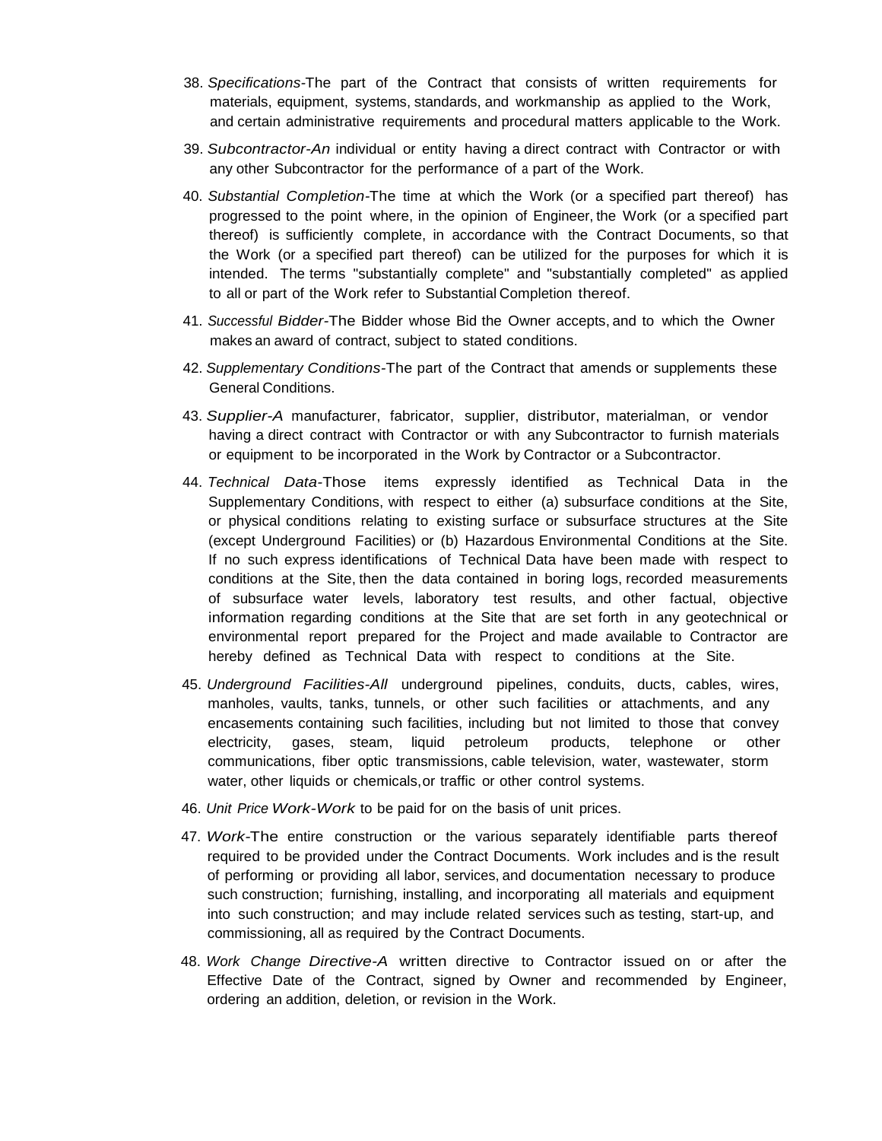- 38. *Specifications-*The part of the Contract that consists of written requirements for materials, equipment, systems, standards, and workmanship as applied to the Work, and certain administrative requirements and procedural matters applicable to the Work.
- 39. *Subcontractor-An* individual or entity having a direct contract with Contractor or with any other Subcontractor for the performance of a part of the Work.
- 40. *Substantial Completion-*The time at which the Work (or a specified part thereof) has progressed to the point where, in the opinion of Engineer, the Work (or a specified part thereof) is sufficiently complete, in accordance with the Contract Documents, so that the Work (or a specified part thereof) can be utilized for the purposes for which it is intended. The terms "substantially complete" and "substantially completed" as applied to all or part of the Work refer to Substantial Completion thereof.
- 41. *Successful Bidder-*The Bidder whose Bid the Owner accepts, and to which the Owner makes an award of contract, subject to stated conditions.
- 42. *Supplementary Conditions-*The part of the Contract that amends or supplements these General Conditions.
- 43. *Supplier-A* manufacturer, fabricator, supplier, distributor, materialman, or vendor having a direct contract with Contractor or with any Subcontractor to furnish materials or equipment to be incorporated in the Work by Contractor or a Subcontractor.
- 44. *Technical Data-*Those items expressly identified as Technical Data in the Supplementary Conditions, with respect to either (a) subsurface conditions at the Site, or physical conditions relating to existing surface or subsurface structures at the Site (except Underground Facilities) or (b) Hazardous Environmental Conditions at the Site. If no such express identifications of Technical Data have been made with respect to conditions at the Site, then the data contained in boring logs, recorded measurements of subsurface water levels, laboratory test results, and other factual, objective information regarding conditions at the Site that are set forth in any geotechnical or environmental report prepared for the Project and made available to Contractor are hereby defined as Technical Data with respect to conditions at the Site.
- 45. *Underground Facilities-All* underground pipelines, conduits, ducts, cables, wires, manholes, vaults, tanks, tunnels, or other such facilities or attachments, and any encasements containing such facilities, including but not limited to those that convey electricity, gases, steam, liquid petroleum products, telephone or other communications, fiber optic transmissions, cable television, water, wastewater, storm water, other liquids or chemicals,or traffic or other control systems.
- 46. *Unit Price Work-Work* to be paid for on the basis of unit prices.
- 47. *Work-*The entire construction or the various separately identifiable parts thereof required to be provided under the Contract Documents. Work includes and is the result of performing or providing all labor, services, and documentation necessary to produce such construction; furnishing, installing, and incorporating all materials and equipment into such construction; and may include related services such as testing, start-up, and commissioning, all as required by the Contract Documents.
- 48. *Work Change Directive-A* written directive to Contractor issued on or after the Effective Date of the Contract, signed by Owner and recommended by Engineer, ordering an addition, deletion, or revision in the Work.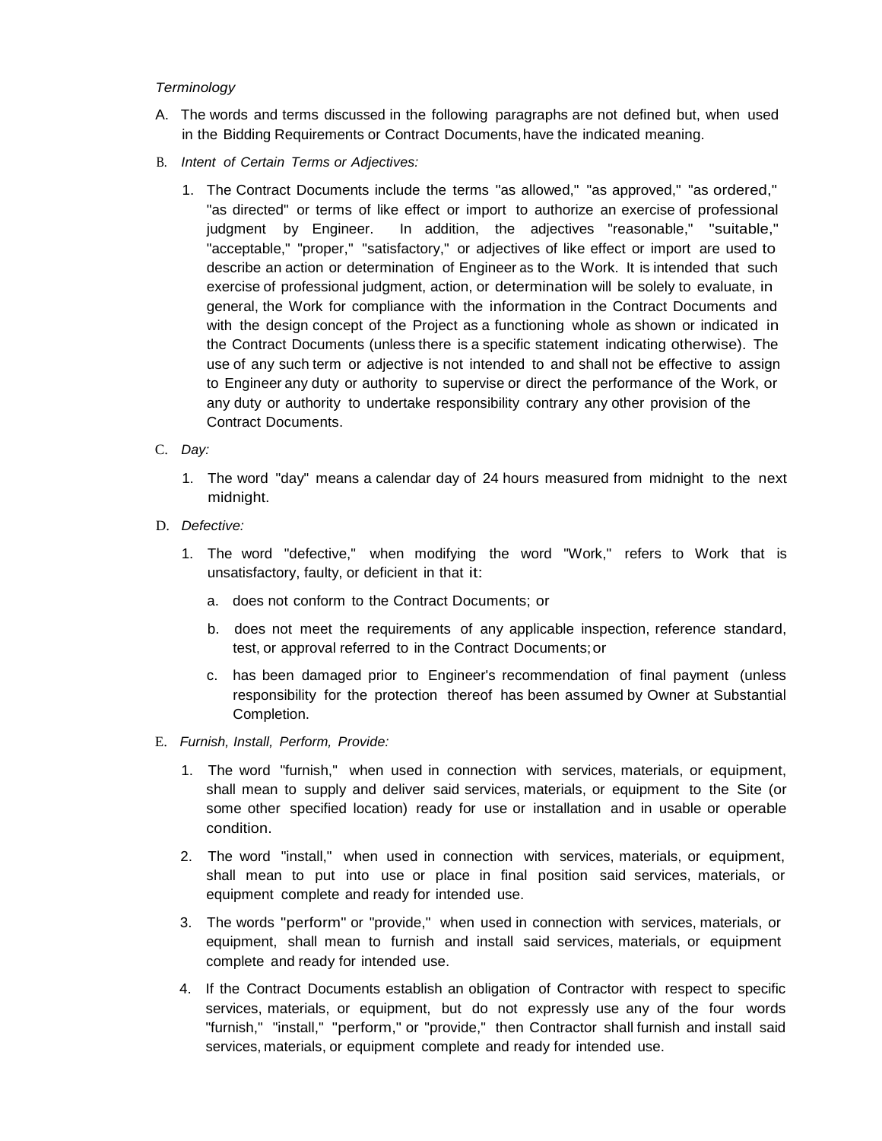### *Terminology*

- A. The words and terms discussed in the following paragraphs are not defined but, when used in the Bidding Requirements or Contract Documents,have the indicated meaning.
- B. *Intent of Certain Terms or Adjectives:*
	- 1. The Contract Documents include the terms "as allowed," "as approved," "as ordered," "as directed" or terms of like effect or import to authorize an exercise of professional judgment by Engineer. In addition, the adjectives "reasonable," "suitable," "acceptable," "proper," "satisfactory," or adjectives of like effect or import are used to describe an action or determination of Engineer as to the Work. It is intended that such exercise of professional judgment, action, or determination will be solely to evaluate, in general, the Work for compliance with the information in the Contract Documents and with the design concept of the Project as a functioning whole as shown or indicated in the Contract Documents (unless there is a specific statement indicating otherwise). The use of any such term or adjective is not intended to and shall not be effective to assign to Engineer any duty or authority to supervise or direct the performance of the Work, or any duty or authority to undertake responsibility contrary any other provision of the Contract Documents.
- C. *Day:*
	- 1. The word "day" means a calendar day of 24 hours measured from midnight to the next midnight.
- D. *Defective:*
	- 1. The word "defective," when modifying the word "Work," refers to Work that is unsatisfactory, faulty, or deficient in that it:
		- a. does not conform to the Contract Documents; or
		- b. does not meet the requirements of any applicable inspection, reference standard, test, or approval referred to in the Contract Documents;or
		- c. has been damaged prior to Engineer's recommendation of final payment (unless responsibility for the protection thereof has been assumed by Owner at Substantial Completion.
- E. *Furnish, Install, Perform, Provide:*
	- 1. The word "furnish," when used in connection with services, materials, or equipment, shall mean to supply and deliver said services, materials, or equipment to the Site (or some other specified location) ready for use or installation and in usable or operable condition.
	- 2. The word "install," when used in connection with services, materials, or equipment, shall mean to put into use or place in final position said services, materials, or equipment complete and ready for intended use.
	- 3. The words "perform" or "provide," when used in connection with services, materials, or equipment, shall mean to furnish and install said services, materials, or equipment complete and ready for intended use.
	- 4. If the Contract Documents establish an obligation of Contractor with respect to specific services, materials, or equipment, but do not expressly use any of the four words "furnish," "install," "perform," or "provide," then Contractor shall furnish and install said services, materials, or equipment complete and ready for intended use.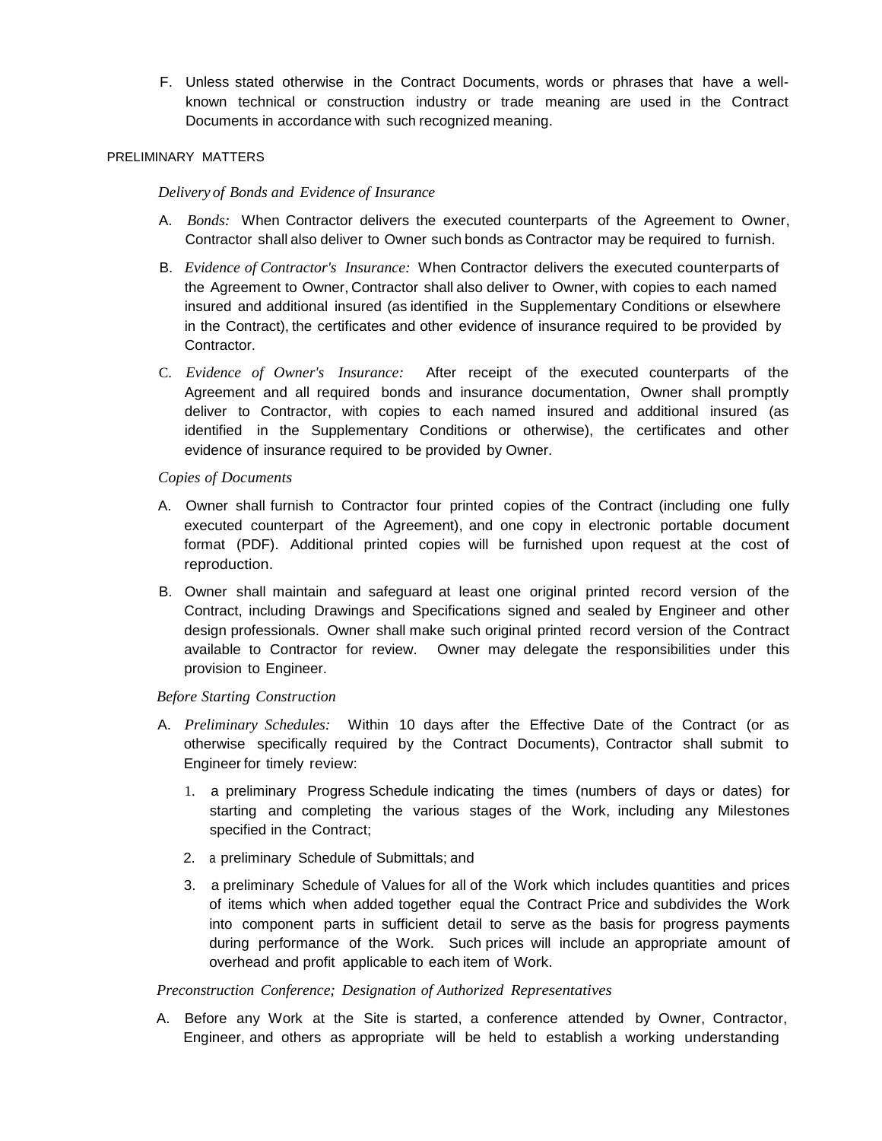F. Unless stated otherwise in the Contract Documents, words or phrases that have a wellknown technical or construction industry or trade meaning are used in the Contract Documents in accordance with such recognized meaning.

#### PRELIMINARY MATTERS

#### *Delivery of Bonds and Evidence of Insurance*

- A. *Bonds:* When Contractor delivers the executed counterparts of the Agreement to Owner, Contractor shall also deliver to Owner such bonds as Contractor may be required to furnish.
- B. *Evidence of Contractor's Insurance:* When Contractor delivers the executed counterparts of the Agreement to Owner, Contractor shall also deliver to Owner, with copies to each named insured and additional insured (as identified in the Supplementary Conditions or elsewhere in the Contract), the certificates and other evidence of insurance required to be provided by Contractor.
- C. *Evidence of Owner's Insurance:* After receipt of the executed counterparts of the Agreement and all required bonds and insurance documentation, Owner shall promptly deliver to Contractor, with copies to each named insured and additional insured (as identified in the Supplementary Conditions or otherwise), the certificates and other evidence of insurance required to be provided by Owner.

#### *Copies of Documents*

- A. Owner shall furnish to Contractor four printed copies of the Contract (including one fully executed counterpart of the Agreement), and one copy in electronic portable document format (PDF). Additional printed copies will be furnished upon request at the cost of reproduction.
- B. Owner shall maintain and safeguard at least one original printed record version of the Contract, including Drawings and Specifications signed and sealed by Engineer and other design professionals. Owner shall make such original printed record version of the Contract available to Contractor for review. Owner may delegate the responsibilities under this provision to Engineer.

#### *Before Starting Construction*

- A. *Preliminary Schedules:* Within 10 days after the Effective Date of the Contract (or as otherwise specifically required by the Contract Documents), Contractor shall submit to Engineer for timely review:
	- 1. a preliminary Progress Schedule indicating the times (numbers of days or dates) for starting and completing the various stages of the Work, including any Milestones specified in the Contract;
	- 2. a preliminary Schedule of Submittals; and
	- 3. a preliminary Schedule of Values for all of the Work which includes quantities and prices of items which when added together equal the Contract Price and subdivides the Work into component parts in sufficient detail to serve as the basis for progress payments during performance of the Work. Such prices will include an appropriate amount of overhead and profit applicable to each item of Work.

#### *Preconstruction Conference; Designation of Authorized Representatives*

A. Before any Work at the Site is started, a conference attended by Owner, Contractor, Engineer, and others as appropriate will be held to establish a working understanding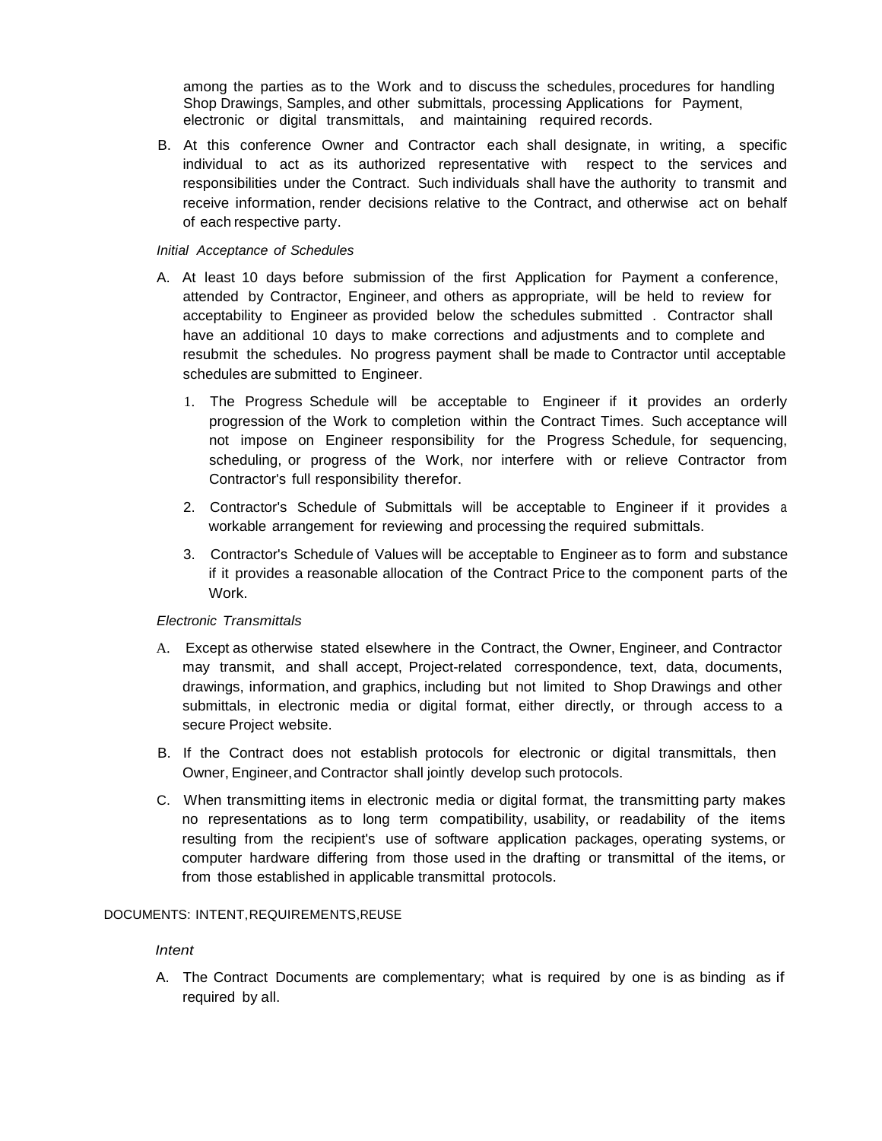among the parties as to the Work and to discuss the schedules, procedures for handling Shop Drawings, Samples, and other submittals, processing Applications for Payment, electronic or digital transmittals, and maintaining required records.

B. At this conference Owner and Contractor each shall designate, in writing, a specific individual to act as its authorized representative with respect to the services and responsibilities under the Contract. Such individuals shall have the authority to transmit and receive information, render decisions relative to the Contract, and otherwise act on behalf of each respective party.

#### *Initial Acceptance of Schedules*

- A. At least 10 days before submission of the first Application for Payment a conference, attended by Contractor, Engineer, and others as appropriate, will be held to review for acceptability to Engineer as provided below the schedules submitted . Contractor shall have an additional 10 days to make corrections and adjustments and to complete and resubmit the schedules. No progress payment shall be made to Contractor until acceptable schedules are submitted to Engineer.
	- 1. The Progress Schedule will be acceptable to Engineer if it provides an orderly progression of the Work to completion within the Contract Times. Such acceptance will not impose on Engineer responsibility for the Progress Schedule, for sequencing, scheduling, or progress of the Work, nor interfere with or relieve Contractor from Contractor's full responsibility therefor.
	- 2. Contractor's Schedule of Submittals will be acceptable to Engineer if it provides a workable arrangement for reviewing and processing the required submittals.
	- 3. Contractor's Schedule of Values will be acceptable to Engineer as to form and substance if it provides a reasonable allocation of the Contract Price to the component parts of the Work.

#### *Electronic Transmittals*

- A. Except as otherwise stated elsewhere in the Contract, the Owner, Engineer, and Contractor may transmit, and shall accept, Project-related correspondence, text, data, documents, drawings, information, and graphics, including but not limited to Shop Drawings and other submittals, in electronic media or digital format, either directly, or through access to a secure Project website.
- B. If the Contract does not establish protocols for electronic or digital transmittals, then Owner, Engineer,and Contractor shall jointly develop such protocols.
- C. When transmitting items in electronic media or digital format, the transmitting party makes no representations as to long term compatibility, usability, or readability of the items resulting from the recipient's use of software application packages, operating systems, or computer hardware differing from those used in the drafting or transmittal of the items, or from those established in applicable transmittal protocols.

#### DOCUMENTS: INTENT,REQUIREMENTS,REUSE

#### *Intent*

A. The Contract Documents are complementary; what is required by one is as binding as if required by all.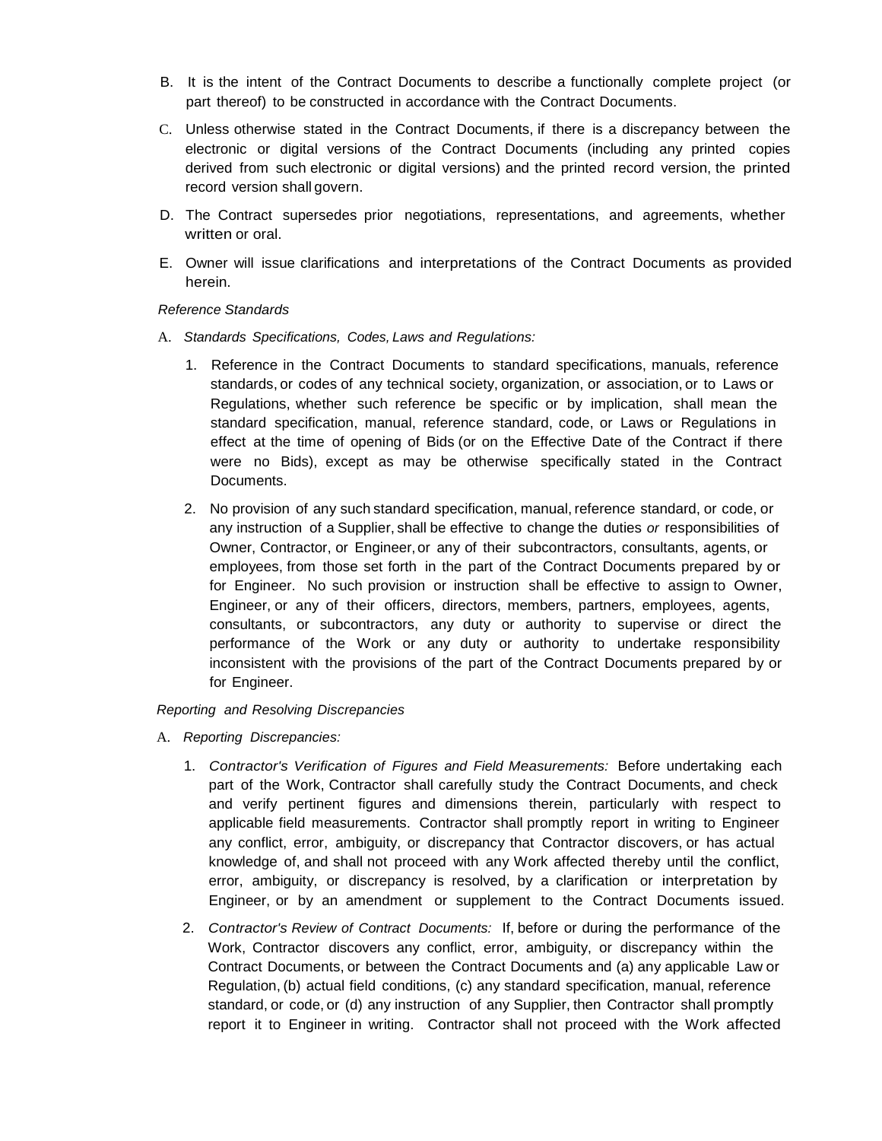- B. It is the intent of the Contract Documents to describe a functionally complete project (or part thereof) to be constructed in accordance with the Contract Documents.
- C. Unless otherwise stated in the Contract Documents, if there is a discrepancy between the electronic or digital versions of the Contract Documents (including any printed copies derived from such electronic or digital versions) and the printed record version, the printed record version shall govern.
- D. The Contract supersedes prior negotiations, representations, and agreements, whether written or oral.
- E. Owner will issue clarifications and interpretations of the Contract Documents as provided herein.

#### *Reference Standards*

- A. *Standards Specifications, Codes, Laws and Regulations:*
	- 1. Reference in the Contract Documents to standard specifications, manuals, reference standards, or codes of any technical society, organization, or association, or to Laws or Regulations, whether such reference be specific or by implication, shall mean the standard specification, manual, reference standard, code, or Laws or Regulations in effect at the time of opening of Bids (or on the Effective Date of the Contract if there were no Bids), except as may be otherwise specifically stated in the Contract Documents.
	- 2. No provision of any such standard specification, manual, reference standard, or code, or any instruction of a Supplier, shall be effective to change the duties *or* responsibilities of Owner, Contractor, or Engineer,or any of their subcontractors, consultants, agents, or employees, from those set forth in the part of the Contract Documents prepared by or for Engineer. No such provision or instruction shall be effective to assign to Owner, Engineer, or any of their officers, directors, members, partners, employees, agents, consultants, or subcontractors, any duty or authority to supervise or direct the performance of the Work or any duty or authority to undertake responsibility inconsistent with the provisions of the part of the Contract Documents prepared by or for Engineer.

#### *Reporting and Resolving Discrepancies*

- A. *Reporting Discrepancies:*
	- 1. *Contractor's Verification of Figures and Field Measurements:* Before undertaking each part of the Work, Contractor shall carefully study the Contract Documents, and check and verify pertinent figures and dimensions therein, particularly with respect to applicable field measurements. Contractor shall promptly report in writing to Engineer any conflict, error, ambiguity, or discrepancy that Contractor discovers, or has actual knowledge of, and shall not proceed with any Work affected thereby until the conflict, error, ambiguity, or discrepancy is resolved, by a clarification or interpretation by Engineer, or by an amendment or supplement to the Contract Documents issued.
	- 2. *Contractor's Review of Contract Documents:* If, before or during the performance of the Work, Contractor discovers any conflict, error, ambiguity, or discrepancy within the Contract Documents, or between the Contract Documents and (a) any applicable Law or Regulation, (b) actual field conditions, (c) any standard specification, manual, reference standard, or code, or (d) any instruction of any Supplier, then Contractor shall promptly report it to Engineer in writing. Contractor shall not proceed with the Work affected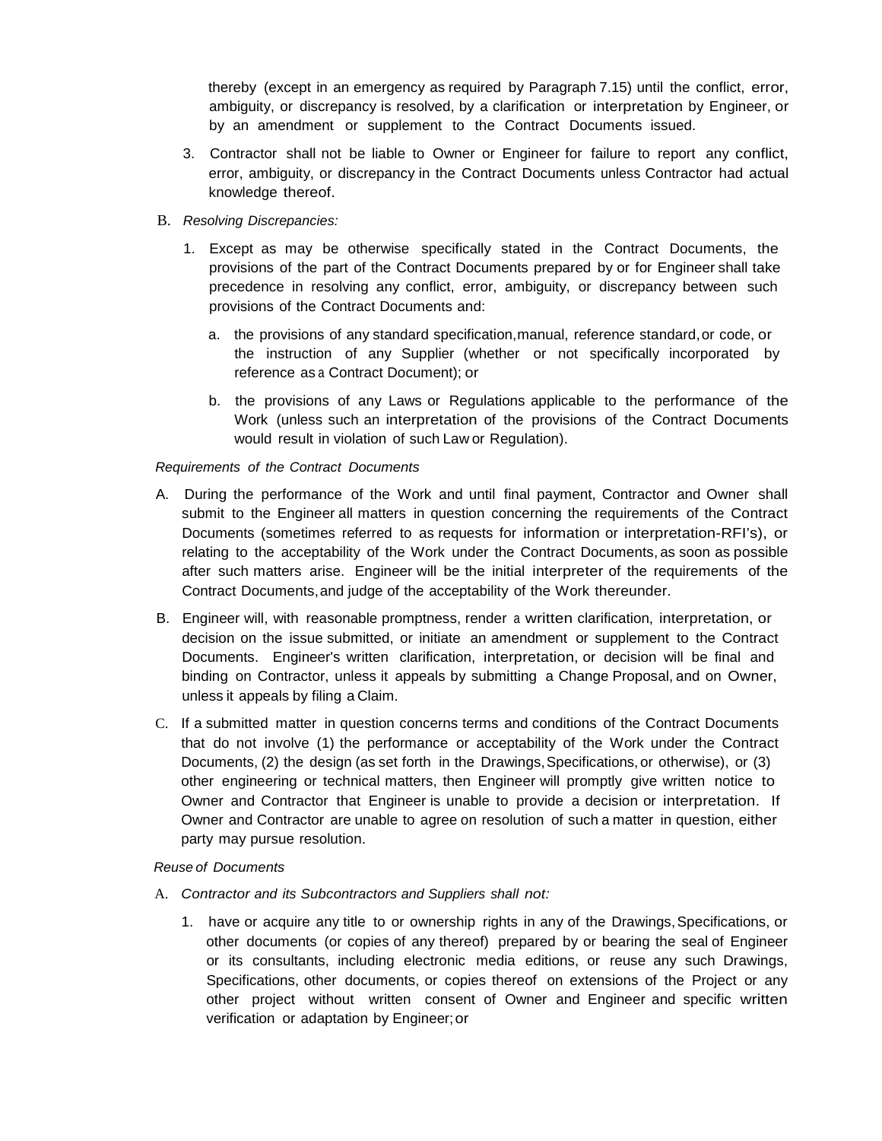thereby (except in an emergency as required by Paragraph 7.15) until the conflict, error, ambiguity, or discrepancy is resolved, by a clarification or interpretation by Engineer, or by an amendment or supplement to the Contract Documents issued.

- 3. Contractor shall not be liable to Owner or Engineer for failure to report any conflict, error, ambiguity, or discrepancy in the Contract Documents unless Contractor had actual knowledge thereof.
- B. *Resolving Discrepancies:*
	- 1. Except as may be otherwise specifically stated in the Contract Documents, the provisions of the part of the Contract Documents prepared by or for Engineer shall take precedence in resolving any conflict, error, ambiguity, or discrepancy between such provisions of the Contract Documents and:
		- a. the provisions of any standard specification,manual, reference standard,or code, or the instruction of any Supplier (whether or not specifically incorporated by reference as a Contract Document); or
		- b. the provisions of any Laws or Regulations applicable to the performance of the Work (unless such an interpretation of the provisions of the Contract Documents would result in violation of such Law or Regulation).

#### *Requirements of the Contract Documents*

- A. During the performance of the Work and until final payment, Contractor and Owner shall submit to the Engineer all matters in question concerning the requirements of the Contract Documents (sometimes referred to as requests for information or interpretation-RFI's), or relating to the acceptability of the Work under the Contract Documents, as soon as possible after such matters arise. Engineer will be the initial interpreter of the requirements of the Contract Documents,and judge of the acceptability of the Work thereunder.
- B. Engineer will, with reasonable promptness, render a written clarification, interpretation, or decision on the issue submitted, or initiate an amendment or supplement to the Contract Documents. Engineer's written clarification, interpretation, or decision will be final and binding on Contractor, unless it appeals by submitting a Change Proposal, and on Owner, unless it appeals by filing a Claim.
- C. If a submitted matter in question concerns terms and conditions of the Contract Documents that do not involve (1) the performance or acceptability of the Work under the Contract Documents, (2) the design (as set forth in the Drawings, Specifications, or otherwise), or (3) other engineering or technical matters, then Engineer will promptly give written notice to Owner and Contractor that Engineer is unable to provide a decision or interpretation. If Owner and Contractor are unable to agree on resolution of such a matter in question, either party may pursue resolution.

#### *Reuse of Documents*

- A. *Contractor and its Subcontractors and Suppliers shall not:*
	- 1. have or acquire any title to or ownership rights in any of the Drawings, Specifications, or other documents (or copies of any thereof) prepared by or bearing the seal of Engineer or its consultants, including electronic media editions, or reuse any such Drawings, Specifications, other documents, or copies thereof on extensions of the Project or any other project without written consent of Owner and Engineer and specific written verification or adaptation by Engineer;or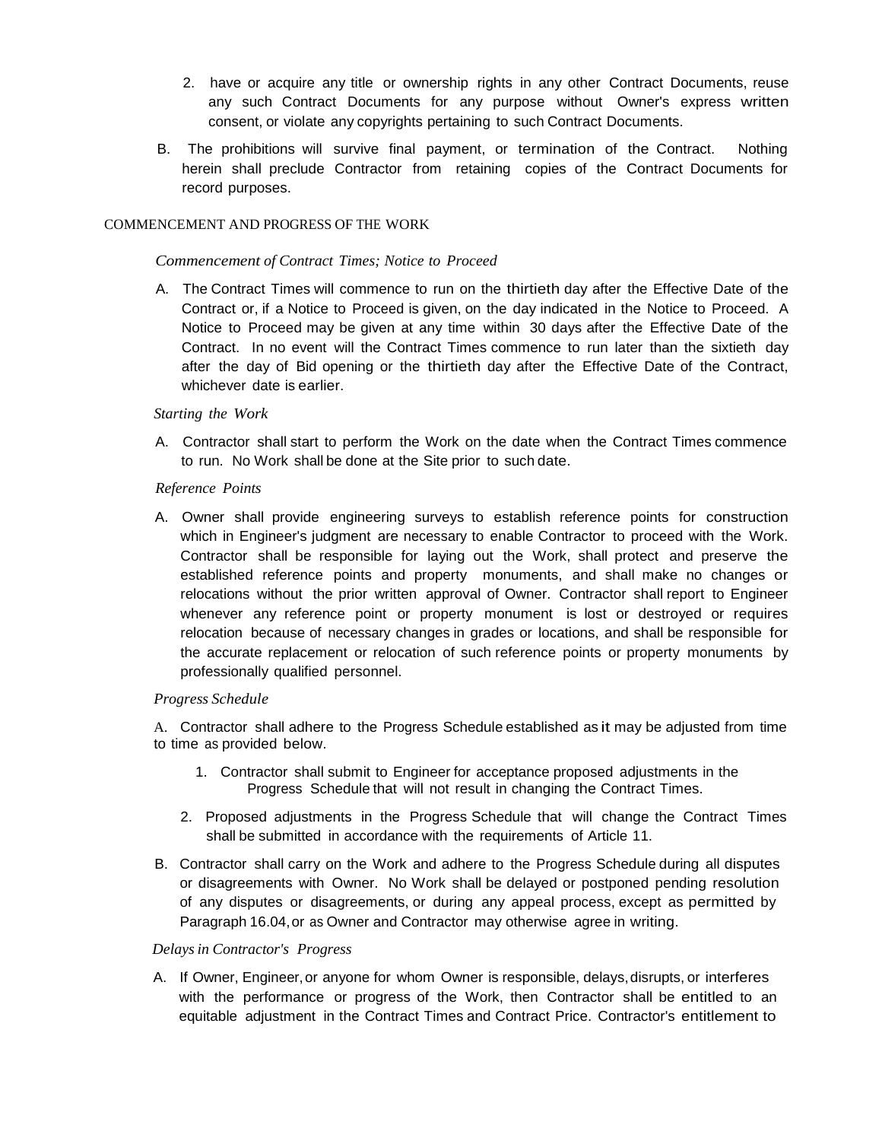- 2. have or acquire any title or ownership rights in any other Contract Documents, reuse any such Contract Documents for any purpose without Owner's express written consent, or violate any copyrights pertaining to such Contract Documents.
- B. The prohibitions will survive final payment, or termination of the Contract. Nothing herein shall preclude Contractor from retaining copies of the Contract Documents for record purposes.

### COMMENCEMENT AND PROGRESS OF THE WORK

#### *Commencement of Contract Times; Notice to Proceed*

A. The Contract Times will commence to run on the thirtieth day after the Effective Date of the Contract or, if a Notice to Proceed is given, on the day indicated in the Notice to Proceed. A Notice to Proceed may be given at any time within 30 days after the Effective Date of the Contract. In no event will the Contract Times commence to run later than the sixtieth day after the day of Bid opening or the thirtieth day after the Effective Date of the Contract, whichever date is earlier.

#### *Starting the Work*

A. Contractor shall start to perform the Work on the date when the Contract Times commence to run. No Work shall be done at the Site prior to such date.

#### *Reference Points*

A. Owner shall provide engineering surveys to establish reference points for construction which in Engineer's judgment are necessary to enable Contractor to proceed with the Work. Contractor shall be responsible for laying out the Work, shall protect and preserve the established reference points and property monuments, and shall make no changes or relocations without the prior written approval of Owner. Contractor shall report to Engineer whenever any reference point or property monument is lost or destroyed or requires relocation because of necessary changes in grades or locations, and shall be responsible for the accurate replacement or relocation of such reference points or property monuments by professionally qualified personnel.

#### *Progress Schedule*

A. Contractor shall adhere to the Progress Schedule established as it may be adjusted from time to time as provided below.

- 1. Contractor shall submit to Engineer for acceptance proposed adjustments in the Progress Schedule that will not result in changing the Contract Times.
- 2. Proposed adjustments in the Progress Schedule that will change the Contract Times shall be submitted in accordance with the requirements of Article 11.
- B. Contractor shall carry on the Work and adhere to the Progress Schedule during all disputes or disagreements with Owner. No Work shall be delayed or postponed pending resolution of any disputes or disagreements, or during any appeal process, except as permitted by Paragraph 16.04,or as Owner and Contractor may otherwise agree in writing.

#### *Delaysin Contractor's Progress*

A. If Owner, Engineer,or anyone for whom Owner is responsible, delays,disrupts, or interferes with the performance or progress of the Work, then Contractor shall be entitled to an equitable adjustment in the Contract Times and Contract Price. Contractor's entitlement to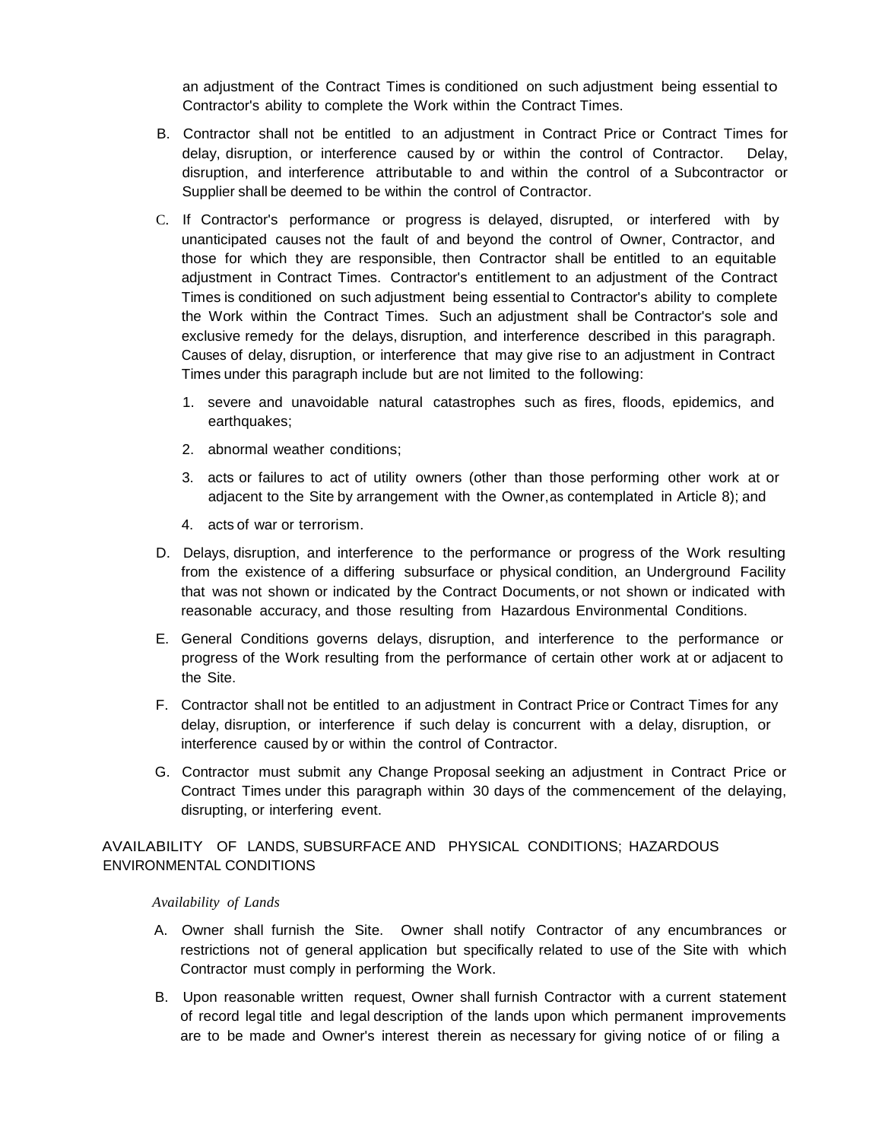an adjustment of the Contract Times is conditioned on such adjustment being essential to Contractor's ability to complete the Work within the Contract Times.

- B. Contractor shall not be entitled to an adjustment in Contract Price or Contract Times for delay, disruption, or interference caused by or within the control of Contractor. Delay, disruption, and interference attributable to and within the control of a Subcontractor or Supplier shall be deemed to be within the control of Contractor.
- C. If Contractor's performance or progress is delayed, disrupted, or interfered with by unanticipated causes not the fault of and beyond the control of Owner, Contractor, and those for which they are responsible, then Contractor shall be entitled to an equitable adjustment in Contract Times. Contractor's entitlement to an adjustment of the Contract Times is conditioned on such adjustment being essential to Contractor's ability to complete the Work within the Contract Times. Such an adjustment shall be Contractor's sole and exclusive remedy for the delays, disruption, and interference described in this paragraph. Causes of delay, disruption, or interference that may give rise to an adjustment in Contract Times under this paragraph include but are not limited to the following:
	- 1. severe and unavoidable natural catastrophes such as fires, floods, epidemics, and earthquakes;
	- 2. abnormal weather conditions;
	- 3. acts or failures to act of utility owners (other than those performing other work at or adjacent to the Site by arrangement with the Owner,as contemplated in Article 8); and
	- 4. acts of war or terrorism.
- D. Delays, disruption, and interference to the performance or progress of the Work resulting from the existence of a differing subsurface or physical condition, an Underground Facility that was not shown or indicated by the Contract Documents, or not shown or indicated with reasonable accuracy, and those resulting from Hazardous Environmental Conditions.
- E. General Conditions governs delays, disruption, and interference to the performance or progress of the Work resulting from the performance of certain other work at or adjacent to the Site.
- F. Contractor shall not be entitled to an adjustment in Contract Price or Contract Times for any delay, disruption, or interference if such delay is concurrent with a delay, disruption, or interference caused by or within the control of Contractor.
- G. Contractor must submit any Change Proposal seeking an adjustment in Contract Price or Contract Times under this paragraph within 30 days of the commencement of the delaying, disrupting, or interfering event.

## AVAILABILITY OF LANDS, SUBSURFACE AND PHYSICAL CONDITIONS; HAZARDOUS ENVIRONMENTAL CONDITIONS

#### *Availability of Lands*

- A. Owner shall furnish the Site. Owner shall notify Contractor of any encumbrances or restrictions not of general application but specifically related to use of the Site with which Contractor must comply in performing the Work.
- B. Upon reasonable written request, Owner shall furnish Contractor with a current statement of record legal title and legal description of the lands upon which permanent improvements are to be made and Owner's interest therein as necessary for giving notice of or filing a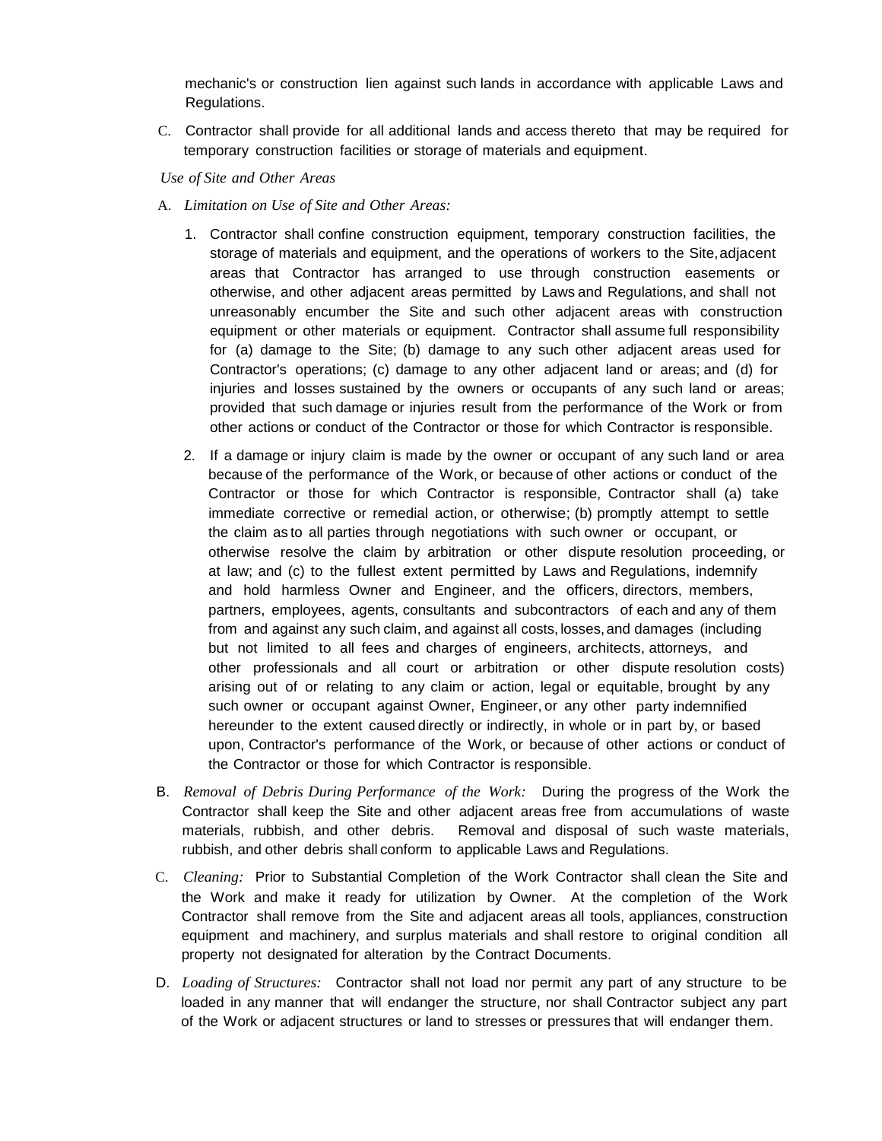mechanic's or construction lien against such lands in accordance with applicable Laws and Regulations.

C. Contractor shall provide for all additional lands and access thereto that may be required for temporary construction facilities or storage of materials and equipment.

*Use of Site and Other Areas*

- A. *Limitation on Use of Site and Other Areas:*
	- 1. Contractor shall confine construction equipment, temporary construction facilities, the storage of materials and equipment, and the operations of workers to the Site,adjacent areas that Contractor has arranged to use through construction easements or otherwise, and other adjacent areas permitted by Laws and Regulations, and shall not unreasonably encumber the Site and such other adjacent areas with construction equipment or other materials or equipment. Contractor shall assume full responsibility for (a) damage to the Site; (b) damage to any such other adjacent areas used for Contractor's operations; (c) damage to any other adjacent land or areas; and (d) for injuries and losses sustained by the owners or occupants of any such land or areas; provided that such damage or injuries result from the performance of the Work or from other actions or conduct of the Contractor or those for which Contractor is responsible.
	- 2. If a damage or injury claim is made by the owner or occupant of any such land or area because of the performance of the Work, or because of other actions or conduct of the Contractor or those for which Contractor is responsible, Contractor shall (a) take immediate corrective or remedial action, or otherwise; (b) promptly attempt to settle the claim as to all parties through negotiations with such owner or occupant, or otherwise resolve the claim by arbitration or other dispute resolution proceeding, or at law; and (c) to the fullest extent permitted by Laws and Regulations, indemnify and hold harmless Owner and Engineer, and the officers, directors, members, partners, employees, agents, consultants and subcontractors of each and any of them from and against any such claim, and against all costs, losses,and damages (including but not limited to all fees and charges of engineers, architects, attorneys, and other professionals and all court or arbitration or other dispute resolution costs) arising out of or relating to any claim or action, legal or equitable, brought by any such owner or occupant against Owner, Engineer, or any other party indemnified hereunder to the extent caused directly or indirectly, in whole or in part by, or based upon, Contractor's performance of the Work, or because of other actions or conduct of the Contractor or those for which Contractor is responsible.
- B. *Removal of Debris During Performance of the Work:* During the progress of the Work the Contractor shall keep the Site and other adjacent areas free from accumulations of waste materials, rubbish, and other debris. Removal and disposal of such waste materials, rubbish, and other debris shall conform to applicable Laws and Regulations.
- C. *Cleaning:* Prior to Substantial Completion of the Work Contractor shall clean the Site and the Work and make it ready for utilization by Owner. At the completion of the Work Contractor shall remove from the Site and adjacent areas all tools, appliances, construction equipment and machinery, and surplus materials and shall restore to original condition all property not designated for alteration by the Contract Documents.
- D. *Loading of Structures:* Contractor shall not load nor permit any part of any structure to be loaded in any manner that will endanger the structure, nor shall Contractor subject any part of the Work or adjacent structures or land to stresses or pressures that will endanger them.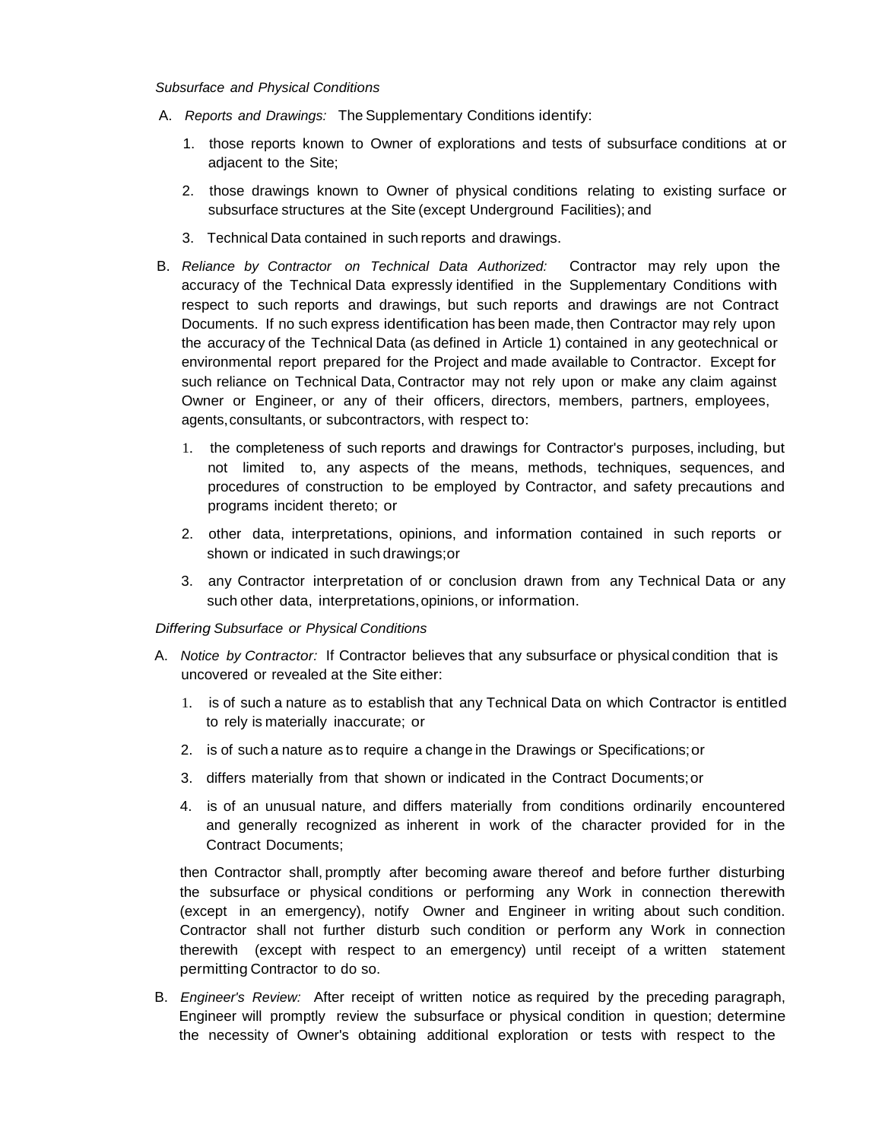#### *Subsurface and Physical Conditions*

- A. *Reports and Drawings:* The Supplementary Conditions identify:
	- 1. those reports known to Owner of explorations and tests of subsurface conditions at or adjacent to the Site;
	- 2. those drawings known to Owner of physical conditions relating to existing surface or subsurface structures at the Site (except Underground Facilities); and
	- 3. Technical Data contained in such reports and drawings.
- B. *Reliance by Contractor on Technical Data Authorized:* Contractor may rely upon the accuracy of the Technical Data expressly identified in the Supplementary Conditions with respect to such reports and drawings, but such reports and drawings are not Contract Documents. If no such express identification has been made, then Contractor may rely upon the accuracy of the Technical Data (as defined in Article 1) contained in any geotechnical or environmental report prepared for the Project and made available to Contractor. Except for such reliance on Technical Data, Contractor may not rely upon or make any claim against Owner or Engineer, or any of their officers, directors, members, partners, employees, agents, consultants, or subcontractors, with respect to:
	- 1. the completeness of such reports and drawings for Contractor's purposes, including, but not limited to, any aspects of the means, methods, techniques, sequences, and procedures of construction to be employed by Contractor, and safety precautions and programs incident thereto; or
	- 2. other data, interpretations, opinions, and information contained in such reports or shown or indicated in such drawings;or
	- 3. any Contractor interpretation of or conclusion drawn from any Technical Data or any such other data, interpretations, opinions, or information.

#### *Differing Subsurface or Physical Conditions*

- A. *Notice by Contractor:* If Contractor believes that any subsurface or physical condition that is uncovered or revealed at the Site either:
	- 1. is of such a nature as to establish that any Technical Data on which Contractor is entitled to rely is materially inaccurate; or
	- 2. is of such a nature as to require a change in the Drawings or Specifications;or
	- 3. differs materially from that shown or indicated in the Contract Documents;or
	- 4. is of an unusual nature, and differs materially from conditions ordinarily encountered and generally recognized as inherent in work of the character provided for in the Contract Documents;

then Contractor shall, promptly after becoming aware thereof and before further disturbing the subsurface or physical conditions or performing any Work in connection therewith (except in an emergency), notify Owner and Engineer in writing about such condition. Contractor shall not further disturb such condition or perform any Work in connection therewith (except with respect to an emergency) until receipt of a written statement permitting Contractor to do so.

B. *Engineer's Review:* After receipt of written notice as required by the preceding paragraph, Engineer will promptly review the subsurface or physical condition in question; determine the necessity of Owner's obtaining additional exploration or tests with respect to the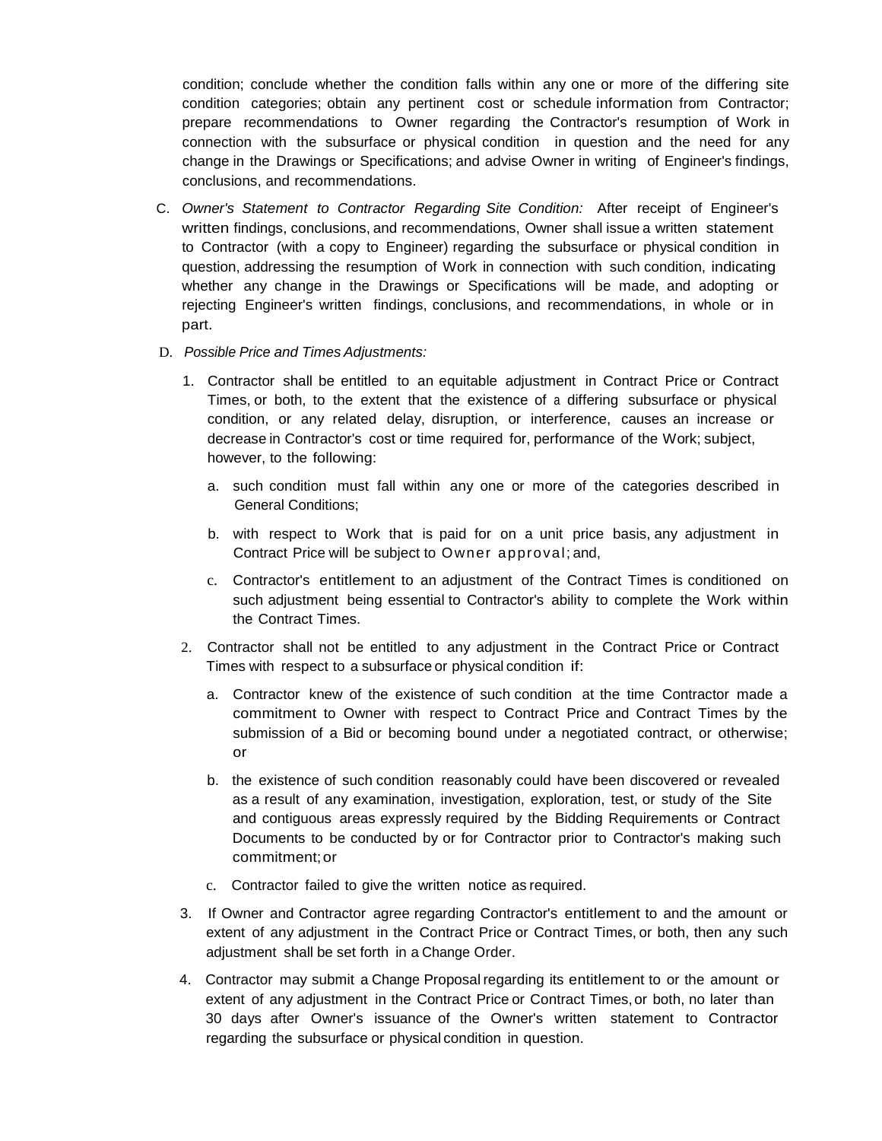condition; conclude whether the condition falls within any one or more of the differing site condition categories; obtain any pertinent cost or schedule information from Contractor; prepare recommendations to Owner regarding the Contractor's resumption of Work in connection with the subsurface or physical condition in question and the need for any change in the Drawings or Specifications; and advise Owner in writing of Engineer's findings, conclusions, and recommendations.

- C. *Owner's Statement to Contractor Regarding Site Condition:* After receipt of Engineer's written findings, conclusions, and recommendations, Owner shall issue a written statement to Contractor (with a copy to Engineer) regarding the subsurface or physical condition in question, addressing the resumption of Work in connection with such condition, indicating whether any change in the Drawings or Specifications will be made, and adopting or rejecting Engineer's written findings, conclusions, and recommendations, in whole or in part.
- D. *Possible Price and Times Adjustments:*
	- 1. Contractor shall be entitled to an equitable adjustment in Contract Price or Contract Times, or both, to the extent that the existence of a differing subsurface or physical condition, or any related delay, disruption, or interference, causes an increase or decrease in Contractor's cost or time required for, performance of the Work; subject, however, to the following:
		- a. such condition must fall within any one or more of the categories described in General Conditions;
		- b. with respect to Work that is paid for on a unit price basis, any adjustment in Contract Price will be subject to Owner approval; and,
		- c. Contractor's entitlement to an adjustment of the Contract Times is conditioned on such adjustment being essential to Contractor's ability to complete the Work within the Contract Times.
	- 2. Contractor shall not be entitled to any adjustment in the Contract Price or Contract Times with respect to a subsurface or physical condition if:
		- a. Contractor knew of the existence of such condition at the time Contractor made a commitment to Owner with respect to Contract Price and Contract Times by the submission of a Bid or becoming bound under a negotiated contract, or otherwise; or
		- b. the existence of such condition reasonably could have been discovered or revealed as a result of any examination, investigation, exploration, test, or study of the Site and contiguous areas expressly required by the Bidding Requirements or Contract Documents to be conducted by or for Contractor prior to Contractor's making such commitment;or
		- c. Contractor failed to give the written notice as required.
	- 3. If Owner and Contractor agree regarding Contractor's entitlement to and the amount or extent of any adjustment in the Contract Price or Contract Times, or both, then any such adjustment shall be set forth in a Change Order.
	- 4. Contractor may submit a Change Proposal regarding its entitlement to or the amount or extent of any adjustment in the Contract Price or Contract Times, or both, no later than 30 days after Owner's issuance of the Owner's written statement to Contractor regarding the subsurface or physical condition in question.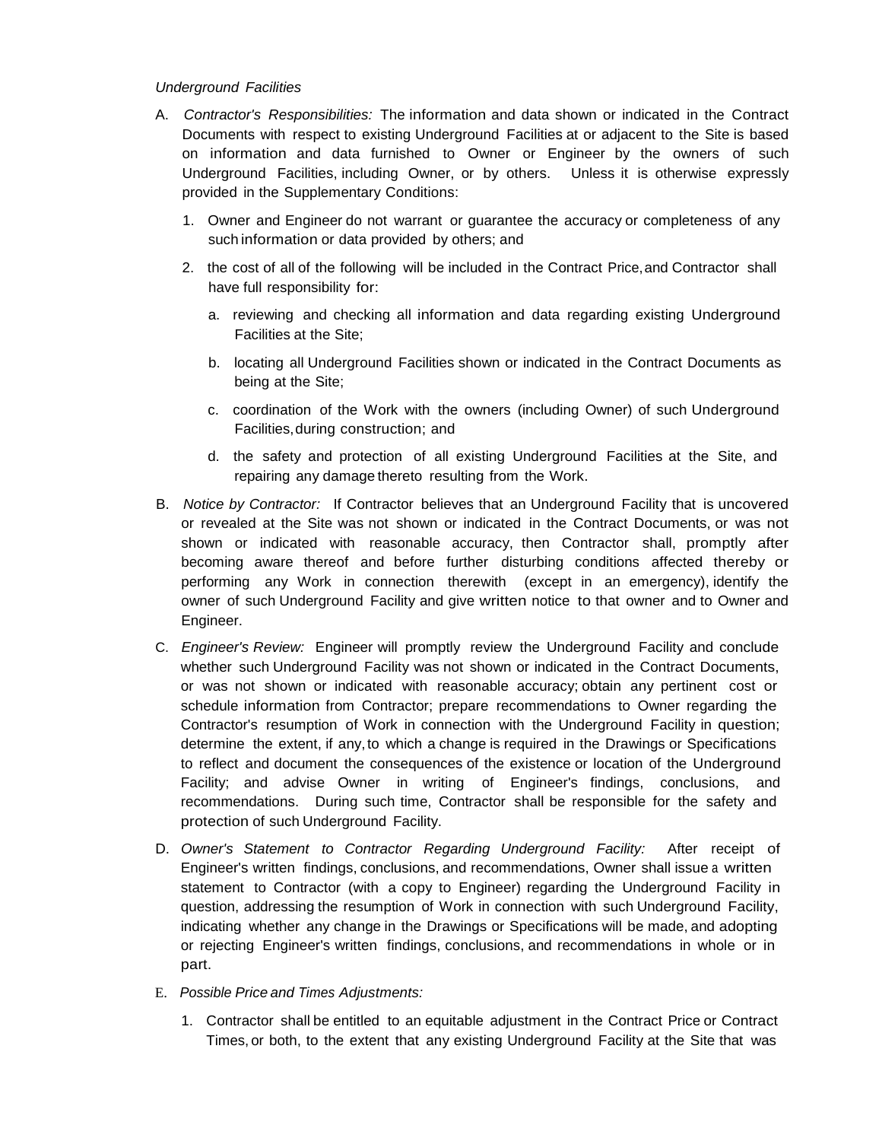# *Underground Facilities*

- A. *Contractor's Responsibilities:* The information and data shown or indicated in the Contract Documents with respect to existing Underground Facilities at or adjacent to the Site is based on information and data furnished to Owner or Engineer by the owners of such Underground Facilities, including Owner, or by others. Unless it is otherwise expressly provided in the Supplementary Conditions:
	- 1. Owner and Engineer do not warrant or guarantee the accuracy or completeness of any such information or data provided by others; and
	- 2. the cost of all of the following will be included in the Contract Price,and Contractor shall have full responsibility for:
		- a. reviewing and checking all information and data regarding existing Underground Facilities at the Site;
		- b. locating all Underground Facilities shown or indicated in the Contract Documents as being at the Site;
		- c. coordination of the Work with the owners (including Owner) of such Underground Facilities,during construction; and
		- d. the safety and protection of all existing Underground Facilities at the Site, and repairing any damage thereto resulting from the Work.
- B. *Notice by Contractor:* If Contractor believes that an Underground Facility that is uncovered or revealed at the Site was not shown or indicated in the Contract Documents, or was not shown or indicated with reasonable accuracy, then Contractor shall, promptly after becoming aware thereof and before further disturbing conditions affected thereby or performing any Work in connection therewith (except in an emergency), identify the owner of such Underground Facility and give written notice to that owner and to Owner and Engineer.
- C. *Engineer's Review:* Engineer will promptly review the Underground Facility and conclude whether such Underground Facility was not shown or indicated in the Contract Documents, or was not shown or indicated with reasonable accuracy; obtain any pertinent cost or schedule information from Contractor; prepare recommendations to Owner regarding the Contractor's resumption of Work in connection with the Underground Facility in question; determine the extent, if any,to which a change is required in the Drawings or Specifications to reflect and document the consequences of the existence or location of the Underground Facility; and advise Owner in writing of Engineer's findings, conclusions, and recommendations. During such time, Contractor shall be responsible for the safety and protection of such Underground Facility.
- D. *Owner's Statement to Contractor Regarding Underground Facility:* After receipt of Engineer's written findings, conclusions, and recommendations, Owner shall issue a written statement to Contractor (with a copy to Engineer) regarding the Underground Facility in question, addressing the resumption of Work in connection with such Underground Facility, indicating whether any change in the Drawings or Specifications will be made, and adopting or rejecting Engineer's written findings, conclusions, and recommendations in whole or in part.
- E. *Possible Price and Times Adjustments:*
	- 1. Contractor shall be entitled to an equitable adjustment in the Contract Price or Contract Times, or both, to the extent that any existing Underground Facility at the Site that was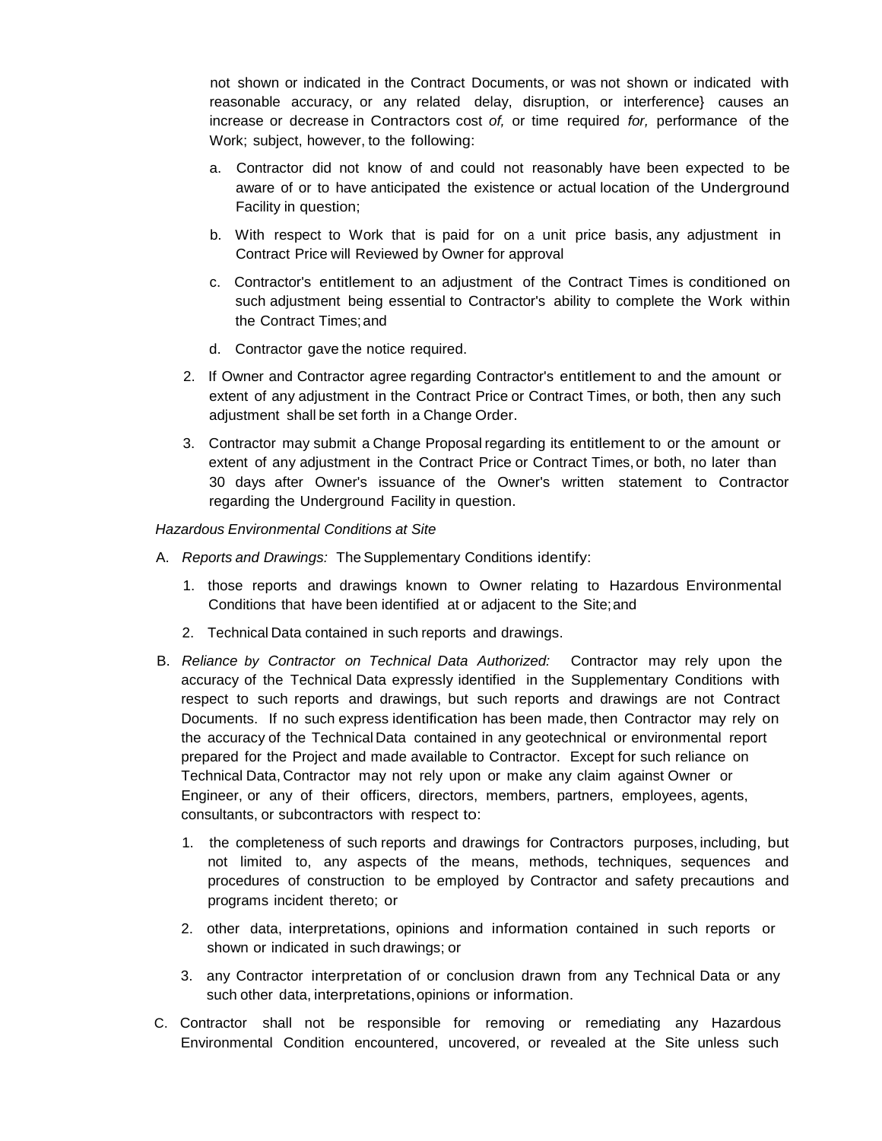not shown or indicated in the Contract Documents, or was not shown or indicated with reasonable accuracy, or any related delay, disruption, or interference} causes an increase or decrease in Contractors cost *of,* or time required *for,* performance of the Work; subject, however, to the following:

- a. Contractor did not know of and could not reasonably have been expected to be aware of or to have anticipated the existence or actual location of the Underground Facility in question;
- b. With respect to Work that is paid for on a unit price basis, any adjustment in Contract Price will Reviewed by Owner for approval
- c. Contractor's entitlement to an adjustment of the Contract Times is conditioned on such adjustment being essential to Contractor's ability to complete the Work within the Contract Times;and
- d. Contractor gave the notice required.
- 2. If Owner and Contractor agree regarding Contractor's entitlement to and the amount or extent of any adjustment in the Contract Price or Contract Times, or both, then any such adjustment shall be set forth in a Change Order.
- 3. Contractor may submit a Change Proposal regarding its entitlement to or the amount or extent of any adjustment in the Contract Price or Contract Times, or both, no later than 30 days after Owner's issuance of the Owner's written statement to Contractor regarding the Underground Facility in question.

*Hazardous Environmental Conditions at Site*

- A. *Reports and Drawings:* The Supplementary Conditions identify:
	- 1. those reports and drawings known to Owner relating to Hazardous Environmental Conditions that have been identified at or adjacent to the Site;and
	- 2. Technical Data contained in such reports and drawings.
- B. *Reliance by Contractor on Technical Data Authorized:* Contractor may rely upon the accuracy of the Technical Data expressly identified in the Supplementary Conditions with respect to such reports and drawings, but such reports and drawings are not Contract Documents. If no such express identification has been made, then Contractor may rely on the accuracy of the Technical Data contained in any geotechnical or environmental report prepared for the Project and made available to Contractor. Except for such reliance on Technical Data, Contractor may not rely upon or make any claim against Owner or Engineer, or any of their officers, directors, members, partners, employees, agents, consultants, or subcontractors with respect to:
	- 1. the completeness of such reports and drawings for Contractors purposes, including, but not limited to, any aspects of the means, methods, techniques, sequences and procedures of construction to be employed by Contractor and safety precautions and programs incident thereto; or
	- 2. other data, interpretations, opinions and information contained in such reports or shown or indicated in such drawings; or
	- 3. any Contractor interpretation of or conclusion drawn from any Technical Data or any such other data, interpretations,opinions or information.
- C. Contractor shall not be responsible for removing or remediating any Hazardous Environmental Condition encountered, uncovered, or revealed at the Site unless such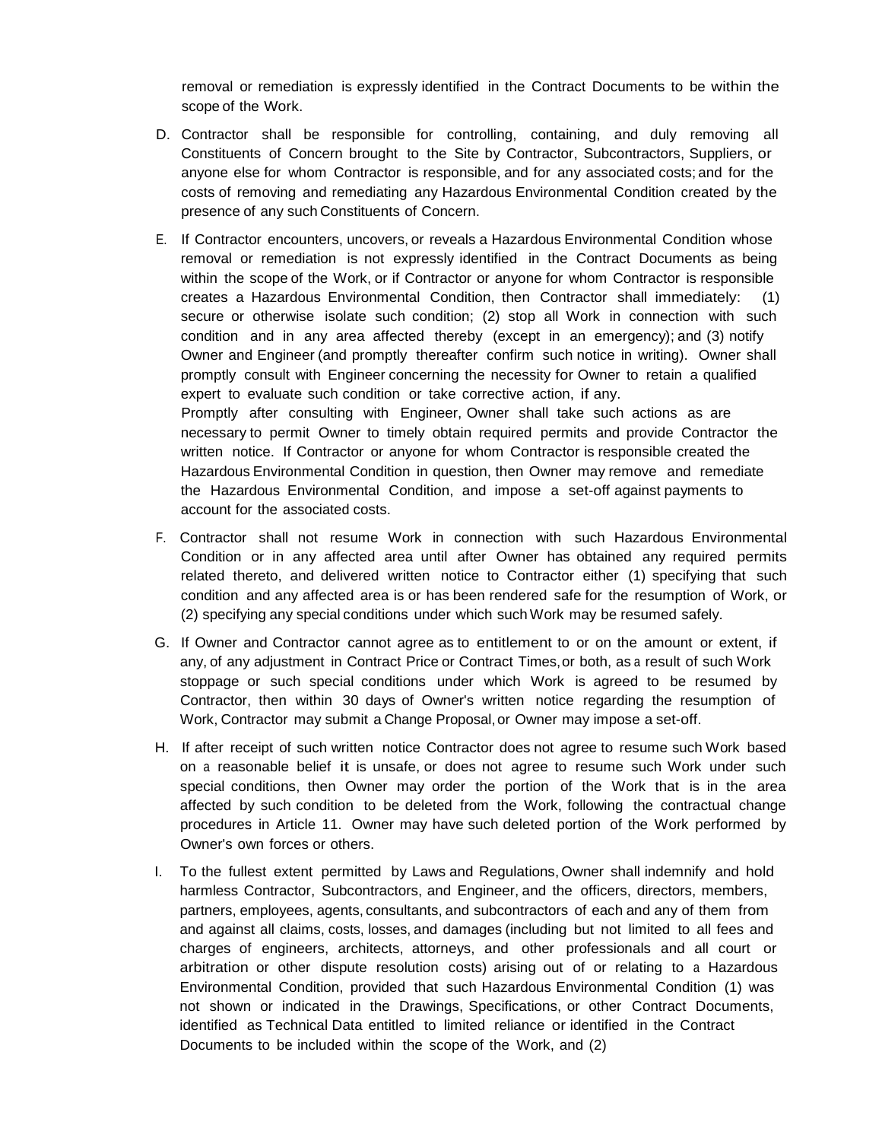removal or remediation is expressly identified in the Contract Documents to be within the scope of the Work.

- D. Contractor shall be responsible for controlling, containing, and duly removing all Constituents of Concern brought to the Site by Contractor, Subcontractors, Suppliers, or anyone else for whom Contractor is responsible, and for any associated costs; and for the costs of removing and remediating any Hazardous Environmental Condition created by the presence of any such Constituents of Concern.
- E. If Contractor encounters, uncovers, or reveals a Hazardous Environmental Condition whose removal or remediation is not expressly identified in the Contract Documents as being within the scope of the Work, or if Contractor or anyone for whom Contractor is responsible creates a Hazardous Environmental Condition, then Contractor shall immediately: (1) secure or otherwise isolate such condition; (2) stop all Work in connection with such condition and in any area affected thereby (except in an emergency); and (3) notify Owner and Engineer (and promptly thereafter confirm such notice in writing). Owner shall promptly consult with Engineer concerning the necessity for Owner to retain a qualified expert to evaluate such condition or take corrective action, if any. Promptly after consulting with Engineer, Owner shall take such actions as are necessary to permit Owner to timely obtain required permits and provide Contractor the written notice. If Contractor or anyone for whom Contractor is responsible created the Hazardous Environmental Condition in question, then Owner may remove and remediate the Hazardous Environmental Condition, and impose a set-off against payments to
- F. Contractor shall not resume Work in connection with such Hazardous Environmental Condition or in any affected area until after Owner has obtained any required permits related thereto, and delivered written notice to Contractor either (1) specifying that such condition and any affected area is or has been rendered safe for the resumption of Work, or (2) specifying any special conditions under which suchWork may be resumed safely.

account for the associated costs.

- G. If Owner and Contractor cannot agree as to entitlement to or on the amount or extent, if any, of any adjustment in Contract Price or Contract Times,or both, as a result of such Work stoppage or such special conditions under which Work is agreed to be resumed by Contractor, then within 30 days of Owner's written notice regarding the resumption of Work, Contractor may submit a Change Proposal, or Owner may impose a set-off.
- H. If after receipt of such written notice Contractor does not agree to resume such Work based on a reasonable belief it is unsafe, or does not agree to resume such Work under such special conditions, then Owner may order the portion of the Work that is in the area affected by such condition to be deleted from the Work, following the contractual change procedures in Article 11. Owner may have such deleted portion of the Work performed by Owner's own forces or others.
- I. To the fullest extent permitted by Laws and Regulations, Owner shall indemnify and hold harmless Contractor, Subcontractors, and Engineer, and the officers, directors, members, partners, employees, agents, consultants, and subcontractors of each and any of them from and against all claims, costs, losses, and damages (including but not limited to all fees and charges of engineers, architects, attorneys, and other professionals and all court or arbitration or other dispute resolution costs) arising out of or relating to a Hazardous Environmental Condition, provided that such Hazardous Environmental Condition (1) was not shown or indicated in the Drawings, Specifications, or other Contract Documents, identified as Technical Data entitled to limited reliance or identified in the Contract Documents to be included within the scope of the Work, and (2)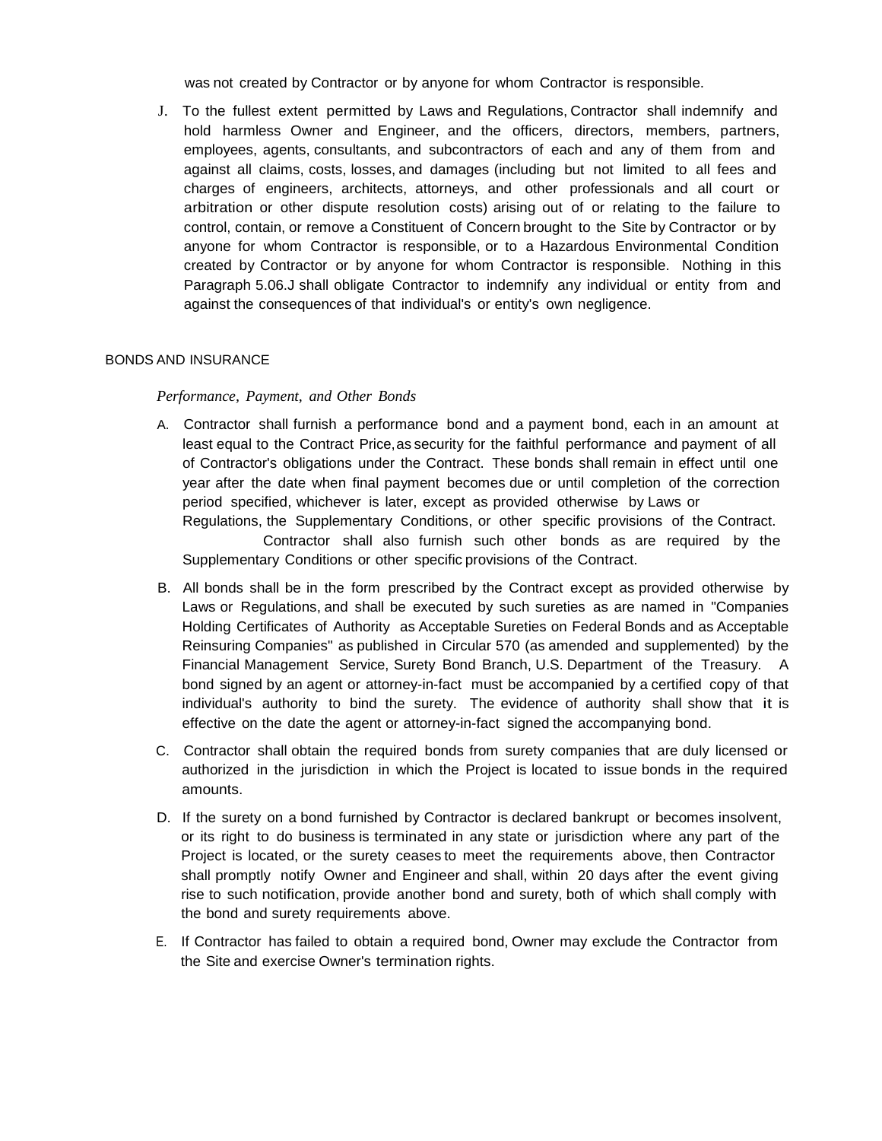was not created by Contractor or by anyone for whom Contractor is responsible.

J. To the fullest extent permitted by Laws and Regulations, Contractor shall indemnify and hold harmless Owner and Engineer, and the officers, directors, members, partners, employees, agents, consultants, and subcontractors of each and any of them from and against all claims, costs, losses, and damages (including but not limited to all fees and charges of engineers, architects, attorneys, and other professionals and all court or arbitration or other dispute resolution costs) arising out of or relating to the failure to control, contain, or remove a Constituent of Concern brought to the Site by Contractor or by anyone for whom Contractor is responsible, or to a Hazardous Environmental Condition created by Contractor or by anyone for whom Contractor is responsible. Nothing in this Paragraph 5.06.J shall obligate Contractor to indemnify any individual or entity from and against the consequences of that individual's or entity's own negligence.

### BONDS AND INSURANCE

### *Performance, Payment, and Other Bonds*

A. Contractor shall furnish a performance bond and a payment bond, each in an amount at least equal to the Contract Price,as security for the faithful performance and payment of all of Contractor's obligations under the Contract. These bonds shall remain in effect until one year after the date when final payment becomes due or until completion of the correction period specified, whichever is later, except as provided otherwise by Laws or

Regulations, the Supplementary Conditions, or other specific provisions of the Contract. Contractor shall also furnish such other bonds as are required by the Supplementary Conditions or other specific provisions of the Contract.

- B. All bonds shall be in the form prescribed by the Contract except as provided otherwise by Laws or Regulations, and shall be executed by such sureties as are named in "Companies Holding Certificates of Authority as Acceptable Sureties on Federal Bonds and as Acceptable Reinsuring Companies" as published in Circular 570 (as amended and supplemented) by the Financial Management Service, Surety Bond Branch, U.S. Department of the Treasury. A bond signed by an agent or attorney-in-fact must be accompanied by a certified copy of that individual's authority to bind the surety. The evidence of authority shall show that it is effective on the date the agent or attorney-in-fact signed the accompanying bond.
- C. Contractor shall obtain the required bonds from surety companies that are duly licensed or authorized in the jurisdiction in which the Project is located to issue bonds in the required amounts.
- D. If the surety on a bond furnished by Contractor is declared bankrupt or becomes insolvent, or its right to do business is terminated in any state or jurisdiction where any part of the Project is located, or the surety ceases to meet the requirements above, then Contractor shall promptly notify Owner and Engineer and shall, within 20 days after the event giving rise to such notification, provide another bond and surety, both of which shall comply with the bond and surety requirements above.
- E. If Contractor has failed to obtain a required bond, Owner may exclude the Contractor from the Site and exercise Owner's termination rights.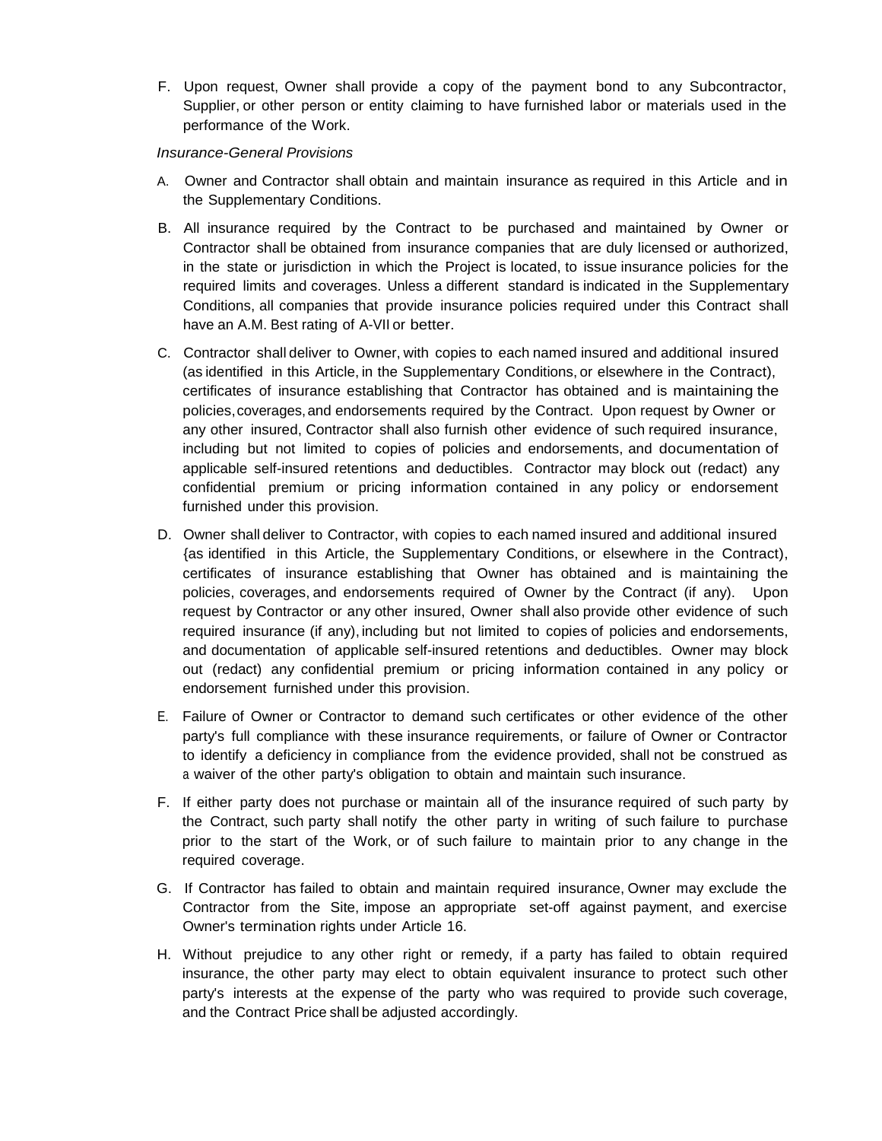F. Upon request, Owner shall provide a copy of the payment bond to any Subcontractor, Supplier, or other person or entity claiming to have furnished labor or materials used in the performance of the Work.

### *Insurance-General Provisions*

- A. Owner and Contractor shall obtain and maintain insurance as required in this Article and in the Supplementary Conditions.
- B. All insurance required by the Contract to be purchased and maintained by Owner or Contractor shall be obtained from insurance companies that are duly licensed or authorized, in the state or jurisdiction in which the Project is located, to issue insurance policies for the required limits and coverages. Unless a different standard is indicated in the Supplementary Conditions, all companies that provide insurance policies required under this Contract shall have an A.M. Best rating of A-VII or better.
- C. Contractor shall deliver to Owner, with copies to each named insured and additional insured (as identified in this Article, in the Supplementary Conditions, or elsewhere in the Contract), certificates of insurance establishing that Contractor has obtained and is maintaining the policies,coverages,and endorsements required by the Contract. Upon request by Owner or any other insured, Contractor shall also furnish other evidence of such required insurance, including but not limited to copies of policies and endorsements, and documentation of applicable self-insured retentions and deductibles. Contractor may block out (redact) any confidential premium or pricing information contained in any policy or endorsement furnished under this provision.
- D. Owner shall deliver to Contractor, with copies to each named insured and additional insured {as identified in this Article, the Supplementary Conditions, or elsewhere in the Contract), certificates of insurance establishing that Owner has obtained and is maintaining the policies, coverages, and endorsements required of Owner by the Contract (if any). Upon request by Contractor or any other insured, Owner shall also provide other evidence of such required insurance (if any), including but not limited to copies of policies and endorsements, and documentation of applicable self-insured retentions and deductibles. Owner may block out (redact) any confidential premium or pricing information contained in any policy or endorsement furnished under this provision.
- E. Failure of Owner or Contractor to demand such certificates or other evidence of the other party's full compliance with these insurance requirements, or failure of Owner or Contractor to identify a deficiency in compliance from the evidence provided, shall not be construed as a waiver of the other party's obligation to obtain and maintain such insurance.
- F. If either party does not purchase or maintain all of the insurance required of such party by the Contract, such party shall notify the other party in writing of such failure to purchase prior to the start of the Work, or of such failure to maintain prior to any change in the required coverage.
- G. If Contractor has failed to obtain and maintain required insurance, Owner may exclude the Contractor from the Site, impose an appropriate set-off against payment, and exercise Owner's termination rights under Article 16.
- H. Without prejudice to any other right or remedy, if a party has failed to obtain required insurance, the other party may elect to obtain equivalent insurance to protect such other party's interests at the expense of the party who was required to provide such coverage, and the Contract Price shall be adjusted accordingly.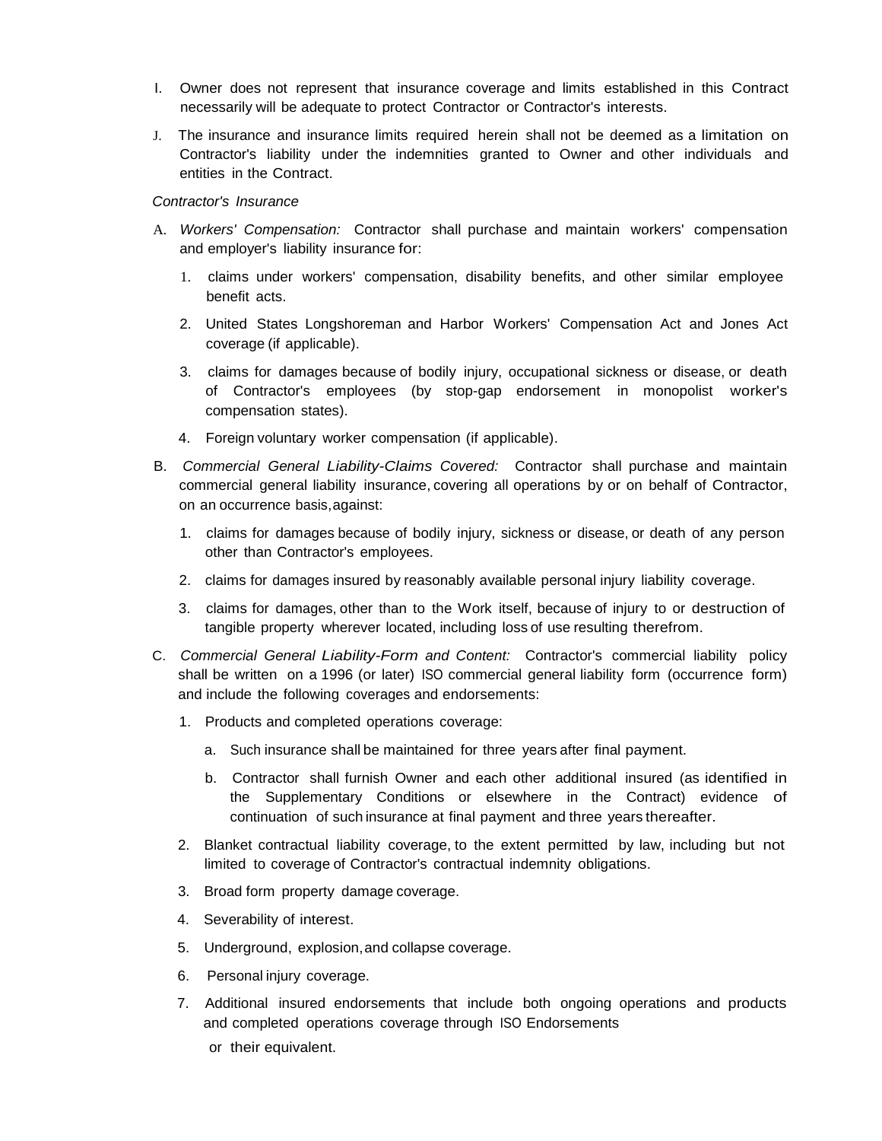- I. Owner does not represent that insurance coverage and limits established in this Contract necessarily will be adequate to protect Contractor or Contractor's interests.
- J. The insurance and insurance limits required herein shall not be deemed as a limitation on Contractor's liability under the indemnities granted to Owner and other individuals and entities in the Contract.

*Contractor's Insurance*

- A. *Workers' Compensation:* Contractor shall purchase and maintain workers' compensation and employer's liability insurance for:
	- 1. claims under workers' compensation, disability benefits, and other similar employee benefit acts.
	- 2. United States Longshoreman and Harbor Workers' Compensation Act and Jones Act coverage (if applicable).
	- 3. claims for damages because of bodily injury, occupational sickness or disease, or death of Contractor's employees (by stop-gap endorsement in monopolist worker's compensation states).
	- 4. Foreign voluntary worker compensation (if applicable).
- B. *Commercial General Liability-Claims Covered:* Contractor shall purchase and maintain commercial general liability insurance, covering all operations by or on behalf of Contractor, on an occurrence basis,against:
	- 1. claims for damages because of bodily injury, sickness or disease, or death of any person other than Contractor's employees.
	- 2. claims for damages insured by reasonably available personal injury liability coverage.
	- 3. claims for damages, other than to the Work itself, because of injury to or destruction of tangible property wherever located, including loss of use resulting therefrom.
- C. *Commercial General Liability-Form and Content:* Contractor's commercial liability policy shall be written on a 1996 (or later) ISO commercial general liability form (occurrence form) and include the following coverages and endorsements:
	- 1. Products and completed operations coverage:
		- a. Such insurance shall be maintained for three years after final payment.
		- b. Contractor shall furnish Owner and each other additional insured (as identified in the Supplementary Conditions or elsewhere in the Contract) evidence of continuation of such insurance at final payment and three years thereafter.
	- 2. Blanket contractual liability coverage, to the extent permitted by law, including but not limited to coverage of Contractor's contractual indemnity obligations.
	- 3. Broad form property damage coverage.
	- 4. Severability of interest.
	- 5. Underground, explosion,and collapse coverage.
	- 6. Personal injury coverage.
	- 7. Additional insured endorsements that include both ongoing operations and products and completed operations coverage through ISO Endorsements

or their equivalent.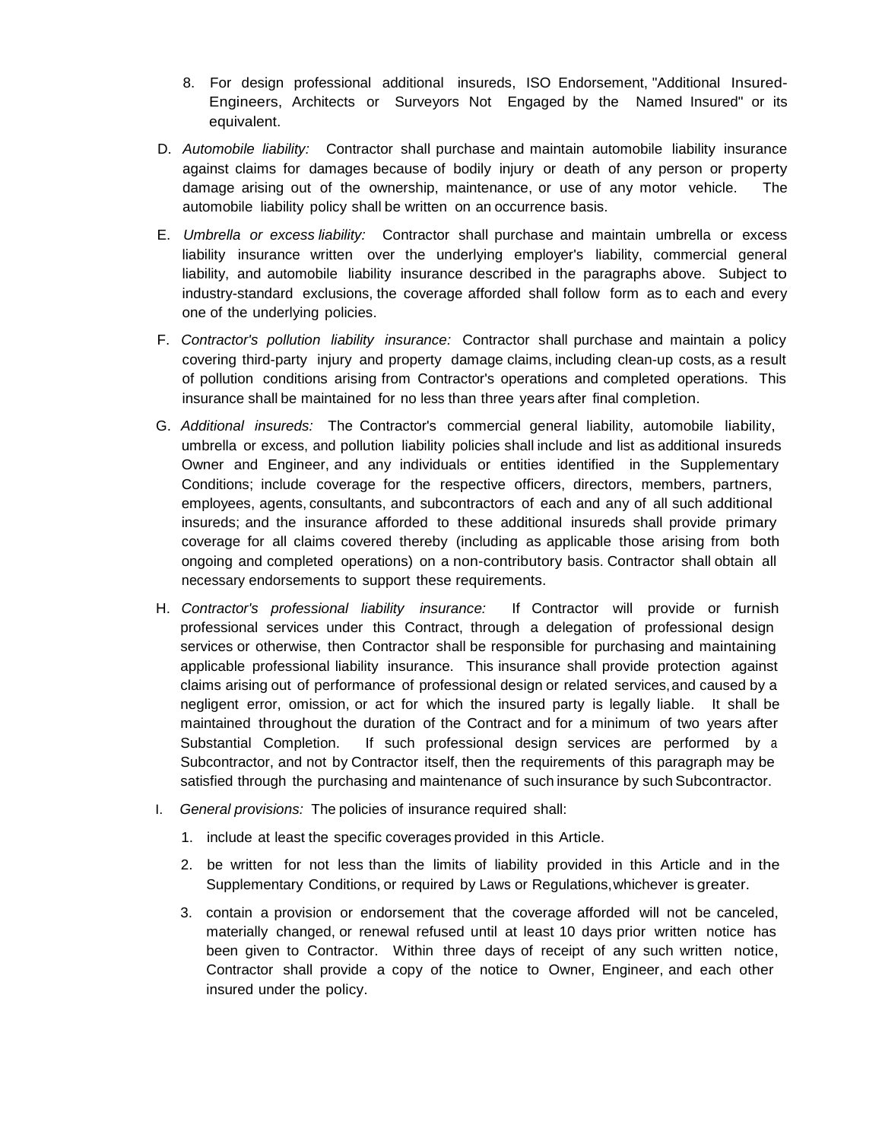- 8. For design professional additional insureds, ISO Endorsement, "Additional Insured-Engineers, Architects or Surveyors Not Engaged by the Named Insured" or its equivalent.
- D. *Automobile liability:* Contractor shall purchase and maintain automobile liability insurance against claims for damages because of bodily injury or death of any person or property damage arising out of the ownership, maintenance, or use of any motor vehicle. The automobile liability policy shall be written on an occurrence basis.
- E. *Umbrella or excess liability:* Contractor shall purchase and maintain umbrella or excess liability insurance written over the underlying employer's liability, commercial general liability, and automobile liability insurance described in the paragraphs above. Subject to industry-standard exclusions, the coverage afforded shall follow form as to each and every one of the underlying policies.
- F. *Contractor's pollution liability insurance:* Contractor shall purchase and maintain a policy covering third-party injury and property damage claims, including clean-up costs, as a result of pollution conditions arising from Contractor's operations and completed operations. This insurance shall be maintained for no less than three years after final completion.
- G. *Additional insureds:* The Contractor's commercial general liability, automobile liability, umbrella or excess, and pollution liability policies shall include and list as additional insureds Owner and Engineer, and any individuals or entities identified in the Supplementary Conditions; include coverage for the respective officers, directors, members, partners, employees, agents, consultants, and subcontractors of each and any of all such additional insureds; and the insurance afforded to these additional insureds shall provide primary coverage for all claims covered thereby (including as applicable those arising from both ongoing and completed operations) on a non-contributory basis. Contractor shall obtain all necessary endorsements to support these requirements.
- H. *Contractor's professional liability insurance:* If Contractor will provide or furnish professional services under this Contract, through a delegation of professional design services or otherwise, then Contractor shall be responsible for purchasing and maintaining applicable professional liability insurance. This insurance shall provide protection against claims arising out of performance of professional design or related services,and caused by a negligent error, omission, or act for which the insured party is legally liable. It shall be maintained throughout the duration of the Contract and for a minimum of two years after Substantial Completion. If such professional design services are performed by a Subcontractor, and not by Contractor itself, then the requirements of this paragraph may be satisfied through the purchasing and maintenance of such insurance by such Subcontractor.
- I. *General provisions:* The policies of insurance required shall:
	- 1. include at least the specific coverages provided in this Article.
	- 2. be written for not less than the limits of liability provided in this Article and in the Supplementary Conditions, or required by Laws or Regulations,whichever is greater.
	- 3. contain a provision or endorsement that the coverage afforded will not be canceled, materially changed, or renewal refused until at least 10 days prior written notice has been given to Contractor. Within three days of receipt of any such written notice, Contractor shall provide a copy of the notice to Owner, Engineer, and each other insured under the policy.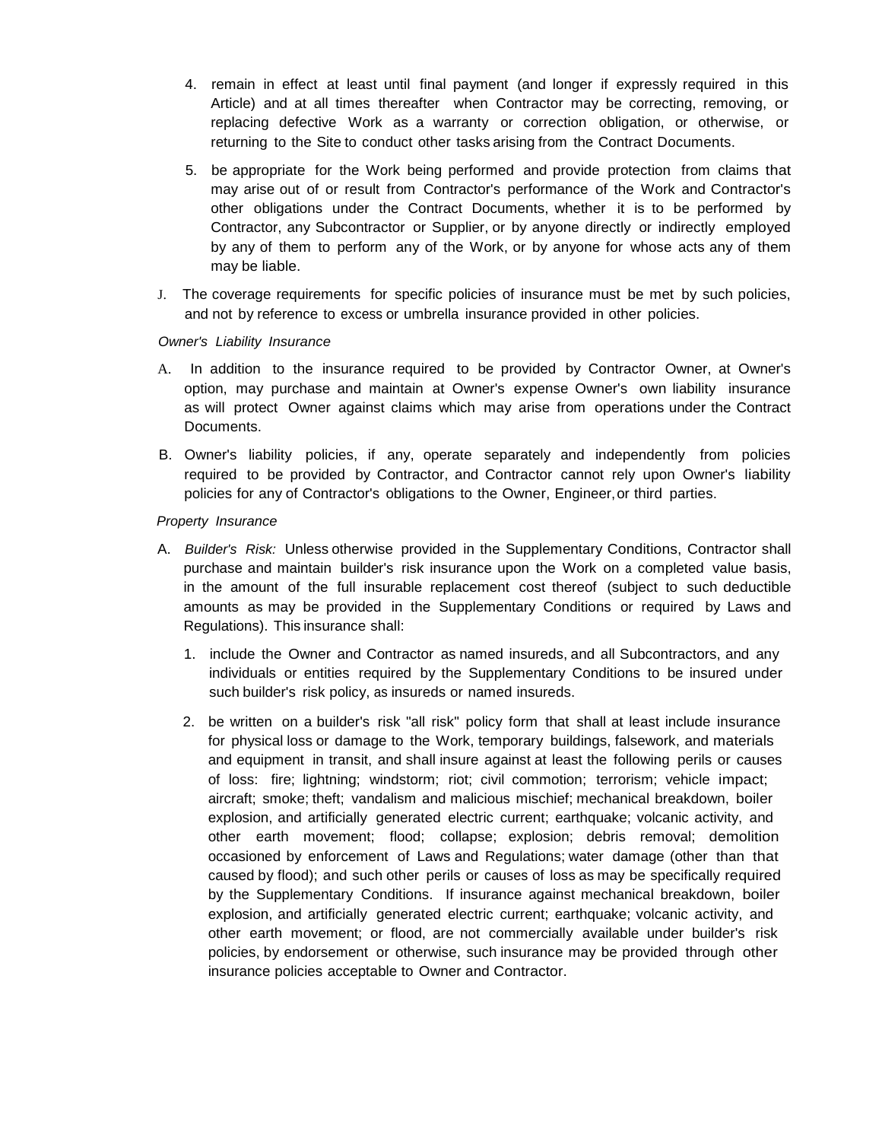- 4. remain in effect at least until final payment (and longer if expressly required in this Article) and at all times thereafter when Contractor may be correcting, removing, or replacing defective Work as a warranty or correction obligation, or otherwise, or returning to the Site to conduct other tasks arising from the Contract Documents.
- 5. be appropriate for the Work being performed and provide protection from claims that may arise out of or result from Contractor's performance of the Work and Contractor's other obligations under the Contract Documents, whether it is to be performed by Contractor, any Subcontractor or Supplier, or by anyone directly or indirectly employed by any of them to perform any of the Work, or by anyone for whose acts any of them may be liable.
- J. The coverage requirements for specific policies of insurance must be met by such policies, and not by reference to excess or umbrella insurance provided in other policies.

### *Owner's Liability Insurance*

- A. In addition to the insurance required to be provided by Contractor Owner, at Owner's option, may purchase and maintain at Owner's expense Owner's own liability insurance as will protect Owner against claims which may arise from operations under the Contract Documents.
- B. Owner's liability policies, if any, operate separately and independently from policies required to be provided by Contractor, and Contractor cannot rely upon Owner's liability policies for any of Contractor's obligations to the Owner, Engineer,or third parties.

### *Property Insurance*

- A. *Builder's Risk:* Unless otherwise provided in the Supplementary Conditions, Contractor shall purchase and maintain builder's risk insurance upon the Work on a completed value basis, in the amount of the full insurable replacement cost thereof (subject to such deductible amounts as may be provided in the Supplementary Conditions or required by Laws and Regulations). This insurance shall:
	- 1. include the Owner and Contractor as named insureds, and all Subcontractors, and any individuals or entities required by the Supplementary Conditions to be insured under such builder's risk policy, as insureds or named insureds.
	- 2. be written on a builder's risk "all risk" policy form that shall at least include insurance for physical loss or damage to the Work, temporary buildings, falsework, and materials and equipment in transit, and shall insure against at least the following perils or causes of loss: fire; lightning; windstorm; riot; civil commotion; terrorism; vehicle impact; aircraft; smoke; theft; vandalism and malicious mischief; mechanical breakdown, boiler explosion, and artificially generated electric current; earthquake; volcanic activity, and other earth movement; flood; collapse; explosion; debris removal; demolition occasioned by enforcement of Laws and Regulations; water damage (other than that caused by flood); and such other perils or causes of loss as may be specifically required by the Supplementary Conditions. If insurance against mechanical breakdown, boiler explosion, and artificially generated electric current; earthquake; volcanic activity, and other earth movement; or flood, are not commercially available under builder's risk policies, by endorsement or otherwise, such insurance may be provided through other insurance policies acceptable to Owner and Contractor.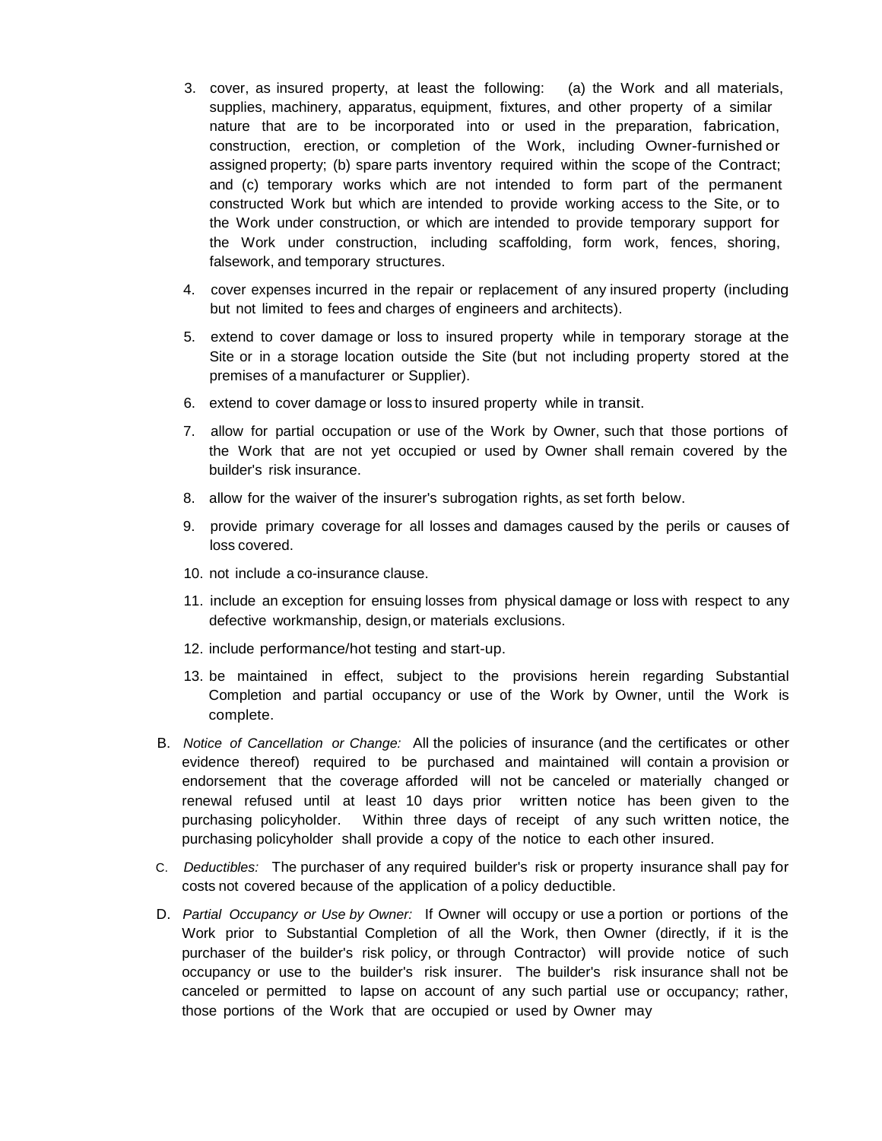- 3. cover, as insured property, at least the following: (a) the Work and all materials, supplies, machinery, apparatus, equipment, fixtures, and other property of a similar nature that are to be incorporated into or used in the preparation, fabrication, construction, erection, or completion of the Work, including Owner-furnished or assigned property; (b) spare parts inventory required within the scope of the Contract; and (c) temporary works which are not intended to form part of the permanent constructed Work but which are intended to provide working access to the Site, or to the Work under construction, or which are intended to provide temporary support for the Work under construction, including scaffolding, form work, fences, shoring, falsework, and temporary structures.
- 4. cover expenses incurred in the repair or replacement of any insured property (including but not limited to fees and charges of engineers and architects).
- 5. extend to cover damage or loss to insured property while in temporary storage at the Site or in a storage location outside the Site (but not including property stored at the premises of a manufacturer or Supplier).
- 6. extend to cover damage or loss to insured property while in transit.
- 7. allow for partial occupation or use of the Work by Owner, such that those portions of the Work that are not yet occupied or used by Owner shall remain covered by the builder's risk insurance.
- 8. allow for the waiver of the insurer's subrogation rights, as set forth below.
- 9. provide primary coverage for all losses and damages caused by the perils or causes of loss covered.
- 10. not include a co-insurance clause.
- 11. include an exception for ensuing losses from physical damage or loss with respect to any defective workmanship, design,or materials exclusions.
- 12. include performance/hot testing and start-up.
- 13. be maintained in effect, subject to the provisions herein regarding Substantial Completion and partial occupancy or use of the Work by Owner, until the Work is complete.
- B. *Notice of Cancellation or Change:* All the policies of insurance (and the certificates or other evidence thereof) required to be purchased and maintained will contain a provision or endorsement that the coverage afforded will not be canceled or materially changed or renewal refused until at least 10 days prior written notice has been given to the purchasing policyholder. Within three days of receipt of any such written notice, the purchasing policyholder shall provide a copy of the notice to each other insured.
- C. *Deductibles:* The purchaser of any required builder's risk or property insurance shall pay for costs not covered because of the application of a policy deductible.
- D. *Partial Occupancy or Use by Owner:* If Owner will occupy or use a portion or portions of the Work prior to Substantial Completion of all the Work, then Owner (directly, if it is the purchaser of the builder's risk policy, or through Contractor) will provide notice of such occupancy or use to the builder's risk insurer. The builder's risk insurance shall not be canceled or permitted to lapse on account of any such partial use or occupancy; rather, those portions of the Work that are occupied or used by Owner may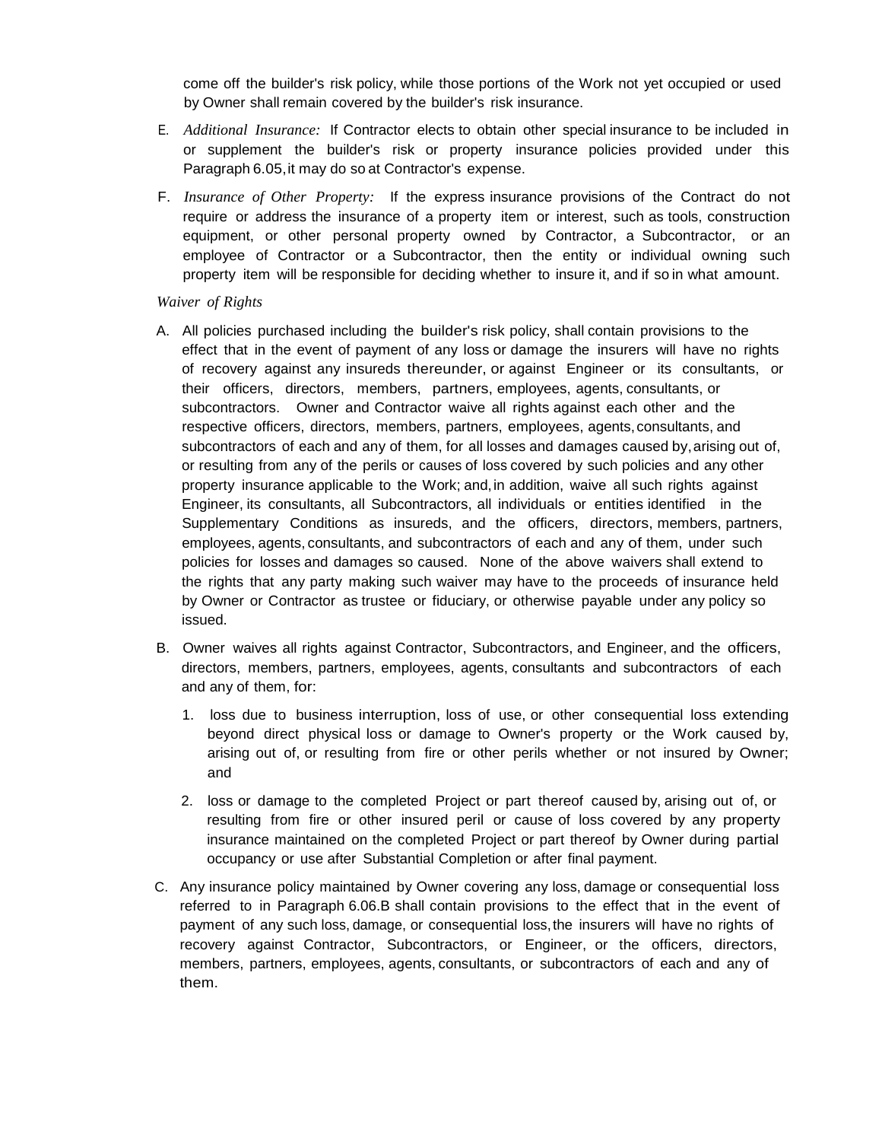come off the builder's risk policy, while those portions of the Work not yet occupied or used by Owner shall remain covered by the builder's risk insurance.

- E. *Additional Insurance:* If Contractor elects to obtain other special insurance to be included in or supplement the builder's risk or property insurance policies provided under this Paragraph 6.05,it may do so at Contractor's expense.
- F. *Insurance of Other Property:* If the express insurance provisions of the Contract do not require or address the insurance of a property item or interest, such as tools, construction equipment, or other personal property owned by Contractor, a Subcontractor, or an employee of Contractor or a Subcontractor, then the entity or individual owning such property item will be responsible for deciding whether to insure it, and if so in what amount.

# *Waiver of Rights*

- A. All policies purchased including the builder's risk policy, shall contain provisions to the effect that in the event of payment of any loss or damage the insurers will have no rights of recovery against any insureds thereunder, or against Engineer or its consultants, or their officers, directors, members, partners, employees, agents, consultants, or subcontractors. Owner and Contractor waive all rights against each other and the respective officers, directors, members, partners, employees, agents,consultants, and subcontractors of each and any of them, for all losses and damages caused by, arising out of, or resulting from any of the perils or causes of loss covered by such policies and any other property insurance applicable to the Work; and,in addition, waive all such rights against Engineer, its consultants, all Subcontractors, all individuals or entities identified in the Supplementary Conditions as insureds, and the officers, directors, members, partners, employees, agents, consultants, and subcontractors of each and any of them, under such policies for losses and damages so caused. None of the above waivers shall extend to the rights that any party making such waiver may have to the proceeds of insurance held by Owner or Contractor as trustee or fiduciary, or otherwise payable under any policy so issued.
- B. Owner waives all rights against Contractor, Subcontractors, and Engineer, and the officers, directors, members, partners, employees, agents, consultants and subcontractors of each and any of them, for:
	- 1. loss due to business interruption, loss of use, or other consequential loss extending beyond direct physical loss or damage to Owner's property or the Work caused by, arising out of, or resulting from fire or other perils whether or not insured by Owner; and
	- 2. loss or damage to the completed Project or part thereof caused by, arising out of, or resulting from fire or other insured peril or cause of loss covered by any property insurance maintained on the completed Project or part thereof by Owner during partial occupancy or use after Substantial Completion or after final payment.
- C. Any insurance policy maintained by Owner covering any loss, damage or consequential loss referred to in Paragraph 6.06.B shall contain provisions to the effect that in the event of payment of any such loss, damage, or consequential loss,the insurers will have no rights of recovery against Contractor, Subcontractors, or Engineer, or the officers, directors, members, partners, employees, agents, consultants, or subcontractors of each and any of them.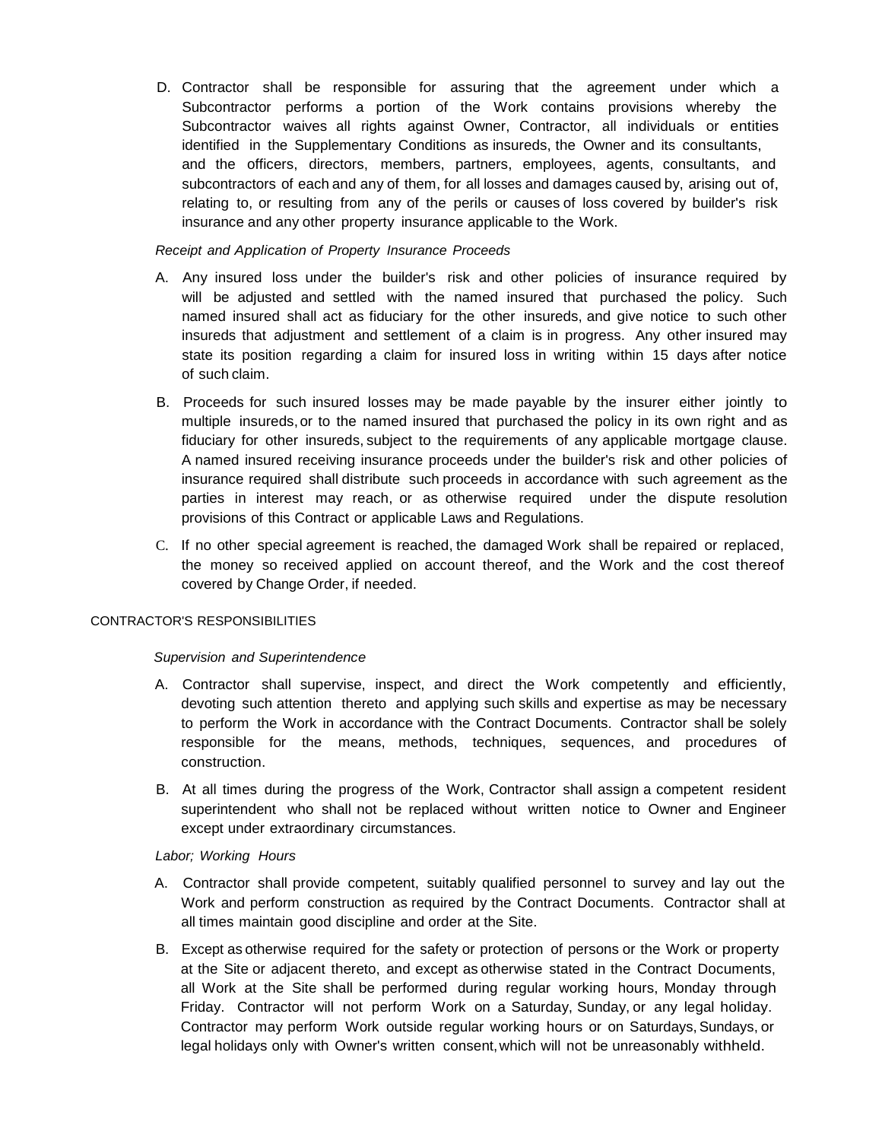D. Contractor shall be responsible for assuring that the agreement under which a Subcontractor performs a portion of the Work contains provisions whereby the Subcontractor waives all rights against Owner, Contractor, all individuals or entities identified in the Supplementary Conditions as insureds, the Owner and its consultants, and the officers, directors, members, partners, employees, agents, consultants, and subcontractors of each and any of them, for all losses and damages caused by, arising out of, relating to, or resulting from any of the perils or causes of loss covered by builder's risk insurance and any other property insurance applicable to the Work.

# *Receipt and Application of Property Insurance Proceeds*

- A. Any insured loss under the builder's risk and other policies of insurance required by will be adjusted and settled with the named insured that purchased the policy. Such named insured shall act as fiduciary for the other insureds, and give notice to such other insureds that adjustment and settlement of a claim is in progress. Any other insured may state its position regarding a claim for insured loss in writing within 15 days after notice of such claim.
- B. Proceeds for such insured losses may be made payable by the insurer either jointly to multiple insureds,or to the named insured that purchased the policy in its own right and as fiduciary for other insureds, subject to the requirements of any applicable mortgage clause. A named insured receiving insurance proceeds under the builder's risk and other policies of insurance required shall distribute such proceeds in accordance with such agreement as the parties in interest may reach, or as otherwise required under the dispute resolution provisions of this Contract or applicable Laws and Regulations.
- C. If no other special agreement is reached, the damaged Work shall be repaired or replaced, the money so received applied on account thereof, and the Work and the cost thereof covered by Change Order, if needed.

# CONTRACTOR'S RESPONSIBILITIES

# *Supervision and Superintendence*

- A. Contractor shall supervise, inspect, and direct the Work competently and efficiently, devoting such attention thereto and applying such skills and expertise as may be necessary to perform the Work in accordance with the Contract Documents. Contractor shall be solely responsible for the means, methods, techniques, sequences, and procedures of construction.
- B. At all times during the progress of the Work, Contractor shall assign a competent resident superintendent who shall not be replaced without written notice to Owner and Engineer except under extraordinary circumstances.

# *Labor; Working Hours*

- A. Contractor shall provide competent, suitably qualified personnel to survey and lay out the Work and perform construction as required by the Contract Documents. Contractor shall at all times maintain good discipline and order at the Site.
- B. Except as otherwise required for the safety or protection of persons or the Work or property at the Site or adjacent thereto, and except as otherwise stated in the Contract Documents, all Work at the Site shall be performed during regular working hours, Monday through Friday. Contractor will not perform Work on a Saturday, Sunday, or any legal holiday. Contractor may perform Work outside regular working hours or on Saturdays, Sundays, or legal holidays only with Owner's written consent,which will not be unreasonably withheld.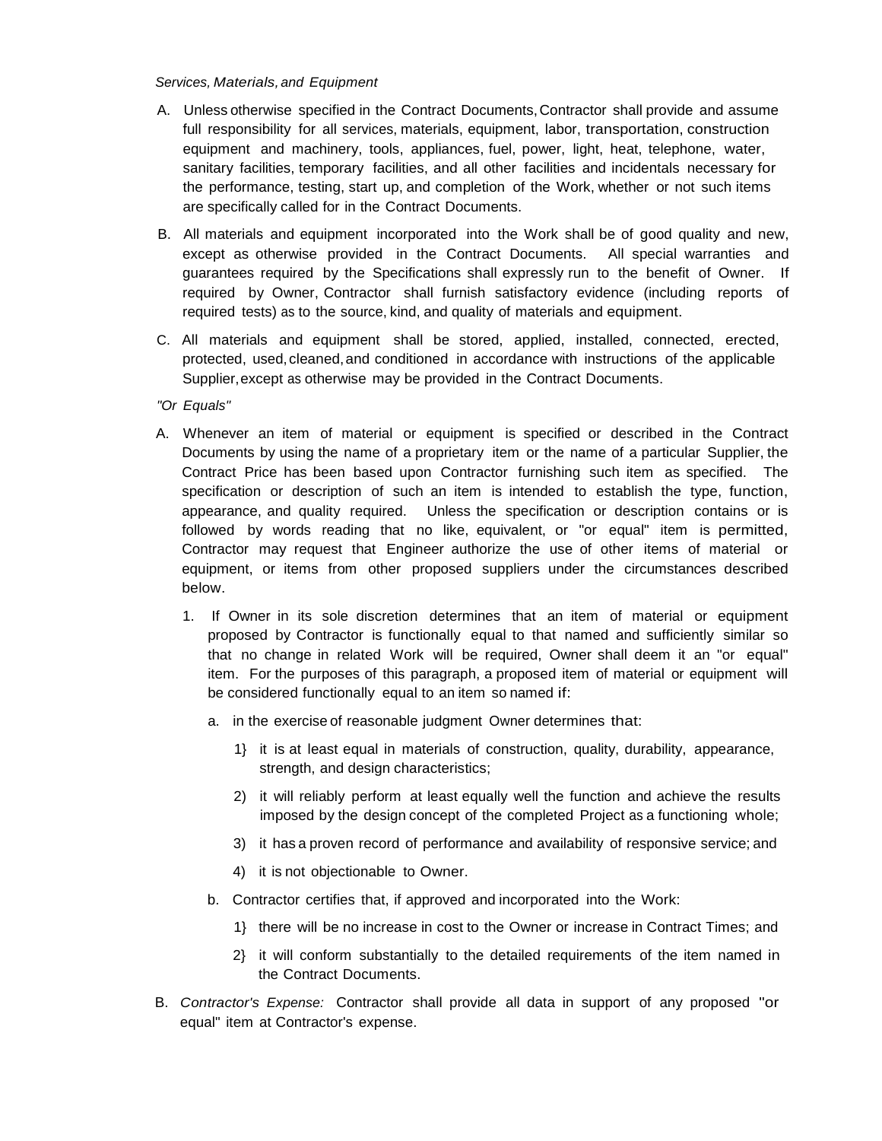### *Services, Materials,and Equipment*

- A. Unless otherwise specified in the Contract Documents,Contractor shall provide and assume full responsibility for all services, materials, equipment, labor, transportation, construction equipment and machinery, tools, appliances, fuel, power, light, heat, telephone, water, sanitary facilities, temporary facilities, and all other facilities and incidentals necessary for the performance, testing, start up, and completion of the Work, whether or not such items are specifically called for in the Contract Documents.
- B. All materials and equipment incorporated into the Work shall be of good quality and new, except as otherwise provided in the Contract Documents. All special warranties and guarantees required by the Specifications shall expressly run to the benefit of Owner. If required by Owner, Contractor shall furnish satisfactory evidence (including reports of required tests) as to the source, kind, and quality of materials and equipment.
- C. All materials and equipment shall be stored, applied, installed, connected, erected, protected, used, cleaned,and conditioned in accordance with instructions of the applicable Supplier, except as otherwise may be provided in the Contract Documents.
- *"Or Equals"*
- A. Whenever an item of material or equipment is specified or described in the Contract Documents by using the name of a proprietary item or the name of a particular Supplier, the Contract Price has been based upon Contractor furnishing such item as specified. The specification or description of such an item is intended to establish the type, function, appearance, and quality required. Unless the specification or description contains or is followed by words reading that no like, equivalent, or "or equal" item is permitted, Contractor may request that Engineer authorize the use of other items of material or equipment, or items from other proposed suppliers under the circumstances described below.
	- 1. If Owner in its sole discretion determines that an item of material or equipment proposed by Contractor is functionally equal to that named and sufficiently similar so that no change in related Work will be required, Owner shall deem it an "or equal" item. For the purposes of this paragraph, a proposed item of material or equipment will be considered functionally equal to an item so named if:
		- a. in the exercise of reasonable judgment Owner determines that:
			- 1} it is at least equal in materials of construction, quality, durability, appearance, strength, and design characteristics;
			- 2) it will reliably perform at least equally well the function and achieve the results imposed by the design concept of the completed Project as a functioning whole;
			- 3) it has a proven record of performance and availability of responsive service; and
			- 4) it is not objectionable to Owner.
		- b. Contractor certifies that, if approved and incorporated into the Work:
			- 1} there will be no increase in cost to the Owner or increase in Contract Times; and
			- 2} it will conform substantially to the detailed requirements of the item named in the Contract Documents.
- B. *Contractor's Expense:* Contractor shall provide all data in support of any proposed "or equal" item at Contractor's expense.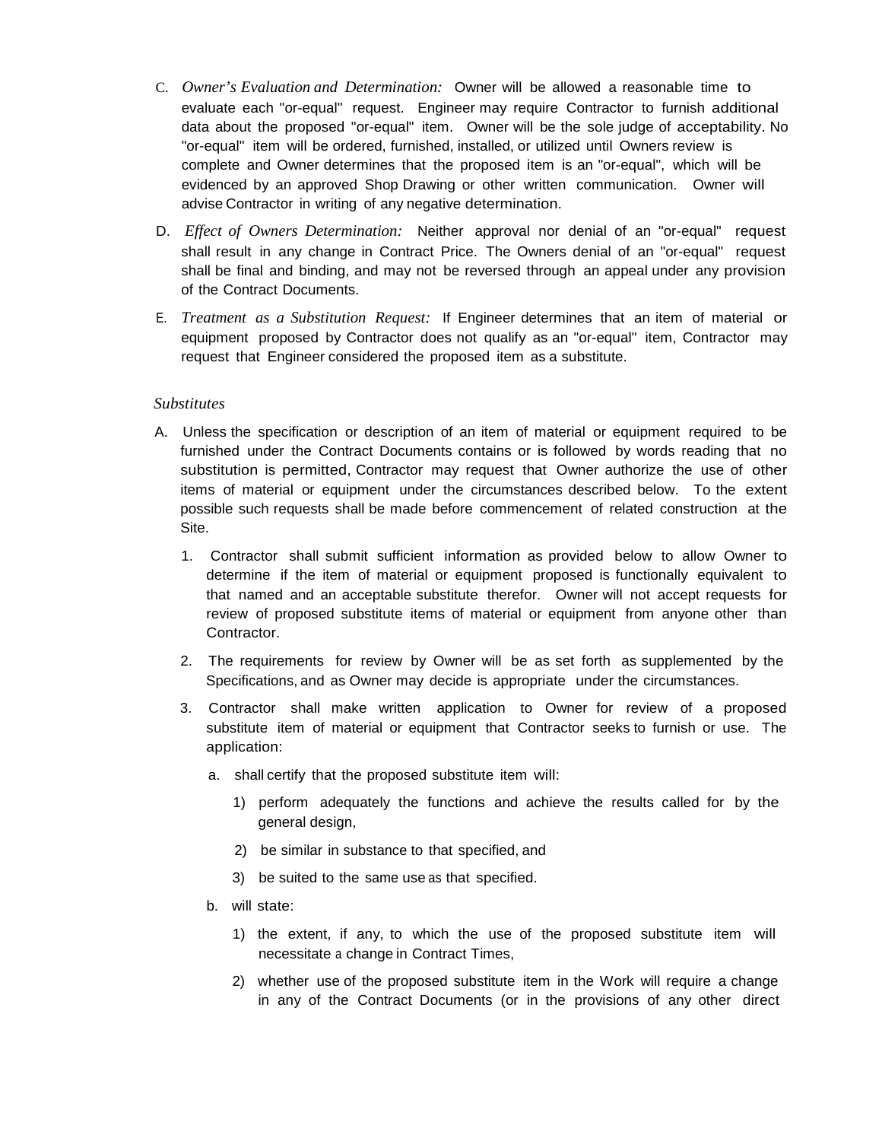- C. *Owner's Evaluation and Determination:* Owner will be allowed a reasonable time to evaluate each "or-equal" request. Engineer may require Contractor to furnish additional data about the proposed "or-equal" item. Owner will be the sole judge of acceptability. No "or-equal" item will be ordered, furnished, installed, or utilized until Owners review is complete and Owner determines that the proposed item is an "or-equal", which will be evidenced by an approved Shop Drawing or other written communication. Owner will advise Contractor in writing of any negative determination.
- D. *Effect of Owners Determination:* Neither approval nor denial of an "or-equal" request shall result in any change in Contract Price. The Owners denial of an "or-equal" request shall be final and binding, and may not be reversed through an appeal under any provision of the Contract Documents.
- E. *Treatment as a Substitution Request:* If Engineer determines that an item of material or equipment proposed by Contractor does not qualify as an "or-equal" item, Contractor may request that Engineer considered the proposed item as a substitute.

# *Substitutes*

- A. Unless the specification or description of an item of material or equipment required to be furnished under the Contract Documents contains or is followed by words reading that no substitution is permitted, Contractor may request that Owner authorize the use of other items of material or equipment under the circumstances described below. To the extent possible such requests shall be made before commencement of related construction at the Site.
	- 1. Contractor shall submit sufficient information as provided below to allow Owner to determine if the item of material or equipment proposed is functionally equivalent to that named and an acceptable substitute therefor. Owner will not accept requests for review of proposed substitute items of material or equipment from anyone other than Contractor.
	- 2. The requirements for review by Owner will be as set forth as supplemented by the Specifications, and as Owner may decide is appropriate under the circumstances.
	- 3. Contractor shall make written application to Owner for review of a proposed substitute item of material or equipment that Contractor seeks to furnish or use. The application:
		- a. shall certify that the proposed substitute item will:
			- 1) perform adequately the functions and achieve the results called for by the general design,
			- 2) be similar in substance to that specified, and
			- 3) be suited to the same use as that specified.
		- b. will state:
			- 1) the extent, if any, to which the use of the proposed substitute item will necessitate a change in Contract Times,
			- 2) whether use of the proposed substitute item in the Work will require a change in any of the Contract Documents (or in the provisions of any other direct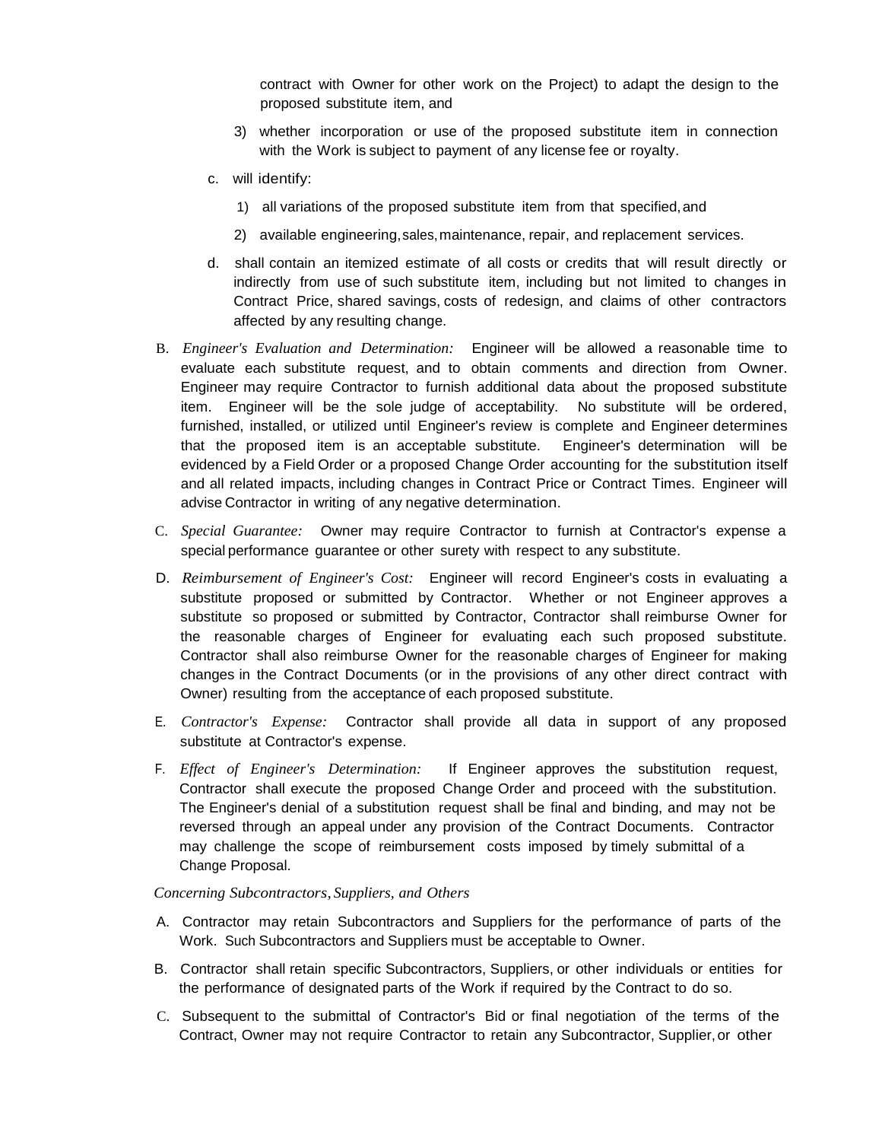contract with Owner for other work on the Project) to adapt the design to the proposed substitute item, and

- 3) whether incorporation or use of the proposed substitute item in connection with the Work is subject to payment of any license fee or royalty.
- c. will identify:
	- 1) all variations of the proposed substitute item from that specified,and
	- 2) available engineering, sales, maintenance, repair, and replacement services.
- d. shall contain an itemized estimate of all costs or credits that will result directly or indirectly from use of such substitute item, including but not limited to changes in Contract Price, shared savings, costs of redesign, and claims of other contractors affected by any resulting change.
- B. *Engineer's Evaluation and Determination:* Engineer will be allowed a reasonable time to evaluate each substitute request, and to obtain comments and direction from Owner. Engineer may require Contractor to furnish additional data about the proposed substitute item. Engineer will be the sole judge of acceptability. No substitute will be ordered, furnished, installed, or utilized until Engineer's review is complete and Engineer determines that the proposed item is an acceptable substitute. Engineer's determination will be evidenced by a Field Order or a proposed Change Order accounting for the substitution itself and all related impacts, including changes in Contract Price or Contract Times. Engineer will advise Contractor in writing of any negative determination.
- C. *Special Guarantee:* Owner may require Contractor to furnish at Contractor's expense a special performance guarantee or other surety with respect to any substitute.
- D. *Reimbursement of Engineer's Cost:* Engineer will record Engineer's costs in evaluating a substitute proposed or submitted by Contractor. Whether or not Engineer approves a substitute so proposed or submitted by Contractor, Contractor shall reimburse Owner for the reasonable charges of Engineer for evaluating each such proposed substitute. Contractor shall also reimburse Owner for the reasonable charges of Engineer for making changes in the Contract Documents (or in the provisions of any other direct contract with Owner) resulting from the acceptance of each proposed substitute.
- E. *Contractor's Expense:* Contractor shall provide all data in support of any proposed substitute at Contractor's expense.
- F. *Effect of Engineer's Determination:* If Engineer approves the substitution request, Contractor shall execute the proposed Change Order and proceed with the substitution. The Engineer's denial of a substitution request shall be final and binding, and may not be reversed through an appeal under any provision of the Contract Documents. Contractor may challenge the scope of reimbursement costs imposed by timely submittal of a Change Proposal.

# *Concerning Subcontractors, Suppliers, and Others*

- A. Contractor may retain Subcontractors and Suppliers for the performance of parts of the Work. Such Subcontractors and Suppliers must be acceptable to Owner.
- B. Contractor shall retain specific Subcontractors, Suppliers, or other individuals or entities for the performance of designated parts of the Work if required by the Contract to do so.
- C. Subsequent to the submittal of Contractor's Bid or final negotiation of the terms of the Contract, Owner may not require Contractor to retain any Subcontractor, Supplier, or other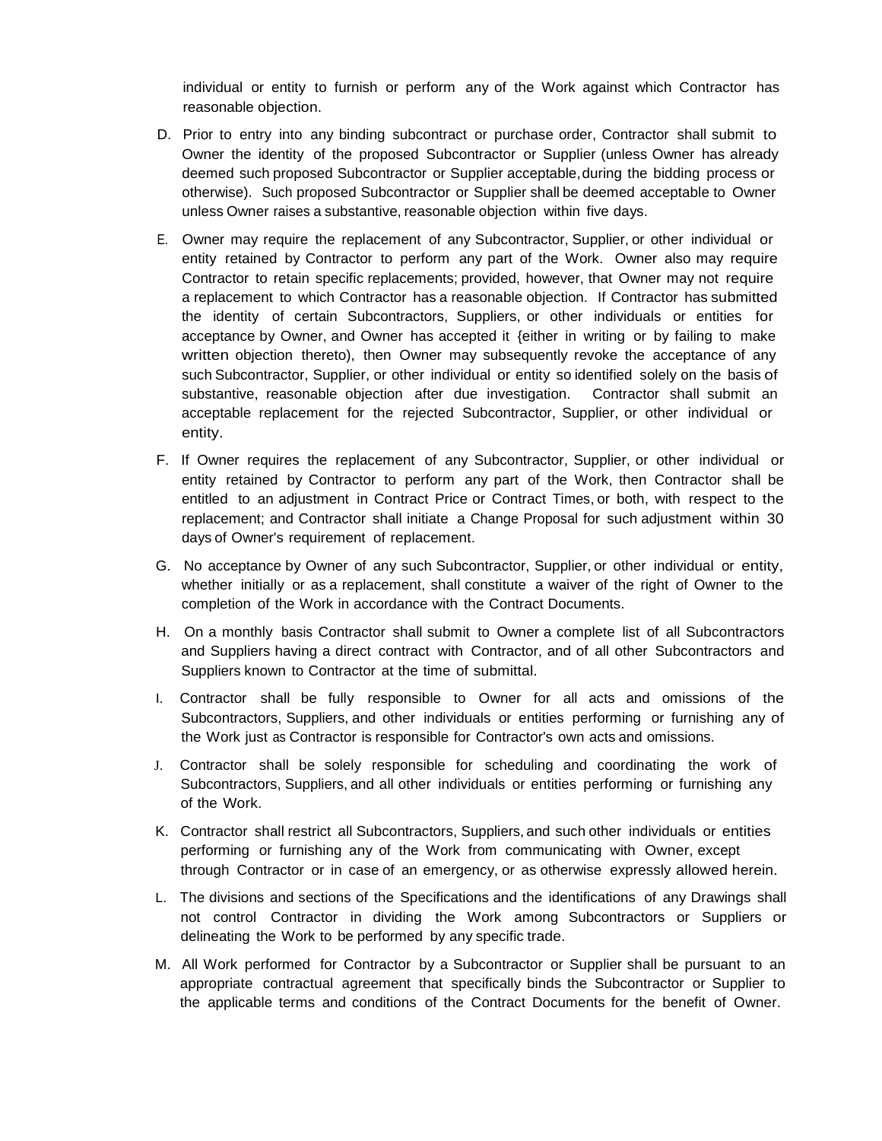individual or entity to furnish or perform any of the Work against which Contractor has reasonable objection.

- D. Prior to entry into any binding subcontract or purchase order, Contractor shall submit to Owner the identity of the proposed Subcontractor or Supplier (unless Owner has already deemed such proposed Subcontractor or Supplier acceptable,during the bidding process or otherwise). Such proposed Subcontractor or Supplier shall be deemed acceptable to Owner unless Owner raises a substantive, reasonable objection within five days.
- E. Owner may require the replacement of any Subcontractor, Supplier, or other individual or entity retained by Contractor to perform any part of the Work. Owner also may require Contractor to retain specific replacements; provided, however, that Owner may not require a replacement to which Contractor has a reasonable objection. If Contractor has submitted the identity of certain Subcontractors, Suppliers, or other individuals or entities for acceptance by Owner, and Owner has accepted it {either in writing or by failing to make written objection thereto), then Owner may subsequently revoke the acceptance of any such Subcontractor, Supplier, or other individual or entity so identified solely on the basis of substantive, reasonable objection after due investigation. Contractor shall submit an acceptable replacement for the rejected Subcontractor, Supplier, or other individual or entity.
- F. If Owner requires the replacement of any Subcontractor, Supplier, or other individual or entity retained by Contractor to perform any part of the Work, then Contractor shall be entitled to an adjustment in Contract Price or Contract Times, or both, with respect to the replacement; and Contractor shall initiate a Change Proposal for such adjustment within 30 days of Owner's requirement of replacement.
- G. No acceptance by Owner of any such Subcontractor, Supplier, or other individual or entity, whether initially or as a replacement, shall constitute a waiver of the right of Owner to the completion of the Work in accordance with the Contract Documents.
- H. On a monthly basis Contractor shall submit to Owner a complete list of all Subcontractors and Suppliers having a direct contract with Contractor, and of all other Subcontractors and Suppliers known to Contractor at the time of submittal.
- I. Contractor shall be fully responsible to Owner for all acts and omissions of the Subcontractors, Suppliers, and other individuals or entities performing or furnishing any of the Work just as Contractor is responsible for Contractor's own acts and omissions.
- J. Contractor shall be solely responsible for scheduling and coordinating the work of Subcontractors, Suppliers, and all other individuals or entities performing or furnishing any of the Work.
- K. Contractor shall restrict all Subcontractors, Suppliers, and such other individuals or entities performing or furnishing any of the Work from communicating with Owner, except through Contractor or in case of an emergency, or as otherwise expressly allowed herein.
- L. The divisions and sections of the Specifications and the identifications of any Drawings shall not control Contractor in dividing the Work among Subcontractors or Suppliers or delineating the Work to be performed by any specific trade.
- M. All Work performed for Contractor by a Subcontractor or Supplier shall be pursuant to an appropriate contractual agreement that specifically binds the Subcontractor or Supplier to the applicable terms and conditions of the Contract Documents for the benefit of Owner.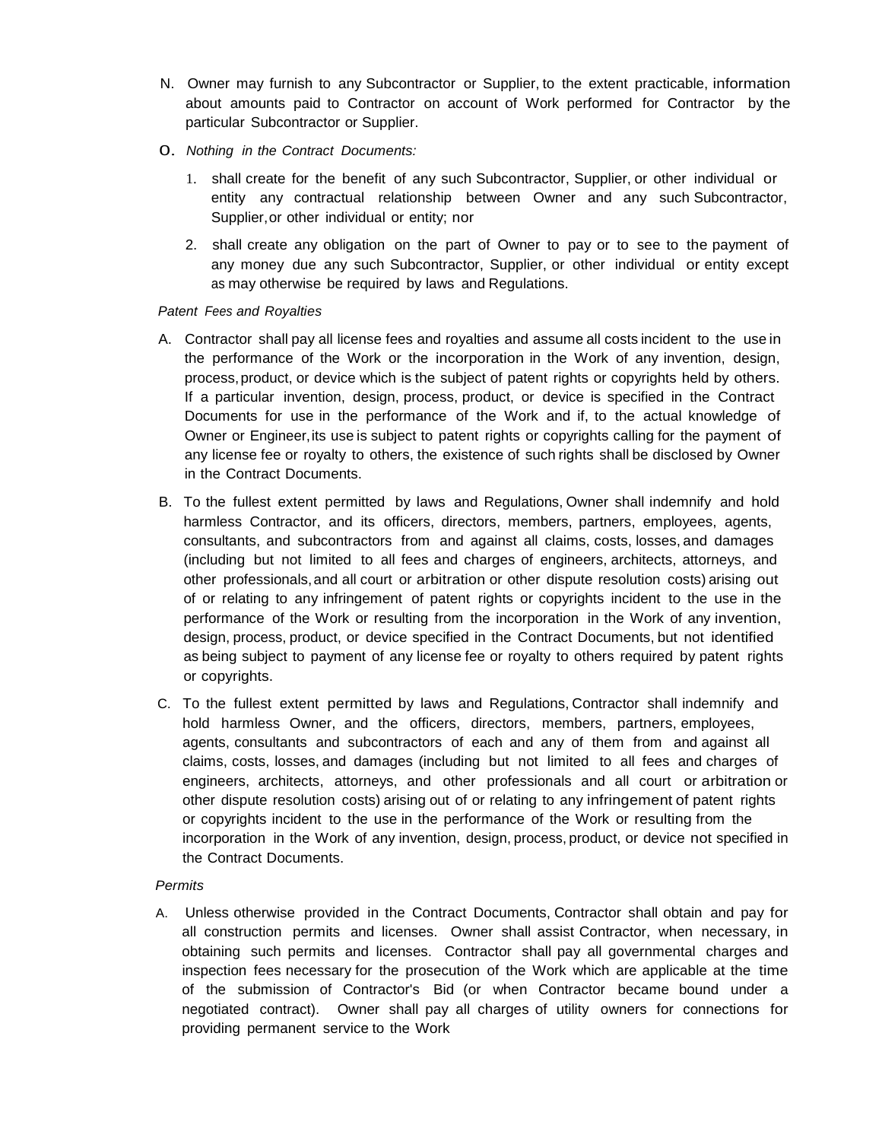- N. Owner may furnish to any Subcontractor or Supplier, to the extent practicable, information about amounts paid to Contractor on account of Work performed for Contractor by the particular Subcontractor or Supplier.
- 0. *Nothing in the Contract Documents:*
	- 1. shall create for the benefit of any such Subcontractor, Supplier, or other individual or entity any contractual relationship between Owner and any such Subcontractor, Supplier,or other individual or entity; nor
	- 2. shall create any obligation on the part of Owner to pay or to see to the payment of any money due any such Subcontractor, Supplier, or other individual or entity except as may otherwise be required by laws and Regulations.

# *Patent Fees and Royalties*

- A. Contractor shall pay all license fees and royalties and assume all costs incident to the use in the performance of the Work or the incorporation in the Work of any invention, design, process,product, or device which is the subject of patent rights or copyrights held by others. If a particular invention, design, process, product, or device is specified in the Contract Documents for use in the performance of the Work and if, to the actual knowledge of Owner or Engineer,its use is subject to patent rights or copyrights calling for the payment of any license fee or royalty to others, the existence of such rights shall be disclosed by Owner in the Contract Documents.
- B. To the fullest extent permitted by laws and Regulations, Owner shall indemnify and hold harmless Contractor, and its officers, directors, members, partners, employees, agents, consultants, and subcontractors from and against all claims, costs, losses, and damages (including but not limited to all fees and charges of engineers, architects, attorneys, and other professionals,and all court or arbitration or other dispute resolution costs) arising out of or relating to any infringement of patent rights or copyrights incident to the use in the performance of the Work or resulting from the incorporation in the Work of any invention, design, process, product, or device specified in the Contract Documents, but not identified as being subject to payment of any license fee or royalty to others required by patent rights or copyrights.
- C. To the fullest extent permitted by laws and Regulations, Contractor shall indemnify and hold harmless Owner, and the officers, directors, members, partners, employees, agents, consultants and subcontractors of each and any of them from and against all claims, costs, losses, and damages (including but not limited to all fees and charges of engineers, architects, attorneys, and other professionals and all court or arbitration or other dispute resolution costs) arising out of or relating to any infringement of patent rights or copyrights incident to the use in the performance of the Work or resulting from the incorporation in the Work of any invention, design, process, product, or device not specified in the Contract Documents.

# *Permits*

A. Unless otherwise provided in the Contract Documents, Contractor shall obtain and pay for all construction permits and licenses. Owner shall assist Contractor, when necessary, in obtaining such permits and licenses. Contractor shall pay all governmental charges and inspection fees necessary for the prosecution of the Work which are applicable at the time of the submission of Contractor's Bid (or when Contractor became bound under a negotiated contract). Owner shall pay all charges of utility owners for connections for providing permanent service to the Work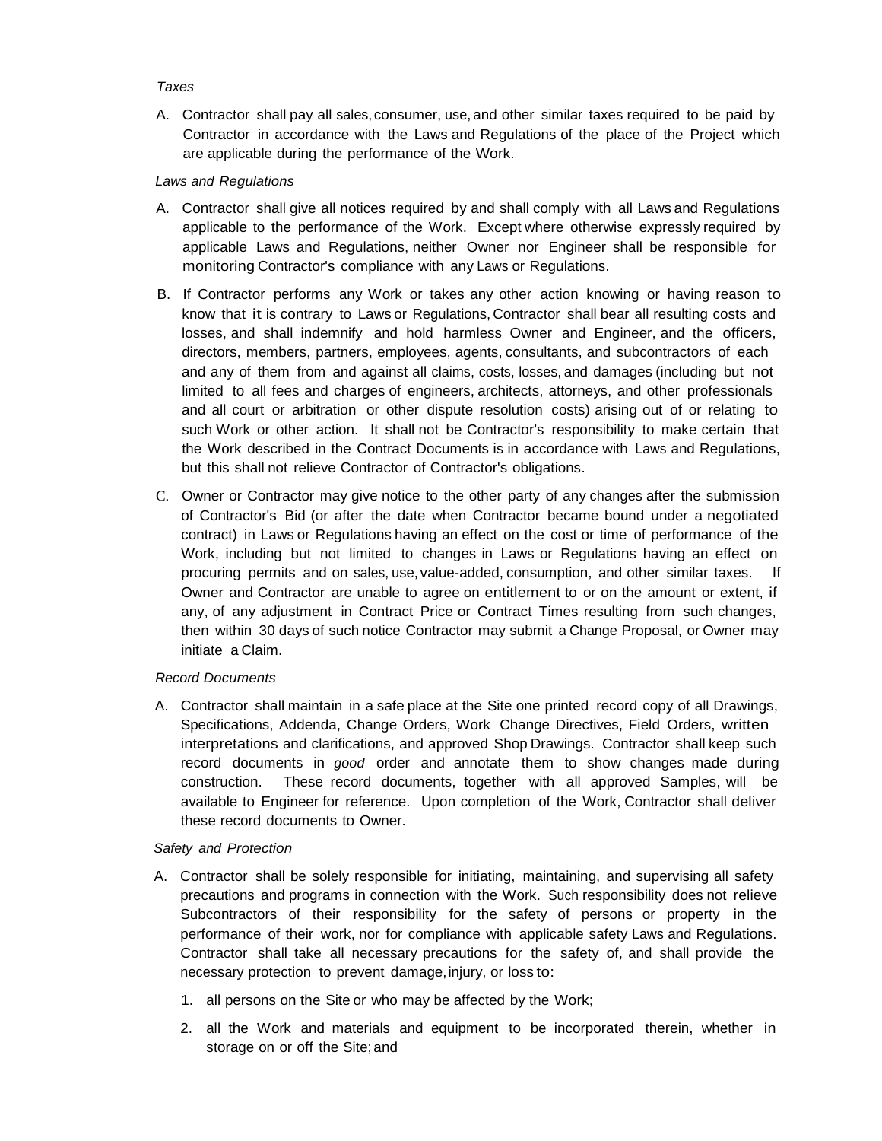# *Taxes*

A. Contractor shall pay all sales, consumer, use, and other similar taxes required to be paid by Contractor in accordance with the Laws and Regulations of the place of the Project which are applicable during the performance of the Work.

# *Laws and Regulations*

- A. Contractor shall give all notices required by and shall comply with all Laws and Regulations applicable to the performance of the Work. Except where otherwise expressly required by applicable Laws and Regulations, neither Owner nor Engineer shall be responsible for monitoring Contractor's compliance with any Laws or Regulations.
- B. If Contractor performs any Work or takes any other action knowing or having reason to know that it is contrary to Laws or Regulations, Contractor shall bear all resulting costs and losses, and shall indemnify and hold harmless Owner and Engineer, and the officers, directors, members, partners, employees, agents, consultants, and subcontractors of each and any of them from and against all claims, costs, losses, and damages (including but not limited to all fees and charges of engineers, architects, attorneys, and other professionals and all court or arbitration or other dispute resolution costs) arising out of or relating to such Work or other action. It shall not be Contractor's responsibility to make certain that the Work described in the Contract Documents is in accordance with Laws and Regulations, but this shall not relieve Contractor of Contractor's obligations.
- C. Owner or Contractor may give notice to the other party of any changes after the submission of Contractor's Bid (or after the date when Contractor became bound under a negotiated contract) in Laws or Regulations having an effect on the cost or time of performance of the Work, including but not limited to changes in Laws or Regulations having an effect on procuring permits and on sales, use, value-added, consumption, and other similar taxes. If Owner and Contractor are unable to agree on entitlement to or on the amount or extent, if any, of any adjustment in Contract Price or Contract Times resulting from such changes, then within 30 days of such notice Contractor may submit a Change Proposal, or Owner may initiate a Claim.

# *Record Documents*

A. Contractor shall maintain in a safe place at the Site one printed record copy of all Drawings, Specifications, Addenda, Change Orders, Work Change Directives, Field Orders, written interpretations and clarifications, and approved Shop Drawings. Contractor shall keep such record documents in *good* order and annotate them to show changes made during construction. These record documents, together with all approved Samples, will be available to Engineer for reference. Upon completion of the Work, Contractor shall deliver these record documents to Owner.

# *Safety and Protection*

- A. Contractor shall be solely responsible for initiating, maintaining, and supervising all safety precautions and programs in connection with the Work. Such responsibility does not relieve Subcontractors of their responsibility for the safety of persons or property in the performance of their work, nor for compliance with applicable safety Laws and Regulations. Contractor shall take all necessary precautions for the safety of, and shall provide the necessary protection to prevent damage,injury, or loss to:
	- 1. all persons on the Site or who may be affected by the Work;
	- 2. all the Work and materials and equipment to be incorporated therein, whether in storage on or off the Site; and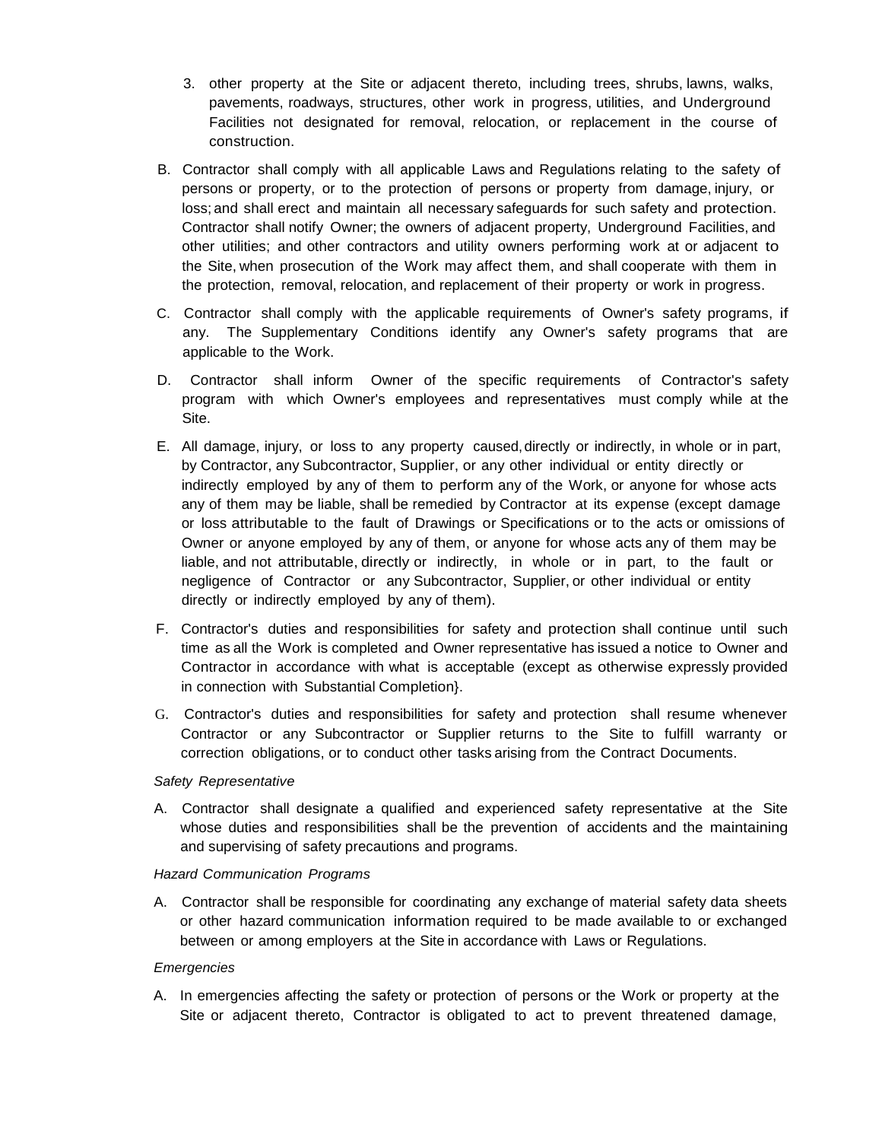- 3. other property at the Site or adjacent thereto, including trees, shrubs, lawns, walks, pavements, roadways, structures, other work in progress, utilities, and Underground Facilities not designated for removal, relocation, or replacement in the course of construction.
- B. Contractor shall comply with all applicable Laws and Regulations relating to the safety of persons or property, or to the protection of persons or property from damage, injury, or loss; and shall erect and maintain all necessary safeguards for such safety and protection. Contractor shall notify Owner; the owners of adjacent property, Underground Facilities, and other utilities; and other contractors and utility owners performing work at or adjacent to the Site, when prosecution of the Work may affect them, and shall cooperate with them in the protection, removal, relocation, and replacement of their property or work in progress.
- C. Contractor shall comply with the applicable requirements of Owner's safety programs, if any. The Supplementary Conditions identify any Owner's safety programs that are applicable to the Work.
- D. Contractor shall inform Owner of the specific requirements of Contractor's safety program with which Owner's employees and representatives must comply while at the Site.
- E. All damage, injury, or loss to any property caused,directly or indirectly, in whole or in part, by Contractor, any Subcontractor, Supplier, or any other individual or entity directly or indirectly employed by any of them to perform any of the Work, or anyone for whose acts any of them may be liable, shall be remedied by Contractor at its expense (except damage or loss attributable to the fault of Drawings or Specifications or to the acts or omissions of Owner or anyone employed by any of them, or anyone for whose acts any of them may be liable, and not attributable, directly or indirectly, in whole or in part, to the fault or negligence of Contractor or any Subcontractor, Supplier, or other individual or entity directly or indirectly employed by any of them).
- F. Contractor's duties and responsibilities for safety and protection shall continue until such time as all the Work is completed and Owner representative has issued a notice to Owner and Contractor in accordance with what is acceptable (except as otherwise expressly provided in connection with Substantial Completion}.
- G. Contractor's duties and responsibilities for safety and protection shall resume whenever Contractor or any Subcontractor or Supplier returns to the Site to fulfill warranty or correction obligations, or to conduct other tasks arising from the Contract Documents.

# *Safety Representative*

A. Contractor shall designate a qualified and experienced safety representative at the Site whose duties and responsibilities shall be the prevention of accidents and the maintaining and supervising of safety precautions and programs.

# *Hazard Communication Programs*

A. Contractor shall be responsible for coordinating any exchange of material safety data sheets or other hazard communication information required to be made available to or exchanged between or among employers at the Site in accordance with Laws or Regulations.

# *Emergencies*

A. In emergencies affecting the safety or protection of persons or the Work or property at the Site or adjacent thereto, Contractor is obligated to act to prevent threatened damage,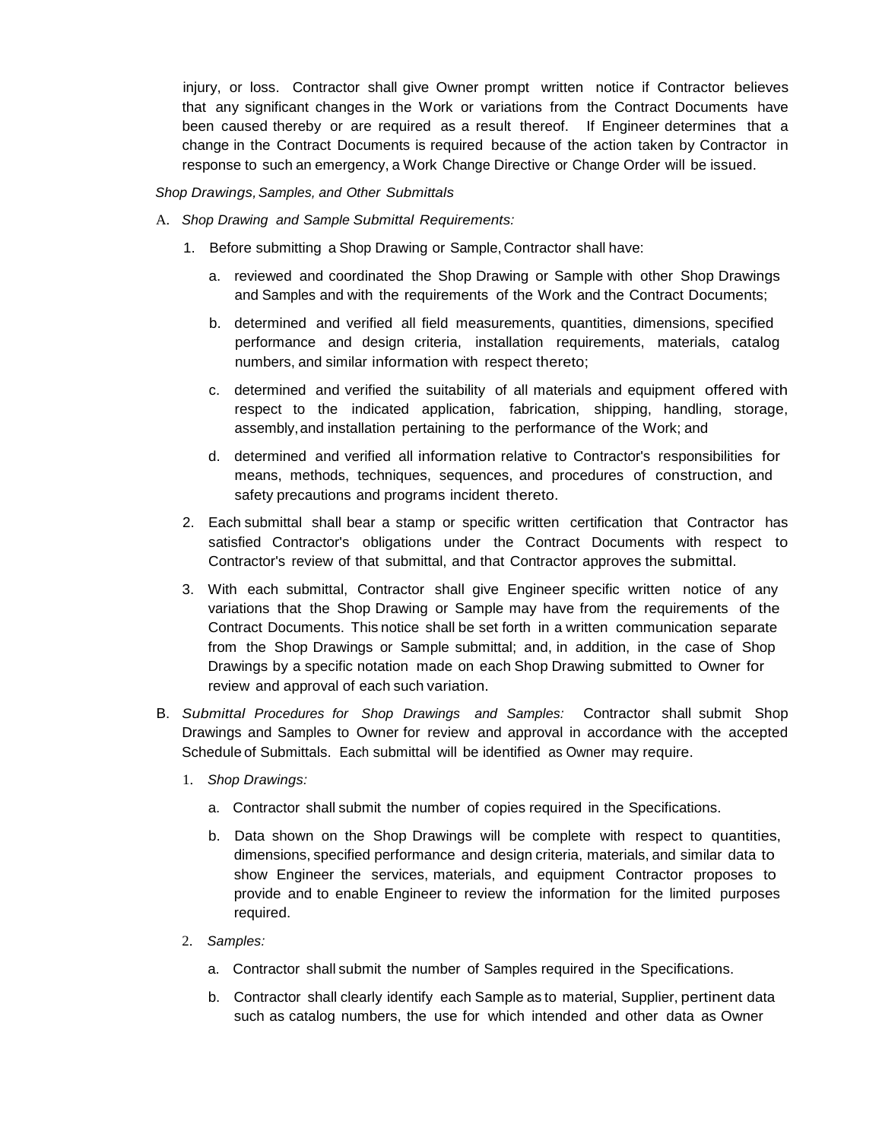injury, or loss. Contractor shall give Owner prompt written notice if Contractor believes that any significant changes in the Work or variations from the Contract Documents have been caused thereby or are required as a result thereof. If Engineer determines that a change in the Contract Documents is required because of the action taken by Contractor in response to such an emergency, a Work Change Directive or Change Order will be issued.

### *Shop Drawings,Samples, and Other Submittals*

- A. *Shop Drawing and Sample Submittal Requirements:*
	- 1. Before submitting a Shop Drawing or Sample, Contractor shall have:
		- a. reviewed and coordinated the Shop Drawing or Sample with other Shop Drawings and Samples and with the requirements of the Work and the Contract Documents;
		- b. determined and verified all field measurements, quantities, dimensions, specified performance and design criteria, installation requirements, materials, catalog numbers, and similar information with respect thereto;
		- c. determined and verified the suitability of all materials and equipment offered with respect to the indicated application, fabrication, shipping, handling, storage, assembly,and installation pertaining to the performance of the Work; and
		- d. determined and verified all information relative to Contractor's responsibilities for means, methods, techniques, sequences, and procedures of construction, and safety precautions and programs incident thereto.
	- 2. Each submittal shall bear a stamp or specific written certification that Contractor has satisfied Contractor's obligations under the Contract Documents with respect to Contractor's review of that submittal, and that Contractor approves the submittal.
	- 3. With each submittal, Contractor shall give Engineer specific written notice of any variations that the Shop Drawing or Sample may have from the requirements of the Contract Documents. This notice shall be set forth in a written communication separate from the Shop Drawings or Sample submittal; and, in addition, in the case of Shop Drawings by a specific notation made on each Shop Drawing submitted to Owner for review and approval of each such variation.
- B. *Submittal Procedures for Shop Drawings and Samples:* Contractor shall submit Shop Drawings and Samples to Owner for review and approval in accordance with the accepted Schedule of Submittals. Each submittal will be identified as Owner may require.
	- 1. *Shop Drawings:*
		- a. Contractor shall submit the number of copies required in the Specifications.
		- b. Data shown on the Shop Drawings will be complete with respect to quantities, dimensions, specified performance and design criteria, materials, and similar data to show Engineer the services, materials, and equipment Contractor proposes to provide and to enable Engineer to review the information for the limited purposes required.
	- 2. *Samples:*
		- a. Contractor shall submit the number of Samples required in the Specifications.
		- b. Contractor shall clearly identify each Sample as to material, Supplier, pertinent data such as catalog numbers, the use for which intended and other data as Owner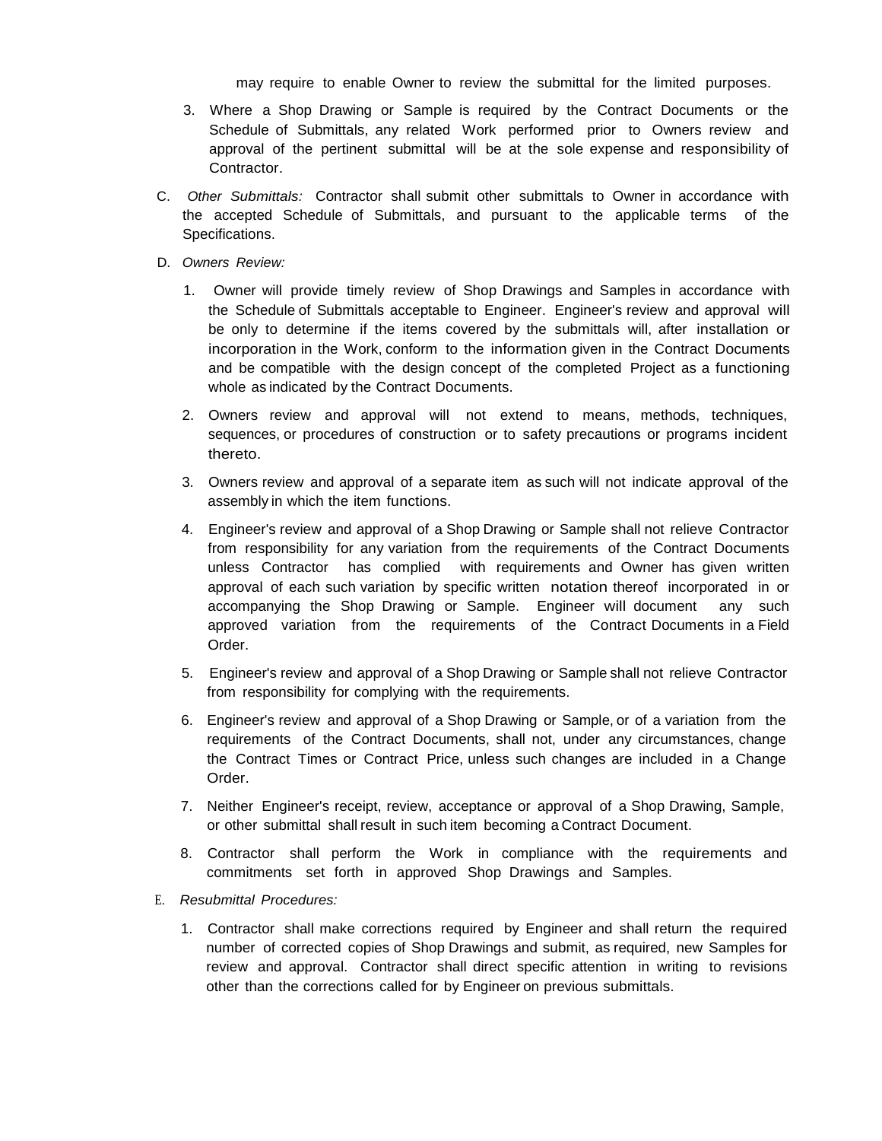may require to enable Owner to review the submittal for the limited purposes.

- 3. Where a Shop Drawing or Sample is required by the Contract Documents or the Schedule of Submittals, any related Work performed prior to Owners review and approval of the pertinent submittal will be at the sole expense and responsibility of Contractor.
- C. *Other Submittals:* Contractor shall submit other submittals to Owner in accordance with the accepted Schedule of Submittals, and pursuant to the applicable terms of the Specifications.
- D. *Owners Review:*
	- 1. Owner will provide timely review of Shop Drawings and Samples in accordance with the Schedule of Submittals acceptable to Engineer. Engineer's review and approval will be only to determine if the items covered by the submittals will, after installation or incorporation in the Work, conform to the information given in the Contract Documents and be compatible with the design concept of the completed Project as a functioning whole as indicated by the Contract Documents.
	- 2. Owners review and approval will not extend to means, methods, techniques, sequences, or procedures of construction or to safety precautions or programs incident thereto.
	- 3. Owners review and approval of a separate item as such will not indicate approval of the assembly in which the item functions.
	- 4. Engineer's review and approval of a Shop Drawing or Sample shall not relieve Contractor from responsibility for any variation from the requirements of the Contract Documents unless Contractor has complied with requirements and Owner has given written approval of each such variation by specific written notation thereof incorporated in or accompanying the Shop Drawing or Sample. Engineer will document any such approved variation from the requirements of the Contract Documents in a Field Order.
	- 5. Engineer's review and approval of a Shop Drawing or Sample shall not relieve Contractor from responsibility for complying with the requirements.
	- 6. Engineer's review and approval of a Shop Drawing or Sample, or of a variation from the requirements of the Contract Documents, shall not, under any circumstances, change the Contract Times or Contract Price, unless such changes are included in a Change Order.
	- 7. Neither Engineer's receipt, review, acceptance or approval of a Shop Drawing, Sample, or other submittal shall result in such item becoming a Contract Document.
	- 8. Contractor shall perform the Work in compliance with the requirements and commitments set forth in approved Shop Drawings and Samples.
- E. *Resubmittal Procedures:*
	- 1. Contractor shall make corrections required by Engineer and shall return the required number of corrected copies of Shop Drawings and submit, as required, new Samples for review and approval. Contractor shall direct specific attention in writing to revisions other than the corrections called for by Engineer on previous submittals.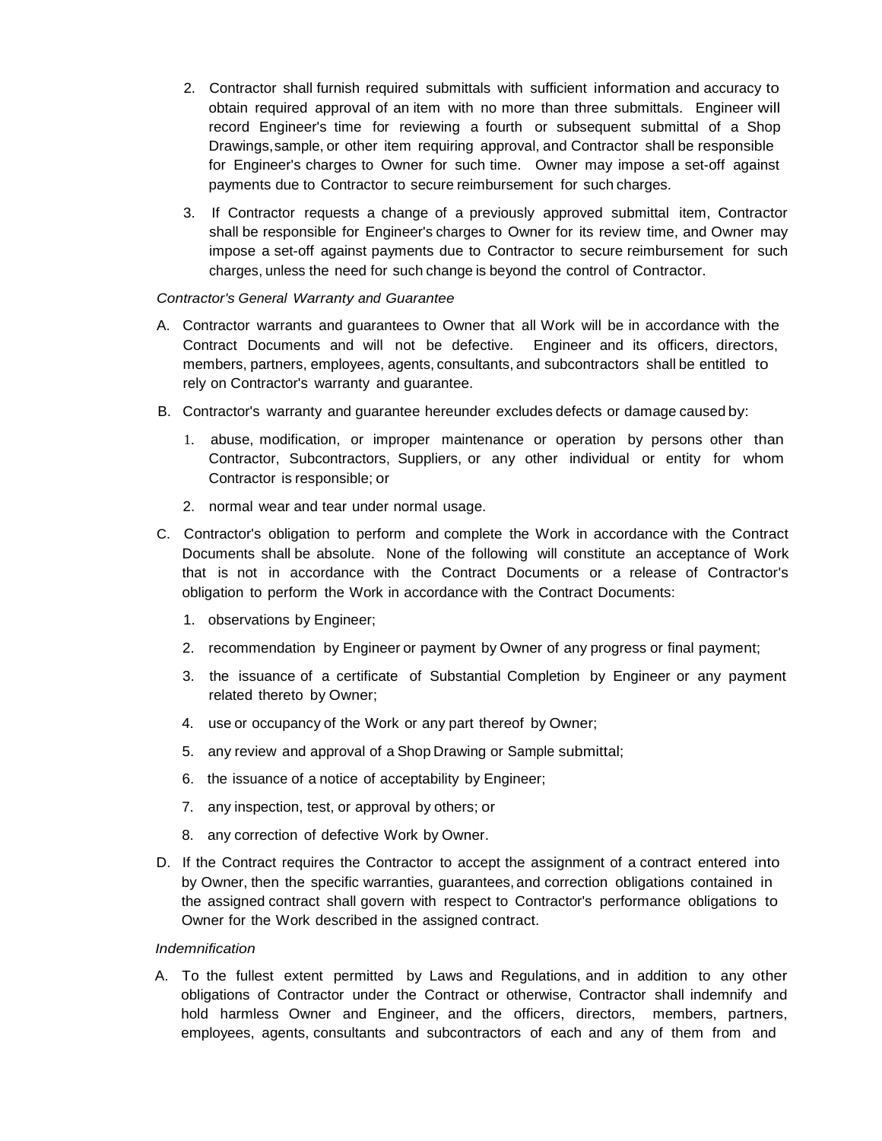- 2. Contractor shall furnish required submittals with sufficient information and accuracy to obtain required approval of an item with no more than three submittals. Engineer will record Engineer's time for reviewing a fourth or subsequent submittal of a Shop Drawings,sample, or other item requiring approval, and Contractor shall be responsible for Engineer's charges to Owner for such time. Owner may impose a set-off against payments due to Contractor to secure reimbursement for such charges.
- 3. If Contractor requests a change of a previously approved submittal item, Contractor shall be responsible for Engineer's charges to Owner for its review time, and Owner may impose a set-off against payments due to Contractor to secure reimbursement for such charges, unless the need for such change is beyond the control of Contractor.

# *Contractor's General Warranty and Guarantee*

- A. Contractor warrants and guarantees to Owner that all Work will be in accordance with the Contract Documents and will not be defective. Engineer and its officers, directors, members, partners, employees, agents, consultants, and subcontractors shall be entitled to rely on Contractor's warranty and guarantee.
- B. Contractor's warranty and guarantee hereunder excludes defects or damage caused by:
	- 1. abuse, modification, or improper maintenance or operation by persons other than Contractor, Subcontractors, Suppliers, or any other individual or entity for whom Contractor is responsible; or
	- 2. normal wear and tear under normal usage.
- C. Contractor's obligation to perform and complete the Work in accordance with the Contract Documents shall be absolute. None of the following will constitute an acceptance of Work that is not in accordance with the Contract Documents or a release of Contractor's obligation to perform the Work in accordance with the Contract Documents:
	- 1. observations by Engineer;
	- 2. recommendation by Engineer or payment by Owner of any progress or final payment;
	- 3. the issuance of a certificate of Substantial Completion by Engineer or any payment related thereto by Owner;
	- 4. use or occupancy of the Work or any part thereof by Owner;
	- 5. any review and approval of a Shop Drawing or Sample submittal;
	- 6. the issuance of a notice of acceptability by Engineer;
	- 7. any inspection, test, or approval by others; or
	- 8. any correction of defective Work by Owner.
- D. If the Contract requires the Contractor to accept the assignment of a contract entered into by Owner, then the specific warranties, guarantees, and correction obligations contained in the assigned contract shall govern with respect to Contractor's performance obligations to Owner for the Work described in the assigned contract.

# *Indemnification*

A. To the fullest extent permitted by Laws and Regulations, and in addition to any other obligations of Contractor under the Contract or otherwise, Contractor shall indemnify and hold harmless Owner and Engineer, and the officers, directors, members, partners, employees, agents, consultants and subcontractors of each and any of them from and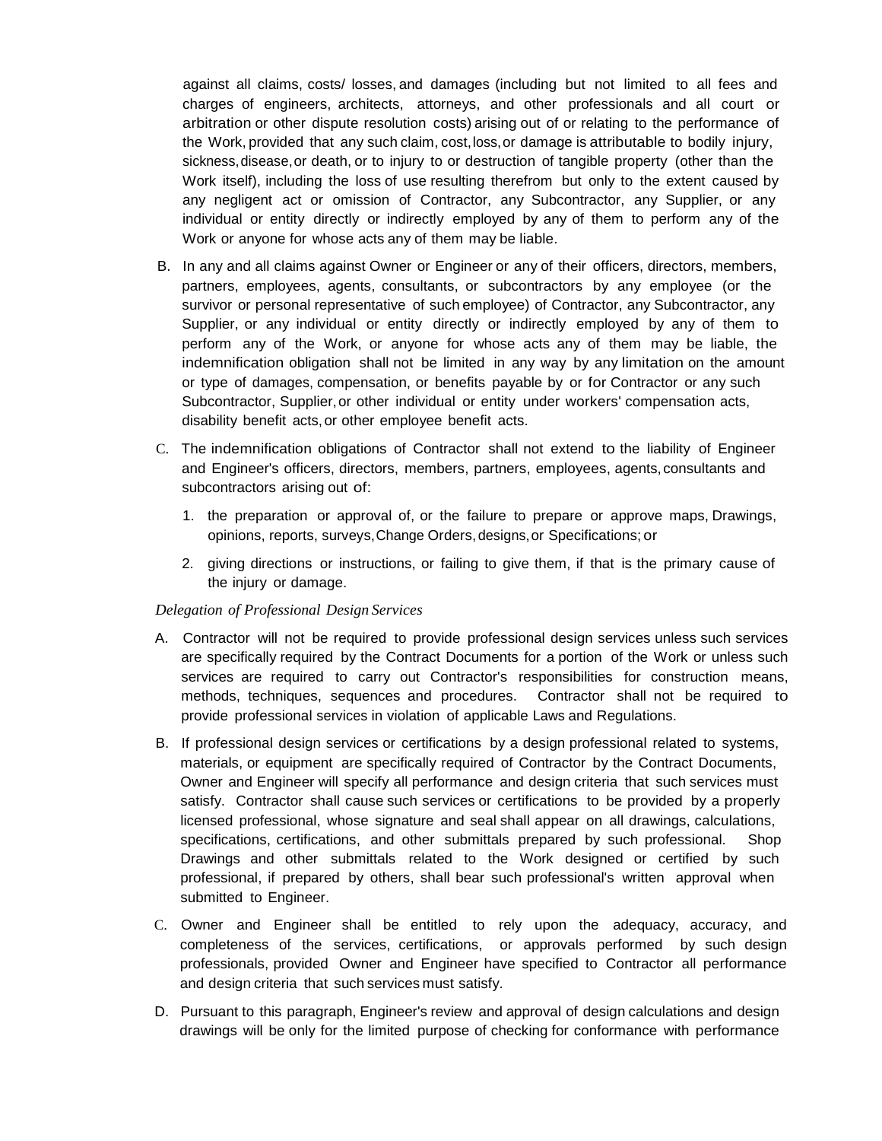against all claims, costs/ losses, and damages (including but not limited to all fees and charges of engineers, architects, attorneys, and other professionals and all court or arbitration or other dispute resolution costs) arising out of or relating to the performance of the Work, provided that any such claim, cost,loss,or damage is attributable to bodily injury, sickness,disease,or death, or to injury to or destruction of tangible property (other than the Work itself), including the loss of use resulting therefrom but only to the extent caused by any negligent act or omission of Contractor, any Subcontractor, any Supplier, or any individual or entity directly or indirectly employed by any of them to perform any of the Work or anyone for whose acts any of them may be liable.

- B. In any and all claims against Owner or Engineer or any of their officers, directors, members, partners, employees, agents, consultants, or subcontractors by any employee (or the survivor or personal representative of such employee) of Contractor, any Subcontractor, any Supplier, or any individual or entity directly or indirectly employed by any of them to perform any of the Work, or anyone for whose acts any of them may be liable, the indemnification obligation shall not be limited in any way by any limitation on the amount or type of damages, compensation, or benefits payable by or for Contractor or any such Subcontractor, Supplier,or other individual or entity under workers' compensation acts, disability benefit acts,or other employee benefit acts.
- C. The indemnification obligations of Contractor shall not extend to the liability of Engineer and Engineer's officers, directors, members, partners, employees, agents, consultants and subcontractors arising out of:
	- 1. the preparation or approval of, or the failure to prepare or approve maps, Drawings, opinions, reports, surveys,Change Orders,designs,or Specifications; or
	- 2. giving directions or instructions, or failing to give them, if that is the primary cause of the injury or damage.

# *Delegation of Professional Design Services*

- A. Contractor will not be required to provide professional design services unless such services are specifically required by the Contract Documents for a portion of the Work or unless such services are required to carry out Contractor's responsibilities for construction means, methods, techniques, sequences and procedures. Contractor shall not be required to provide professional services in violation of applicable Laws and Regulations.
- B. If professional design services or certifications by a design professional related to systems, materials, or equipment are specifically required of Contractor by the Contract Documents, Owner and Engineer will specify all performance and design criteria that such services must satisfy. Contractor shall cause such services or certifications to be provided by a properly licensed professional, whose signature and seal shall appear on all drawings, calculations, specifications, certifications, and other submittals prepared by such professional. Shop Drawings and other submittals related to the Work designed or certified by such professional, if prepared by others, shall bear such professional's written approval when submitted to Engineer.
- C. Owner and Engineer shall be entitled to rely upon the adequacy, accuracy, and completeness of the services, certifications, or approvals performed by such design professionals, provided Owner and Engineer have specified to Contractor all performance and design criteria that such services must satisfy.
- D. Pursuant to this paragraph, Engineer's review and approval of design calculations and design drawings will be only for the limited purpose of checking for conformance with performance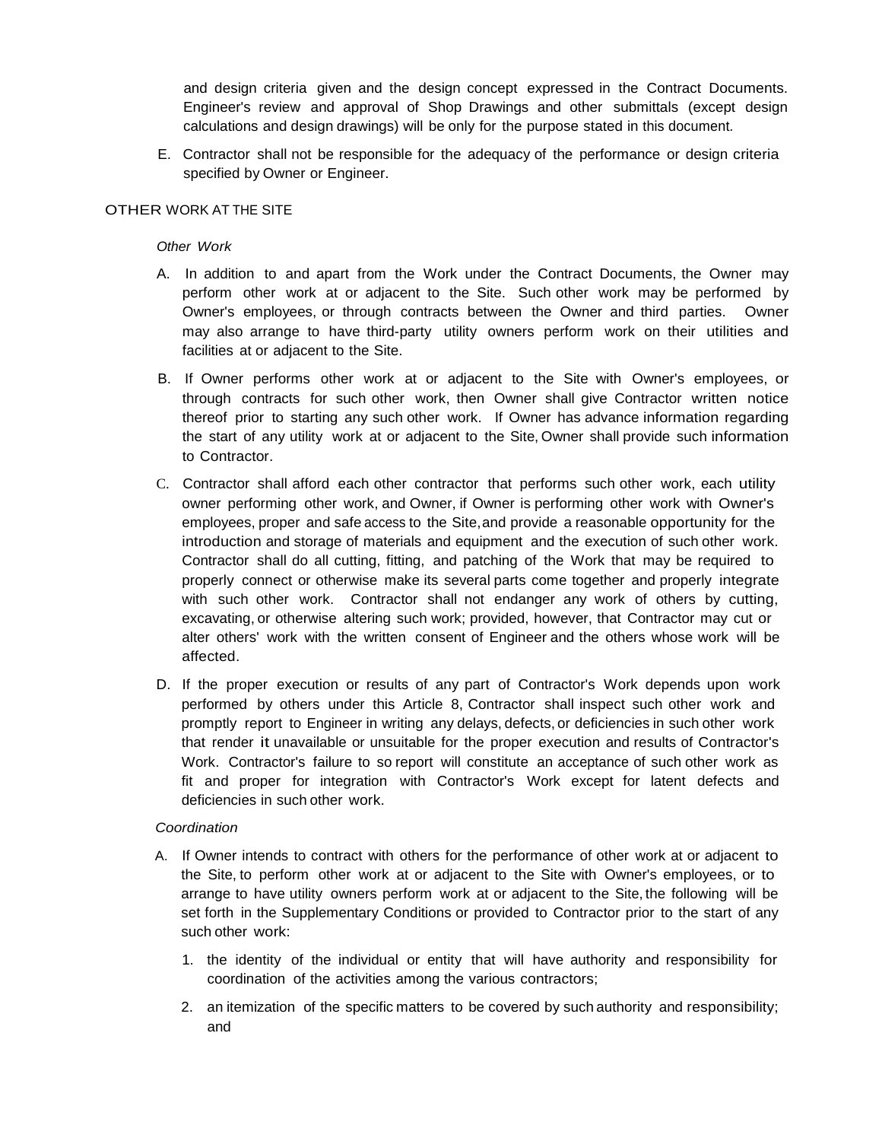and design criteria given and the design concept expressed in the Contract Documents. Engineer's review and approval of Shop Drawings and other submittals (except design calculations and design drawings) will be only for the purpose stated in this document.

E. Contractor shall not be responsible for the adequacy of the performance or design criteria specified by Owner or Engineer.

# OTHER WORK AT THE SITE

### *Other Work*

- A. In addition to and apart from the Work under the Contract Documents, the Owner may perform other work at or adjacent to the Site. Such other work may be performed by Owner's employees, or through contracts between the Owner and third parties. Owner may also arrange to have third-party utility owners perform work on their utilities and facilities at or adjacent to the Site.
- B. If Owner performs other work at or adjacent to the Site with Owner's employees, or through contracts for such other work, then Owner shall give Contractor written notice thereof prior to starting any such other work. If Owner has advance information regarding the start of any utility work at or adjacent to the Site, Owner shall provide such information to Contractor.
- C. Contractor shall afford each other contractor that performs such other work, each utility owner performing other work, and Owner, if Owner is performing other work with Owner's employees, proper and safe access to the Site,and provide a reasonable opportunity for the introduction and storage of materials and equipment and the execution of such other work. Contractor shall do all cutting, fitting, and patching of the Work that may be required to properly connect or otherwise make its several parts come together and properly integrate with such other work. Contractor shall not endanger any work of others by cutting, excavating, or otherwise altering such work; provided, however, that Contractor may cut or alter others' work with the written consent of Engineer and the others whose work will be affected.
- D. If the proper execution or results of any part of Contractor's Work depends upon work performed by others under this Article 8, Contractor shall inspect such other work and promptly report to Engineer in writing any delays, defects, or deficiencies in such other work that render it unavailable or unsuitable for the proper execution and results of Contractor's Work. Contractor's failure to so report will constitute an acceptance of such other work as fit and proper for integration with Contractor's Work except for latent defects and deficiencies in such other work.

### *Coordination*

- A. If Owner intends to contract with others for the performance of other work at or adjacent to the Site, to perform other work at or adjacent to the Site with Owner's employees, or to arrange to have utility owners perform work at or adjacent to the Site, the following will be set forth in the Supplementary Conditions or provided to Contractor prior to the start of any such other work:
	- 1. the identity of the individual or entity that will have authority and responsibility for coordination of the activities among the various contractors;
	- 2. an itemization of the specific matters to be covered by such authority and responsibility; and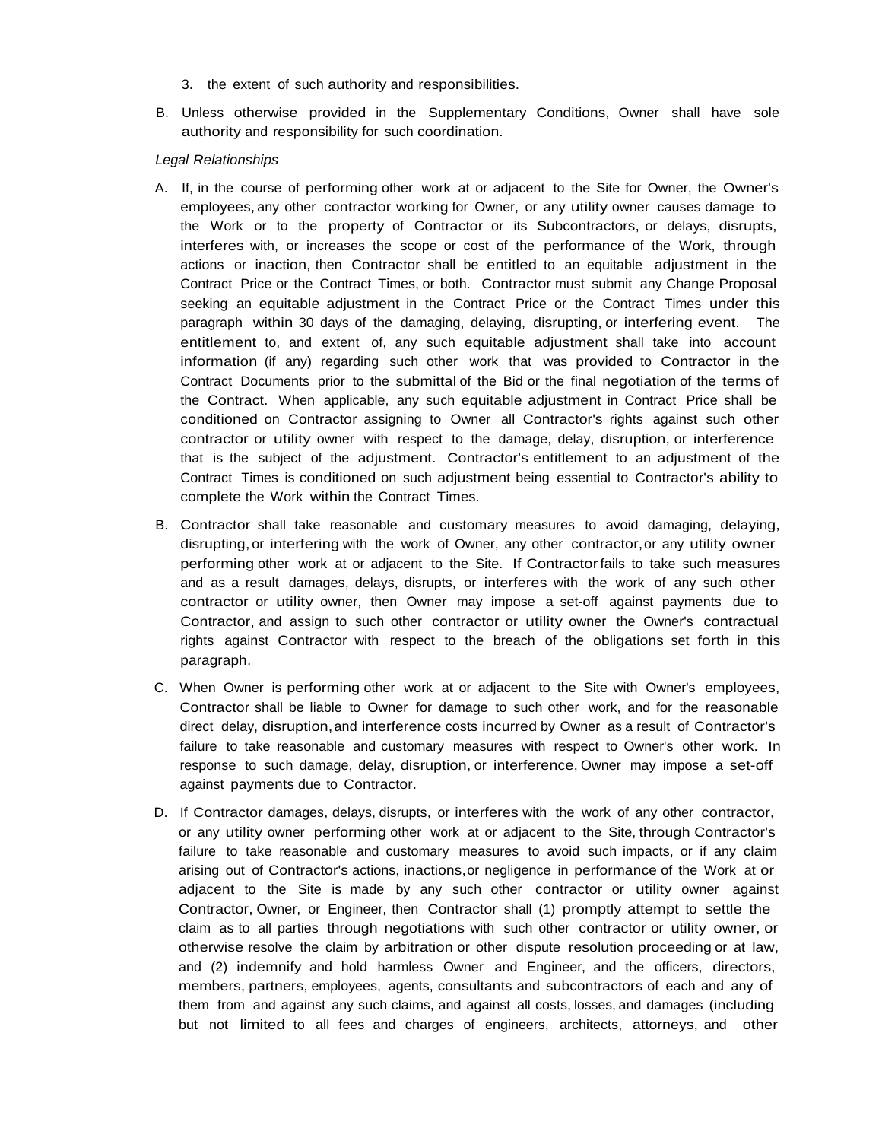- 3. the extent of such authority and responsibilities.
- B. Unless otherwise provided in the Supplementary Conditions, Owner shall have sole authority and responsibility for such coordination.

### *Legal Relationships*

- A. If, in the course of performing other work at or adjacent to the Site for Owner, the Owner's employees, any other contractor working for Owner, or any utility owner causes damage to the Work or to the property of Contractor or its Subcontractors, or delays, disrupts, interferes with, or increases the scope or cost of the performance of the Work, through actions or inaction, then Contractor shall be entitled to an equitable adjustment in the Contract Price or the Contract Times, or both. Contractor must submit any Change Proposal seeking an equitable adjustment in the Contract Price or the Contract Times under this paragraph within 30 days of the damaging, delaying, disrupting, or interfering event. The entitlement to, and extent of, any such equitable adjustment shall take into account information (if any) regarding such other work that was provided to Contractor in the Contract Documents prior to the submittal of the Bid or the final negotiation of the terms of the Contract. When applicable, any such equitable adjustment in Contract Price shall be conditioned on Contractor assigning to Owner all Contractor's rights against such other contractor or utility owner with respect to the damage, delay, disruption, or interference that is the subject of the adjustment. Contractor's entitlement to an adjustment of the Contract Times is conditioned on such adjustment being essential to Contractor's ability to complete the Work within the Contract Times.
- B. Contractor shall take reasonable and customary measures to avoid damaging, delaying, disrupting, or interfering with the work of Owner, any other contractor,or any utility owner performing other work at or adjacent to the Site. If Contractorfails to take such measures and as a result damages, delays, disrupts, or interferes with the work of any such other contractor or utility owner, then Owner may impose a set-off against payments due to Contractor, and assign to such other contractor or utility owner the Owner's contractual rights against Contractor with respect to the breach of the obligations set forth in this paragraph.
- C. When Owner is performing other work at or adjacent to the Site with Owner's employees, Contractor shall be liable to Owner for damage to such other work, and for the reasonable direct delay, disruption,and interference costs incurred by Owner as a result of Contractor's failure to take reasonable and customary measures with respect to Owner's other work. In response to such damage, delay, disruption, or interference, Owner may impose a set-off against payments due to Contractor.
- D. If Contractor damages, delays, disrupts, or interferes with the work of any other contractor, or any utility owner performing other work at or adjacent to the Site, through Contractor's failure to take reasonable and customary measures to avoid such impacts, or if any claim arising out of Contractor's actions, inactions,or negligence in performance of the Work at or adjacent to the Site is made by any such other contractor or utility owner against Contractor, Owner, or Engineer, then Contractor shall (1) promptly attempt to settle the claim as to all parties through negotiations with such other contractor or utility owner, or otherwise resolve the claim by arbitration or other dispute resolution proceeding or at law, and (2) indemnify and hold harmless Owner and Engineer, and the officers, directors, members, partners, employees, agents, consultants and subcontractors of each and any of them from and against any such claims, and against all costs, losses, and damages (including but not limited to all fees and charges of engineers, architects, attorneys, and other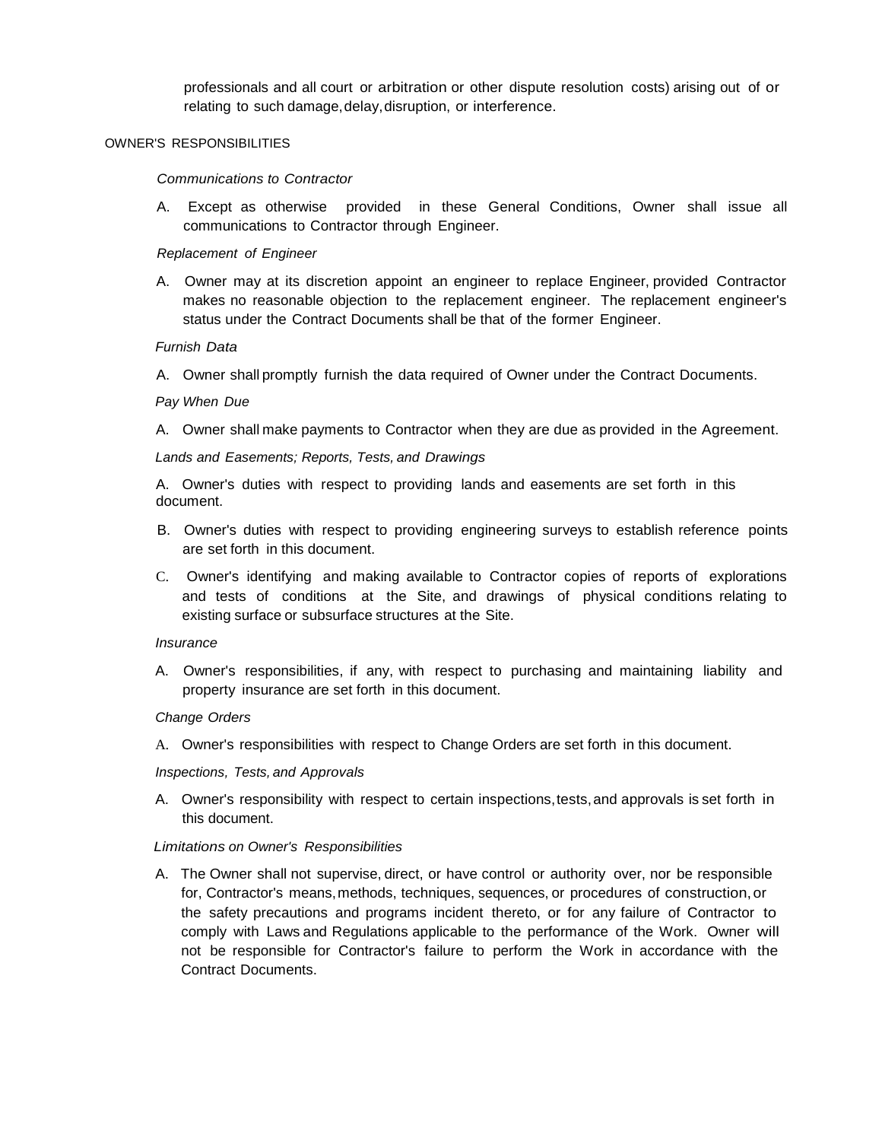professionals and all court or arbitration or other dispute resolution costs) arising out of or relating to such damage, delay, disruption, or interference.

### OWNER'S RESPONSIBILITIES

#### *Communications to Contractor*

A. Except as otherwise provided in these General Conditions, Owner shall issue all communications to Contractor through Engineer.

#### *Replacement of Engineer*

A. Owner may at its discretion appoint an engineer to replace Engineer, provided Contractor makes no reasonable objection to the replacement engineer. The replacement engineer's status under the Contract Documents shall be that of the former Engineer.

### *Furnish Data*

A. Owner shall promptly furnish the data required of Owner under the Contract Documents.

#### *Pay When Due*

A. Owner shall make payments to Contractor when they are due as provided in the Agreement.

### *Lands and Easements; Reports, Tests, and Drawings*

A. Owner's duties with respect to providing lands and easements are set forth in this document.

- B. Owner's duties with respect to providing engineering surveys to establish reference points are set forth in this document.
- C. Owner's identifying and making available to Contractor copies of reports of explorations and tests of conditions at the Site, and drawings of physical conditions relating to existing surface or subsurface structures at the Site.

### *Insurance*

A. Owner's responsibilities, if any, with respect to purchasing and maintaining liability and property insurance are set forth in this document.

### *Change Orders*

A. Owner's responsibilities with respect to Change Orders are set forth in this document.

#### *Inspections, Tests, and Approvals*

A. Owner's responsibility with respect to certain inspections,tests,and approvals is set forth in this document.

### *Limitations on Owner's Responsibilities*

A. The Owner shall not supervise, direct, or have control or authority over, nor be responsible for, Contractor's means, methods, techniques, sequences, or procedures of construction, or the safety precautions and programs incident thereto, or for any failure of Contractor to comply with Laws and Regulations applicable to the performance of the Work. Owner will not be responsible for Contractor's failure to perform the Work in accordance with the Contract Documents.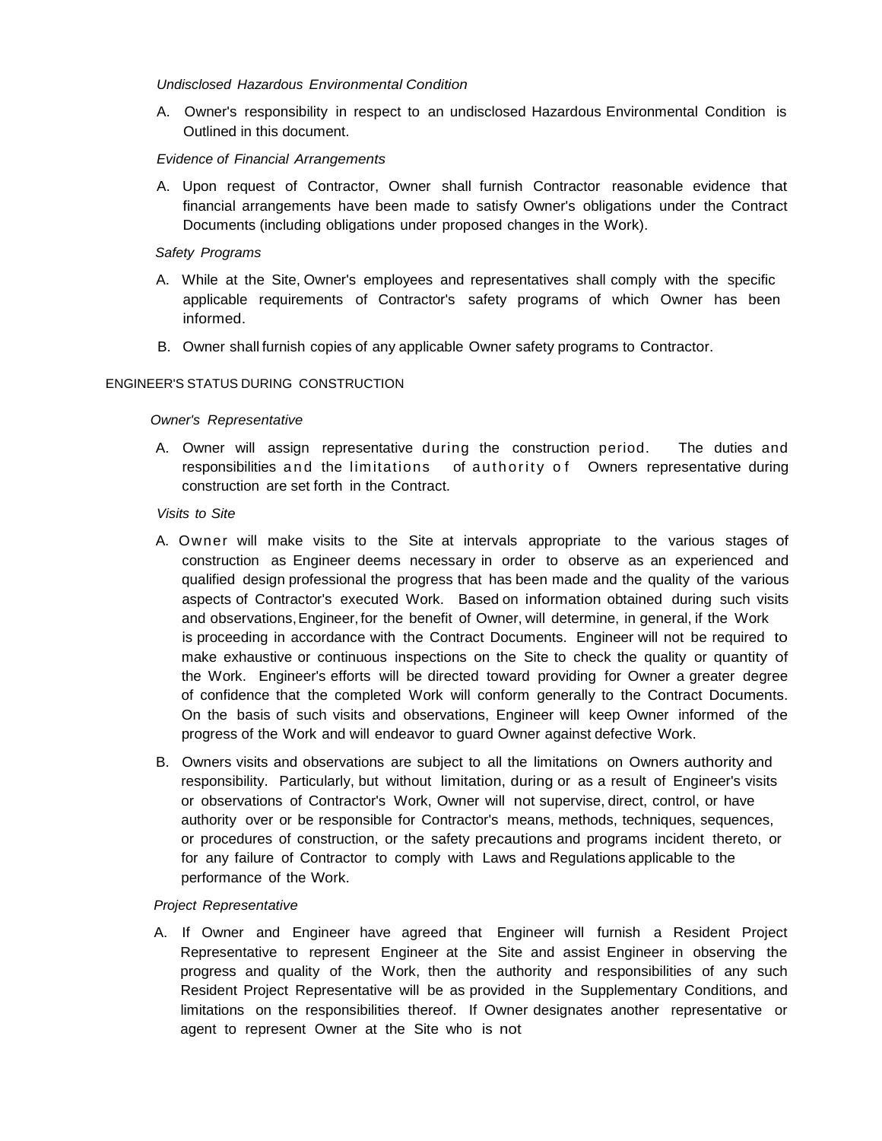### *Undisclosed Hazardous Environmental Condition*

A. Owner's responsibility in respect to an undisclosed Hazardous Environmental Condition is Outlined in this document.

# *Evidence of Financial Arrangements*

A. Upon request of Contractor, Owner shall furnish Contractor reasonable evidence that financial arrangements have been made to satisfy Owner's obligations under the Contract Documents (including obligations under proposed changes in the Work).

# *Safety Programs*

- A. While at the Site, Owner's employees and representatives shall comply with the specific applicable requirements of Contractor's safety programs of which Owner has been informed.
- B. Owner shall furnish copies of any applicable Owner safety programs to Contractor.

# ENGINEER'S STATUS DURING CONSTRUCTION

# *Owner's Representative*

A. Owner will assign representative during the construction period. The duties and responsibilities and the limitations of authority of Owners representative during construction are set forth in the Contract.

### *Visits to Site*

- A. Owner will make visits to the Site at intervals appropriate to the various stages of construction as Engineer deems necessary in order to observe as an experienced and qualified design professional the progress that has been made and the quality of the various aspects of Contractor's executed Work. Based on information obtained during such visits and observations,Engineer, for the benefit of Owner, will determine, in general, if the Work is proceeding in accordance with the Contract Documents. Engineer will not be required to make exhaustive or continuous inspections on the Site to check the quality or quantity of the Work. Engineer's efforts will be directed toward providing for Owner a greater degree of confidence that the completed Work will conform generally to the Contract Documents. On the basis of such visits and observations, Engineer will keep Owner informed of the progress of the Work and will endeavor to guard Owner against defective Work.
- B. Owners visits and observations are subject to all the limitations on Owners authority and responsibility. Particularly, but without limitation, during or as a result of Engineer's visits or observations of Contractor's Work, Owner will not supervise, direct, control, or have authority over or be responsible for Contractor's means, methods, techniques, sequences, or procedures of construction, or the safety precautions and programs incident thereto, or for any failure of Contractor to comply with Laws and Regulations applicable to the performance of the Work.

# *Project Representative*

A. If Owner and Engineer have agreed that Engineer will furnish a Resident Project Representative to represent Engineer at the Site and assist Engineer in observing the progress and quality of the Work, then the authority and responsibilities of any such Resident Project Representative will be as provided in the Supplementary Conditions, and limitations on the responsibilities thereof. If Owner designates another representative or agent to represent Owner at the Site who is not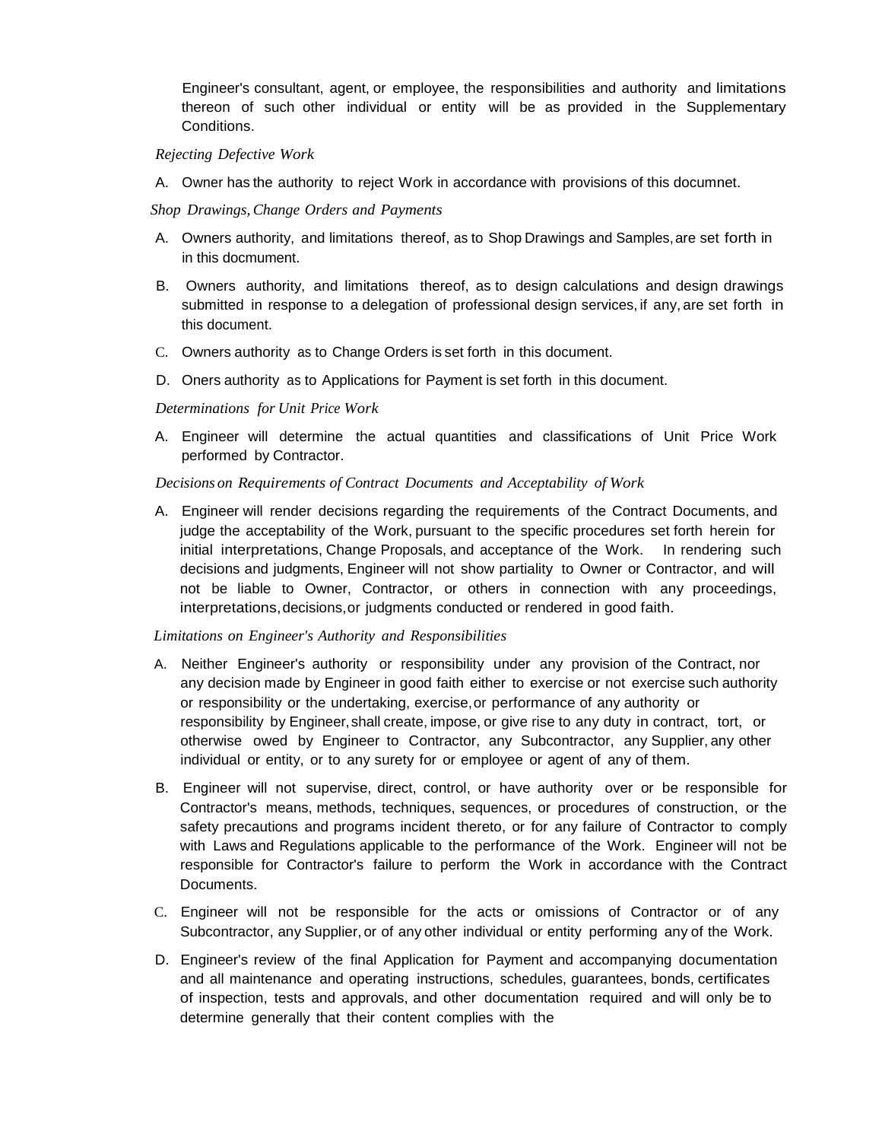Engineer's consultant, agent, or employee, the responsibilities and authority and limitations thereon of such other individual or entity will be as provided in the Supplementary **Conditions** 

### *Rejecting Defective Work*

A. Owner has the authority to reject Work in accordance with provisions of this documnet.

*Shop Drawings,Change Orders and Payments*

- A. Owners authority, and limitations thereof, as to Shop Drawings and Samples,are set forth in in this docmument.
- B. Owners authority, and limitations thereof, as to design calculations and design drawings submitted in response to a delegation of professional design services, if any, are set forth in this document.
- C. Owners authority as to Change Orders is set forth in this document.
- D. Oners authority as to Applications for Payment is set forth in this document.

### *Determinations for Unit Price Work*

A. Engineer will determine the actual quantities and classifications of Unit Price Work performed by Contractor.

# *Decisions on Requirements of Contract Documents and Acceptability of Work*

A. Engineer will render decisions regarding the requirements of the Contract Documents, and judge the acceptability of the Work, pursuant to the specific procedures set forth herein for initial interpretations, Change Proposals, and acceptance of the Work. In rendering such decisions and judgments, Engineer will not show partiality to Owner or Contractor, and will not be liable to Owner, Contractor, or others in connection with any proceedings, interpretations,decisions,or judgments conducted or rendered in good faith.

### *Limitations on Engineer's Authority and Responsibilities*

- A. Neither Engineer's authority or responsibility under any provision of the Contract, nor any decision made by Engineer in good faith either to exercise or not exercise such authority or responsibility or the undertaking, exercise,or performance of any authority or responsibility by Engineer,shall create, impose, or give rise to any duty in contract, tort, or otherwise owed by Engineer to Contractor, any Subcontractor, any Supplier, any other individual or entity, or to any surety for or employee or agent of any of them.
- B. Engineer will not supervise, direct, control, or have authority over or be responsible for Contractor's means, methods, techniques, sequences, or procedures of construction, or the safety precautions and programs incident thereto, or for any failure of Contractor to comply with Laws and Regulations applicable to the performance of the Work. Engineer will not be responsible for Contractor's failure to perform the Work in accordance with the Contract Documents.
- C. Engineer will not be responsible for the acts or omissions of Contractor or of any Subcontractor, any Supplier, or of any other individual or entity performing any of the Work.
- D. Engineer's review of the final Application for Payment and accompanying documentation and all maintenance and operating instructions, schedules, guarantees, bonds, certificates of inspection, tests and approvals, and other documentation required and will only be to determine generally that their content complies with the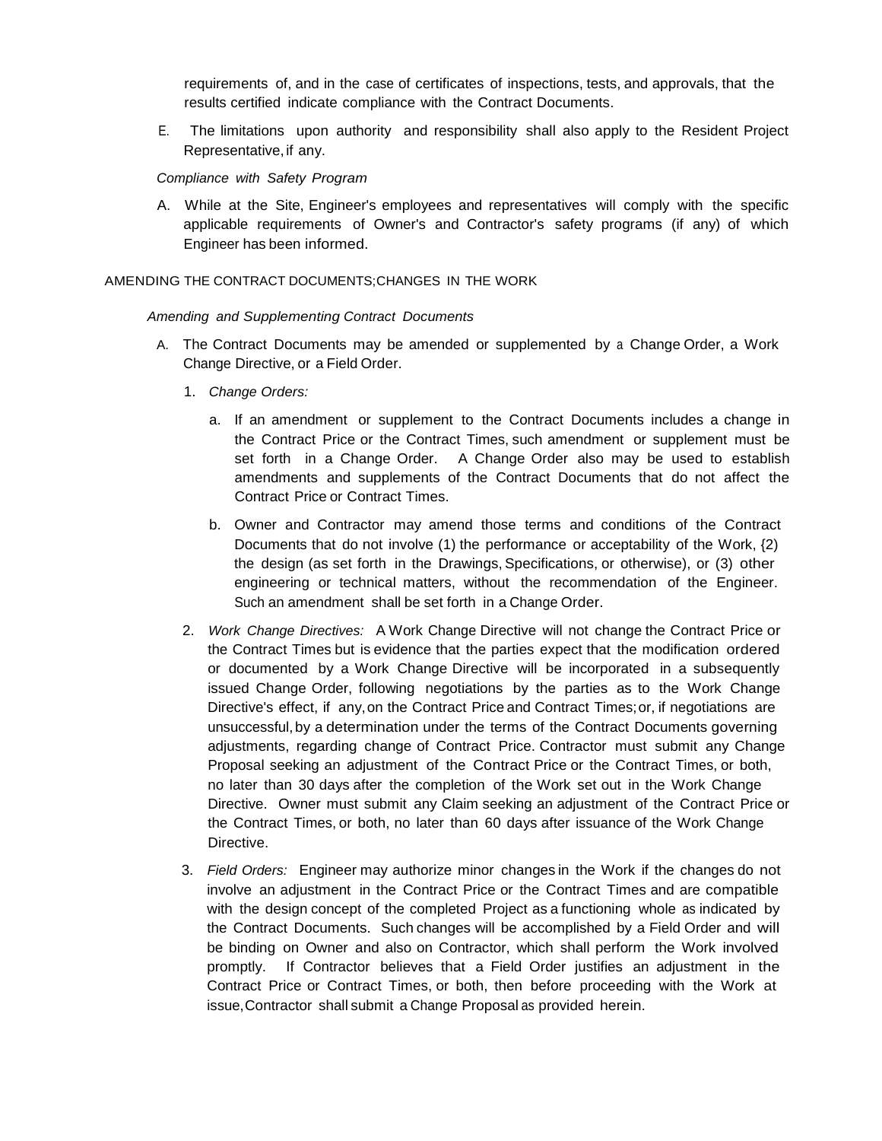requirements of, and in the case of certificates of inspections, tests, and approvals, that the results certified indicate compliance with the Contract Documents.

E. The limitations upon authority and responsibility shall also apply to the Resident Project Representative, if any.

### *Compliance with Safety Program*

A. While at the Site, Engineer's employees and representatives will comply with the specific applicable requirements of Owner's and Contractor's safety programs (if any) of which Engineer has been informed.

### AMENDING THE CONTRACT DOCUMENTS;CHANGES IN THE WORK

### *Amending and Supplementing Contract Documents*

- A. The Contract Documents may be amended or supplemented by a Change Order, a Work Change Directive, or a Field Order.
	- 1. *Change Orders:*
		- a. If an amendment or supplement to the Contract Documents includes a change in the Contract Price or the Contract Times, such amendment or supplement must be set forth in a Change Order. A Change Order also may be used to establish amendments and supplements of the Contract Documents that do not affect the Contract Price or Contract Times.
		- b. Owner and Contractor may amend those terms and conditions of the Contract Documents that do not involve (1) the performance or acceptability of the Work, {2) the design (as set forth in the Drawings, Specifications, or otherwise), or (3) other engineering or technical matters, without the recommendation of the Engineer. Such an amendment shall be set forth in a Change Order.
	- 2. *Work Change Directives:* A Work Change Directive will not change the Contract Price or the Contract Times but is evidence that the parties expect that the modification ordered or documented by a Work Change Directive will be incorporated in a subsequently issued Change Order, following negotiations by the parties as to the Work Change Directive's effect, if any,on the Contract Price and Contract Times;or, if negotiations are unsuccessful, by a determination under the terms of the Contract Documents governing adjustments, regarding change of Contract Price. Contractor must submit any Change Proposal seeking an adjustment of the Contract Price or the Contract Times, or both, no later than 30 days after the completion of the Work set out in the Work Change Directive. Owner must submit any Claim seeking an adjustment of the Contract Price or the Contract Times, or both, no later than 60 days after issuance of the Work Change Directive.
	- 3. *Field Orders:* Engineer may authorize minor changes in the Work if the changes do not involve an adjustment in the Contract Price or the Contract Times and are compatible with the design concept of the completed Project as a functioning whole as indicated by the Contract Documents. Such changes will be accomplished by a Field Order and will be binding on Owner and also on Contractor, which shall perform the Work involved promptly. If Contractor believes that a Field Order justifies an adjustment in the Contract Price or Contract Times, or both, then before proceeding with the Work at issue,Contractor shall submit a Change Proposal as provided herein.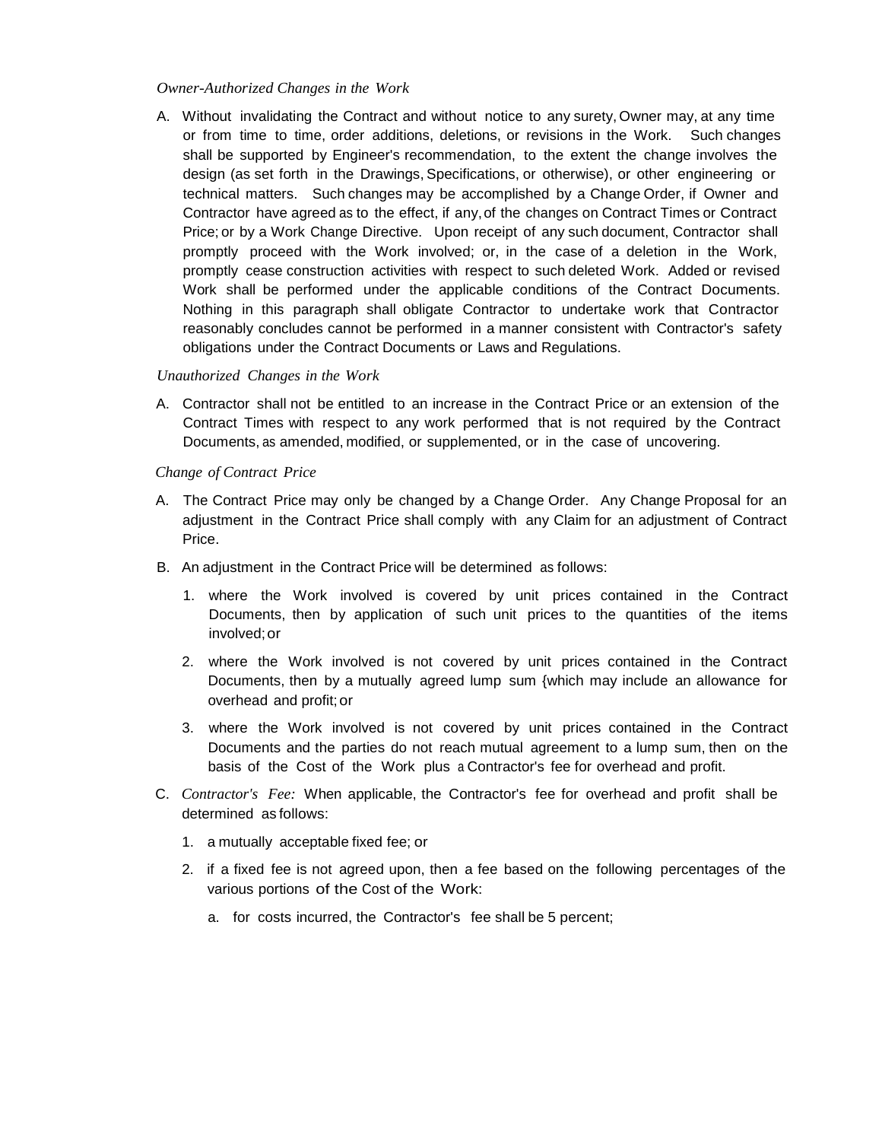### *Owner-Authorized Changes in the Work*

A. Without invalidating the Contract and without notice to any surety, Owner may, at any time or from time to time, order additions, deletions, or revisions in the Work. Such changes shall be supported by Engineer's recommendation, to the extent the change involves the design (as set forth in the Drawings, Specifications, or otherwise), or other engineering or technical matters. Such changes may be accomplished by a Change Order, if Owner and Contractor have agreed as to the effect, if any,of the changes on Contract Times or Contract Price; or by a Work Change Directive. Upon receipt of any such document, Contractor shall promptly proceed with the Work involved; or, in the case of a deletion in the Work, promptly cease construction activities with respect to such deleted Work. Added or revised Work shall be performed under the applicable conditions of the Contract Documents. Nothing in this paragraph shall obligate Contractor to undertake work that Contractor reasonably concludes cannot be performed in a manner consistent with Contractor's safety obligations under the Contract Documents or Laws and Regulations.

# *Unauthorized Changes in the Work*

A. Contractor shall not be entitled to an increase in the Contract Price or an extension of the Contract Times with respect to any work performed that is not required by the Contract Documents, as amended, modified, or supplemented, or in the case of uncovering.

### *Change of Contract Price*

- A. The Contract Price may only be changed by a Change Order. Any Change Proposal for an adjustment in the Contract Price shall comply with any Claim for an adjustment of Contract Price.
- B. An adjustment in the Contract Price will be determined as follows:
	- 1. where the Work involved is covered by unit prices contained in the Contract Documents, then by application of such unit prices to the quantities of the items involved;or
	- 2. where the Work involved is not covered by unit prices contained in the Contract Documents, then by a mutually agreed lump sum {which may include an allowance for overhead and profit;or
	- 3. where the Work involved is not covered by unit prices contained in the Contract Documents and the parties do not reach mutual agreement to a lump sum, then on the basis of the Cost of the Work plus a Contractor's fee for overhead and profit.
- C. *Contractor's Fee:* When applicable, the Contractor's fee for overhead and profit shall be determined as follows:
	- 1. a mutually acceptable fixed fee; or
	- 2. if a fixed fee is not agreed upon, then a fee based on the following percentages of the various portions of the Cost of the Work:
		- a. for costs incurred, the Contractor's fee shall be 5 percent;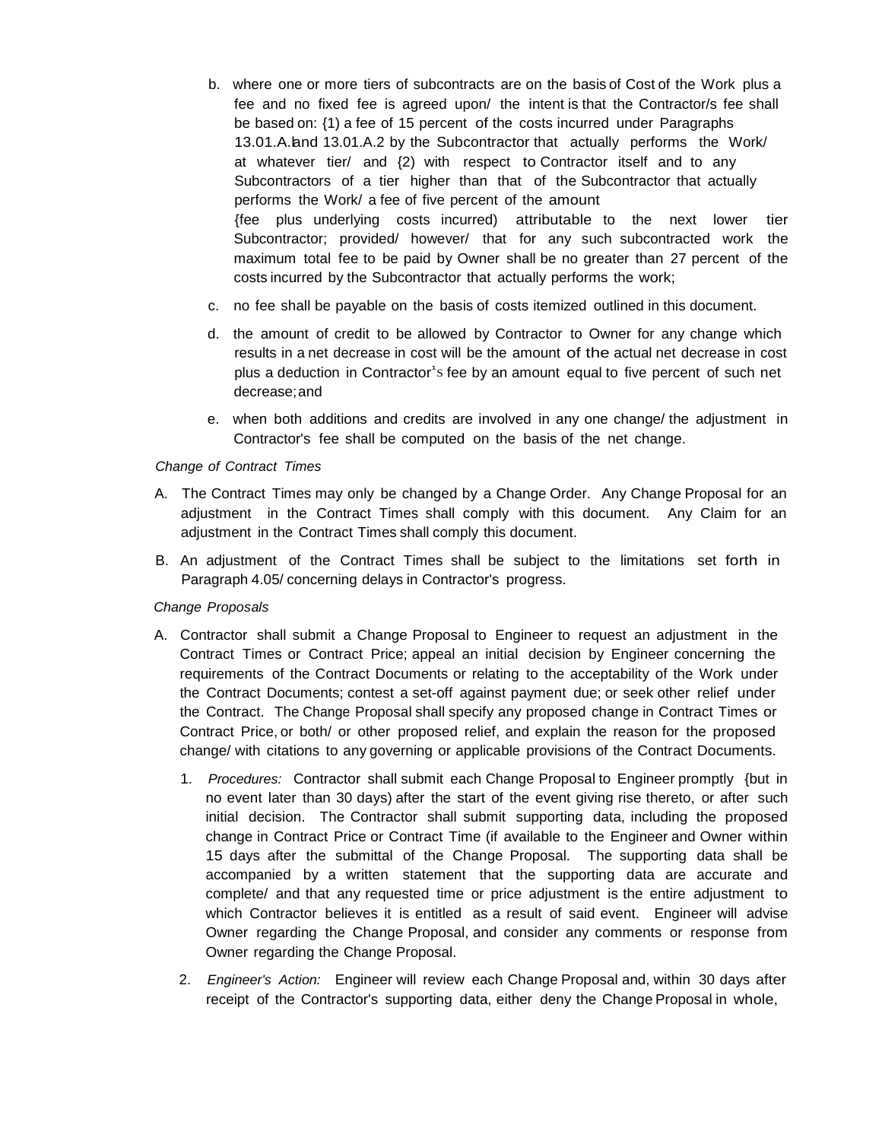- b. where one or more tiers of subcontracts are on the basis of Cost of the Work plus a fee and no fixed fee is agreed upon/ the intent is that the Contractor/s fee shall be based on: {1) a fee of 15 percent of the costs incurred under Paragraphs 13.01.A.land 13.01.A.2 by the Subcontractor that actually performs the Work/ at whatever tier/ and {2) with respect to Contractor itself and to any Subcontractors of a tier higher than that of the Subcontractor that actually performs the Work/ a fee of five percent of the amount {fee plus underlying costs incurred) attributable to the next lower tier Subcontractor; provided/ however/ that for any such subcontracted work the maximum total fee to be paid by Owner shall be no greater than 27 percent of the costs incurred by the Subcontractor that actually performs the work;
- c. no fee shall be payable on the basis of costs itemized outlined in this document.
- plus a deduction in Contractor<sup>1</sup>s fee by an amount equal to five percent of such net d. the amount of credit to be allowed by Contractor to Owner for any change which results in a net decrease in cost will be the amount of the actual net decrease in cost decrease;and
- e. when both additions and credits are involved in any one change/ the adjustment in Contractor's fee shall be computed on the basis of the net change.

# *Change of Contract Times*

- A. The Contract Times may only be changed by a Change Order. Any Change Proposal for an adjustment in the Contract Times shall comply with this document. Any Claim for an adjustment in the Contract Times shall comply this document.
- B. An adjustment of the Contract Times shall be subject to the limitations set forth in Paragraph 4.05/ concerning delays in Contractor's progress.

# *Change Proposals*

- A. Contractor shall submit a Change Proposal to Engineer to request an adjustment in the Contract Times or Contract Price; appeal an initial decision by Engineer concerning the requirements of the Contract Documents or relating to the acceptability of the Work under the Contract Documents; contest a set-off against payment due; or seek other relief under the Contract. The Change Proposal shall specify any proposed change in Contract Times or Contract Price, or both/ or other proposed relief, and explain the reason for the proposed change/ with citations to any governing or applicable provisions of the Contract Documents.
	- 1. *Procedures:* Contractor shall submit each Change Proposal to Engineer promptly {but in no event later than 30 days) after the start of the event giving rise thereto, or after such initial decision. The Contractor shall submit supporting data, including the proposed change in Contract Price or Contract Time (if available to the Engineer and Owner within 15 days after the submittal of the Change Proposal. The supporting data shall be accompanied by a written statement that the supporting data are accurate and complete/ and that any requested time or price adjustment is the entire adjustment to which Contractor believes it is entitled as a result of said event. Engineer will advise Owner regarding the Change Proposal, and consider any comments or response from Owner regarding the Change Proposal.
	- 2. *Engineer's Action:* Engineer will review each Change Proposal and, within 30 days after receipt of the Contractor's supporting data, either deny the Change Proposal in whole,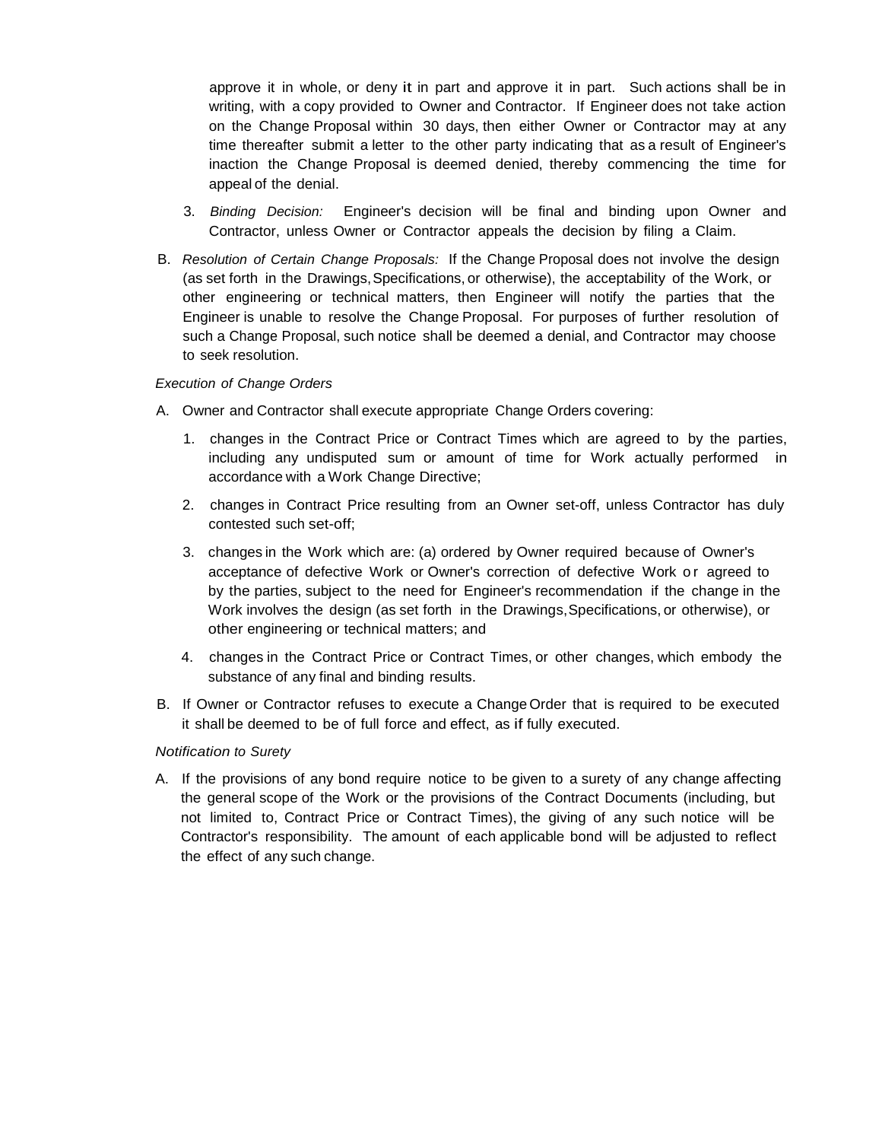approve it in whole, or deny it in part and approve it in part. Such actions shall be in writing, with a copy provided to Owner and Contractor. If Engineer does not take action on the Change Proposal within 30 days, then either Owner or Contractor may at any time thereafter submit a letter to the other party indicating that as a result of Engineer's inaction the Change Proposal is deemed denied, thereby commencing the time for appeal of the denial.

- 3. *Binding Decision:* Engineer's decision will be final and binding upon Owner and Contractor, unless Owner or Contractor appeals the decision by filing a Claim.
- B. *Resolution of Certain Change Proposals:* If the Change Proposal does not involve the design (as set forth in the Drawings, Specifications, or otherwise), the acceptability of the Work, or other engineering or technical matters, then Engineer will notify the parties that the Engineer is unable to resolve the Change Proposal. For purposes of further resolution of such a Change Proposal, such notice shall be deemed a denial, and Contractor may choose to seek resolution.

### *Execution of Change Orders*

- A. Owner and Contractor shall execute appropriate Change Orders covering:
	- 1. changes in the Contract Price or Contract Times which are agreed to by the parties, including any undisputed sum or amount of time for Work actually performed in accordance with a Work Change Directive;
	- 2. changes in Contract Price resulting from an Owner set-off, unless Contractor has duly contested such set-off;
	- 3. changes in the Work which are: (a) ordered by Owner required because of Owner's acceptance of defective Work or Owner's correction of defective Work or agreed to by the parties, subject to the need for Engineer's recommendation if the change in the Work involves the design (as set forth in the Drawings,Specifications, or otherwise), or other engineering or technical matters; and
	- 4. changes in the Contract Price or Contract Times, or other changes, which embody the substance of any final and binding results.
- B. If Owner or Contractor refuses to execute a Change Order that is required to be executed it shall be deemed to be of full force and effect, as if fully executed.

# *Notification to Surety*

A. If the provisions of any bond require notice to be given to a surety of any change affecting the general scope of the Work or the provisions of the Contract Documents (including, but not limited to, Contract Price or Contract Times), the giving of any such notice will be Contractor's responsibility. The amount of each applicable bond will be adjusted to reflect the effect of any such change.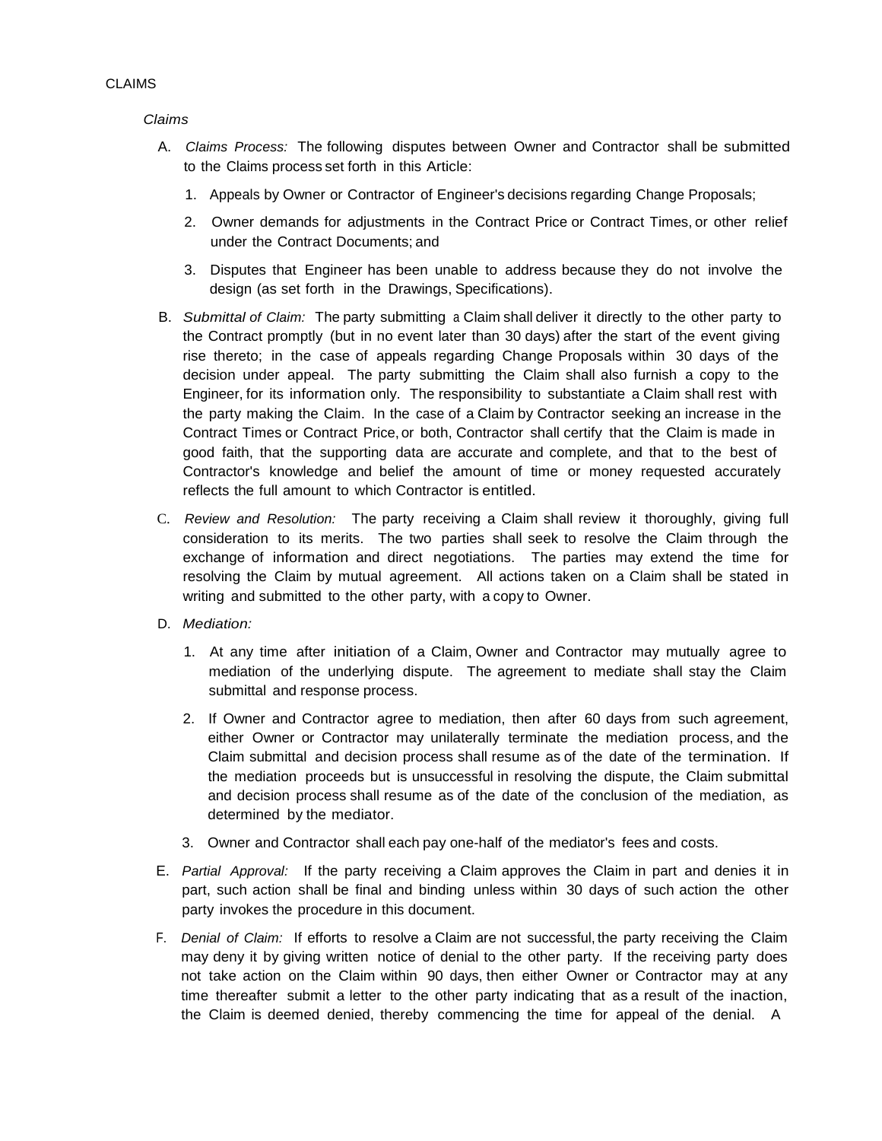# CLAIMS

 *Claims*

- A. *Claims Process:* The following disputes between Owner and Contractor shall be submitted to the Claims process set forth in this Article:
	- 1. Appeals by Owner or Contractor of Engineer's decisions regarding Change Proposals;
	- 2. Owner demands for adjustments in the Contract Price or Contract Times, or other relief under the Contract Documents; and
	- 3. Disputes that Engineer has been unable to address because they do not involve the design (as set forth in the Drawings, Specifications).
- B. *Submittal of Claim:* The party submitting a Claim shall deliver it directly to the other party to the Contract promptly (but in no event later than 30 days) after the start of the event giving rise thereto; in the case of appeals regarding Change Proposals within 30 days of the decision under appeal. The party submitting the Claim shall also furnish a copy to the Engineer, for its information only. The responsibility to substantiate a Claim shall rest with the party making the Claim. In the case of a Claim by Contractor seeking an increase in the Contract Times or Contract Price, or both, Contractor shall certify that the Claim is made in good faith, that the supporting data are accurate and complete, and that to the best of Contractor's knowledge and belief the amount of time or money requested accurately reflects the full amount to which Contractor is entitled.
- C. *Review and Resolution:* The party receiving a Claim shall review it thoroughly, giving full consideration to its merits. The two parties shall seek to resolve the Claim through the exchange of information and direct negotiations. The parties may extend the time for resolving the Claim by mutual agreement. All actions taken on a Claim shall be stated in writing and submitted to the other party, with a copy to Owner.
- D. *Mediation:*
	- 1. At any time after initiation of a Claim, Owner and Contractor may mutually agree to mediation of the underlying dispute. The agreement to mediate shall stay the Claim submittal and response process.
	- 2. If Owner and Contractor agree to mediation, then after 60 days from such agreement, either Owner or Contractor may unilaterally terminate the mediation process, and the Claim submittal and decision process shall resume as of the date of the termination. If the mediation proceeds but is unsuccessful in resolving the dispute, the Claim submittal and decision process shall resume as of the date of the conclusion of the mediation, as determined by the mediator.
	- 3. Owner and Contractor shall each pay one-half of the mediator's fees and costs.
- E. *Partial Approval:* If the party receiving a Claim approves the Claim in part and denies it in part, such action shall be final and binding unless within 30 days of such action the other party invokes the procedure in this document.
- F. *Denial of Claim:* If efforts to resolve a Claim are not successful, the party receiving the Claim may deny it by giving written notice of denial to the other party. If the receiving party does not take action on the Claim within 90 days, then either Owner or Contractor may at any time thereafter submit a letter to the other party indicating that as a result of the inaction, the Claim is deemed denied, thereby commencing the time for appeal of the denial. A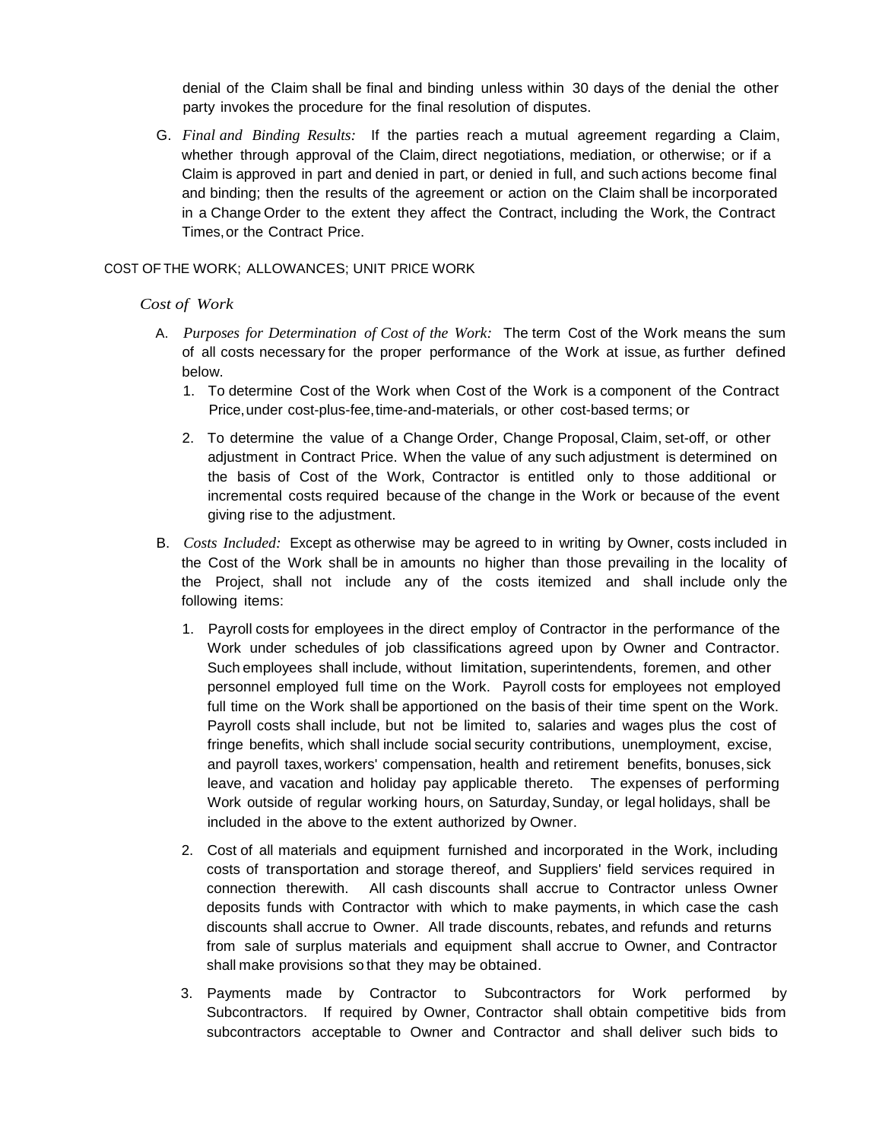denial of the Claim shall be final and binding unless within 30 days of the denial the other party invokes the procedure for the final resolution of disputes.

G. *Final and Binding Results:* If the parties reach a mutual agreement regarding a Claim, whether through approval of the Claim, direct negotiations, mediation, or otherwise; or if a Claim is approved in part and denied in part, or denied in full, and such actions become final and binding; then the results of the agreement or action on the Claim shall be incorporated in a Change Order to the extent they affect the Contract, including the Work, the Contract Times,or the Contract Price.

### COST OF THE WORK; ALLOWANCES; UNIT PRICE WORK

# *Cost of Work*

- A. *Purposes for Determination of Cost of the Work:* The term Cost of the Work means the sum of all costs necessary for the proper performance of the Work at issue, as further defined below.
	- 1. To determine Cost of the Work when Cost of the Work is a component of the Contract Price,under cost-plus-fee,time-and-materials, or other cost-based terms; or
	- 2. To determine the value of a Change Order, Change Proposal, Claim, set-off, or other adjustment in Contract Price. When the value of any such adjustment is determined on the basis of Cost of the Work, Contractor is entitled only to those additional or incremental costs required because of the change in the Work or because of the event giving rise to the adjustment.
- B. *Costs Included:* Except as otherwise may be agreed to in writing by Owner, costs included in the Cost of the Work shall be in amounts no higher than those prevailing in the locality of the Project, shall not include any of the costs itemized and shall include only the following items:
	- 1. Payroll costs for employees in the direct employ of Contractor in the performance of the Work under schedules of job classifications agreed upon by Owner and Contractor. Such employees shall include, without limitation, superintendents, foremen, and other personnel employed full time on the Work. Payroll costs for employees not employed full time on the Work shall be apportioned on the basis of their time spent on the Work. Payroll costs shall include, but not be limited to, salaries and wages plus the cost of fringe benefits, which shall include social security contributions, unemployment, excise, and payroll taxes, workers' compensation, health and retirement benefits, bonuses, sick leave, and vacation and holiday pay applicable thereto. The expenses of performing Work outside of regular working hours, on Saturday, Sunday, or legal holidays, shall be included in the above to the extent authorized by Owner.
	- 2. Cost of all materials and equipment furnished and incorporated in the Work, including costs of transportation and storage thereof, and Suppliers' field services required in connection therewith. All cash discounts shall accrue to Contractor unless Owner deposits funds with Contractor with which to make payments, in which case the cash discounts shall accrue to Owner. All trade discounts, rebates, and refunds and returns from sale of surplus materials and equipment shall accrue to Owner, and Contractor shall make provisions so that they may be obtained.
	- 3. Payments made by Contractor to Subcontractors for Work performed by Subcontractors. If required by Owner, Contractor shall obtain competitive bids from subcontractors acceptable to Owner and Contractor and shall deliver such bids to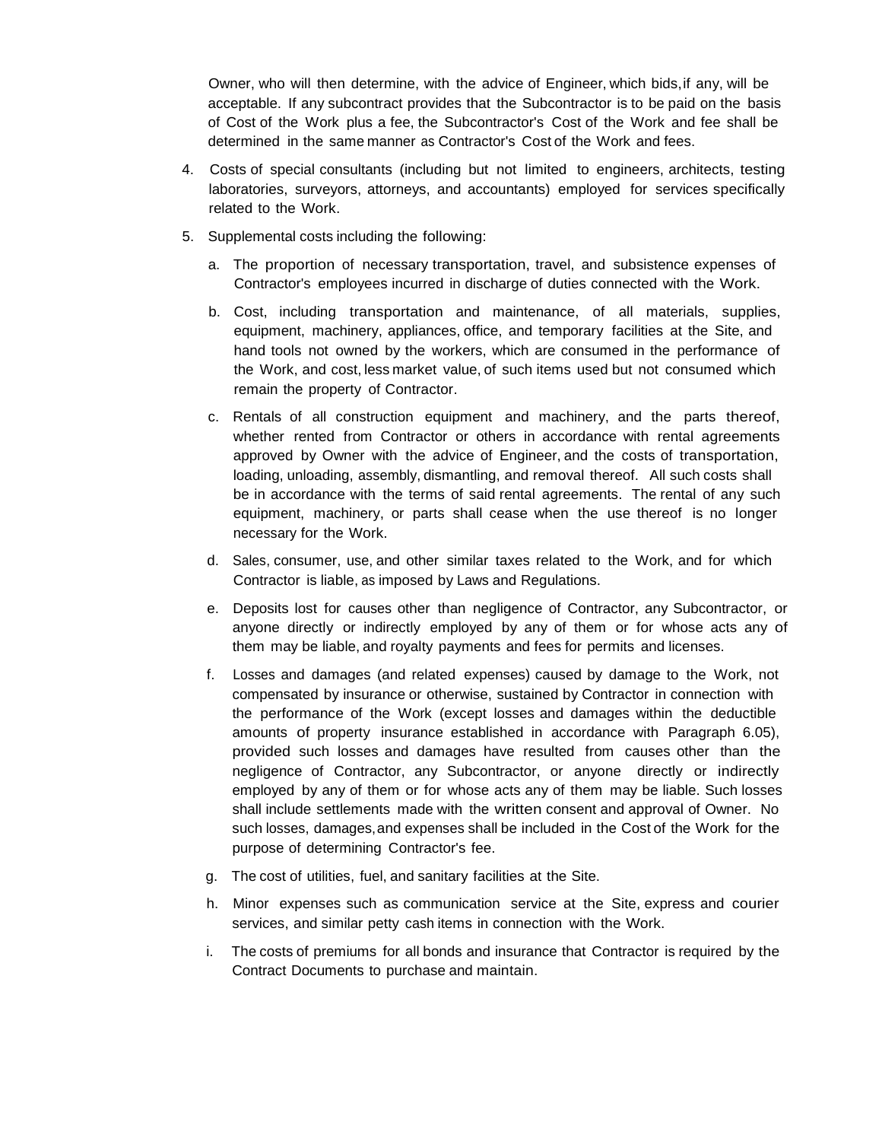Owner, who will then determine, with the advice of Engineer, which bids,if any, will be acceptable. If any subcontract provides that the Subcontractor is to be paid on the basis of Cost of the Work plus a fee, the Subcontractor's Cost of the Work and fee shall be determined in the same manner as Contractor's Cost of the Work and fees.

- 4. Costs of special consultants (including but not limited to engineers, architects, testing laboratories, surveyors, attorneys, and accountants) employed for services specifically related to the Work.
- 5. Supplemental costs including the following:
	- a. The proportion of necessary transportation, travel, and subsistence expenses of Contractor's employees incurred in discharge of duties connected with the Work.
	- b. Cost, including transportation and maintenance, of all materials, supplies, equipment, machinery, appliances, office, and temporary facilities at the Site, and hand tools not owned by the workers, which are consumed in the performance of the Work, and cost, less market value, of such items used but not consumed which remain the property of Contractor.
	- c. Rentals of all construction equipment and machinery, and the parts thereof, whether rented from Contractor or others in accordance with rental agreements approved by Owner with the advice of Engineer, and the costs of transportation, loading, unloading, assembly, dismantling, and removal thereof. All such costs shall be in accordance with the terms of said rental agreements. The rental of any such equipment, machinery, or parts shall cease when the use thereof is no longer necessary for the Work.
	- d. Sales, consumer, use, and other similar taxes related to the Work, and for which Contractor is liable, as imposed by Laws and Regulations.
	- e. Deposits lost for causes other than negligence of Contractor, any Subcontractor, or anyone directly or indirectly employed by any of them or for whose acts any of them may be liable, and royalty payments and fees for permits and licenses.
	- f. Losses and damages (and related expenses) caused by damage to the Work, not compensated by insurance or otherwise, sustained by Contractor in connection with the performance of the Work (except losses and damages within the deductible amounts of property insurance established in accordance with Paragraph 6.05), provided such losses and damages have resulted from causes other than the negligence of Contractor, any Subcontractor, or anyone directly or indirectly employed by any of them or for whose acts any of them may be liable. Such losses shall include settlements made with the written consent and approval of Owner. No such losses, damages, and expenses shall be included in the Cost of the Work for the purpose of determining Contractor's fee.
	- g. The cost of utilities, fuel, and sanitary facilities at the Site.
	- h. Minor expenses such as communication service at the Site, express and courier services, and similar petty cash items in connection with the Work.
	- i. The costs of premiums for all bonds and insurance that Contractor is required by the Contract Documents to purchase and maintain.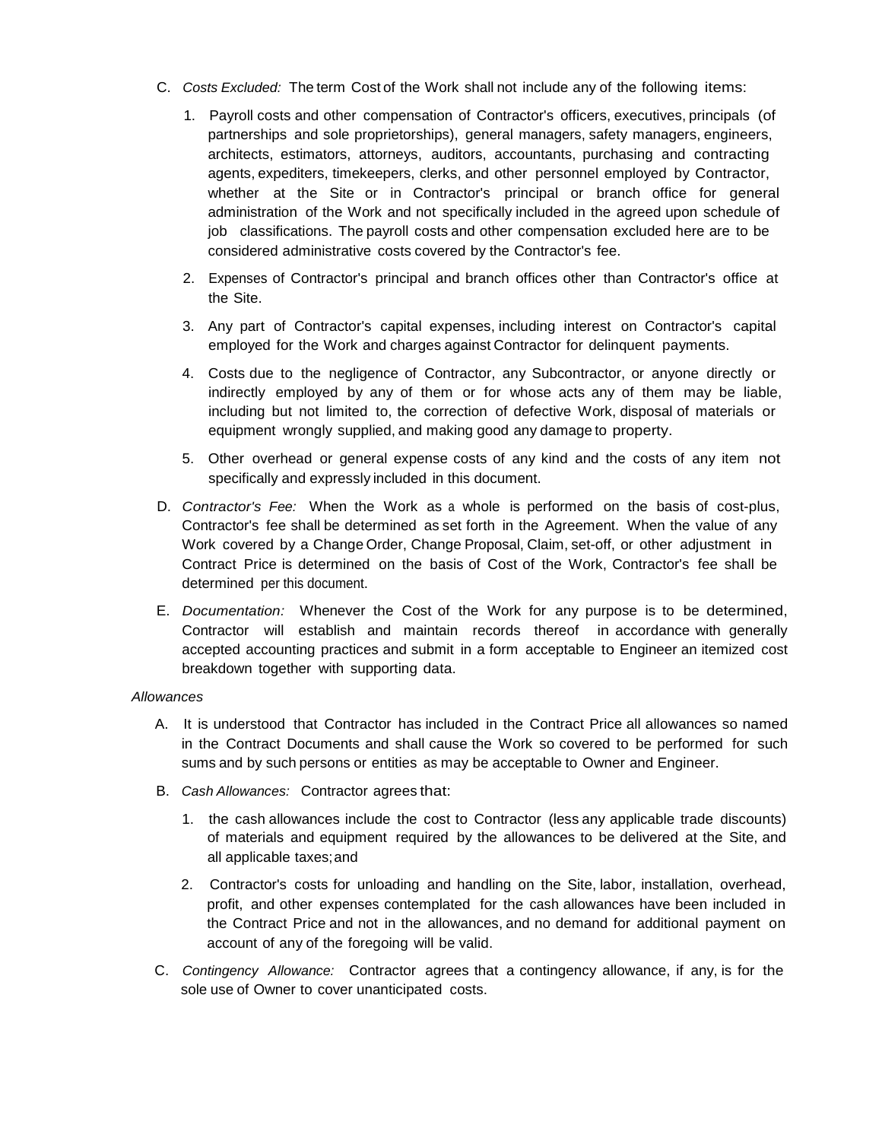- C. *Costs Excluded:* The term Cost of the Work shall not include any of the following items:
	- 1. Payroll costs and other compensation of Contractor's officers, executives, principals (of partnerships and sole proprietorships), general managers, safety managers, engineers, architects, estimators, attorneys, auditors, accountants, purchasing and contracting agents, expediters, timekeepers, clerks, and other personnel employed by Contractor, whether at the Site or in Contractor's principal or branch office for general administration of the Work and not specifically included in the agreed upon schedule of job classifications. The payroll costs and other compensation excluded here are to be considered administrative costs covered by the Contractor's fee.
	- 2. Expenses of Contractor's principal and branch offices other than Contractor's office at the Site.
	- 3. Any part of Contractor's capital expenses, including interest on Contractor's capital employed for the Work and charges against Contractor for delinquent payments.
	- 4. Costs due to the negligence of Contractor, any Subcontractor, or anyone directly or indirectly employed by any of them or for whose acts any of them may be liable, including but not limited to, the correction of defective Work, disposal of materials or equipment wrongly supplied, and making good any damage to property.
	- 5. Other overhead or general expense costs of any kind and the costs of any item not specifically and expressly included in this document.
- D. *Contractor's Fee:* When the Work as a whole is performed on the basis of cost-plus, Contractor's fee shall be determined as set forth in the Agreement. When the value of any Work covered by a Change Order, Change Proposal, Claim, set-off, or other adjustment in Contract Price is determined on the basis of Cost of the Work, Contractor's fee shall be determined per this document.
- E. *Documentation:* Whenever the Cost of the Work for any purpose is to be determined, Contractor will establish and maintain records thereof in accordance with generally accepted accounting practices and submit in a form acceptable to Engineer an itemized cost breakdown together with supporting data.

# *Allowances*

- A. It is understood that Contractor has included in the Contract Price all allowances so named in the Contract Documents and shall cause the Work so covered to be performed for such sums and by such persons or entities as may be acceptable to Owner and Engineer.
- B. *Cash Allowances:* Contractor agrees that:
	- 1. the cash allowances include the cost to Contractor (less any applicable trade discounts) of materials and equipment required by the allowances to be delivered at the Site, and all applicable taxes;and
	- 2. Contractor's costs for unloading and handling on the Site, labor, installation, overhead, profit, and other expenses contemplated for the cash allowances have been included in the Contract Price and not in the allowances, and no demand for additional payment on account of any of the foregoing will be valid.
- C. *Contingency Allowance:* Contractor agrees that a contingency allowance, if any, is for the sole use of Owner to cover unanticipated costs.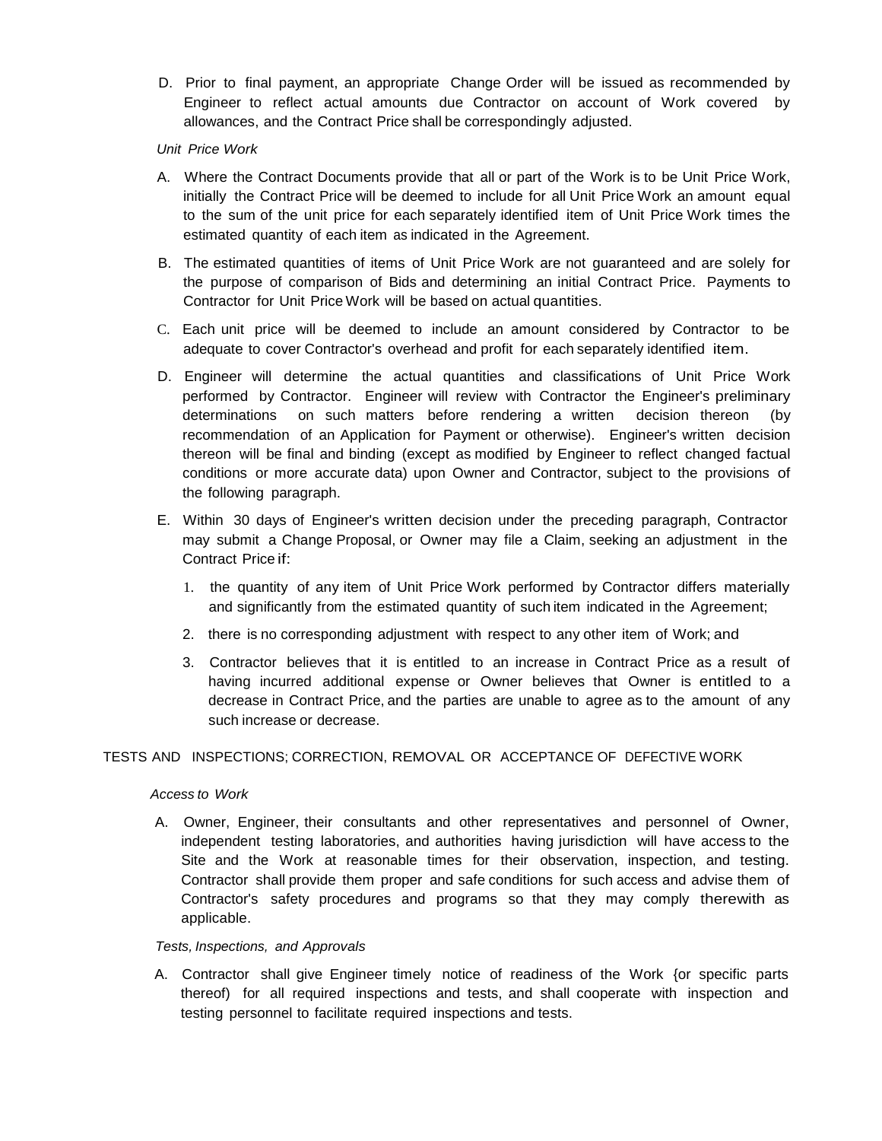D. Prior to final payment, an appropriate Change Order will be issued as recommended by Engineer to reflect actual amounts due Contractor on account of Work covered by allowances, and the Contract Price shall be correspondingly adjusted.

# *Unit Price Work*

- A. Where the Contract Documents provide that all or part of the Work is to be Unit Price Work, initially the Contract Price will be deemed to include for all Unit Price Work an amount equal to the sum of the unit price for each separately identified item of Unit Price Work times the estimated quantity of each item as indicated in the Agreement.
- B. The estimated quantities of items of Unit Price Work are not guaranteed and are solely for the purpose of comparison of Bids and determining an initial Contract Price. Payments to Contractor for Unit Price Work will be based on actual quantities.
- C. Each unit price will be deemed to include an amount considered by Contractor to be adequate to cover Contractor's overhead and profit for each separately identified item.
- D. Engineer will determine the actual quantities and classifications of Unit Price Work performed by Contractor. Engineer will review with Contractor the Engineer's preliminary determinations on such matters before rendering a written decision thereon (by recommendation of an Application for Payment or otherwise). Engineer's written decision thereon will be final and binding (except as modified by Engineer to reflect changed factual conditions or more accurate data) upon Owner and Contractor, subject to the provisions of the following paragraph.
- E. Within 30 days of Engineer's written decision under the preceding paragraph, Contractor may submit a Change Proposal, or Owner may file a Claim, seeking an adjustment in the Contract Price if:
	- 1. the quantity of any item of Unit Price Work performed by Contractor differs materially and significantly from the estimated quantity of such item indicated in the Agreement;
	- 2. there is no corresponding adjustment with respect to any other item of Work; and
	- 3. Contractor believes that it is entitled to an increase in Contract Price as a result of having incurred additional expense or Owner believes that Owner is entitled to a decrease in Contract Price, and the parties are unable to agree as to the amount of any such increase or decrease.

# TESTS AND INSPECTIONS; CORRECTION, REMOVAL OR ACCEPTANCE OF DEFECTIVE WORK

# *Access to Work*

A. Owner, Engineer, their consultants and other representatives and personnel of Owner, independent testing laboratories, and authorities having jurisdiction will have access to the Site and the Work at reasonable times for their observation, inspection, and testing. Contractor shall provide them proper and safe conditions for such access and advise them of Contractor's safety procedures and programs so that they may comply therewith as applicable.

### *Tests, Inspections, and Approvals*

A. Contractor shall give Engineer timely notice of readiness of the Work {or specific parts thereof) for all required inspections and tests, and shall cooperate with inspection and testing personnel to facilitate required inspections and tests.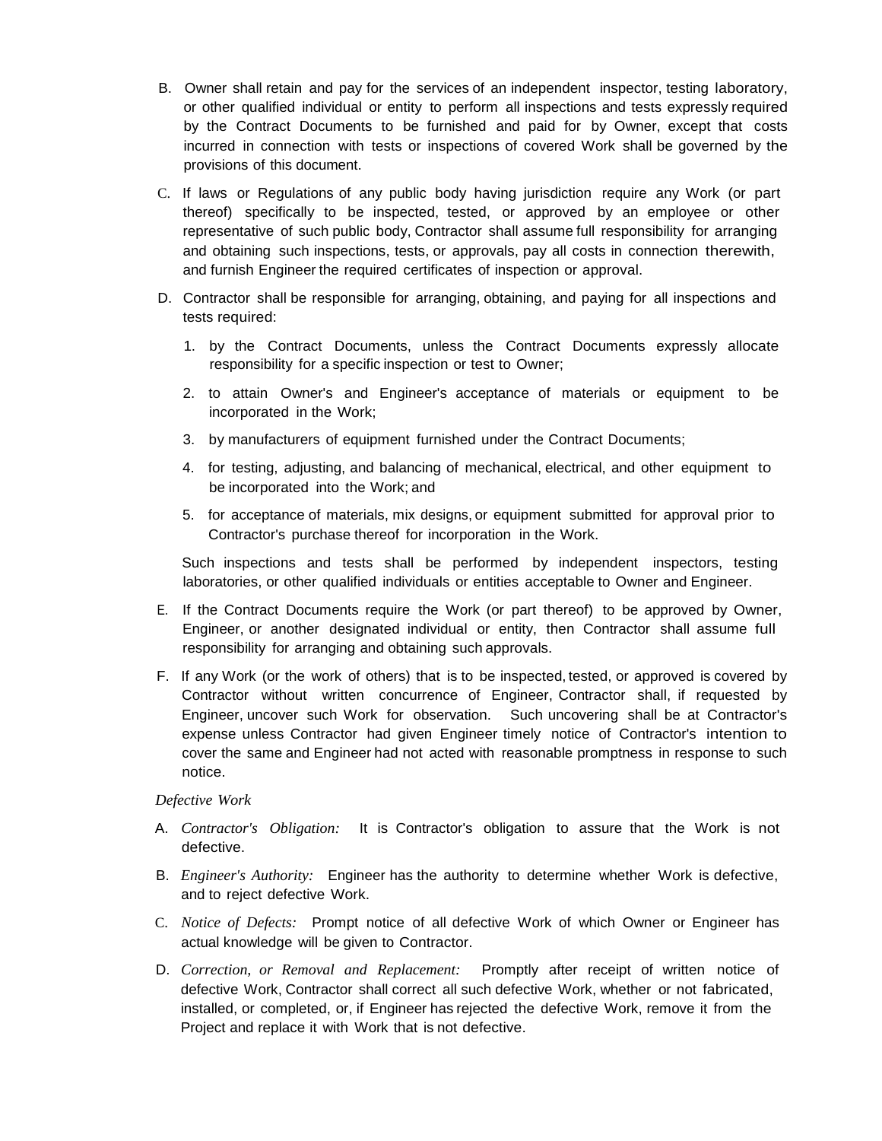- B. Owner shall retain and pay for the services of an independent inspector, testing laboratory, or other qualified individual or entity to perform all inspections and tests expressly required by the Contract Documents to be furnished and paid for by Owner, except that costs incurred in connection with tests or inspections of covered Work shall be governed by the provisions of this document.
- C. If laws or Regulations of any public body having jurisdiction require any Work (or part thereof) specifically to be inspected, tested, or approved by an employee or other representative of such public body, Contractor shall assume full responsibility for arranging and obtaining such inspections, tests, or approvals, pay all costs in connection therewith, and furnish Engineer the required certificates of inspection or approval.
- D. Contractor shall be responsible for arranging, obtaining, and paying for all inspections and tests required:
	- 1. by the Contract Documents, unless the Contract Documents expressly allocate responsibility for a specific inspection or test to Owner;
	- 2. to attain Owner's and Engineer's acceptance of materials or equipment to be incorporated in the Work;
	- 3. by manufacturers of equipment furnished under the Contract Documents;
	- 4. for testing, adjusting, and balancing of mechanical, electrical, and other equipment to be incorporated into the Work; and
	- 5. for acceptance of materials, mix designs, or equipment submitted for approval prior to Contractor's purchase thereof for incorporation in the Work.

Such inspections and tests shall be performed by independent inspectors, testing laboratories, or other qualified individuals or entities acceptable to Owner and Engineer.

- E. If the Contract Documents require the Work (or part thereof) to be approved by Owner, Engineer, or another designated individual or entity, then Contractor shall assume full responsibility for arranging and obtaining such approvals.
- F. If any Work (or the work of others) that is to be inspected, tested, or approved is covered by Contractor without written concurrence of Engineer, Contractor shall, if requested by Engineer, uncover such Work for observation. Such uncovering shall be at Contractor's expense unless Contractor had given Engineer timely notice of Contractor's intention to cover the same and Engineer had not acted with reasonable promptness in response to such notice.

### *Defective Work*

- A. *Contractor's Obligation:* It is Contractor's obligation to assure that the Work is not defective.
- B. *Engineer's Authority:* Engineer has the authority to determine whether Work is defective, and to reject defective Work.
- C. *Notice of Defects:* Prompt notice of all defective Work of which Owner or Engineer has actual knowledge will be given to Contractor.
- D. *Correction, or Removal and Replacement:* Promptly after receipt of written notice of defective Work, Contractor shall correct all such defective Work, whether or not fabricated, installed, or completed, or, if Engineer has rejected the defective Work, remove it from the Project and replace it with Work that is not defective.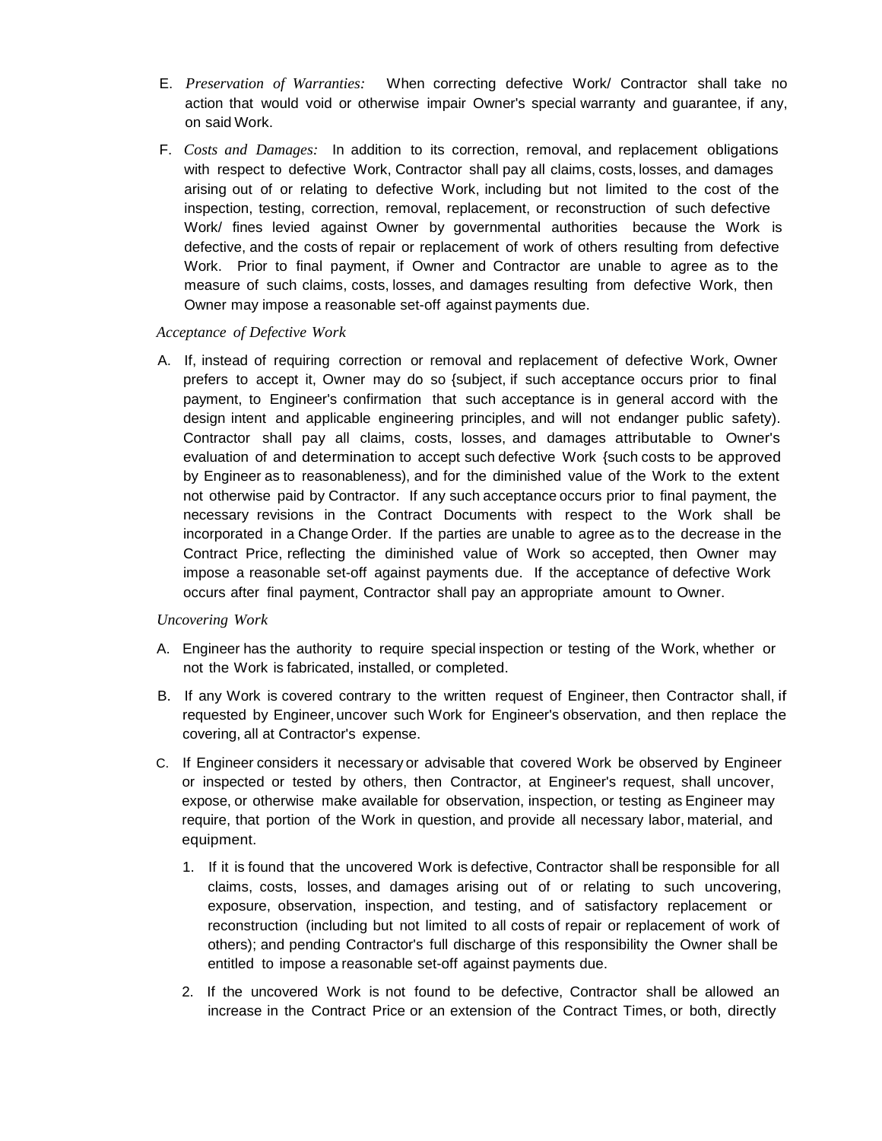- E. *Preservation of Warranties:* When correcting defective Work/ Contractor shall take no action that would void or otherwise impair Owner's special warranty and guarantee, if any, on said Work.
- F. *Costs and Damages:* In addition to its correction, removal, and replacement obligations with respect to defective Work, Contractor shall pay all claims, costs, losses, and damages arising out of or relating to defective Work, including but not limited to the cost of the inspection, testing, correction, removal, replacement, or reconstruction of such defective Work/ fines levied against Owner by governmental authorities because the Work is defective, and the costs of repair or replacement of work of others resulting from defective Work. Prior to final payment, if Owner and Contractor are unable to agree as to the measure of such claims, costs, losses, and damages resulting from defective Work, then Owner may impose a reasonable set-off against payments due.

### *Acceptance of Defective Work*

A. If, instead of requiring correction or removal and replacement of defective Work, Owner prefers to accept it, Owner may do so {subject, if such acceptance occurs prior to final payment, to Engineer's confirmation that such acceptance is in general accord with the design intent and applicable engineering principles, and will not endanger public safety). Contractor shall pay all claims, costs, losses, and damages attributable to Owner's evaluation of and determination to accept such defective Work {such costs to be approved by Engineer as to reasonableness), and for the diminished value of the Work to the extent not otherwise paid by Contractor. If any such acceptance occurs prior to final payment, the necessary revisions in the Contract Documents with respect to the Work shall be incorporated in a Change Order. If the parties are unable to agree as to the decrease in the Contract Price, reflecting the diminished value of Work so accepted, then Owner may impose a reasonable set-off against payments due. If the acceptance of defective Work occurs after final payment, Contractor shall pay an appropriate amount to Owner.

### *Uncovering Work*

- A. Engineer has the authority to require special inspection or testing of the Work, whether or not the Work is fabricated, installed, or completed.
- B. If any Work is covered contrary to the written request of Engineer, then Contractor shall, if requested by Engineer, uncover such Work for Engineer's observation, and then replace the covering, all at Contractor's expense.
- C. If Engineer considers it necessary or advisable that covered Work be observed by Engineer or inspected or tested by others, then Contractor, at Engineer's request, shall uncover, expose, or otherwise make available for observation, inspection, or testing as Engineer may require, that portion of the Work in question, and provide all necessary labor, material, and equipment.
	- 1. If it is found that the uncovered Work is defective, Contractor shall be responsible for all claims, costs, losses, and damages arising out of or relating to such uncovering, exposure, observation, inspection, and testing, and of satisfactory replacement or reconstruction (including but not limited to all costs of repair or replacement of work of others); and pending Contractor's full discharge of this responsibility the Owner shall be entitled to impose a reasonable set-off against payments due.
	- 2. If the uncovered Work is not found to be defective, Contractor shall be allowed an increase in the Contract Price or an extension of the Contract Times, or both, directly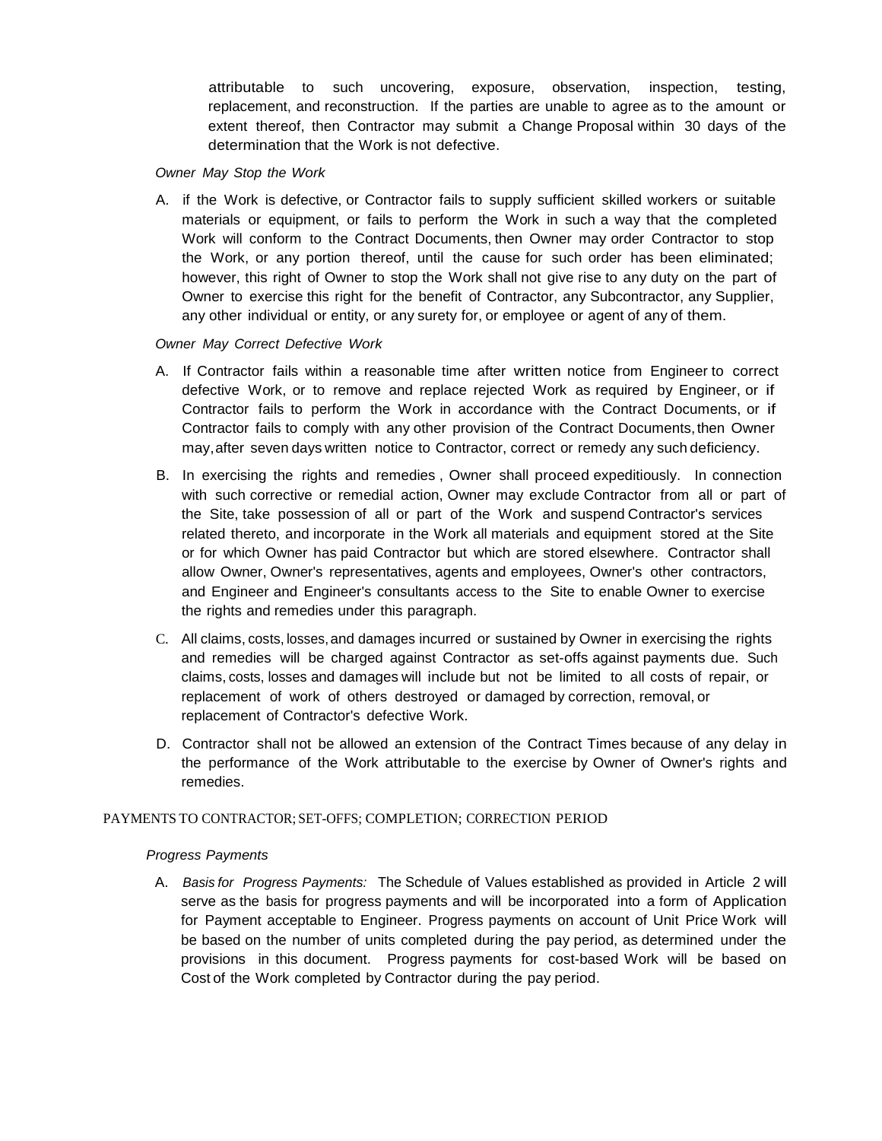attributable to such uncovering, exposure, observation, inspection, testing, replacement, and reconstruction. If the parties are unable to agree as to the amount or extent thereof, then Contractor may submit a Change Proposal within 30 days of the determination that the Work is not defective.

### *Owner May Stop the Work*

A. if the Work is defective, or Contractor fails to supply sufficient skilled workers or suitable materials or equipment, or fails to perform the Work in such a way that the completed Work will conform to the Contract Documents, then Owner may order Contractor to stop the Work, or any portion thereof, until the cause for such order has been eliminated; however, this right of Owner to stop the Work shall not give rise to any duty on the part of Owner to exercise this right for the benefit of Contractor, any Subcontractor, any Supplier, any other individual or entity, or any surety for, or employee or agent of any of them.

#### *Owner May Correct Defective Work*

- A. If Contractor fails within a reasonable time after written notice from Engineer to correct defective Work, or to remove and replace rejected Work as required by Engineer, or if Contractor fails to perform the Work in accordance with the Contract Documents, or if Contractor fails to comply with any other provision of the Contract Documents,then Owner may,after seven days written notice to Contractor, correct or remedy any such deficiency.
- B. In exercising the rights and remedies , Owner shall proceed expeditiously. In connection with such corrective or remedial action, Owner may exclude Contractor from all or part of the Site, take possession of all or part of the Work and suspend Contractor's services related thereto, and incorporate in the Work all materials and equipment stored at the Site or for which Owner has paid Contractor but which are stored elsewhere. Contractor shall allow Owner, Owner's representatives, agents and employees, Owner's other contractors, and Engineer and Engineer's consultants access to the Site to enable Owner to exercise the rights and remedies under this paragraph.
- C. All claims, costs, losses,and damages incurred or sustained by Owner in exercising the rights and remedies will be charged against Contractor as set-offs against payments due. Such claims, costs, losses and damages will include but not be limited to all costs of repair, or replacement of work of others destroyed or damaged by correction, removal, or replacement of Contractor's defective Work.
- D. Contractor shall not be allowed an extension of the Contract Times because of any delay in the performance of the Work attributable to the exercise by Owner of Owner's rights and remedies.

### PAYMENTS TO CONTRACTOR; SET-OFFS; COMPLETION; CORRECTION PERIOD

#### *Progress Payments*

A. *Basis for Progress Payments:* The Schedule of Values established as provided in Article 2 will serve as the basis for progress payments and will be incorporated into a form of Application for Payment acceptable to Engineer. Progress payments on account of Unit Price Work will be based on the number of units completed during the pay period, as determined under the provisions in this document. Progress payments for cost-based Work will be based on Cost of the Work completed by Contractor during the pay period.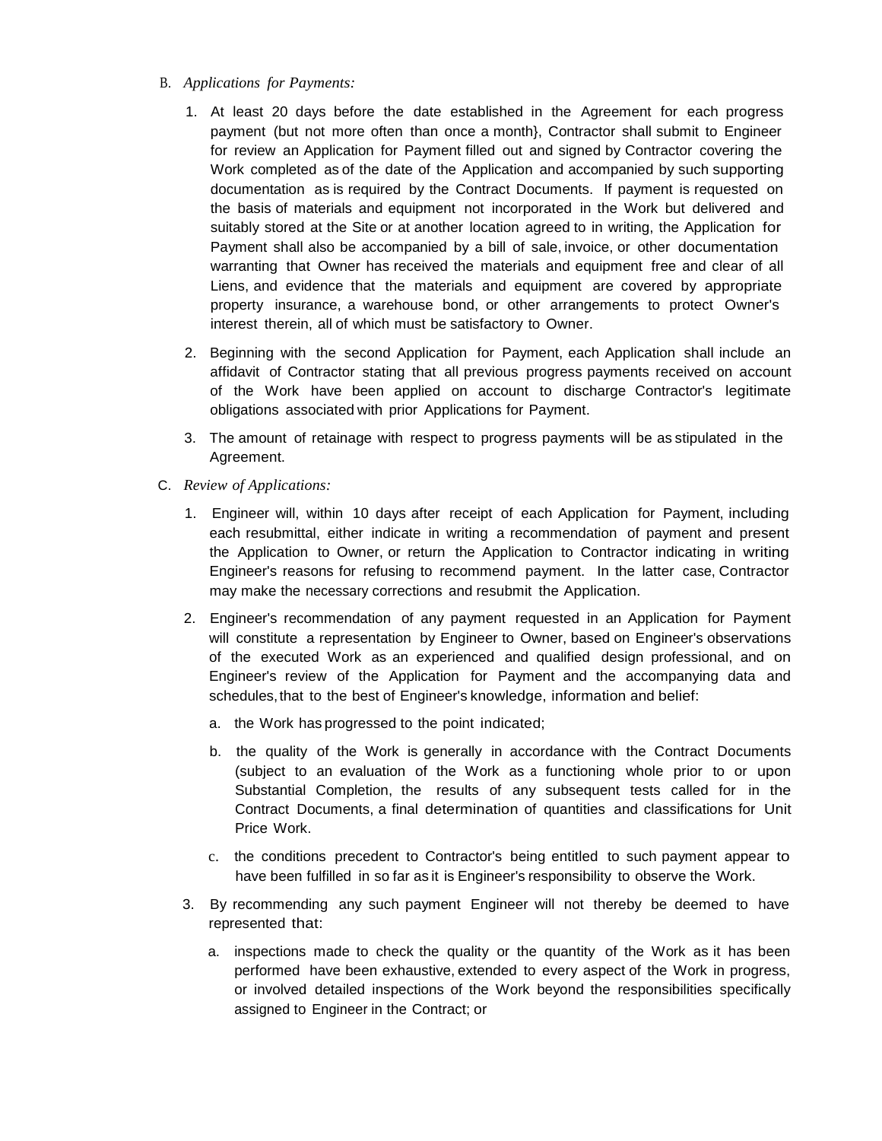- B. *Applications for Payments:*
	- 1. At least 20 days before the date established in the Agreement for each progress payment (but not more often than once a month}, Contractor shall submit to Engineer for review an Application for Payment filled out and signed by Contractor covering the Work completed as of the date of the Application and accompanied by such supporting documentation as is required by the Contract Documents. If payment is requested on the basis of materials and equipment not incorporated in the Work but delivered and suitably stored at the Site or at another location agreed to in writing, the Application for Payment shall also be accompanied by a bill of sale, invoice, or other documentation warranting that Owner has received the materials and equipment free and clear of all Liens, and evidence that the materials and equipment are covered by appropriate property insurance, a warehouse bond, or other arrangements to protect Owner's interest therein, all of which must be satisfactory to Owner.
	- 2. Beginning with the second Application for Payment, each Application shall include an affidavit of Contractor stating that all previous progress payments received on account of the Work have been applied on account to discharge Contractor's legitimate obligations associated with prior Applications for Payment.
	- 3. The amount of retainage with respect to progress payments will be as stipulated in the Agreement.
- C. *Review of Applications:*
	- 1. Engineer will, within 10 days after receipt of each Application for Payment, including each resubmittal, either indicate in writing a recommendation of payment and present the Application to Owner, or return the Application to Contractor indicating in writing Engineer's reasons for refusing to recommend payment. In the latter case, Contractor may make the necessary corrections and resubmit the Application.
	- 2. Engineer's recommendation of any payment requested in an Application for Payment will constitute a representation by Engineer to Owner, based on Engineer's observations of the executed Work as an experienced and qualified design professional, and on Engineer's review of the Application for Payment and the accompanying data and schedules, that to the best of Engineer's knowledge, information and belief:
		- a. the Work has progressed to the point indicated;
		- b. the quality of the Work is generally in accordance with the Contract Documents (subject to an evaluation of the Work as a functioning whole prior to or upon Substantial Completion, the results of any subsequent tests called for in the Contract Documents, a final determination of quantities and classifications for Unit Price Work.
		- c. the conditions precedent to Contractor's being entitled to such payment appear to have been fulfilled in so far as it is Engineer's responsibility to observe the Work.
	- 3. By recommending any such payment Engineer will not thereby be deemed to have represented that:
		- a. inspections made to check the quality or the quantity of the Work as it has been performed have been exhaustive, extended to every aspect of the Work in progress, or involved detailed inspections of the Work beyond the responsibilities specifically assigned to Engineer in the Contract; or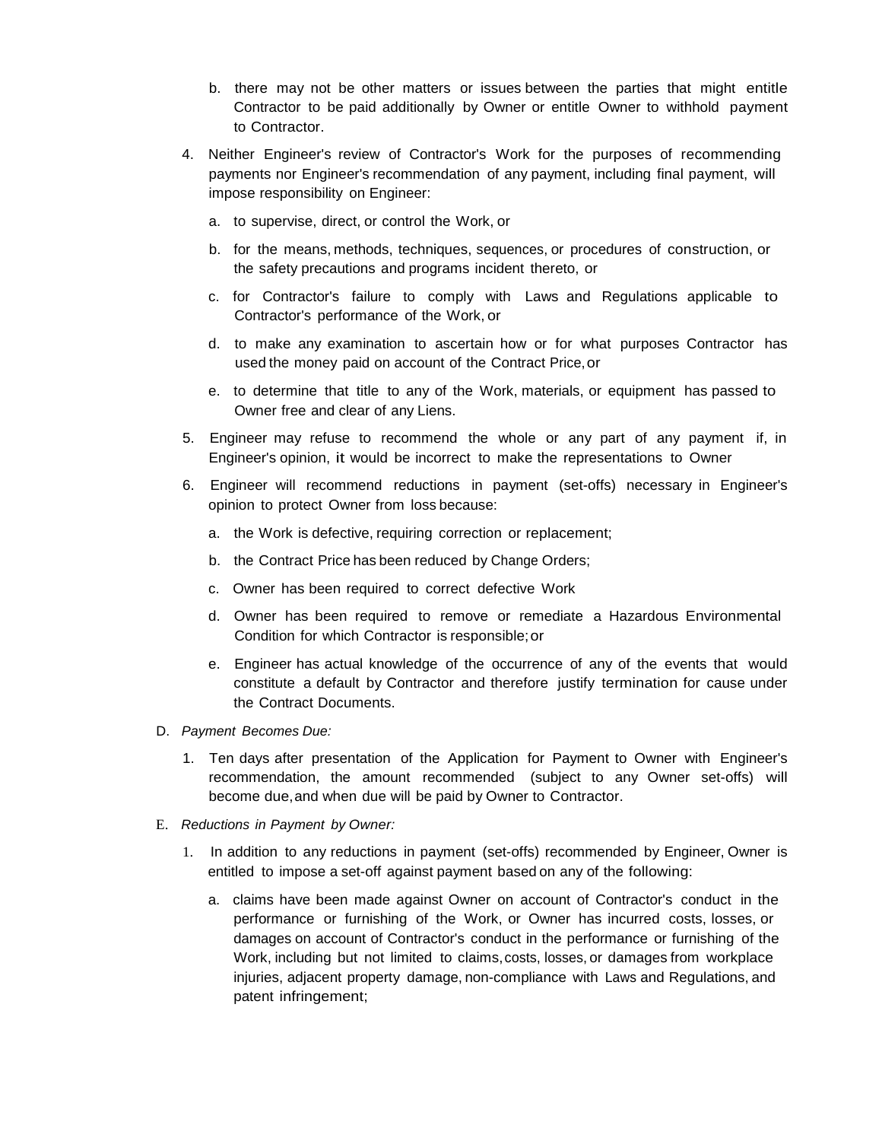- b. there may not be other matters or issues between the parties that might entitle Contractor to be paid additionally by Owner or entitle Owner to withhold payment to Contractor.
- 4. Neither Engineer's review of Contractor's Work for the purposes of recommending payments nor Engineer's recommendation of any payment, including final payment, will impose responsibility on Engineer:
	- a. to supervise, direct, or control the Work, or
	- b. for the means, methods, techniques, sequences, or procedures of construction, or the safety precautions and programs incident thereto, or
	- c. for Contractor's failure to comply with Laws and Regulations applicable to Contractor's performance of the Work, or
	- d. to make any examination to ascertain how or for what purposes Contractor has used the money paid on account of the Contract Price,or
	- e. to determine that title to any of the Work, materials, or equipment has passed to Owner free and clear of any Liens.
- 5. Engineer may refuse to recommend the whole or any part of any payment if, in Engineer's opinion, it would be incorrect to make the representations to Owner
- 6. Engineer will recommend reductions in payment (set-offs) necessary in Engineer's opinion to protect Owner from loss because:
	- a. the Work is defective, requiring correction or replacement;
	- b. the Contract Price has been reduced by Change Orders;
	- c. Owner has been required to correct defective Work
	- d. Owner has been required to remove or remediate a Hazardous Environmental Condition for which Contractor is responsible;or
	- e. Engineer has actual knowledge of the occurrence of any of the events that would constitute a default by Contractor and therefore justify termination for cause under the Contract Documents.
- D. *Payment Becomes Due:*
	- 1. Ten days after presentation of the Application for Payment to Owner with Engineer's recommendation, the amount recommended (subject to any Owner set-offs) will become due,and when due will be paid by Owner to Contractor.
- E. *Reductions in Payment by Owner:*
	- 1. In addition to any reductions in payment (set-offs) recommended by Engineer, Owner is entitled to impose a set-off against payment based on any of the following:
		- a. claims have been made against Owner on account of Contractor's conduct in the performance or furnishing of the Work, or Owner has incurred costs, losses, or damages on account of Contractor's conduct in the performance or furnishing of the Work, including but not limited to claims,costs, losses, or damages from workplace injuries, adjacent property damage, non-compliance with Laws and Regulations, and patent infringement;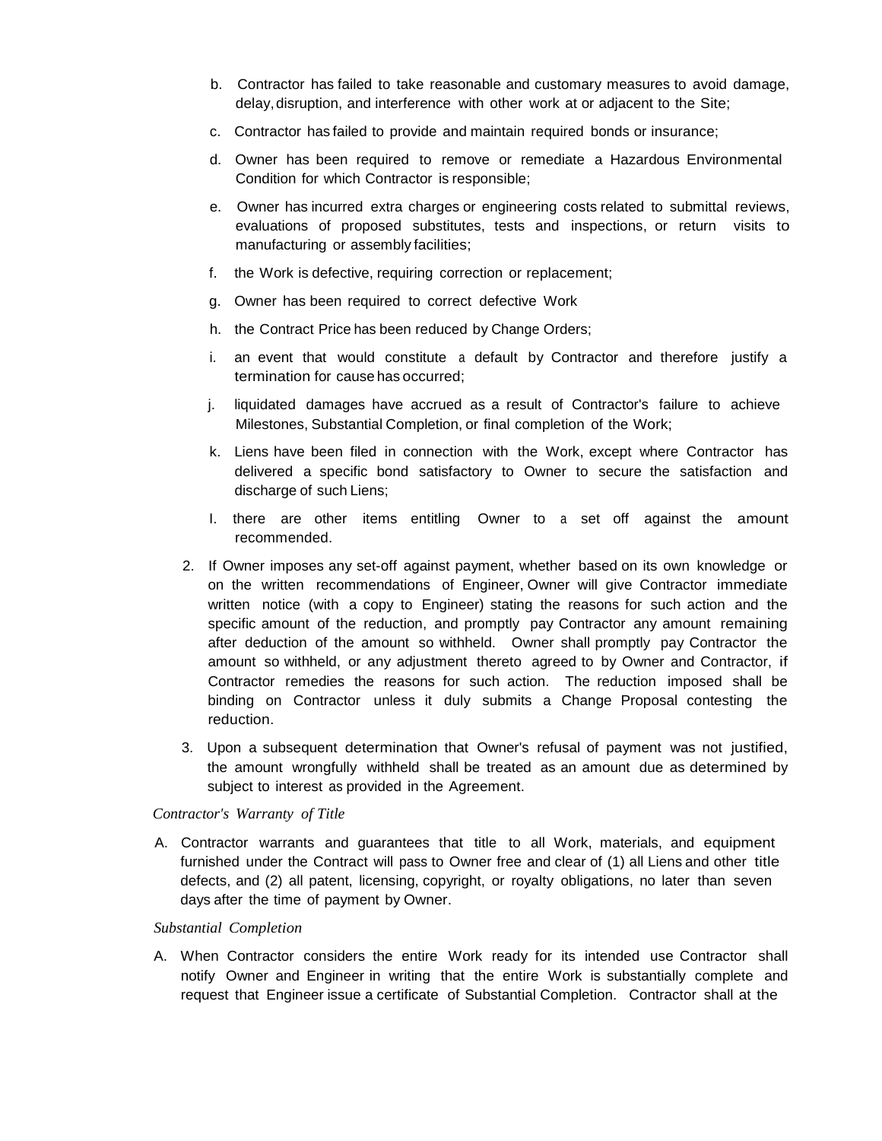- b. Contractor has failed to take reasonable and customary measures to avoid damage, delay,disruption, and interference with other work at or adjacent to the Site;
- c. Contractor has failed to provide and maintain required bonds or insurance;
- d. Owner has been required to remove or remediate a Hazardous Environmental Condition for which Contractor is responsible;
- e. Owner has incurred extra charges or engineering costs related to submittal reviews, evaluations of proposed substitutes, tests and inspections, or return visits to manufacturing or assembly facilities;
- f. the Work is defective, requiring correction or replacement;
- g. Owner has been required to correct defective Work
- h. the Contract Price has been reduced by Change Orders;
- i. an event that would constitute a default by Contractor and therefore justify a termination for cause has occurred;
- j. liquidated damages have accrued as a result of Contractor's failure to achieve Milestones, Substantial Completion, or final completion of the Work;
- k. Liens have been filed in connection with the Work, except where Contractor has delivered a specific bond satisfactory to Owner to secure the satisfaction and discharge of such Liens;
- I. there are other items entitling Owner to a set off against the amount recommended.
- 2. If Owner imposes any set-off against payment, whether based on its own knowledge or on the written recommendations of Engineer, Owner will give Contractor immediate written notice (with a copy to Engineer) stating the reasons for such action and the specific amount of the reduction, and promptly pay Contractor any amount remaining after deduction of the amount so withheld. Owner shall promptly pay Contractor the amount so withheld, or any adjustment thereto agreed to by Owner and Contractor, if Contractor remedies the reasons for such action. The reduction imposed shall be binding on Contractor unless it duly submits a Change Proposal contesting the reduction.
- 3. Upon a subsequent determination that Owner's refusal of payment was not justified, the amount wrongfully withheld shall be treated as an amount due as determined by subject to interest as provided in the Agreement.

### *Contractor's Warranty of Title*

A. Contractor warrants and guarantees that title to all Work, materials, and equipment furnished under the Contract will pass to Owner free and clear of (1) all Liens and other title defects, and (2) all patent, licensing, copyright, or royalty obligations, no later than seven days after the time of payment by Owner.

### *Substantial Completion*

A. When Contractor considers the entire Work ready for its intended use Contractor shall notify Owner and Engineer in writing that the entire Work is substantially complete and request that Engineer issue a certificate of Substantial Completion. Contractor shall at the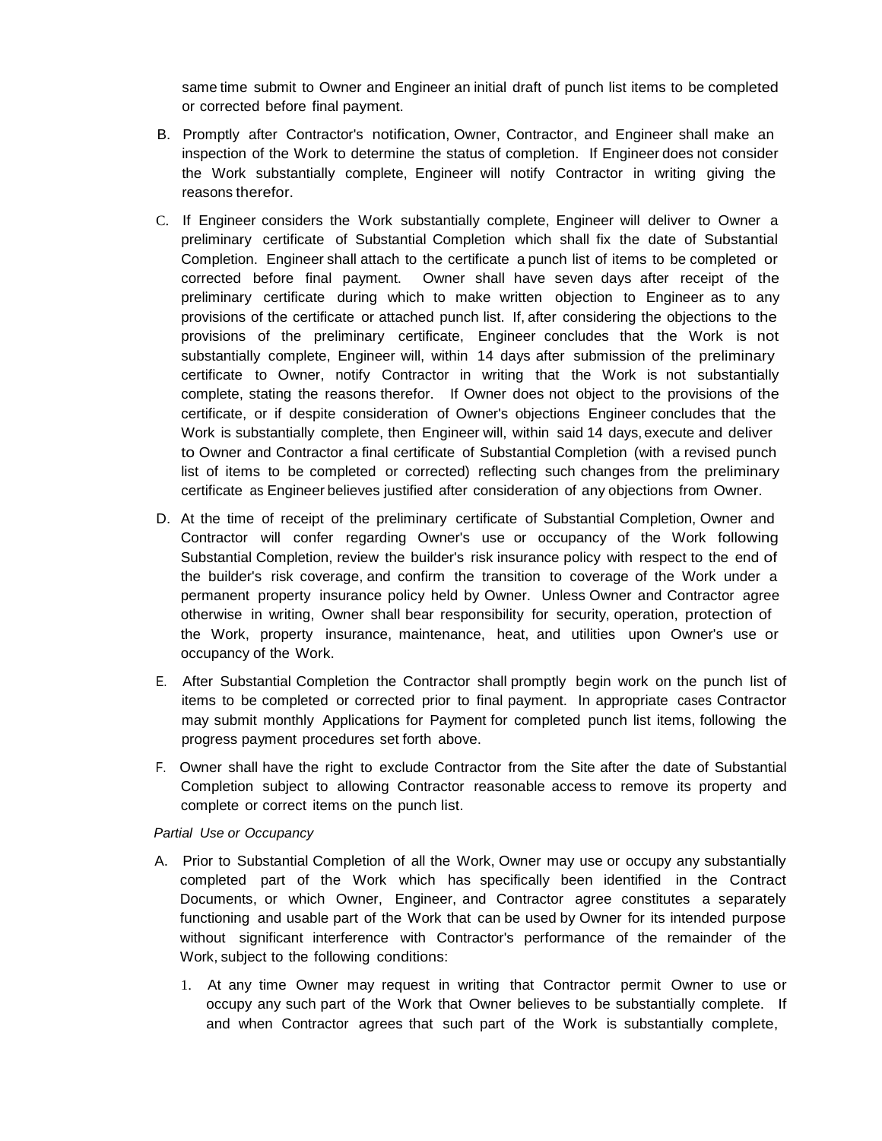same time submit to Owner and Engineer an initial draft of punch list items to be completed or corrected before final payment.

- B. Promptly after Contractor's notification, Owner, Contractor, and Engineer shall make an inspection of the Work to determine the status of completion. If Engineer does not consider the Work substantially complete, Engineer will notify Contractor in writing giving the reasons therefor.
- C. If Engineer considers the Work substantially complete, Engineer will deliver to Owner a preliminary certificate of Substantial Completion which shall fix the date of Substantial Completion. Engineer shall attach to the certificate a punch list of items to be completed or corrected before final payment. Owner shall have seven days after receipt of the preliminary certificate during which to make written objection to Engineer as to any provisions of the certificate or attached punch list. If, after considering the objections to the provisions of the preliminary certificate, Engineer concludes that the Work is not substantially complete, Engineer will, within 14 days after submission of the preliminary certificate to Owner, notify Contractor in writing that the Work is not substantially complete, stating the reasons therefor. If Owner does not object to the provisions of the certificate, or if despite consideration of Owner's objections Engineer concludes that the Work is substantially complete, then Engineer will, within said 14 days, execute and deliver to Owner and Contractor a final certificate of Substantial Completion (with a revised punch list of items to be completed or corrected) reflecting such changes from the preliminary certificate as Engineer believes justified after consideration of any objections from Owner.
- D. At the time of receipt of the preliminary certificate of Substantial Completion, Owner and Contractor will confer regarding Owner's use or occupancy of the Work following Substantial Completion, review the builder's risk insurance policy with respect to the end of the builder's risk coverage, and confirm the transition to coverage of the Work under a permanent property insurance policy held by Owner. Unless Owner and Contractor agree otherwise in writing, Owner shall bear responsibility for security, operation, protection of the Work, property insurance, maintenance, heat, and utilities upon Owner's use or occupancy of the Work.
- E. After Substantial Completion the Contractor shall promptly begin work on the punch list of items to be completed or corrected prior to final payment. In appropriate cases Contractor may submit monthly Applications for Payment for completed punch list items, following the progress payment procedures set forth above.
- F. Owner shall have the right to exclude Contractor from the Site after the date of Substantial Completion subject to allowing Contractor reasonable access to remove its property and complete or correct items on the punch list.

*Partial Use or Occupancy*

- A. Prior to Substantial Completion of all the Work, Owner may use or occupy any substantially completed part of the Work which has specifically been identified in the Contract Documents, or which Owner, Engineer, and Contractor agree constitutes a separately functioning and usable part of the Work that can be used by Owner for its intended purpose without significant interference with Contractor's performance of the remainder of the Work, subject to the following conditions:
	- 1. At any time Owner may request in writing that Contractor permit Owner to use or occupy any such part of the Work that Owner believes to be substantially complete. If and when Contractor agrees that such part of the Work is substantially complete,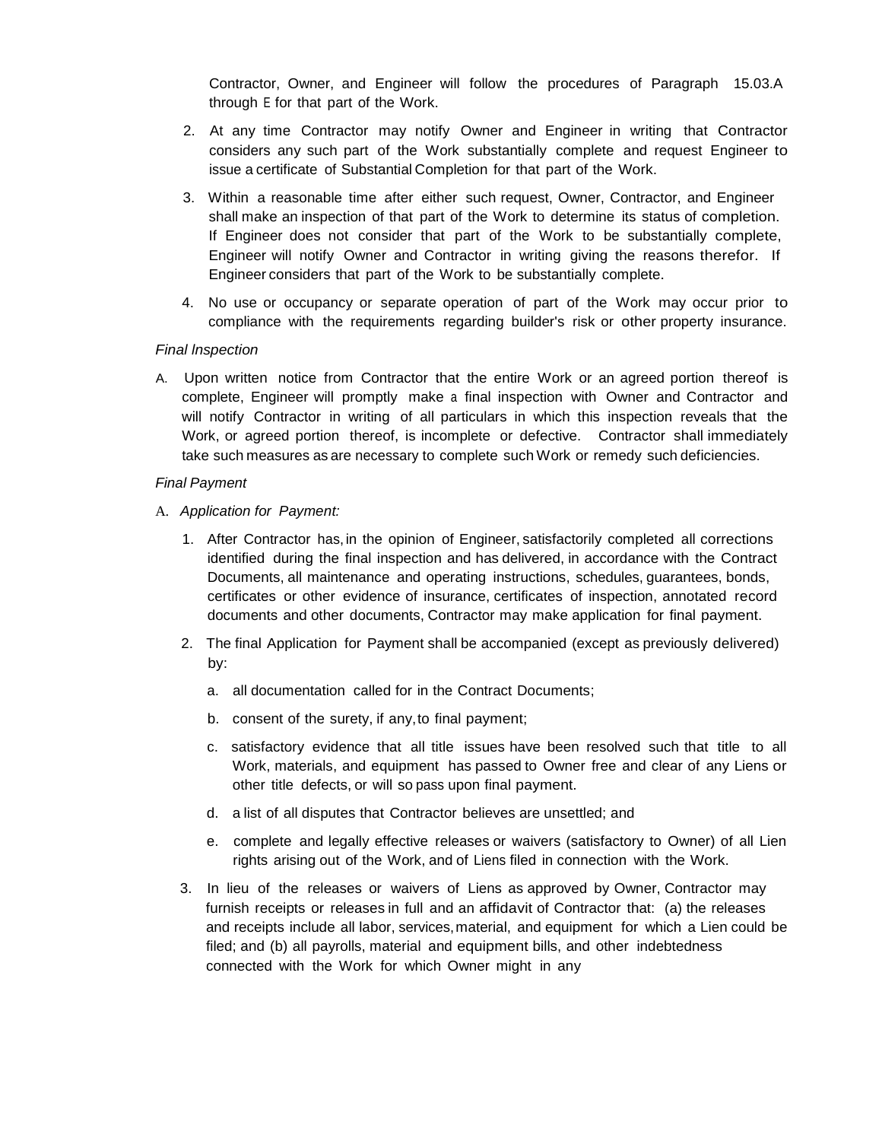Contractor, Owner, and Engineer will follow the procedures of Paragraph 15.03.A through E for that part of the Work.

- 2. At any time Contractor may notify Owner and Engineer in writing that Contractor considers any such part of the Work substantially complete and request Engineer to issue a certificate of Substantial Completion for that part of the Work.
- 3. Within a reasonable time after either such request, Owner, Contractor, and Engineer shall make an inspection of that part of the Work to determine its status of completion. If Engineer does not consider that part of the Work to be substantially complete, Engineer will notify Owner and Contractor in writing giving the reasons therefor. If Engineer considers that part of the Work to be substantially complete.
- 4. No use or occupancy or separate operation of part of the Work may occur prior to compliance with the requirements regarding builder's risk or other property insurance.

## *Final lnspection*

A. Upon written notice from Contractor that the entire Work or an agreed portion thereof is complete, Engineer will promptly make a final inspection with Owner and Contractor and will notify Contractor in writing of all particulars in which this inspection reveals that the Work, or agreed portion thereof, is incomplete or defective. Contractor shall immediately take such measures as are necessary to complete such Work or remedy such deficiencies.

#### *Final Payment*

- A. *Application for Payment:*
	- 1. After Contractor has, in the opinion of Engineer, satisfactorily completed all corrections identified during the final inspection and has delivered, in accordance with the Contract Documents, all maintenance and operating instructions, schedules, guarantees, bonds, certificates or other evidence of insurance, certificates of inspection, annotated record documents and other documents, Contractor may make application for final payment.
	- 2. The final Application for Payment shall be accompanied (except as previously delivered) by:
		- a. all documentation called for in the Contract Documents;
		- b. consent of the surety, if any,to final payment;
		- c. satisfactory evidence that all title issues have been resolved such that title to all Work, materials, and equipment has passed to Owner free and clear of any Liens or other title defects, or will so pass upon final payment.
		- d. a list of all disputes that Contractor believes are unsettled; and
		- e. complete and legally effective releases or waivers (satisfactory to Owner) of all Lien rights arising out of the Work, and of Liens filed in connection with the Work.
	- 3. In lieu of the releases or waivers of Liens as approved by Owner, Contractor may furnish receipts or releases in full and an affidavit of Contractor that: (a) the releases and receipts include all labor, services,material, and equipment for which a Lien could be filed; and (b) all payrolls, material and equipment bills, and other indebtedness connected with the Work for which Owner might in any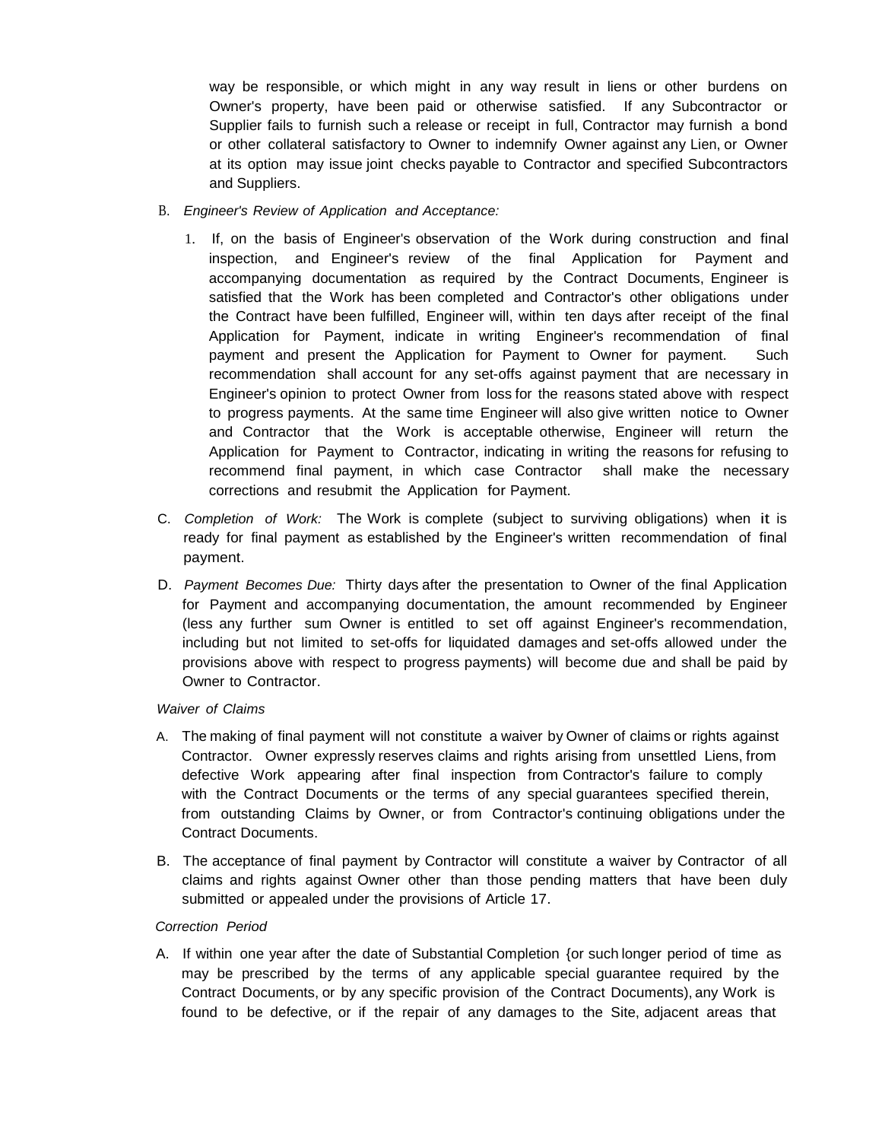way be responsible, or which might in any way result in liens or other burdens on Owner's property, have been paid or otherwise satisfied. If any Subcontractor or Supplier fails to furnish such a release or receipt in full, Contractor may furnish a bond or other collateral satisfactory to Owner to indemnify Owner against any Lien, or Owner at its option may issue joint checks payable to Contractor and specified Subcontractors and Suppliers.

- B. *Engineer's Review of Application and Acceptance:*
	- 1. If, on the basis of Engineer's observation of the Work during construction and final inspection, and Engineer's review of the final Application for Payment and accompanying documentation as required by the Contract Documents, Engineer is satisfied that the Work has been completed and Contractor's other obligations under the Contract have been fulfilled, Engineer will, within ten days after receipt of the final Application for Payment, indicate in writing Engineer's recommendation of final payment and present the Application for Payment to Owner for payment. Such recommendation shall account for any set-offs against payment that are necessary in Engineer's opinion to protect Owner from loss for the reasons stated above with respect to progress payments. At the same time Engineer will also give written notice to Owner and Contractor that the Work is acceptable otherwise, Engineer will return the Application for Payment to Contractor, indicating in writing the reasons for refusing to recommend final payment, in which case Contractor shall make the necessary corrections and resubmit the Application for Payment.
- C. *Completion of Work:* The Work is complete (subject to surviving obligations) when it is ready for final payment as established by the Engineer's written recommendation of final payment.
- D. *Payment Becomes Due:* Thirty days after the presentation to Owner of the final Application for Payment and accompanying documentation, the amount recommended by Engineer (less any further sum Owner is entitled to set off against Engineer's recommendation, including but not limited to set-offs for liquidated damages and set-offs allowed under the provisions above with respect to progress payments) will become due and shall be paid by Owner to Contractor.

### *Waiver of Claims*

- A. The making of final payment will not constitute a waiver by Owner of claims or rights against Contractor. Owner expressly reserves claims and rights arising from unsettled Liens, from defective Work appearing after final inspection from Contractor's failure to comply with the Contract Documents or the terms of any special guarantees specified therein, from outstanding Claims by Owner, or from Contractor's continuing obligations under the Contract Documents.
- B. The acceptance of final payment by Contractor will constitute a waiver by Contractor of all claims and rights against Owner other than those pending matters that have been duly submitted or appealed under the provisions of Article 17.

### *Correction Period*

A. If within one year after the date of Substantial Completion {or such longer period of time as may be prescribed by the terms of any applicable special guarantee required by the Contract Documents, or by any specific provision of the Contract Documents), any Work is found to be defective, or if the repair of any damages to the Site, adjacent areas that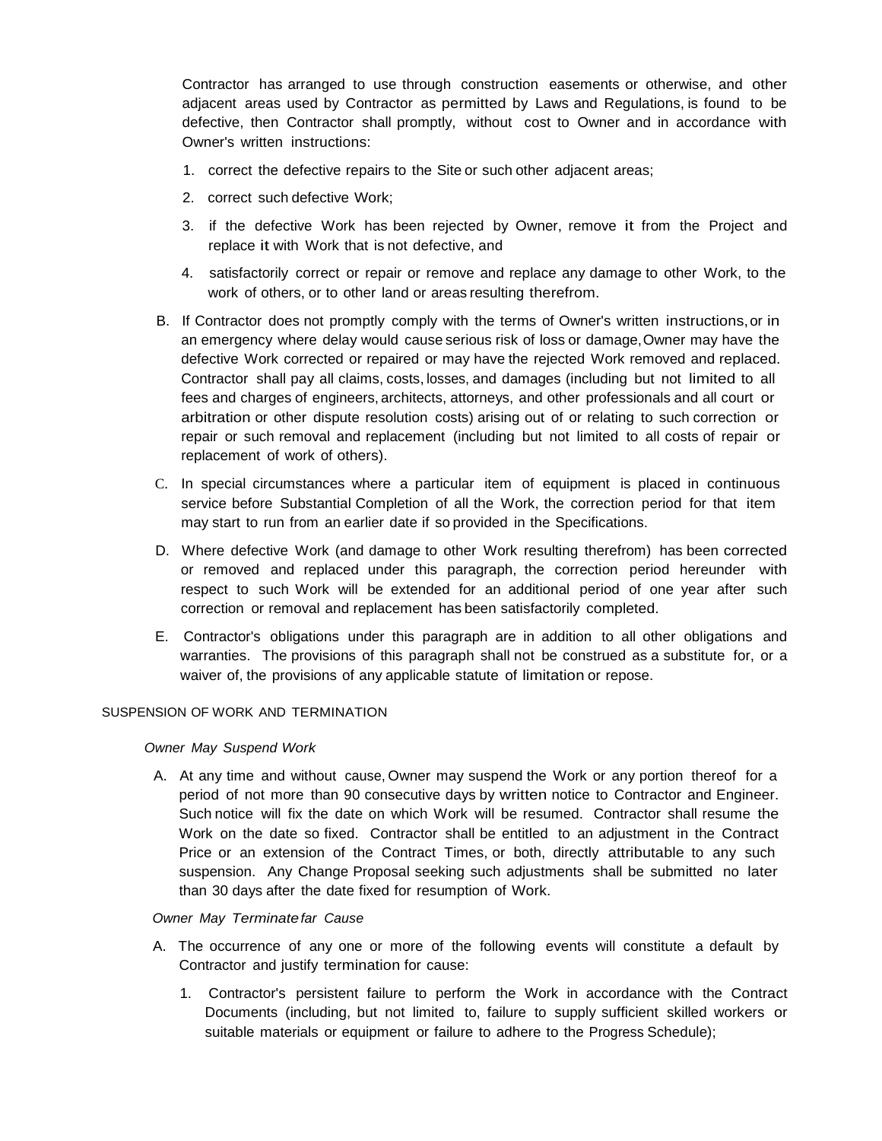Contractor has arranged to use through construction easements or otherwise, and other adjacent areas used by Contractor as permitted by Laws and Regulations, is found to be defective, then Contractor shall promptly, without cost to Owner and in accordance with Owner's written instructions:

- 1. correct the defective repairs to the Site or such other adjacent areas;
- 2. correct such defective Work;
- 3. if the defective Work has been rejected by Owner, remove it from the Project and replace it with Work that is not defective, and
- 4. satisfactorily correct or repair or remove and replace any damage to other Work, to the work of others, or to other land or areas resulting therefrom.
- B. If Contractor does not promptly comply with the terms of Owner's written instructions,or in an emergency where delay would cause serious risk of loss or damage,Owner may have the defective Work corrected or repaired or may have the rejected Work removed and replaced. Contractor shall pay all claims, costs, losses, and damages (including but not limited to all fees and charges of engineers, architects, attorneys, and other professionals and all court or arbitration or other dispute resolution costs) arising out of or relating to such correction or repair or such removal and replacement (including but not limited to all costs of repair or replacement of work of others).
- C. In special circumstances where a particular item of equipment is placed in continuous service before Substantial Completion of all the Work, the correction period for that item may start to run from an earlier date if so provided in the Specifications.
- D. Where defective Work (and damage to other Work resulting therefrom) has been corrected or removed and replaced under this paragraph, the correction period hereunder with respect to such Work will be extended for an additional period of one year after such correction or removal and replacement has been satisfactorily completed.
- E. Contractor's obligations under this paragraph are in addition to all other obligations and warranties. The provisions of this paragraph shall not be construed as a substitute for, or a waiver of, the provisions of any applicable statute of limitation or repose.

### SUSPENSION OF WORK AND TERMINATION

## *Owner May Suspend Work*

A. At any time and without cause, Owner may suspend the Work or any portion thereof for a period of not more than 90 consecutive days by written notice to Contractor and Engineer. Such notice will fix the date on which Work will be resumed. Contractor shall resume the Work on the date so fixed. Contractor shall be entitled to an adjustment in the Contract Price or an extension of the Contract Times, or both, directly attributable to any such suspension. Any Change Proposal seeking such adjustments shall be submitted no later than 30 days after the date fixed for resumption of Work.

### *Owner May Terminatefar Cause*

- A. The occurrence of any one or more of the following events will constitute a default by Contractor and justify termination for cause:
	- 1. Contractor's persistent failure to perform the Work in accordance with the Contract Documents (including, but not limited to, failure to supply sufficient skilled workers or suitable materials or equipment or failure to adhere to the Progress Schedule);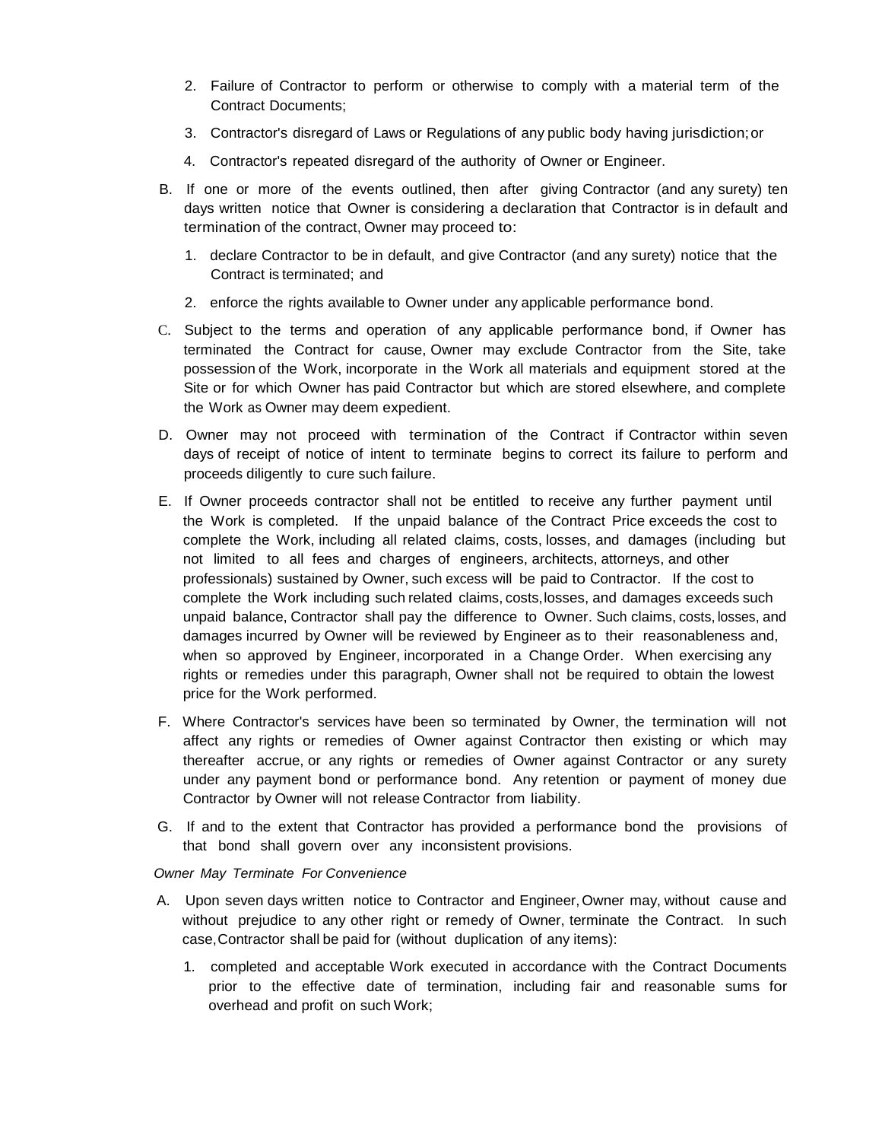- 2. Failure of Contractor to perform or otherwise to comply with a material term of the Contract Documents;
- 3. Contractor's disregard of Laws or Regulations of any public body having jurisdiction;or
- 4. Contractor's repeated disregard of the authority of Owner or Engineer.
- B. If one or more of the events outlined, then after giving Contractor (and any surety) ten days written notice that Owner is considering a declaration that Contractor is in default and termination of the contract, Owner may proceed to:
	- 1. declare Contractor to be in default, and give Contractor (and any surety) notice that the Contract is terminated; and
	- 2. enforce the rights available to Owner under any applicable performance bond.
- C. Subject to the terms and operation of any applicable performance bond, if Owner has terminated the Contract for cause, Owner may exclude Contractor from the Site, take possession of the Work, incorporate in the Work all materials and equipment stored at the Site or for which Owner has paid Contractor but which are stored elsewhere, and complete the Work as Owner may deem expedient.
- D. Owner may not proceed with termination of the Contract if Contractor within seven days of receipt of notice of intent to terminate begins to correct its failure to perform and proceeds diligently to cure such failure.
- E. If Owner proceeds contractor shall not be entitled to receive any further payment until the Work is completed. If the unpaid balance of the Contract Price exceeds the cost to complete the Work, including all related claims, costs, losses, and damages (including but not limited to all fees and charges of engineers, architects, attorneys, and other professionals) sustained by Owner, such excess will be paid to Contractor. If the cost to complete the Work including such related claims, costs,losses, and damages exceeds such unpaid balance, Contractor shall pay the difference to Owner. Such claims, costs, losses, and damages incurred by Owner will be reviewed by Engineer as to their reasonableness and, when so approved by Engineer, incorporated in a Change Order. When exercising any rights or remedies under this paragraph, Owner shall not be required to obtain the lowest price for the Work performed.
- F. Where Contractor's services have been so terminated by Owner, the termination will not affect any rights or remedies of Owner against Contractor then existing or which may thereafter accrue, or any rights or remedies of Owner against Contractor or any surety under any payment bond or performance bond. Any retention or payment of money due Contractor by Owner will not release Contractor from liability.
- G. If and to the extent that Contractor has provided a performance bond the provisions of that bond shall govern over any inconsistent provisions.

*Owner May Terminate For Convenience*

- A. Upon seven days written notice to Contractor and Engineer, Owner may, without cause and without prejudice to any other right or remedy of Owner, terminate the Contract. In such case,Contractor shall be paid for (without duplication of any items):
	- 1. completed and acceptable Work executed in accordance with the Contract Documents prior to the effective date of termination, including fair and reasonable sums for overhead and profit on such Work;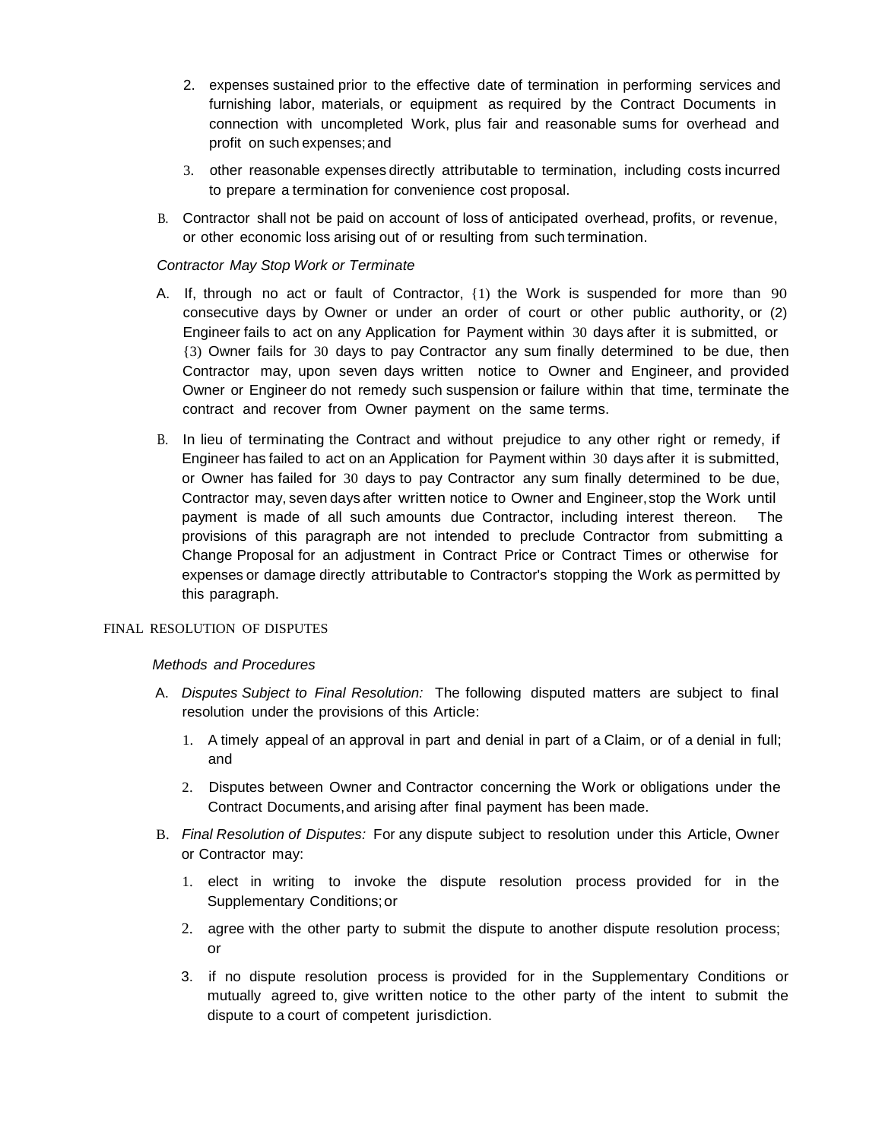- 2. expenses sustained prior to the effective date of termination in performing services and furnishing labor, materials, or equipment as required by the Contract Documents in connection with uncompleted Work, plus fair and reasonable sums for overhead and profit on such expenses;and
- 3. other reasonable expenses directly attributable to termination, including costs incurred to prepare a termination for convenience cost proposal.
- B. Contractor shall not be paid on account of loss of anticipated overhead, profits, or revenue, or other economic loss arising out of or resulting from such termination.

## *Contractor May Stop Work or Terminate*

- A. If, through no act or fault of Contractor, {1) the Work is suspended for more than 90 consecutive days by Owner or under an order of court or other public authority, or (2) Engineer fails to act on any Application for Payment within 30 days after it is submitted, or {3) Owner fails for 30 days to pay Contractor any sum finally determined to be due, then Contractor may, upon seven days written notice to Owner and Engineer, and provided Owner or Engineer do not remedy such suspension or failure within that time, terminate the contract and recover from Owner payment on the same terms.
- B. In lieu of terminating the Contract and without prejudice to any other right or remedy, if Engineer has failed to act on an Application for Payment within 30 days after it is submitted, or Owner has failed for 30 days to pay Contractor any sum finally determined to be due, Contractor may, seven days after written notice to Owner and Engineer,stop the Work until payment is made of all such amounts due Contractor, including interest thereon. The provisions of this paragraph are not intended to preclude Contractor from submitting a Change Proposal for an adjustment in Contract Price or Contract Times or otherwise for expenses or damage directly attributable to Contractor's stopping the Work as permitted by this paragraph.

### FINAL RESOLUTION OF DISPUTES

### *Methods and Procedures*

- A. *Disputes Subject to Final Resolution:* The following disputed matters are subject to final resolution under the provisions of this Article:
	- 1. A timely appeal of an approval in part and denial in part of a Claim, or of a denial in full; and
	- 2. Disputes between Owner and Contractor concerning the Work or obligations under the Contract Documents,and arising after final payment has been made.
- B. *Final Resolution of Disputes:* For any dispute subject to resolution under this Article, Owner or Contractor may:
	- 1. elect in writing to invoke the dispute resolution process provided for in the Supplementary Conditions;or
	- 2. agree with the other party to submit the dispute to another dispute resolution process; or
	- 3. if no dispute resolution process is provided for in the Supplementary Conditions or mutually agreed to, give written notice to the other party of the intent to submit the dispute to a court of competent jurisdiction.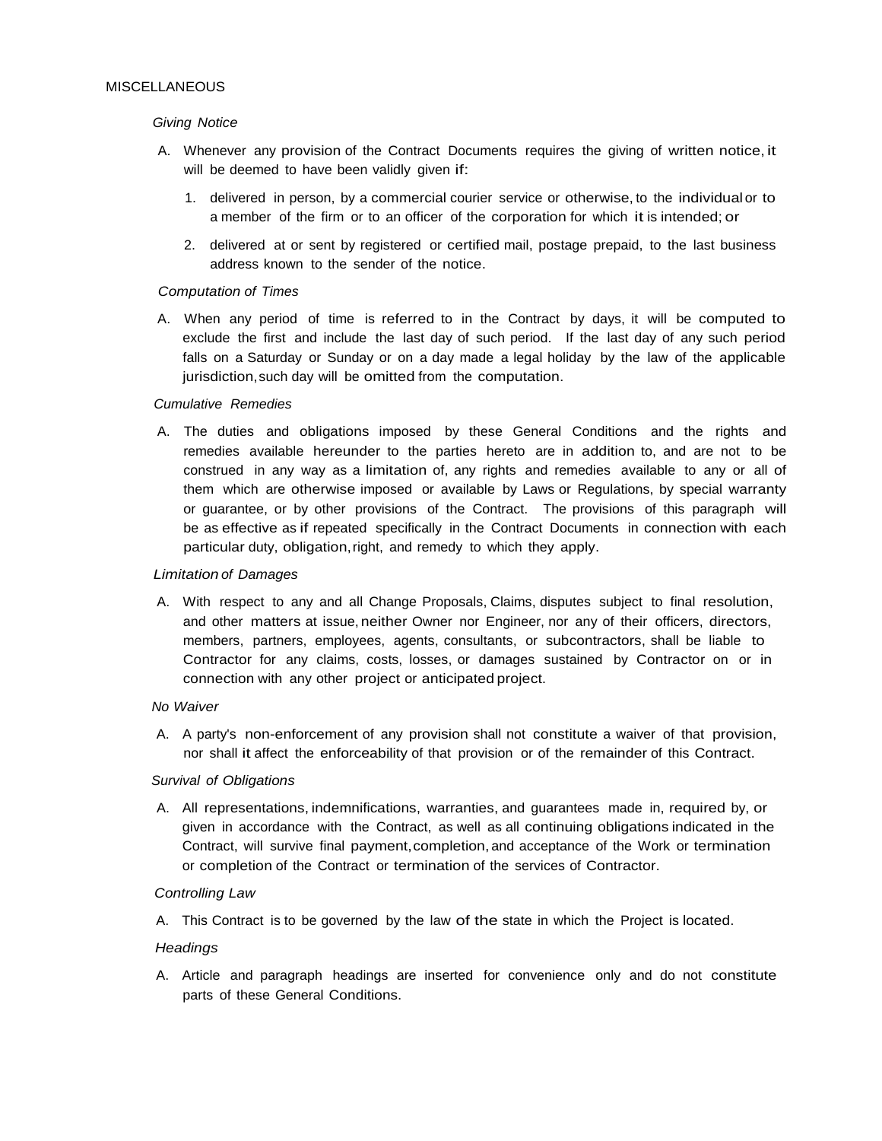#### **MISCELLANEOUS**

### *Giving Notice*

- A. Whenever any provision of the Contract Documents requires the giving of written notice, it will be deemed to have been validly given if:
	- 1. delivered in person, by a commercial courier service or otherwise, to the individual or to a member of the firm or to an officer of the corporation for which it is intended; or
	- 2. delivered at or sent by registered or certified mail, postage prepaid, to the last business address known to the sender of the notice.

#### *Computation of Times*

A. When any period of time is referred to in the Contract by days, it will be computed to exclude the first and include the last day of such period. If the last day of any such period falls on a Saturday or Sunday or on a day made a legal holiday by the law of the applicable jurisdiction, such day will be omitted from the computation.

#### *Cumulative Remedies*

A. The duties and obligations imposed by these General Conditions and the rights and remedies available hereunder to the parties hereto are in addition to, and are not to be construed in any way as a limitation of, any rights and remedies available to any or all of them which are otherwise imposed or available by Laws or Regulations, by special warranty or guarantee, or by other provisions of the Contract. The provisions of this paragraph will be as effective as if repeated specifically in the Contract Documents in connection with each particular duty, obligation,right, and remedy to which they apply.

### *Limitation of Damages*

A. With respect to any and all Change Proposals, Claims, disputes subject to final resolution, and other matters at issue, neither Owner nor Engineer, nor any of their officers, directors, members, partners, employees, agents, consultants, or subcontractors, shall be liable to Contractor for any claims, costs, losses, or damages sustained by Contractor on or in connection with any other project or anticipated project.

#### *No Waiver*

A. A party's non-enforcement of any provision shall not constitute a waiver of that provision, nor shall it affect the enforceability of that provision or of the remainder of this Contract.

#### *Survival of Obligations*

A. All representations, indemnifications, warranties, and guarantees made in, required by, or given in accordance with the Contract, as well as all continuing obligations indicated in the Contract, will survive final payment,completion, and acceptance of the Work or termination or completion of the Contract or termination of the services of Contractor.

#### *Controlling Law*

A. This Contract is to be governed by the law of the state in which the Project is located.

#### *Headings*

A. Article and paragraph headings are inserted for convenience only and do not constitute parts of these General Conditions.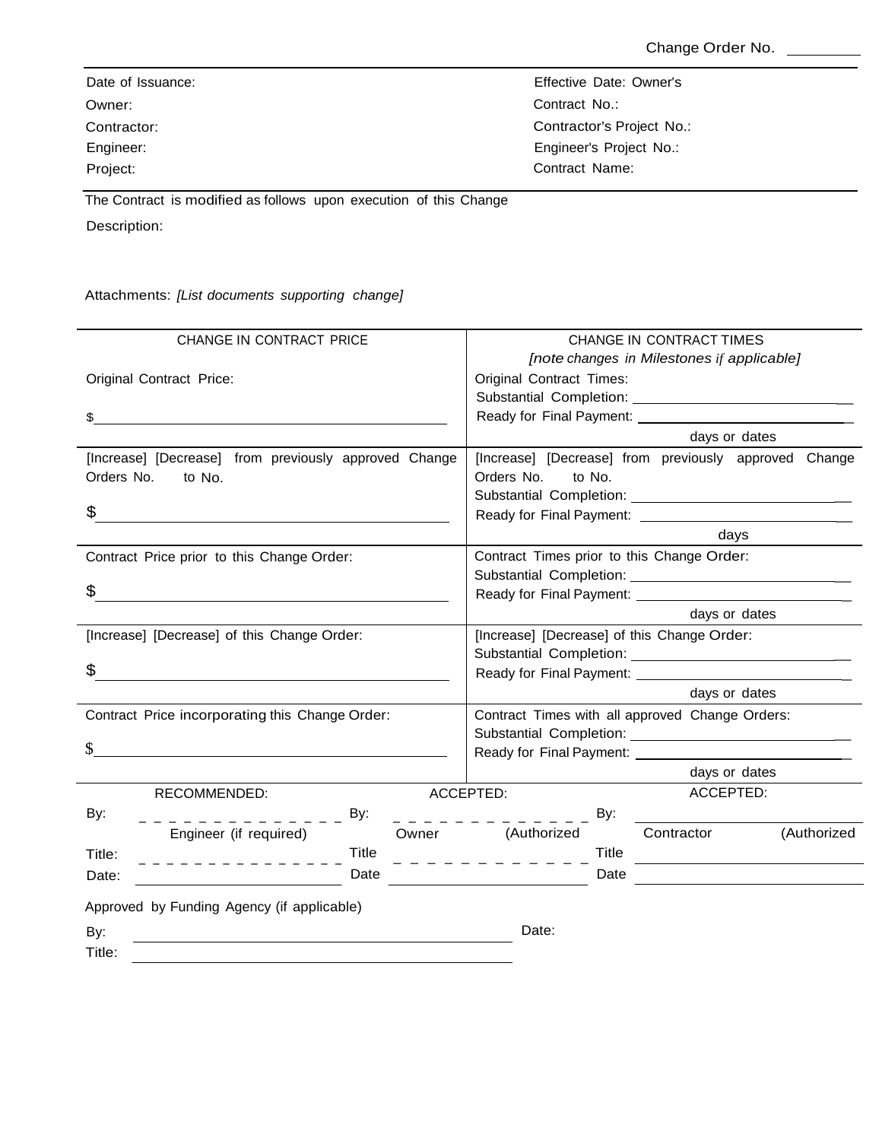Date of Issuance: Owner: Contractor: Engineer: Project:

Effective Date: Owner's Contract No.: Contractor's Project No.: Engineer's Project No.: Contract Name:

The Contract is modified as follows upon execution of this Change Description:

Attachments: *[List documents supporting change]*

| CHANGE IN CONTRACT PRICE                              | CHANGE IN CONTRACT TIMES                   |                                                       |       |            |               |             |
|-------------------------------------------------------|--------------------------------------------|-------------------------------------------------------|-------|------------|---------------|-------------|
|                                                       | [note changes in Milestones if applicable] |                                                       |       |            |               |             |
| Original Contract Price:                              | <b>Original Contract Times:</b>            |                                                       |       |            |               |             |
|                                                       |                                            |                                                       |       |            |               |             |
| \$                                                    |                                            |                                                       |       |            |               |             |
|                                                       |                                            |                                                       |       |            | days or dates |             |
| [Increase] [Decrease] from previously approved Change |                                            | [Increase] [Decrease] from previously approved Change |       |            |               |             |
| Orders No.<br>to No.                                  |                                            | Orders No.<br>to No.                                  |       |            |               |             |
|                                                       |                                            |                                                       |       |            |               |             |
|                                                       |                                            |                                                       |       |            |               |             |
|                                                       |                                            |                                                       |       |            | days          |             |
| Contract Price prior to this Change Order:            |                                            | Contract Times prior to this Change Order:            |       |            |               |             |
|                                                       |                                            |                                                       |       |            |               |             |
| \$                                                    |                                            | Ready for Final Payment:                              |       |            |               |             |
|                                                       | days or dates                              |                                                       |       |            |               |             |
| [Increase] [Decrease] of this Change Order:           |                                            | [Increase] [Decrease] of this Change Order:           |       |            |               |             |
|                                                       |                                            |                                                       |       |            |               |             |
| \$                                                    |                                            | Ready for Final Payment: Neady for Final Payment:     |       |            |               |             |
|                                                       |                                            |                                                       |       |            | days or dates |             |
| Contract Price incorporating this Change Order:       |                                            | Contract Times with all approved Change Orders:       |       |            |               |             |
|                                                       |                                            |                                                       |       |            |               |             |
|                                                       |                                            | Ready for Final Payment: 2008                         |       |            |               |             |
|                                                       |                                            |                                                       |       |            | days or dates |             |
| RECOMMENDED:                                          |                                            | ACCEPTED:                                             |       | ACCEPTED:  |               |             |
| By:                                                   | By:                                        |                                                       | By:   |            |               |             |
| Engineer (if required)                                |                                            | Owner (Authorized                                     |       | Contractor |               | (Authorized |
| Title:<br>___________                                 | Title                                      |                                                       | Title |            |               |             |
| Date:                                                 | Date<br>Date                               |                                                       |       |            |               |             |
| Approved by Funding Agency (if applicable)            |                                            |                                                       |       |            |               |             |
| By:                                                   |                                            | Date:                                                 |       |            |               |             |
| Title:                                                |                                            |                                                       |       |            |               |             |
|                                                       |                                            |                                                       |       |            |               |             |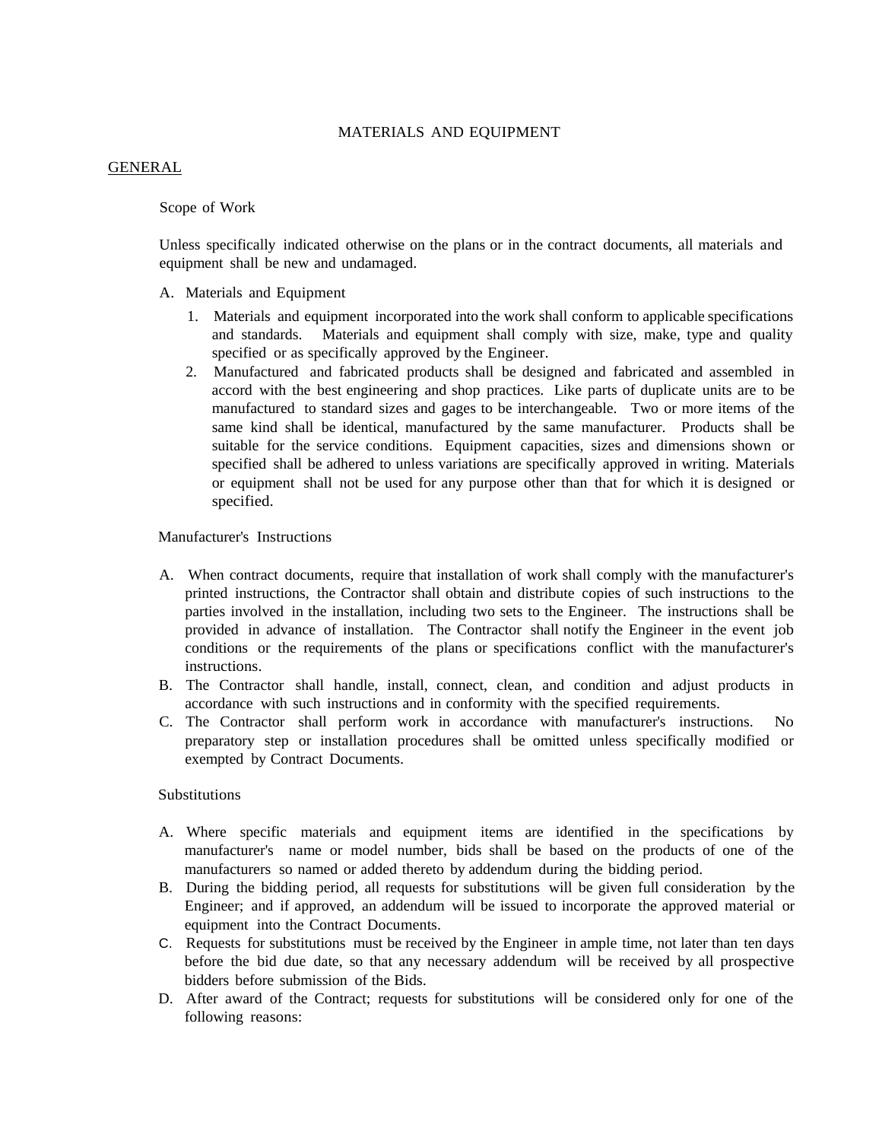## MATERIALS AND EQUIPMENT

### GENERAL

Scope of Work

Unless specifically indicated otherwise on the plans or in the contract documents, all materials and equipment shall be new and undamaged.

#### A. Materials and Equipment

- 1. Materials and equipment incorporated into the work shall conform to applicable specifications and standards. Materials and equipment shall comply with size, make, type and quality specified or as specifically approved by the Engineer.
- 2. Manufactured and fabricated products shall be designed and fabricated and assembled in accord with the best engineering and shop practices. Like parts of duplicate units are to be manufactured to standard sizes and gages to be interchangeable. Two or more items of the same kind shall be identical, manufactured by the same manufacturer. Products shall be suitable for the service conditions. Equipment capacities, sizes and dimensions shown or specified shall be adhered to unless variations are specifically approved in writing. Materials or equipment shall not be used for any purpose other than that for which it is designed or specified.

## Manufacturer's Instructions

- A. When contract documents, require that installation of work shall comply with the manufacturer's printed instructions, the Contractor shall obtain and distribute copies of such instructions to the parties involved in the installation, including two sets to the Engineer. The instructions shall be provided in advance of installation. The Contractor shall notify the Engineer in the event job conditions or the requirements of the plans or specifications conflict with the manufacturer's instructions.
- B. The Contractor shall handle, install, connect, clean, and condition and adjust products in accordance with such instructions and in conformity with the specified requirements.
- C. The Contractor shall perform work in accordance with manufacturer's instructions. No preparatory step or installation procedures shall be omitted unless specifically modified or exempted by Contract Documents.

#### Substitutions

- A. Where specific materials and equipment items are identified in the specifications by manufacturer's name or model number, bids shall be based on the products of one of the manufacturers so named or added thereto by addendum during the bidding period.
- B. During the bidding period, all requests for substitutions will be given full consideration by the Engineer; and if approved, an addendum will be issued to incorporate the approved material or equipment into the Contract Documents.
- C. Requests for substitutions must be received by the Engineer in ample time, not later than ten days before the bid due date, so that any necessary addendum will be received by all prospective bidders before submission of the Bids.
- D. After award of the Contract; requests for substitutions will be considered only for one of the following reasons: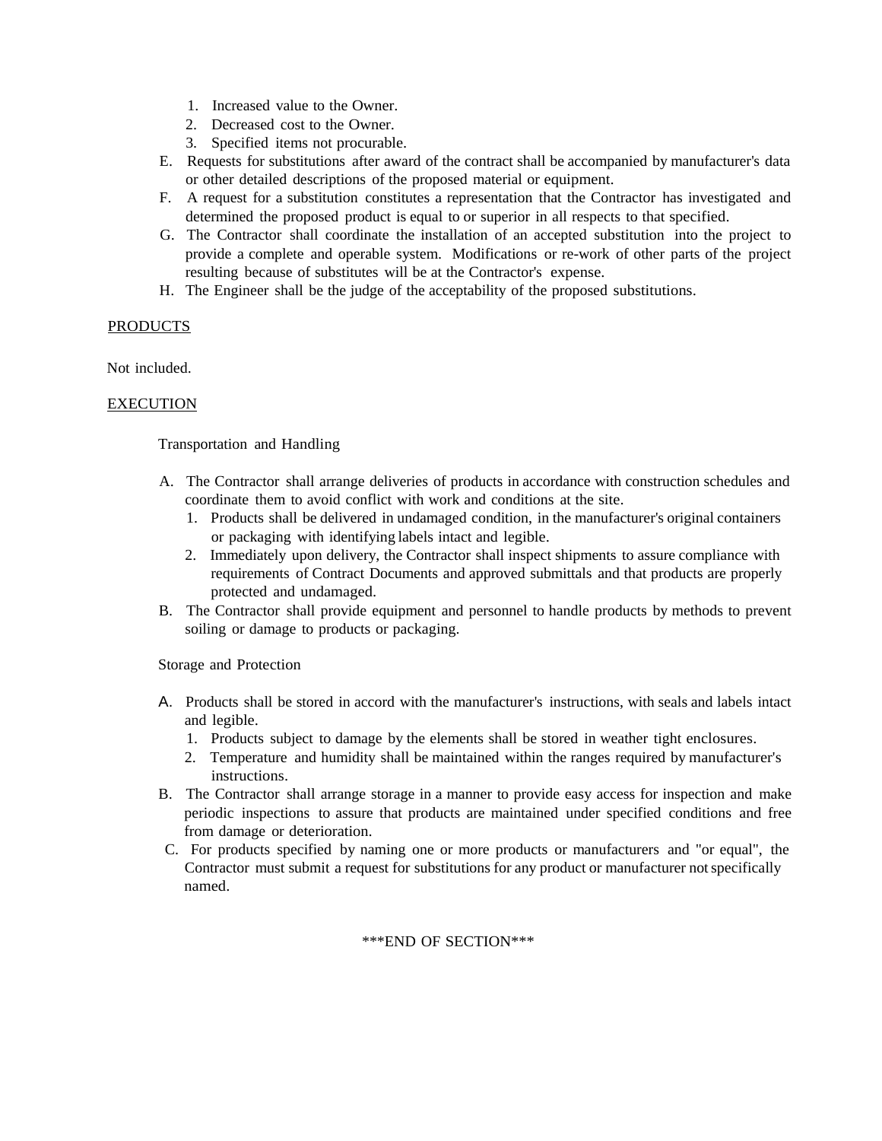- 1. Increased value to the Owner.
- 2. Decreased cost to the Owner.
- 3. Specified items not procurable.
- E. Requests for substitutions after award of the contract shall be accompanied by manufacturer's data or other detailed descriptions of the proposed material or equipment.
- F. A request for a substitution constitutes a representation that the Contractor has investigated and determined the proposed product is equal to or superior in all respects to that specified.
- G. The Contractor shall coordinate the installation of an accepted substitution into the project to provide a complete and operable system. Modifications or re-work of other parts of the project resulting because of substitutes will be at the Contractor's expense.
- H. The Engineer shall be the judge of the acceptability of the proposed substitutions.

## PRODUCTS

Not included.

## **EXECUTION**

Transportation and Handling

- A. The Contractor shall arrange deliveries of products in accordance with construction schedules and coordinate them to avoid conflict with work and conditions at the site.
	- 1. Products shall be delivered in undamaged condition, in the manufacturer's original containers or packaging with identifying labels intact and legible.
	- 2. Immediately upon delivery, the Contractor shall inspect shipments to assure compliance with requirements of Contract Documents and approved submittals and that products are properly protected and undamaged.
- B. The Contractor shall provide equipment and personnel to handle products by methods to prevent soiling or damage to products or packaging.

Storage and Protection

- A. Products shall be stored in accord with the manufacturer's instructions, with seals and labels intact and legible.
	- 1. Products subject to damage by the elements shall be stored in weather tight enclosures.
	- 2. Temperature and humidity shall be maintained within the ranges required by manufacturer's instructions.
- B. The Contractor shall arrange storage in a manner to provide easy access for inspection and make periodic inspections to assure that products are maintained under specified conditions and free from damage or deterioration.
- C. For products specified by naming one or more products or manufacturers and "or equal", the Contractor must submit a request for substitutions for any product or manufacturer not specifically named.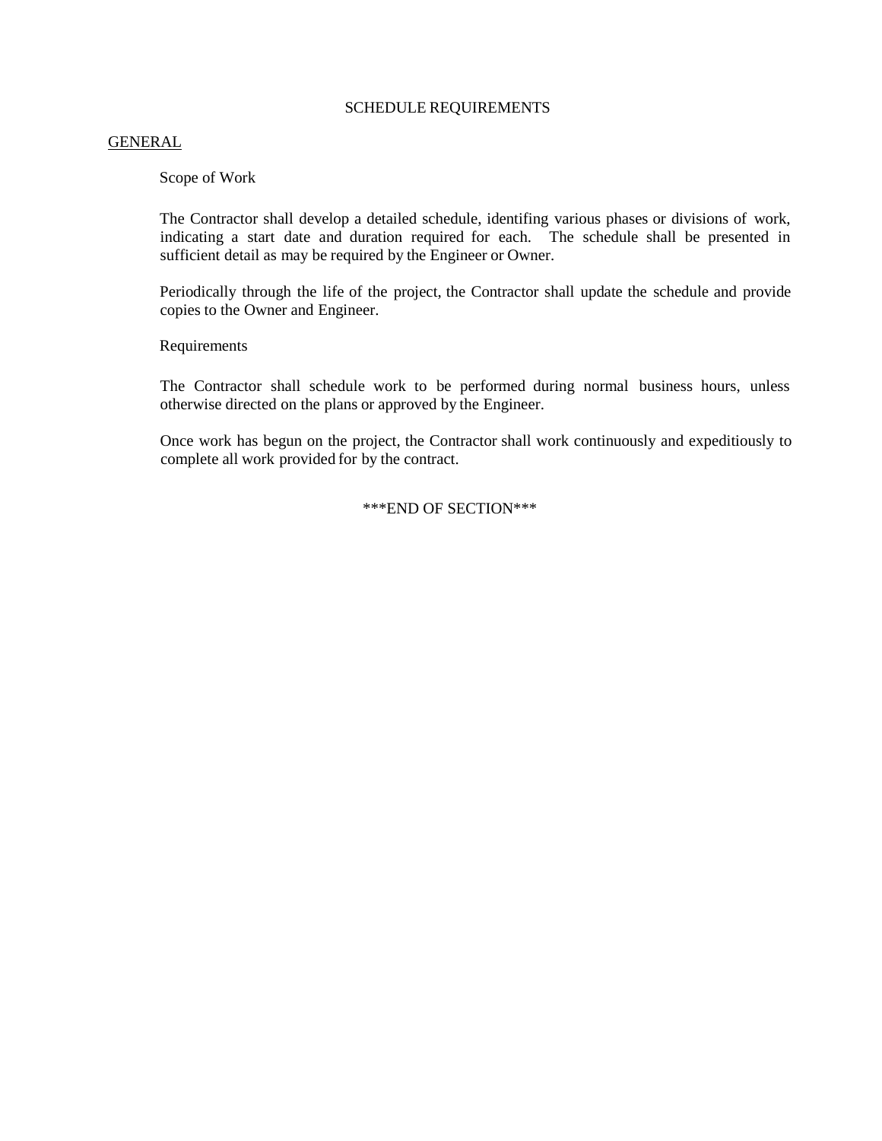### SCHEDULE REQUIREMENTS

### **GENERAL**

Scope of Work

The Contractor shall develop a detailed schedule, identifing various phases or divisions of work, indicating a start date and duration required for each. The schedule shall be presented in sufficient detail as may be required by the Engineer or Owner.

Periodically through the life of the project, the Contractor shall update the schedule and provide copies to the Owner and Engineer.

Requirements

The Contractor shall schedule work to be performed during normal business hours, unless otherwise directed on the plans or approved by the Engineer.

Once work has begun on the project, the Contractor shall work continuously and expeditiously to complete all work provided for by the contract.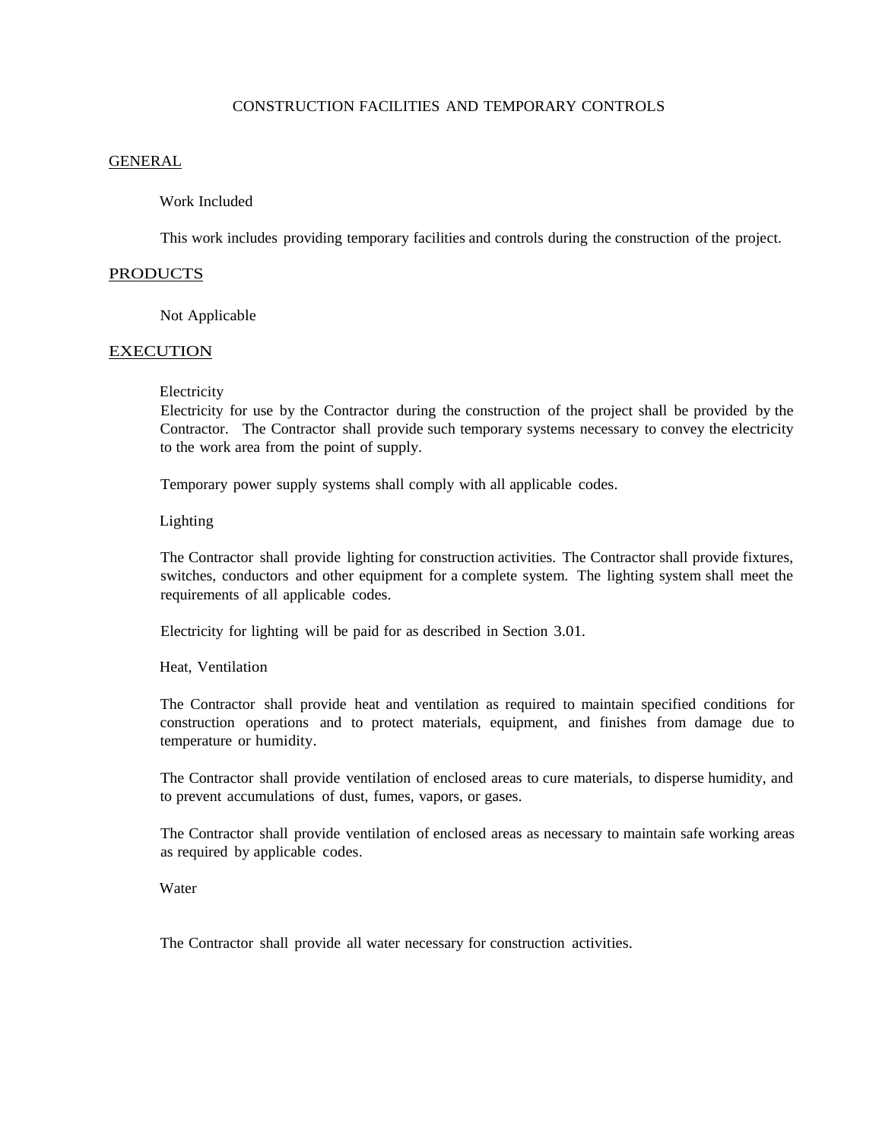## CONSTRUCTION FACILITIES AND TEMPORARY CONTROLS

## GENERAL

Work Included

This work includes providing temporary facilities and controls during the construction of the project.

#### PRODUCTS

Not Applicable

#### **EXECUTION**

Electricity

Electricity for use by the Contractor during the construction of the project shall be provided by the Contractor. The Contractor shall provide such temporary systems necessary to convey the electricity to the work area from the point of supply.

Temporary power supply systems shall comply with all applicable codes.

Lighting

The Contractor shall provide lighting for construction activities. The Contractor shall provide fixtures, switches, conductors and other equipment for a complete system. The lighting system shall meet the requirements of all applicable codes.

Electricity for lighting will be paid for as described in Section 3.01.

Heat, Ventilation

The Contractor shall provide heat and ventilation as required to maintain specified conditions for construction operations and to protect materials, equipment, and finishes from damage due to temperature or humidity.

The Contractor shall provide ventilation of enclosed areas to cure materials, to disperse humidity, and to prevent accumulations of dust, fumes, vapors, or gases.

The Contractor shall provide ventilation of enclosed areas as necessary to maintain safe working areas as required by applicable codes.

Water

The Contractor shall provide all water necessary for construction activities.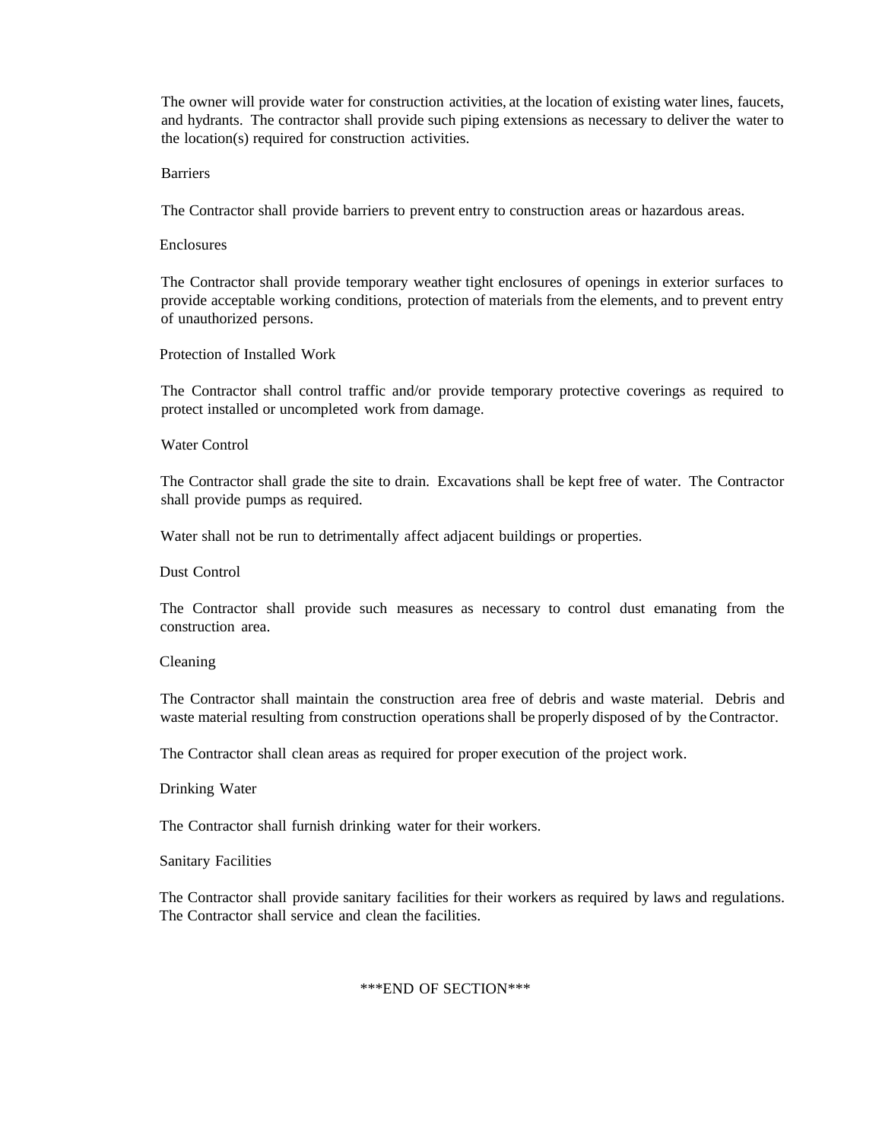The owner will provide water for construction activities, at the location of existing water lines, faucets, and hydrants. The contractor shall provide such piping extensions as necessary to deliver the water to the location(s) required for construction activities.

Barriers

The Contractor shall provide barriers to prevent entry to construction areas or hazardous areas.

Enclosures

The Contractor shall provide temporary weather tight enclosures of openings in exterior surfaces to provide acceptable working conditions, protection of materials from the elements, and to prevent entry of unauthorized persons.

Protection of Installed Work

The Contractor shall control traffic and/or provide temporary protective coverings as required to protect installed or uncompleted work from damage.

#### Water Control

The Contractor shall grade the site to drain. Excavations shall be kept free of water. The Contractor shall provide pumps as required.

Water shall not be run to detrimentally affect adjacent buildings or properties.

Dust Control

The Contractor shall provide such measures as necessary to control dust emanating from the construction area.

Cleaning

The Contractor shall maintain the construction area free of debris and waste material. Debris and waste material resulting from construction operations shall be properly disposed of by the Contractor.

The Contractor shall clean areas as required for proper execution of the project work.

Drinking Water

The Contractor shall furnish drinking water for their workers.

Sanitary Facilities

The Contractor shall provide sanitary facilities for their workers as required by laws and regulations. The Contractor shall service and clean the facilities.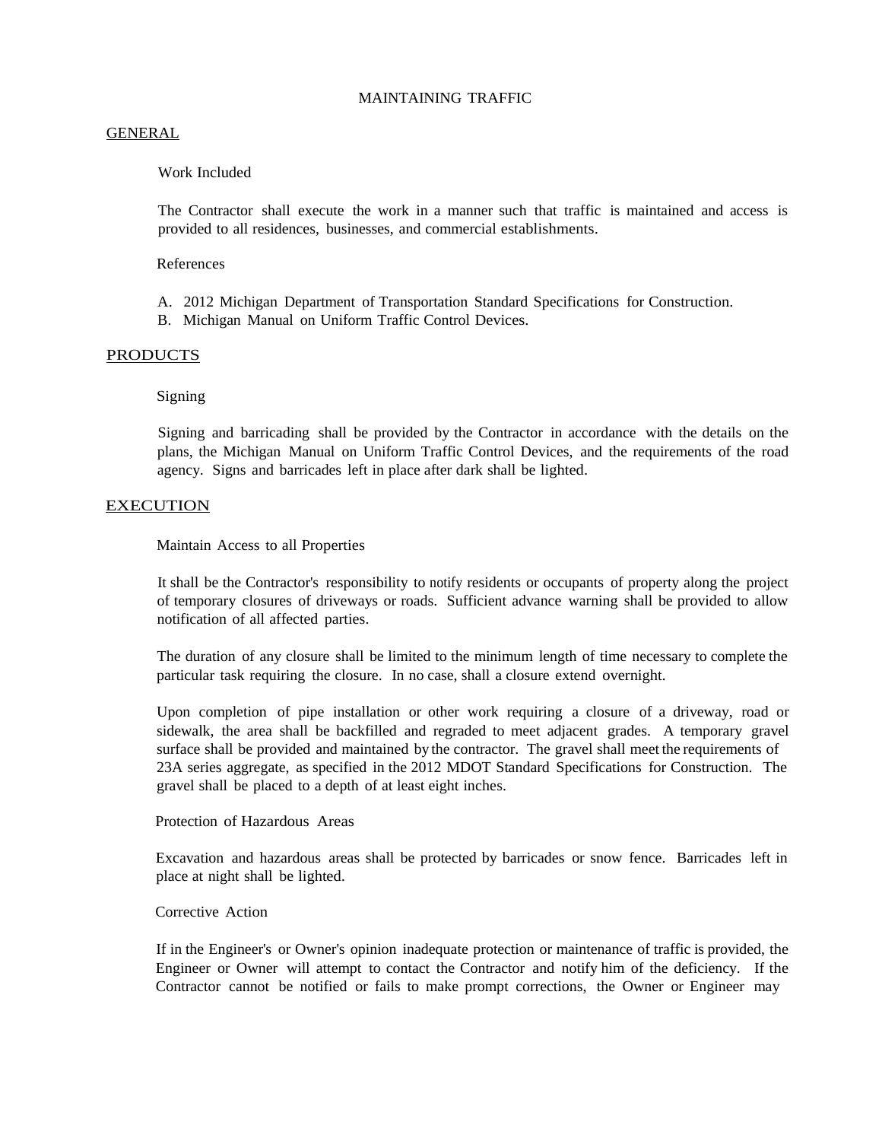## MAINTAINING TRAFFIC

### GENERAL

## Work Included

The Contractor shall execute the work in a manner such that traffic is maintained and access is provided to all residences, businesses, and commercial establishments.

### References

- A. 2012 Michigan Department of Transportation Standard Specifications for Construction.
- B. Michigan Manual on Uniform Traffic Control Devices.

## PRODUCTS

### Signing

Signing and barricading shall be provided by the Contractor in accordance with the details on the plans, the Michigan Manual on Uniform Traffic Control Devices, and the requirements of the road agency. Signs and barricades left in place after dark shall be lighted.

## EXECUTION

Maintain Access to all Properties

It shall be the Contractor's responsibility to notify residents or occupants of property along the project of temporary closures of driveways or roads. Sufficient advance warning shall be provided to allow notification of all affected parties.

The duration of any closure shall be limited to the minimum length of time necessary to complete the particular task requiring the closure. In no case, shall a closure extend overnight.

Upon completion of pipe installation or other work requiring a closure of a driveway, road or sidewalk, the area shall be backfilled and regraded to meet adjacent grades. A temporary gravel surface shall be provided and maintained by the contractor. The gravel shall meet the requirements of 23A series aggregate, as specified in the 2012 MDOT Standard Specifications for Construction. The gravel shall be placed to a depth of at least eight inches.

### Protection of Hazardous Areas

Excavation and hazardous areas shall be protected by barricades or snow fence. Barricades left in place at night shall be lighted.

### Corrective Action

If in the Engineer's or Owner's opinion inadequate protection or maintenance of traffic is provided, the Engineer or Owner will attempt to contact the Contractor and notify him of the deficiency. If the Contractor cannot be notified or fails to make prompt corrections, the Owner or Engineer may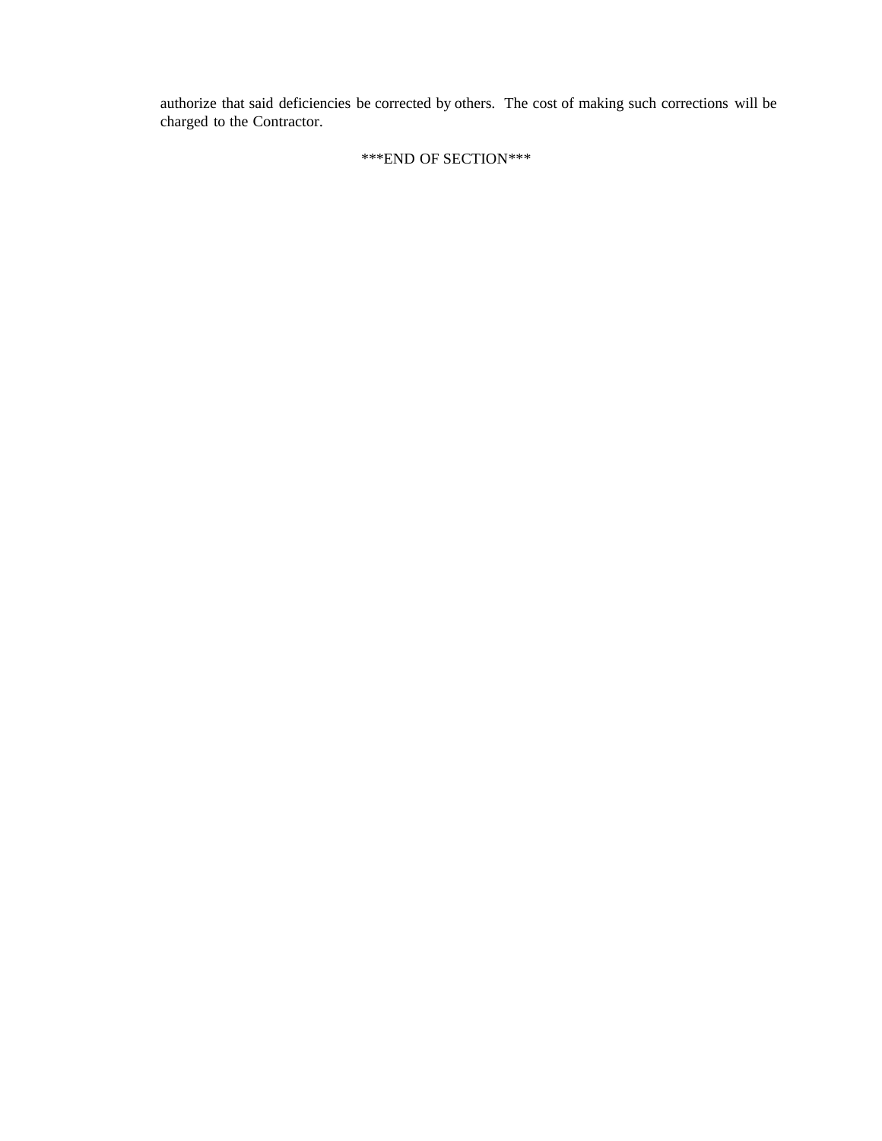authorize that said deficiencies be corrected by others. The cost of making such corrections will be charged to the Contractor.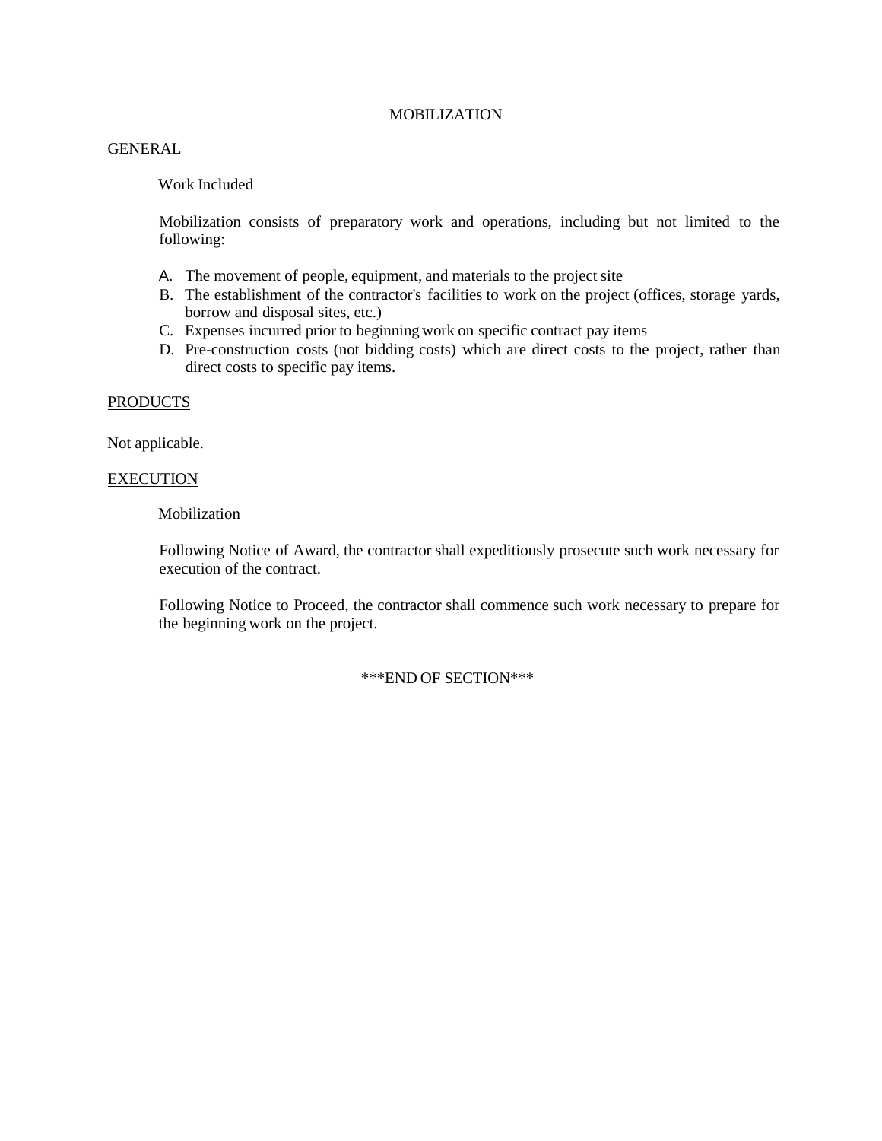## MOBILIZATION

### GENERAL

## Work Included

Mobilization consists of preparatory work and operations, including but not limited to the following:

- A. The movement of people, equipment, and materials to the project site
- B. The establishment of the contractor's facilities to work on the project (offices, storage yards, borrow and disposal sites, etc.)
- C. Expenses incurred prior to beginning work on specific contract pay items
- D. Pre-construction costs (not bidding costs) which are direct costs to the project, rather than direct costs to specific pay items.

## **PRODUCTS**

Not applicable.

## **EXECUTION**

### Mobilization

Following Notice of Award, the contractor shall expeditiously prosecute such work necessary for execution of the contract.

Following Notice to Proceed, the contractor shall commence such work necessary to prepare for the beginning work on the project.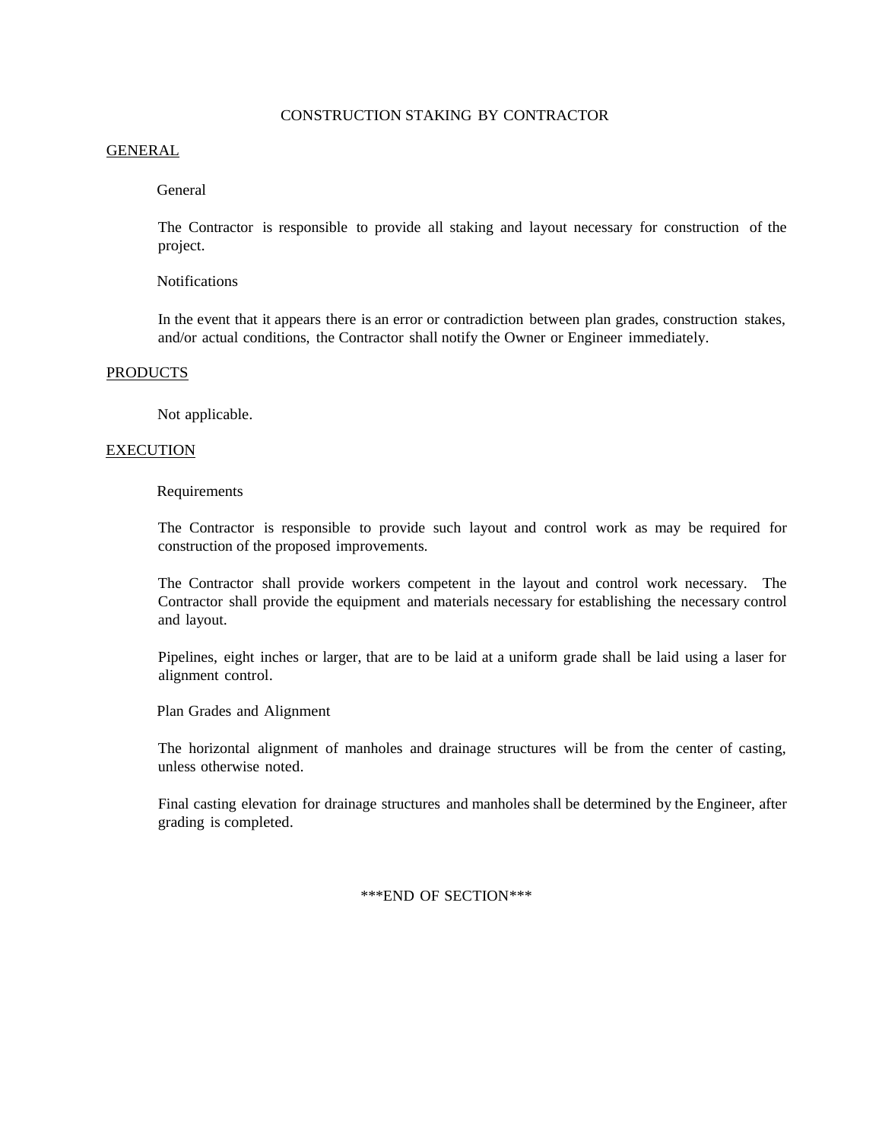## CONSTRUCTION STAKING BY CONTRACTOR

#### GENERAL

#### General

The Contractor is responsible to provide all staking and layout necessary for construction of the project.

### Notifications

In the event that it appears there is an error or contradiction between plan grades, construction stakes, and/or actual conditions, the Contractor shall notify the Owner or Engineer immediately.

#### PRODUCTS

Not applicable.

## **EXECUTION**

#### Requirements

The Contractor is responsible to provide such layout and control work as may be required for construction of the proposed improvements.

The Contractor shall provide workers competent in the layout and control work necessary. The Contractor shall provide the equipment and materials necessary for establishing the necessary control and layout.

Pipelines, eight inches or larger, that are to be laid at a uniform grade shall be laid using a laser for alignment control.

Plan Grades and Alignment

The horizontal alignment of manholes and drainage structures will be from the center of casting, unless otherwise noted.

Final casting elevation for drainage structures and manholes shall be determined by the Engineer, after grading is completed.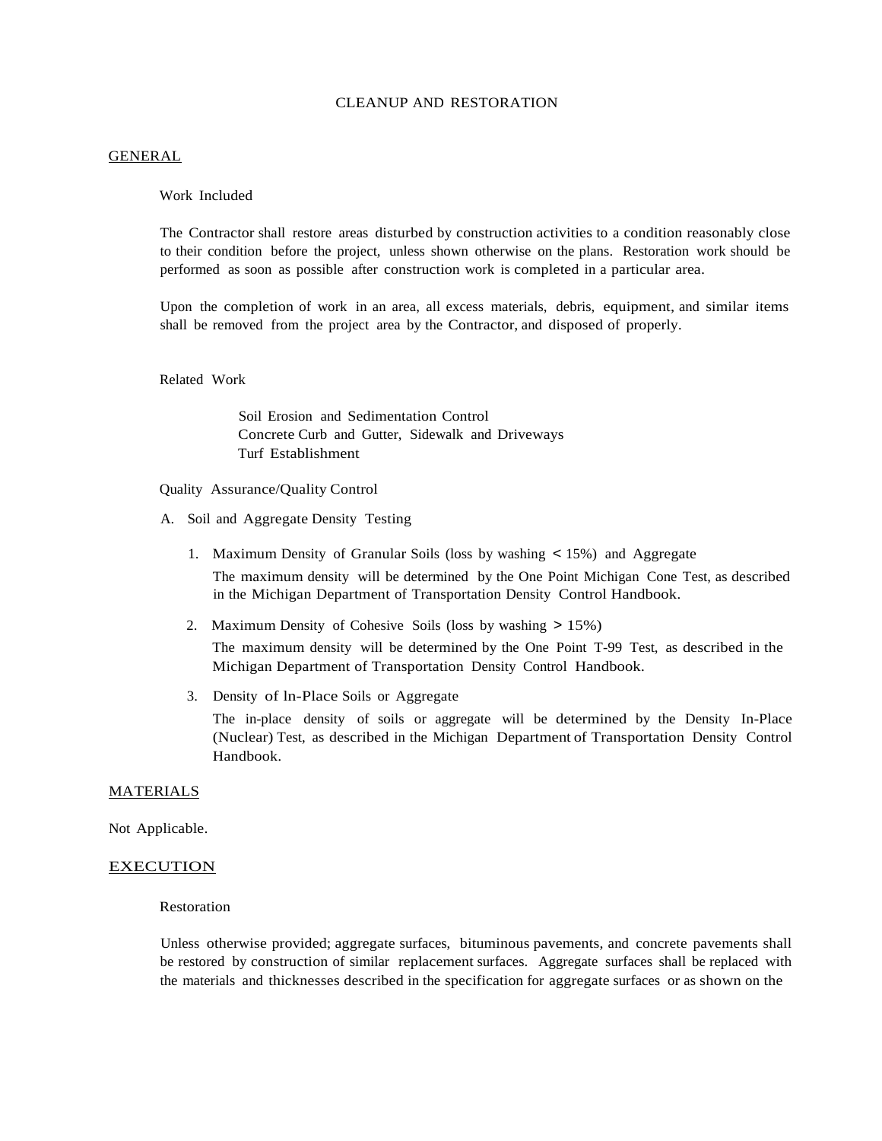### CLEANUP AND RESTORATION

#### GENERAL

Work Included

The Contractor shall restore areas disturbed by construction activities to a condition reasonably close to their condition before the project, unless shown otherwise on the plans. Restoration work should be performed as soon as possible after construction work is completed in a particular area.

Upon the completion of work in an area, all excess materials, debris, equipment, and similar items shall be removed from the project area by the Contractor, and disposed of properly.

Related Work

Soil Erosion and Sedimentation Control Concrete Curb and Gutter, Sidewalk and Driveways Turf Establishment

Quality Assurance/Quality Control

- A. Soil and Aggregate Density Testing
	- 1. Maximum Density of Granular Soils (loss by washing < 15%) and Aggregate The maximum density will be determined by the One Point Michigan Cone Test, as described in the Michigan Department of Transportation Density Control Handbook.
	- 2. Maximum Density of Cohesive Soils (loss by washing > 15%)

The maximum density will be determined by the One Point T-99 Test, as described in the Michigan Department of Transportation Density Control Handbook.

3. Density of ln-Place Soils or Aggregate

The in-place density of soils or aggregate will be determined by the Density In-Place (Nuclear) Test, as described in the Michigan Department of Transportation Density Control Handbook.

#### MATERIALS

Not Applicable.

#### **EXECUTION**

Restoration

Unless otherwise provided; aggregate surfaces, bituminous pavements, and concrete pavements shall be restored by construction of similar replacement surfaces. Aggregate surfaces shall be replaced with the materials and thicknesses described in the specification for aggregate surfaces or as shown on the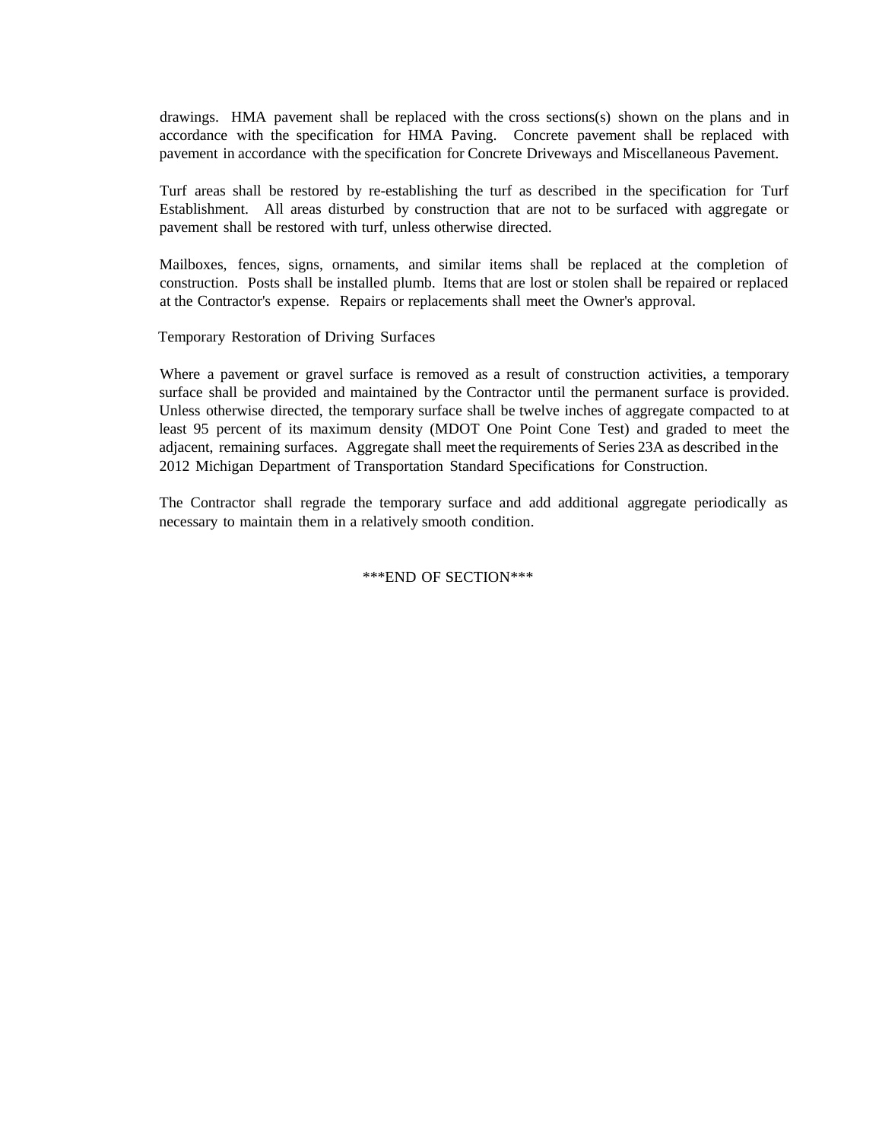drawings. HMA pavement shall be replaced with the cross sections(s) shown on the plans and in accordance with the specification for HMA Paving. Concrete pavement shall be replaced with pavement in accordance with the specification for Concrete Driveways and Miscellaneous Pavement.

Turf areas shall be restored by re-establishing the turf as described in the specification for Turf Establishment. All areas disturbed by construction that are not to be surfaced with aggregate or pavement shall be restored with turf, unless otherwise directed.

Mailboxes, fences, signs, ornaments, and similar items shall be replaced at the completion of construction. Posts shall be installed plumb. Items that are lost or stolen shall be repaired or replaced at the Contractor's expense. Repairs or replacements shall meet the Owner's approval.

Temporary Restoration of Driving Surfaces

Where a pavement or gravel surface is removed as a result of construction activities, a temporary surface shall be provided and maintained by the Contractor until the permanent surface is provided. Unless otherwise directed, the temporary surface shall be twelve inches of aggregate compacted to at least 95 percent of its maximum density (MDOT One Point Cone Test) and graded to meet the adjacent, remaining surfaces. Aggregate shall meet the requirements of Series 23A as described in the 2012 Michigan Department of Transportation Standard Specifications for Construction.

The Contractor shall regrade the temporary surface and add additional aggregate periodically as necessary to maintain them in a relatively smooth condition.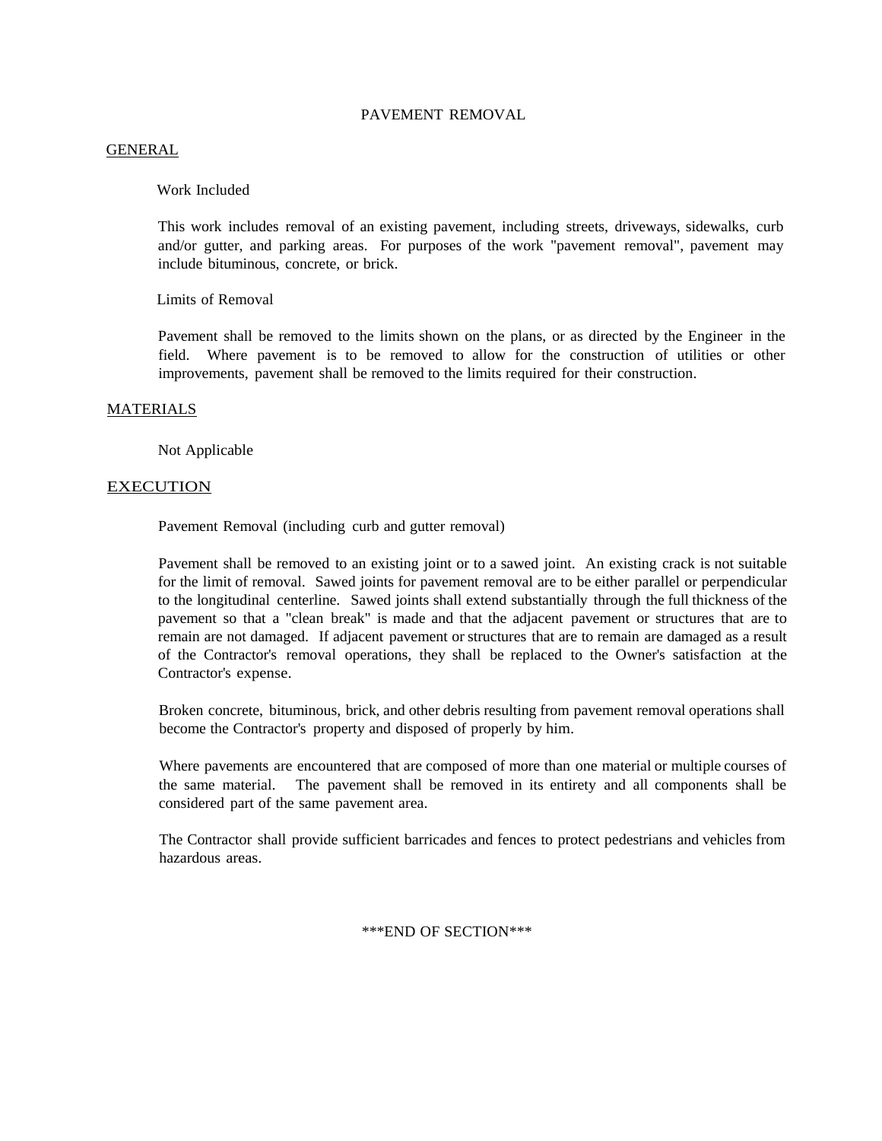### PAVEMENT REMOVAL

#### GENERAL

#### Work Included

This work includes removal of an existing pavement, including streets, driveways, sidewalks, curb and/or gutter, and parking areas. For purposes of the work "pavement removal", pavement may include bituminous, concrete, or brick.

## Limits of Removal

Pavement shall be removed to the limits shown on the plans, or as directed by the Engineer in the field. Where pavement is to be removed to allow for the construction of utilities or other improvements, pavement shall be removed to the limits required for their construction.

## **MATERIALS**

Not Applicable

### **EXECUTION**

Pavement Removal (including curb and gutter removal)

Pavement shall be removed to an existing joint or to a sawed joint. An existing crack is not suitable for the limit of removal. Sawed joints for pavement removal are to be either parallel or perpendicular to the longitudinal centerline. Sawed joints shall extend substantially through the full thickness of the pavement so that a "clean break" is made and that the adjacent pavement or structures that are to remain are not damaged. If adjacent pavement or structures that are to remain are damaged as a result of the Contractor's removal operations, they shall be replaced to the Owner's satisfaction at the Contractor's expense.

Broken concrete, bituminous, brick, and other debris resulting from pavement removal operations shall become the Contractor's property and disposed of properly by him.

Where pavements are encountered that are composed of more than one material or multiple courses of the same material. The pavement shall be removed in its entirety and all components shall be considered part of the same pavement area.

The Contractor shall provide sufficient barricades and fences to protect pedestrians and vehicles from hazardous areas.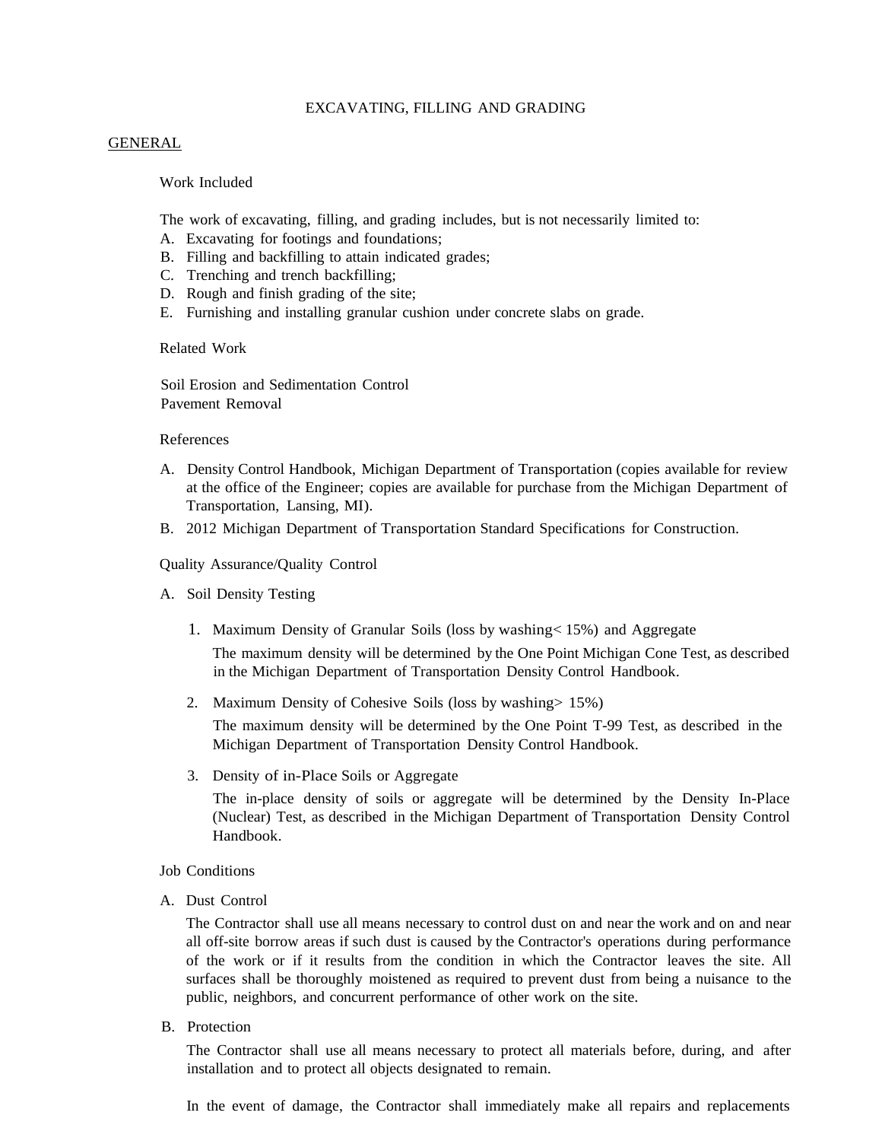### EXCAVATING, FILLING AND GRADING

### GENERAL

#### Work Included

The work of excavating, filling, and grading includes, but is not necessarily limited to:

- A. Excavating for footings and foundations;
- B. Filling and backfilling to attain indicated grades;
- C. Trenching and trench backfilling;
- D. Rough and finish grading of the site;
- E. Furnishing and installing granular cushion under concrete slabs on grade.

## Related Work

Soil Erosion and Sedimentation Control Pavement Removal

#### References

- A. Density Control Handbook, Michigan Department of Transportation (copies available for review at the office of the Engineer; copies are available for purchase from the Michigan Department of Transportation, Lansing, MI).
- B. 2012 Michigan Department of Transportation Standard Specifications for Construction.

#### Quality Assurance/Quality Control

- A. Soil Density Testing
	- 1. Maximum Density of Granular Soils (loss by washing< 15%) and Aggregate The maximum density will be determined by the One Point Michigan Cone Test, as described in the Michigan Department of Transportation Density Control Handbook.
	- 2. Maximum Density of Cohesive Soils (loss by washing> 15%)

The maximum density will be determined by the One Point T-99 Test, as described in the Michigan Department of Transportation Density Control Handbook.

3. Density of in-Place Soils or Aggregate

The in-place density of soils or aggregate will be determined by the Density In-Place (Nuclear) Test, as described in the Michigan Department of Transportation Density Control Handbook.

#### Job Conditions

A. Dust Control

The Contractor shall use all means necessary to control dust on and near the work and on and near all off-site borrow areas if such dust is caused by the Contractor's operations during performance of the work or if it results from the condition in which the Contractor leaves the site. All surfaces shall be thoroughly moistened as required to prevent dust from being a nuisance to the public, neighbors, and concurrent performance of other work on the site.

B. Protection

The Contractor shall use all means necessary to protect all materials before, during, and after installation and to protect all objects designated to remain.

In the event of damage, the Contractor shall immediately make all repairs and replacements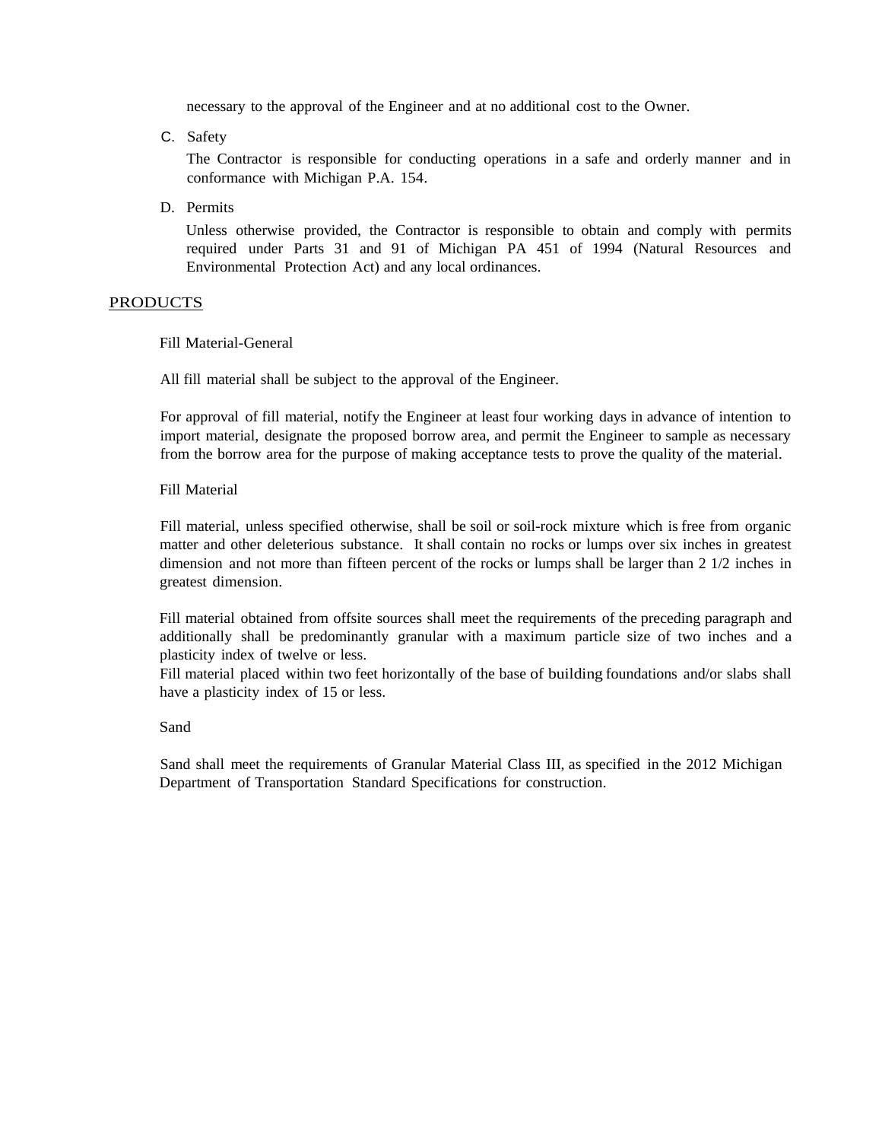necessary to the approval of the Engineer and at no additional cost to the Owner.

C. Safety

The Contractor is responsible for conducting operations in a safe and orderly manner and in conformance with Michigan P.A. 154.

D. Permits

Unless otherwise provided, the Contractor is responsible to obtain and comply with permits required under Parts 31 and 91 of Michigan PA 451 of 1994 (Natural Resources and Environmental Protection Act) and any local ordinances.

## PRODUCTS

Fill Material-General

All fill material shall be subject to the approval of the Engineer.

For approval of fill material, notify the Engineer at least four working days in advance of intention to import material, designate the proposed borrow area, and permit the Engineer to sample as necessary from the borrow area for the purpose of making acceptance tests to prove the quality of the material.

### Fill Material

Fill material, unless specified otherwise, shall be soil or soil-rock mixture which is free from organic matter and other deleterious substance. It shall contain no rocks or lumps over six inches in greatest dimension and not more than fifteen percent of the rocks or lumps shall be larger than 2 1/2 inches in greatest dimension.

Fill material obtained from offsite sources shall meet the requirements of the preceding paragraph and additionally shall be predominantly granular with a maximum particle size of two inches and a plasticity index of twelve or less.

Fill material placed within two feet horizontally of the base of building foundations and/or slabs shall have a plasticity index of 15 or less.

### Sand

Sand shall meet the requirements of Granular Material Class III, as specified in the 2012 Michigan Department of Transportation Standard Specifications for construction.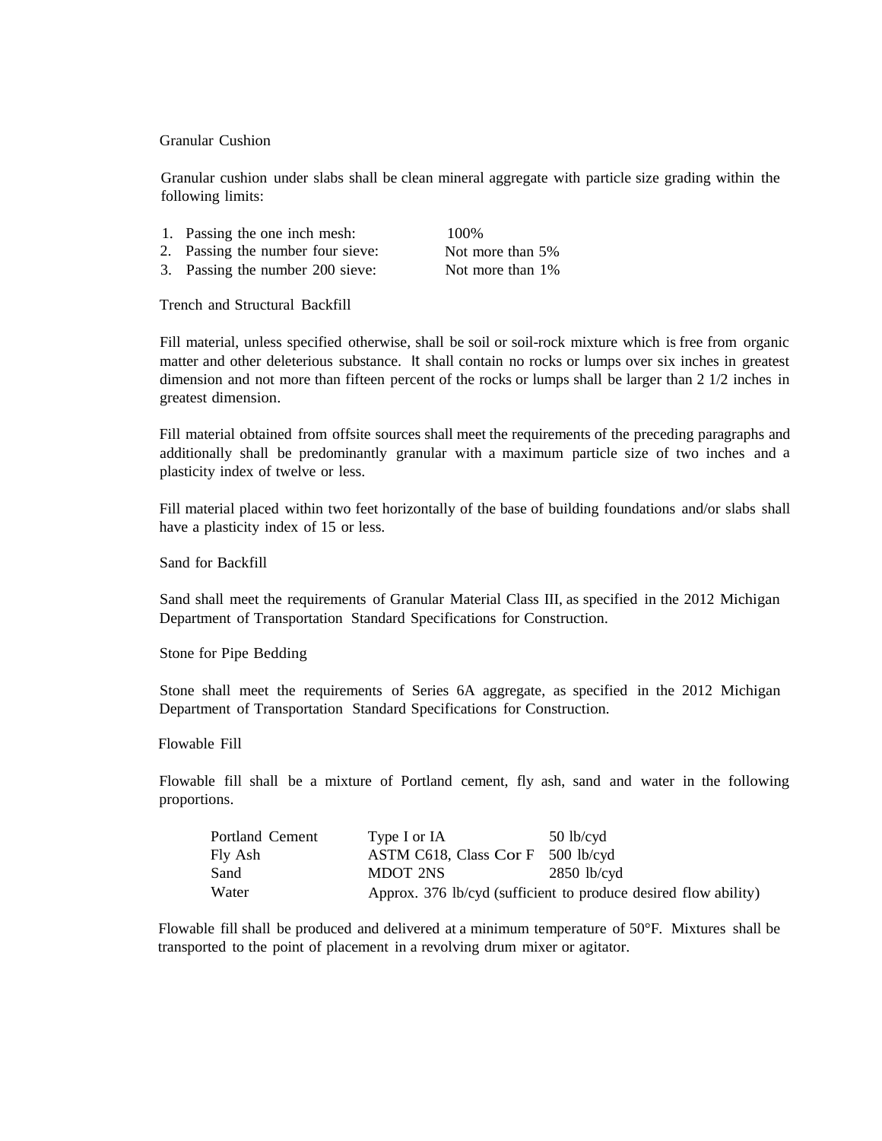#### Granular Cushion

Granular cushion under slabs shall be clean mineral aggregate with particle size grading within the following limits:

|  | 1. Passing the one inch mesh:     |  | 100\%            |  |
|--|-----------------------------------|--|------------------|--|
|  | 2. Passing the number four sieve: |  | Not more than 5% |  |
|  |                                   |  |                  |  |

3. Passing the number 200 sieve: Not more than 1%

Trench and Structural Backfill

Fill material, unless specified otherwise, shall be soil or soil-rock mixture which is free from organic matter and other deleterious substance. It shall contain no rocks or lumps over six inches in greatest dimension and not more than fifteen percent of the rocks or lumps shall be larger than 2 1/2 inches in greatest dimension.

Fill material obtained from offsite sources shall meet the requirements of the preceding paragraphs and additionally shall be predominantly granular with a maximum particle size of two inches and a plasticity index of twelve or less.

Fill material placed within two feet horizontally of the base of building foundations and/or slabs shall have a plasticity index of 15 or less.

Sand for Backfill

Sand shall meet the requirements of Granular Material Class III, as specified in the 2012 Michigan Department of Transportation Standard Specifications for Construction.

Stone for Pipe Bedding

Stone shall meet the requirements of Series 6A aggregate, as specified in the 2012 Michigan Department of Transportation Standard Specifications for Construction.

Flowable Fill

Flowable fill shall be a mixture of Portland cement, fly ash, sand and water in the following proportions.

| Portland Cement | Type I or IA                      | $50$ lb/cyd                                                     |
|-----------------|-----------------------------------|-----------------------------------------------------------------|
| Fly Ash         | ASTM C618, Class Cor F 500 lb/cyd |                                                                 |
| Sand            | MDOT 2NS                          | $2850$ lb/cvd                                                   |
| Water           |                                   | Approx. 376 lb/cyd (sufficient to produce desired flow ability) |

Flowable fill shall be produced and delivered at a minimum temperature of 50°F. Mixtures shall be transported to the point of placement in a revolving drum mixer or agitator.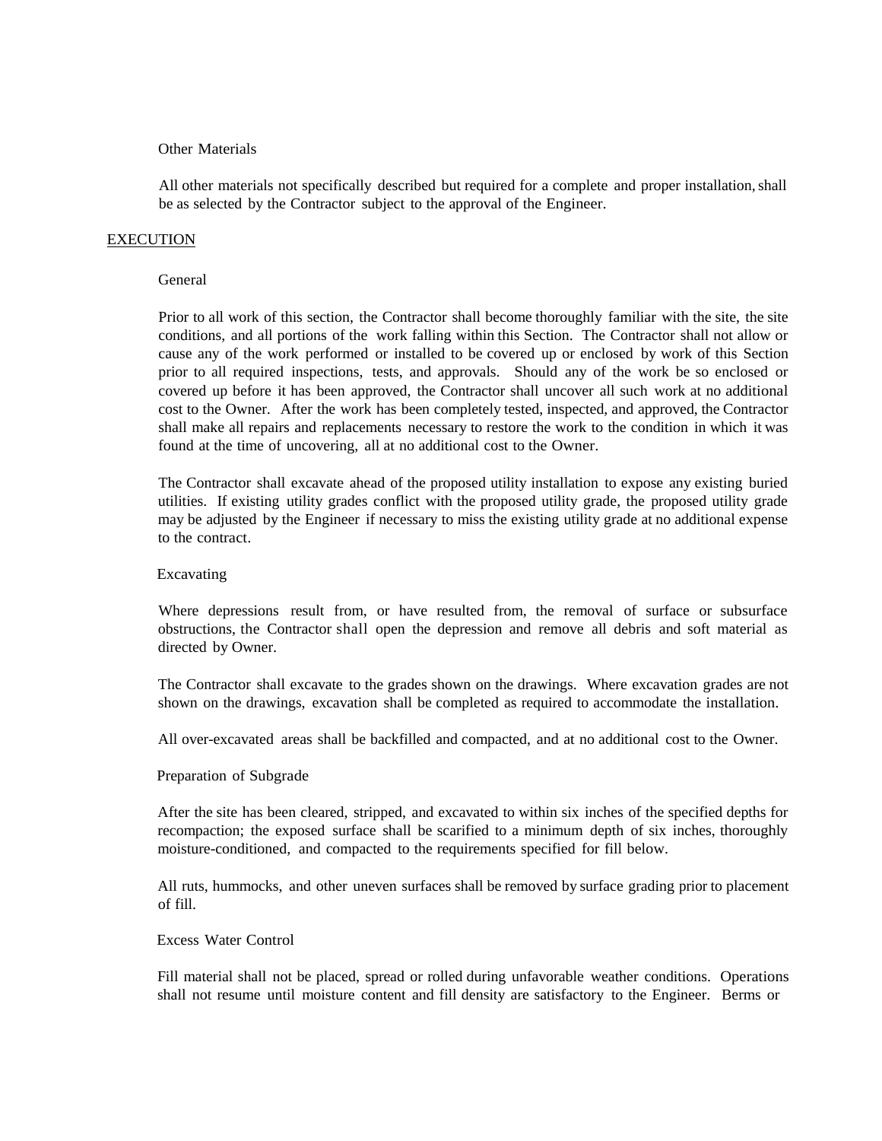#### Other Materials

All other materials not specifically described but required for a complete and proper installation, shall be as selected by the Contractor subject to the approval of the Engineer.

### **EXECUTION**

#### General

Prior to all work of this section, the Contractor shall become thoroughly familiar with the site, the site conditions, and all portions of the work falling within this Section. The Contractor shall not allow or cause any of the work performed or installed to be covered up or enclosed by work of this Section prior to all required inspections, tests, and approvals. Should any of the work be so enclosed or covered up before it has been approved, the Contractor shall uncover all such work at no additional cost to the Owner. After the work has been completely tested, inspected, and approved, the Contractor shall make all repairs and replacements necessary to restore the work to the condition in which it was found at the time of uncovering, all at no additional cost to the Owner.

The Contractor shall excavate ahead of the proposed utility installation to expose any existing buried utilities. If existing utility grades conflict with the proposed utility grade, the proposed utility grade may be adjusted by the Engineer if necessary to miss the existing utility grade at no additional expense to the contract.

#### Excavating

Where depressions result from, or have resulted from, the removal of surface or subsurface obstructions, the Contractor shall open the depression and remove all debris and soft material as directed by Owner.

The Contractor shall excavate to the grades shown on the drawings. Where excavation grades are not shown on the drawings, excavation shall be completed as required to accommodate the installation.

All over-excavated areas shall be backfilled and compacted, and at no additional cost to the Owner.

#### Preparation of Subgrade

After the site has been cleared, stripped, and excavated to within six inches of the specified depths for recompaction; the exposed surface shall be scarified to a minimum depth of six inches, thoroughly moisture-conditioned, and compacted to the requirements specified for fill below.

All ruts, hummocks, and other uneven surfaces shall be removed by surface grading prior to placement of fill.

#### Excess Water Control

Fill material shall not be placed, spread or rolled during unfavorable weather conditions. Operations shall not resume until moisture content and fill density are satisfactory to the Engineer. Berms or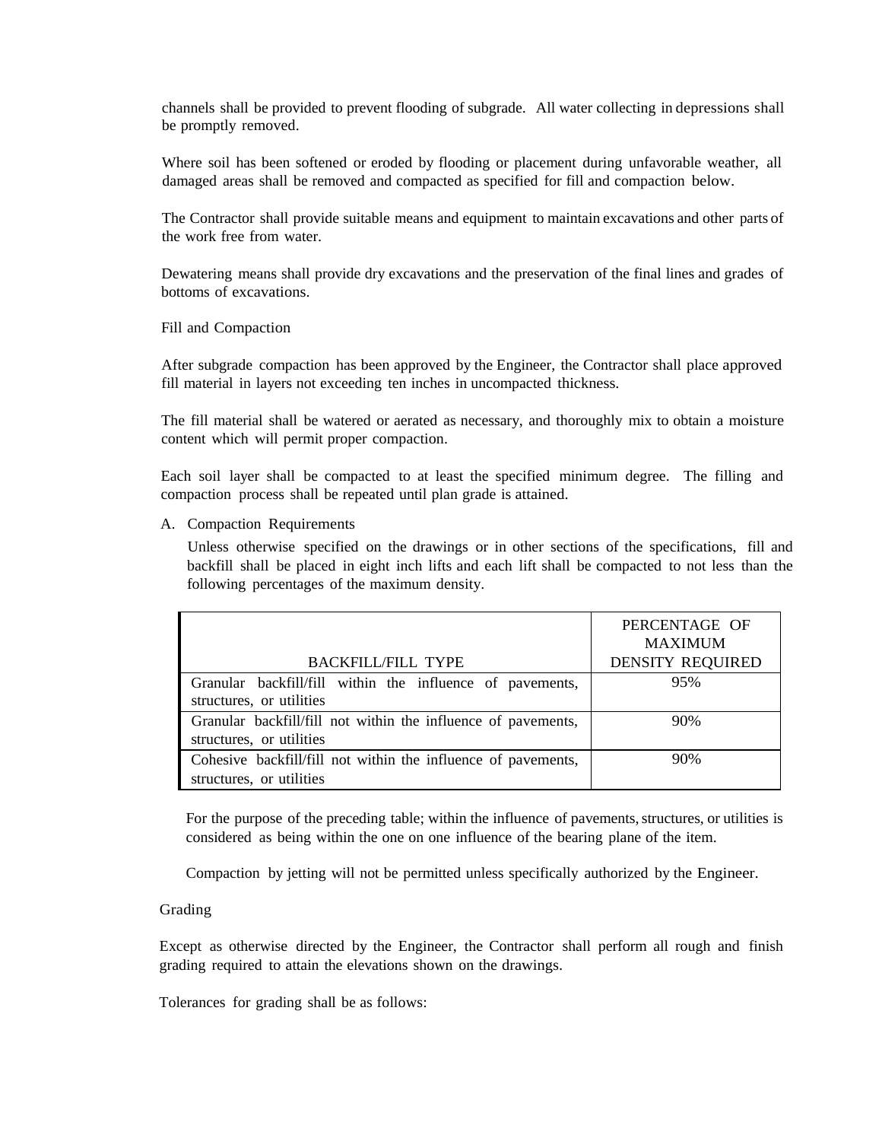channels shall be provided to prevent flooding of subgrade. All water collecting in depressions shall be promptly removed.

Where soil has been softened or eroded by flooding or placement during unfavorable weather, all damaged areas shall be removed and compacted as specified for fill and compaction below.

The Contractor shall provide suitable means and equipment to maintain excavations and other parts of the work free from water.

Dewatering means shall provide dry excavations and the preservation of the final lines and grades of bottoms of excavations.

Fill and Compaction

After subgrade compaction has been approved by the Engineer, the Contractor shall place approved fill material in layers not exceeding ten inches in uncompacted thickness.

The fill material shall be watered or aerated as necessary, and thoroughly mix to obtain a moisture content which will permit proper compaction.

Each soil layer shall be compacted to at least the specified minimum degree. The filling and compaction process shall be repeated until plan grade is attained.

A. Compaction Requirements

Unless otherwise specified on the drawings or in other sections of the specifications, fill and backfill shall be placed in eight inch lifts and each lift shall be compacted to not less than the following percentages of the maximum density.

| <b>BACKFILL/FILL TYPE</b>                                                                 | PERCENTAGE OF<br><b>MAXIMUM</b><br><b>DENSITY REQUIRED</b> |
|-------------------------------------------------------------------------------------------|------------------------------------------------------------|
| Granular backfill/fill within the influence of pavements,<br>structures, or utilities     | 95%                                                        |
| Granular backfill/fill not within the influence of pavements,<br>structures, or utilities | 90%                                                        |
| Cohesive backfill/fill not within the influence of pavements,<br>structures, or utilities | 90%                                                        |

For the purpose of the preceding table; within the influence of pavements, structures, or utilities is considered as being within the one on one influence of the bearing plane of the item.

Compaction by jetting will not be permitted unless specifically authorized by the Engineer.

## Grading

Except as otherwise directed by the Engineer, the Contractor shall perform all rough and finish grading required to attain the elevations shown on the drawings.

Tolerances for grading shall be as follows: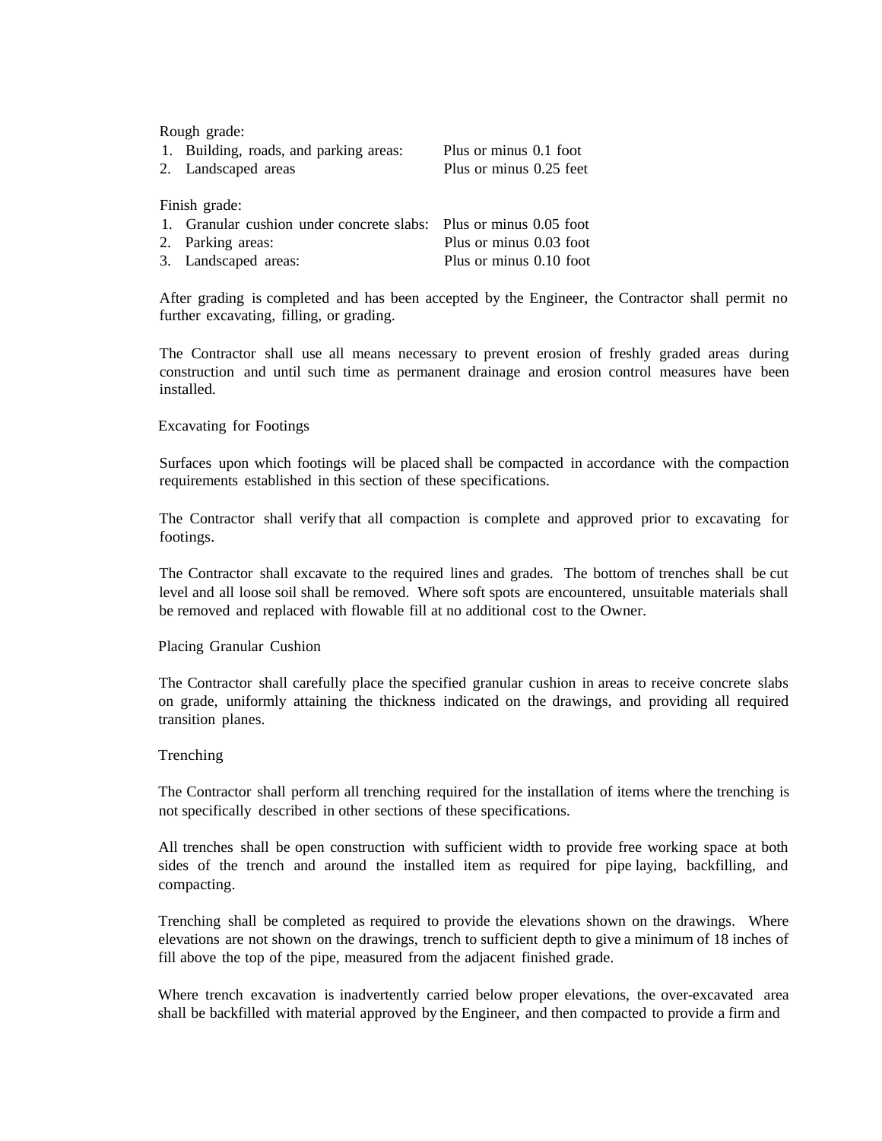Rough grade:

| 1. Building, roads, and parking areas:                            | Plus or minus 0.1 foot  |
|-------------------------------------------------------------------|-------------------------|
| 2. Landscaped areas                                               | Plus or minus 0.25 feet |
|                                                                   |                         |
| Finish grade:                                                     |                         |
| 1. Granular cushion under concrete slabs: Plus or minus 0.05 foot |                         |
| 2. Parking areas:                                                 | Plus or minus 0.03 foot |
| 3. Landscaped areas:                                              | Plus or minus 0.10 foot |

After grading is completed and has been accepted by the Engineer, the Contractor shall permit no further excavating, filling, or grading.

The Contractor shall use all means necessary to prevent erosion of freshly graded areas during construction and until such time as permanent drainage and erosion control measures have been installed.

Excavating for Footings

Surfaces upon which footings will be placed shall be compacted in accordance with the compaction requirements established in this section of these specifications.

The Contractor shall verify that all compaction is complete and approved prior to excavating for footings.

The Contractor shall excavate to the required lines and grades. The bottom of trenches shall be cut level and all loose soil shall be removed. Where soft spots are encountered, unsuitable materials shall be removed and replaced with flowable fill at no additional cost to the Owner.

Placing Granular Cushion

The Contractor shall carefully place the specified granular cushion in areas to receive concrete slabs on grade, uniformly attaining the thickness indicated on the drawings, and providing all required transition planes.

### Trenching

The Contractor shall perform all trenching required for the installation of items where the trenching is not specifically described in other sections of these specifications.

All trenches shall be open construction with sufficient width to provide free working space at both sides of the trench and around the installed item as required for pipe laying, backfilling, and compacting.

Trenching shall be completed as required to provide the elevations shown on the drawings. Where elevations are not shown on the drawings, trench to sufficient depth to give a minimum of 18 inches of fill above the top of the pipe, measured from the adjacent finished grade.

Where trench excavation is inadvertently carried below proper elevations, the over-excavated area shall be backfilled with material approved by the Engineer, and then compacted to provide a firm and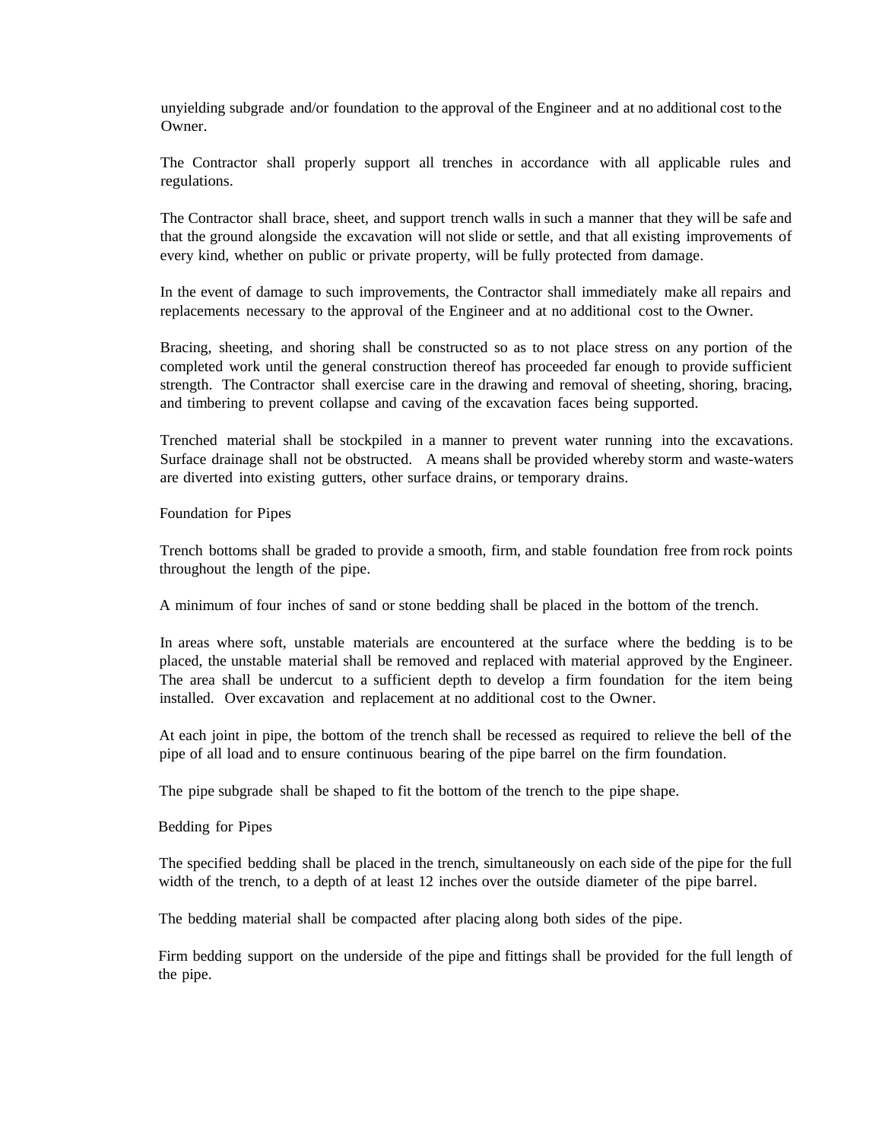unyielding subgrade and/or foundation to the approval of the Engineer and at no additional cost to the Owner.

The Contractor shall properly support all trenches in accordance with all applicable rules and regulations.

The Contractor shall brace, sheet, and support trench walls in such a manner that they will be safe and that the ground alongside the excavation will not slide or settle, and that all existing improvements of every kind, whether on public or private property, will be fully protected from damage.

In the event of damage to such improvements, the Contractor shall immediately make all repairs and replacements necessary to the approval of the Engineer and at no additional cost to the Owner.

Bracing, sheeting, and shoring shall be constructed so as to not place stress on any portion of the completed work until the general construction thereof has proceeded far enough to provide sufficient strength. The Contractor shall exercise care in the drawing and removal of sheeting, shoring, bracing, and timbering to prevent collapse and caving of the excavation faces being supported.

Trenched material shall be stockpiled in a manner to prevent water running into the excavations. Surface drainage shall not be obstructed. A means shall be provided whereby storm and waste-waters are diverted into existing gutters, other surface drains, or temporary drains.

Foundation for Pipes

Trench bottoms shall be graded to provide a smooth, firm, and stable foundation free from rock points throughout the length of the pipe.

A minimum of four inches of sand or stone bedding shall be placed in the bottom of the trench.

In areas where soft, unstable materials are encountered at the surface where the bedding is to be placed, the unstable material shall be removed and replaced with material approved by the Engineer. The area shall be undercut to a sufficient depth to develop a firm foundation for the item being installed. Over excavation and replacement at no additional cost to the Owner.

At each joint in pipe, the bottom of the trench shall be recessed as required to relieve the bell of the pipe of all load and to ensure continuous bearing of the pipe barrel on the firm foundation.

The pipe subgrade shall be shaped to fit the bottom of the trench to the pipe shape.

Bedding for Pipes

The specified bedding shall be placed in the trench, simultaneously on each side of the pipe for the full width of the trench, to a depth of at least 12 inches over the outside diameter of the pipe barrel.

The bedding material shall be compacted after placing along both sides of the pipe.

Firm bedding support on the underside of the pipe and fittings shall be provided for the full length of the pipe.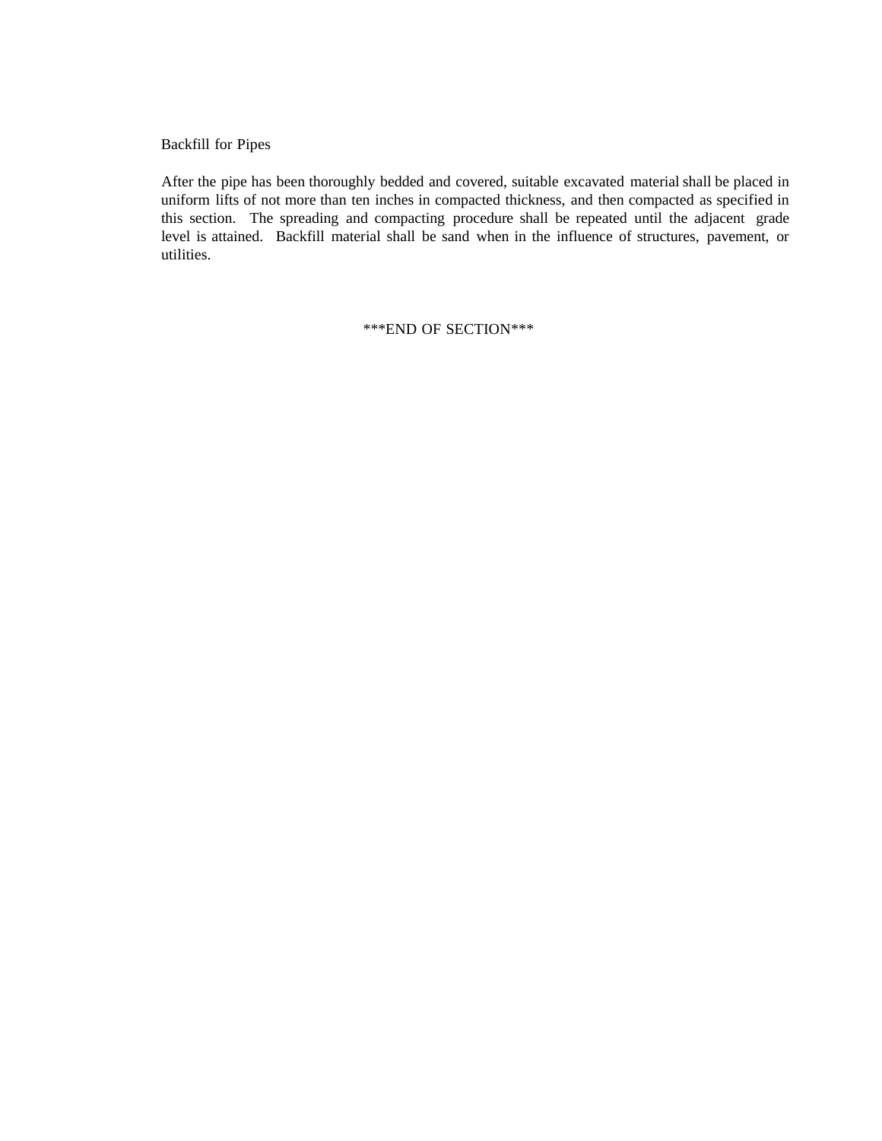Backfill for Pipes

After the pipe has been thoroughly bedded and covered, suitable excavated material shall be placed in uniform lifts of not more than ten inches in compacted thickness, and then compacted as specified in this section. The spreading and compacting procedure shall be repeated until the adjacent grade level is attained. Backfill material shall be sand when in the influence of structures, pavement, or utilities.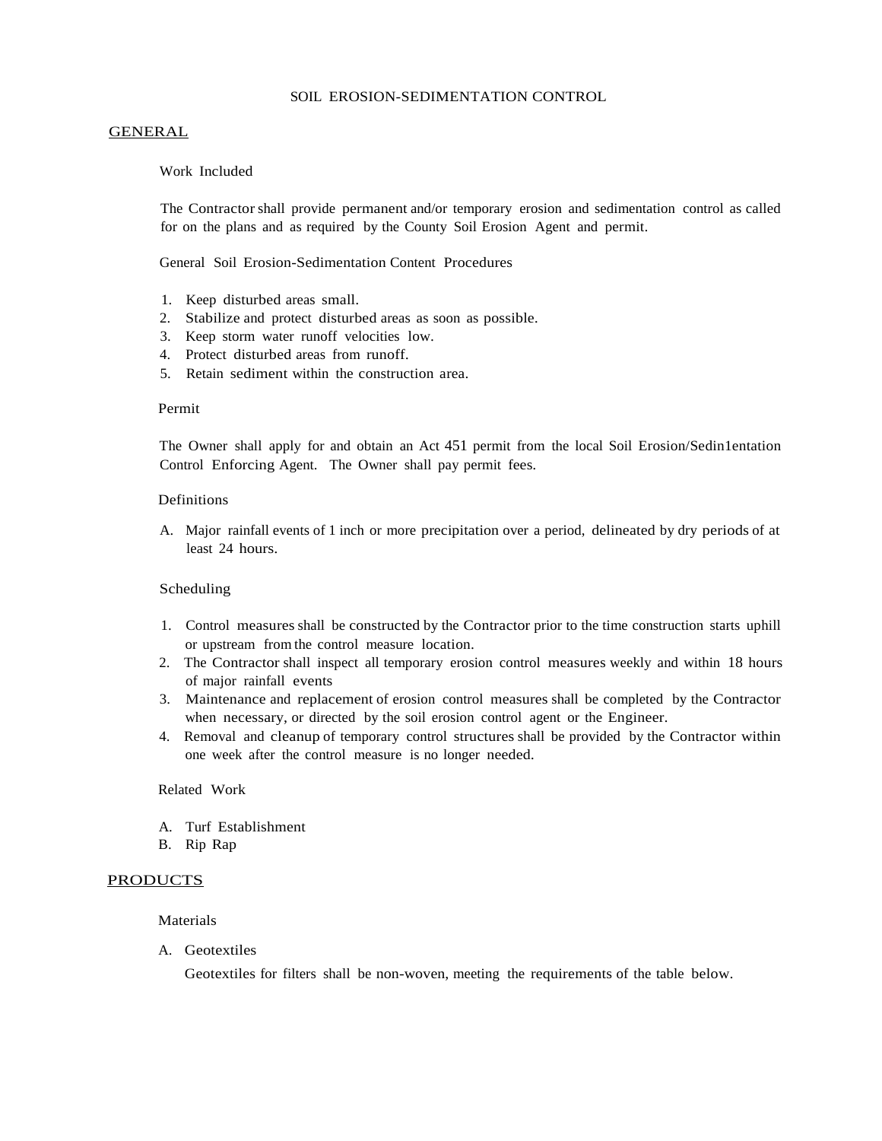#### SOIL EROSION-SEDIMENTATION CONTROL

#### GENERAL

#### Work Included

The Contractor shall provide permanent and/or temporary erosion and sedimentation control as called for on the plans and as required by the County Soil Erosion Agent and permit.

General Soil Erosion-Sedimentation Content Procedures

- 1. Keep disturbed areas small.
- 2. Stabilize and protect disturbed areas as soon as possible.
- 3. Keep storm water runoff velocities low.
- 4. Protect disturbed areas from runoff.
- 5. Retain sediment within the construction area.

#### Permit

The Owner shall apply for and obtain an Act 451 permit from the local Soil Erosion/Sedin1entation Control Enforcing Agent. The Owner shall pay permit fees.

#### Definitions

A. Major rainfall events of 1 inch or more precipitation over a period, delineated by dry periods of at least 24 hours.

#### Scheduling

- 1. Control measuresshall be constructed by the Contractor prior to the time construction starts uphill or upstream from the control measure location.
- 2. The Contractor shall inspect all temporary erosion control measures weekly and within 18 hours of major rainfall events
- 3. Maintenance and replacement of erosion control measures shall be completed by the Contractor when necessary, or directed by the soil erosion control agent or the Engineer.
- 4. Removal and cleanup of temporary control structures shall be provided by the Contractor within one week after the control measure is no longer needed.

Related Work

- A. Turf Establishment
- B. Rip Rap

#### PRODUCTS

#### Materials

A. Geotextiles

Geotextiles for filters shall be non-woven, meeting the requirements of the table below.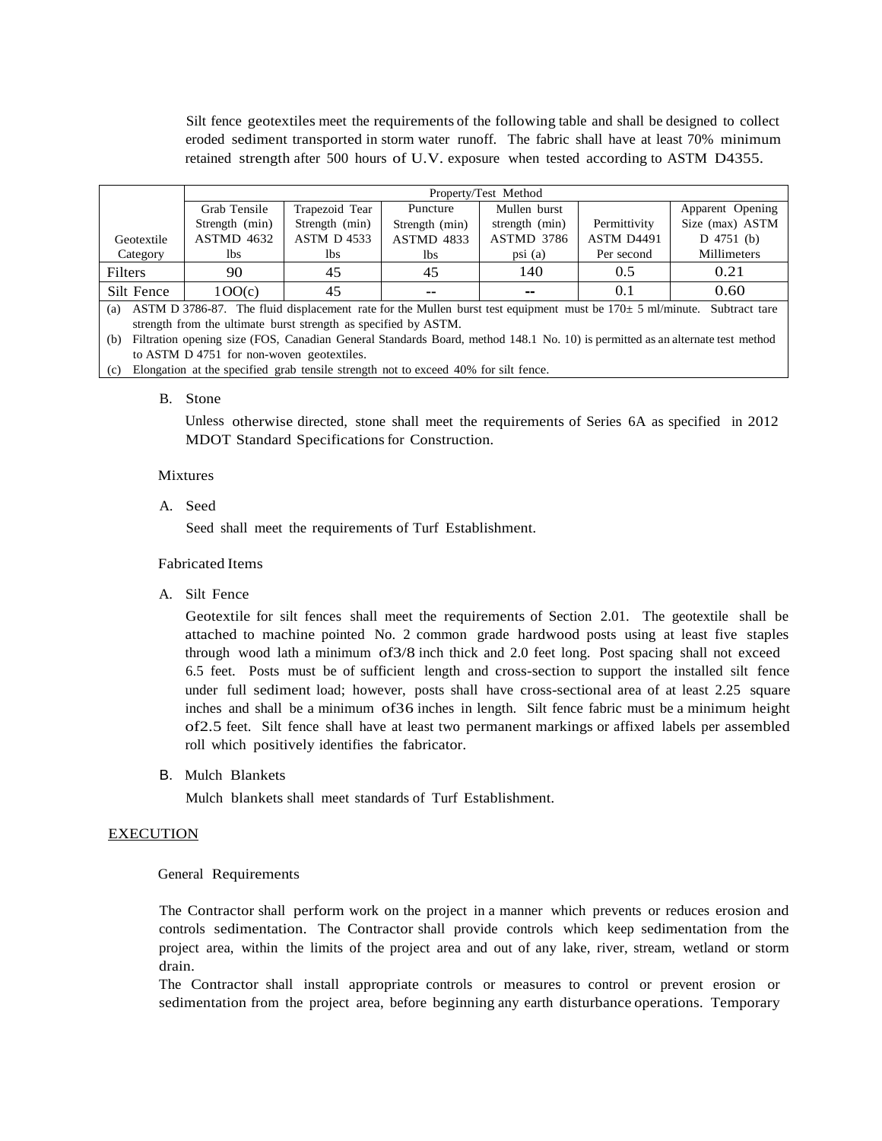Silt fence geotextiles meet the requirements of the following table and shall be designed to collect eroded sediment transported in storm water runoff. The fabric shall have at least 70% minimum retained strength after 500 hours of U.V. exposure when tested according to ASTM D4355.

|                                                                                                                                        | Property/Test Method |                    |                   |                |              |                  |  |
|----------------------------------------------------------------------------------------------------------------------------------------|----------------------|--------------------|-------------------|----------------|--------------|------------------|--|
|                                                                                                                                        | Grab Tensile         | Trapezoid Tear     | Puncture          | Mullen burst   |              | Apparent Opening |  |
|                                                                                                                                        | Strength (min)       | Strength (min)     | Strength (min)    | strength (min) | Permittivity | Size (max) ASTM  |  |
| Geotextile                                                                                                                             | <b>ASTMD 4632</b>    | <b>ASTM D 4533</b> | <b>ASTMD 4833</b> | ASTMD 3786     | ASTM D4491   | D $4751$ (b)     |  |
| Category                                                                                                                               | lbs.                 | lbs                | lbs               | psi $(a)$      | Per second   | Millimeters      |  |
| <b>Filters</b>                                                                                                                         | 90                   | 45                 | 45                | 140            | 0.5          | 0.21             |  |
| Silt Fence                                                                                                                             | 100(c)               | 45                 |                   |                | 0.1          | 0.60             |  |
| ASTM D 3786-87. The fluid displacement rate for the Mullen burst test equipment must be $170 \pm 5$ ml/minute.<br>Subtract tare<br>(a) |                      |                    |                   |                |              |                  |  |
| strength from the ultimate burst strength as specified by ASTM.                                                                        |                      |                    |                   |                |              |                  |  |
| Filtration opening size (FOS, Canadian General Standards Board, method 148.1 No. 10) is permitted as an alternate test method<br>(b)   |                      |                    |                   |                |              |                  |  |
| to ASTM D 4751 for non-woven geotextiles.                                                                                              |                      |                    |                   |                |              |                  |  |
| Elongation at the specified grab tensile strength not to exceed 40% for silt fence.<br>(c)                                             |                      |                    |                   |                |              |                  |  |

#### B. Stone

Unless otherwise directed, stone shall meet the requirements of Series 6A as specified in 2012 MDOT Standard Specifications for Construction.

#### Mixtures

A. Seed

Seed shall meet the requirements of Turf Establishment.

#### Fabricated Items

A. Silt Fence

Geotextile for silt fences shall meet the requirements of Section 2.01. The geotextile shall be attached to machine pointed No. 2 common grade hardwood posts using at least five staples through wood lath a minimum of3/8 inch thick and 2.0 feet long. Post spacing shall not exceed 6.5 feet. Posts must be of sufficient length and cross-section to support the installed silt fence under full sediment load; however, posts shall have cross-sectional area of at least 2.25 square inches and shall be a minimum of36 inches in length. Silt fence fabric must be a minimum height of2.5 feet. Silt fence shall have at least two permanent markings or affixed labels per assembled roll which positively identifies the fabricator.

B. Mulch Blankets

Mulch blankets shall meet standards of Turf Establishment.

#### **EXECUTION**

#### General Requirements

The Contractor shall perform work on the project in a manner which prevents or reduces erosion and controls sedimentation. The Contractor shall provide controls which keep sedimentation from the project area, within the limits of the project area and out of any lake, river, stream, wetland or storm drain.

The Contractor shall install appropriate controls or measures to control or prevent erosion or sedimentation from the project area, before beginning any earth disturbance operations. Temporary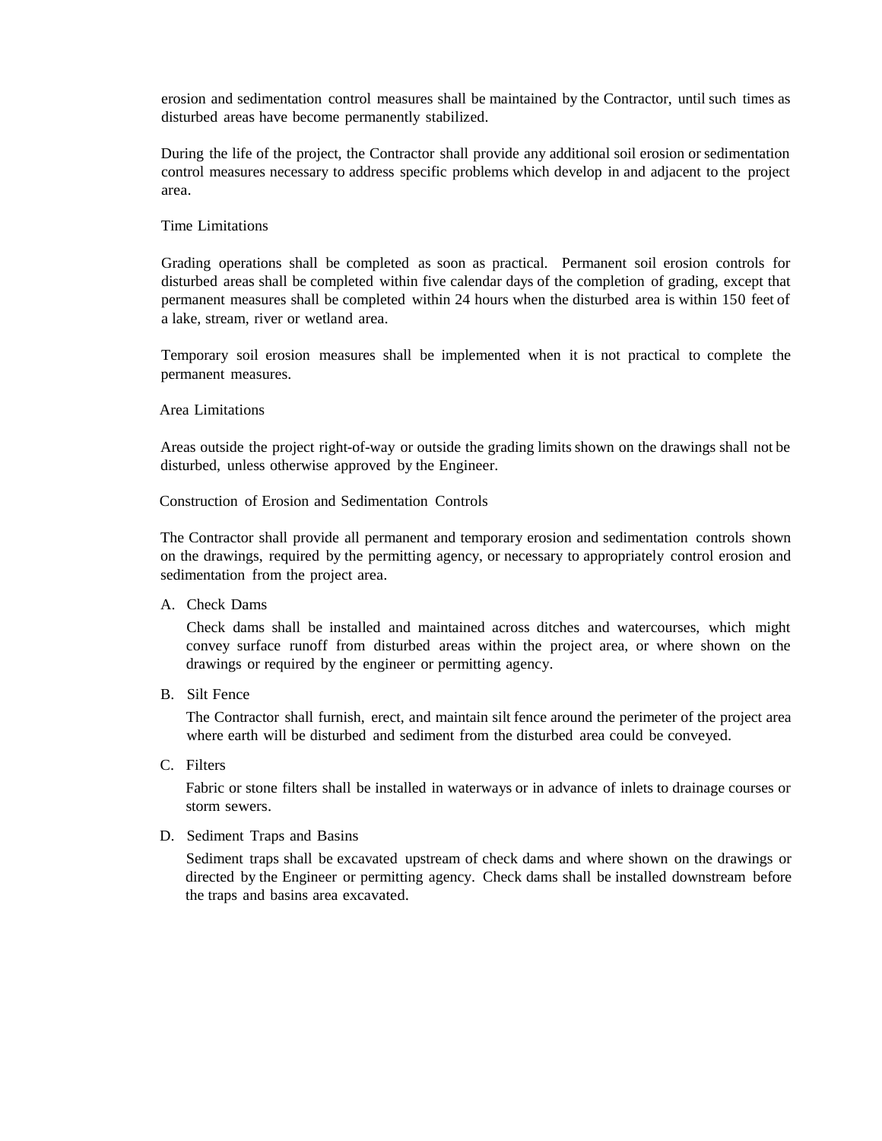erosion and sedimentation control measures shall be maintained by the Contractor, until such times as disturbed areas have become permanently stabilized.

During the life of the project, the Contractor shall provide any additional soil erosion or sedimentation control measures necessary to address specific problems which develop in and adjacent to the project area.

# Time Limitations

Grading operations shall be completed as soon as practical. Permanent soil erosion controls for disturbed areas shall be completed within five calendar days of the completion of grading, except that permanent measures shall be completed within 24 hours when the disturbed area is within 150 feet of a lake, stream, river or wetland area.

Temporary soil erosion measures shall be implemented when it is not practical to complete the permanent measures.

#### Area Limitations

Areas outside the project right-of-way or outside the grading limits shown on the drawings shall not be disturbed, unless otherwise approved by the Engineer.

Construction of Erosion and Sedimentation Controls

The Contractor shall provide all permanent and temporary erosion and sedimentation controls shown on the drawings, required by the permitting agency, or necessary to appropriately control erosion and sedimentation from the project area.

A. Check Dams

Check dams shall be installed and maintained across ditches and watercourses, which might convey surface runoff from disturbed areas within the project area, or where shown on the drawings or required by the engineer or permitting agency.

B. Silt Fence

The Contractor shall furnish, erect, and maintain silt fence around the perimeter of the project area where earth will be disturbed and sediment from the disturbed area could be conveyed.

C. Filters

Fabric or stone filters shall be installed in waterways or in advance of inlets to drainage courses or storm sewers.

D. Sediment Traps and Basins

Sediment traps shall be excavated upstream of check dams and where shown on the drawings or directed by the Engineer or permitting agency. Check dams shall be installed downstream before the traps and basins area excavated.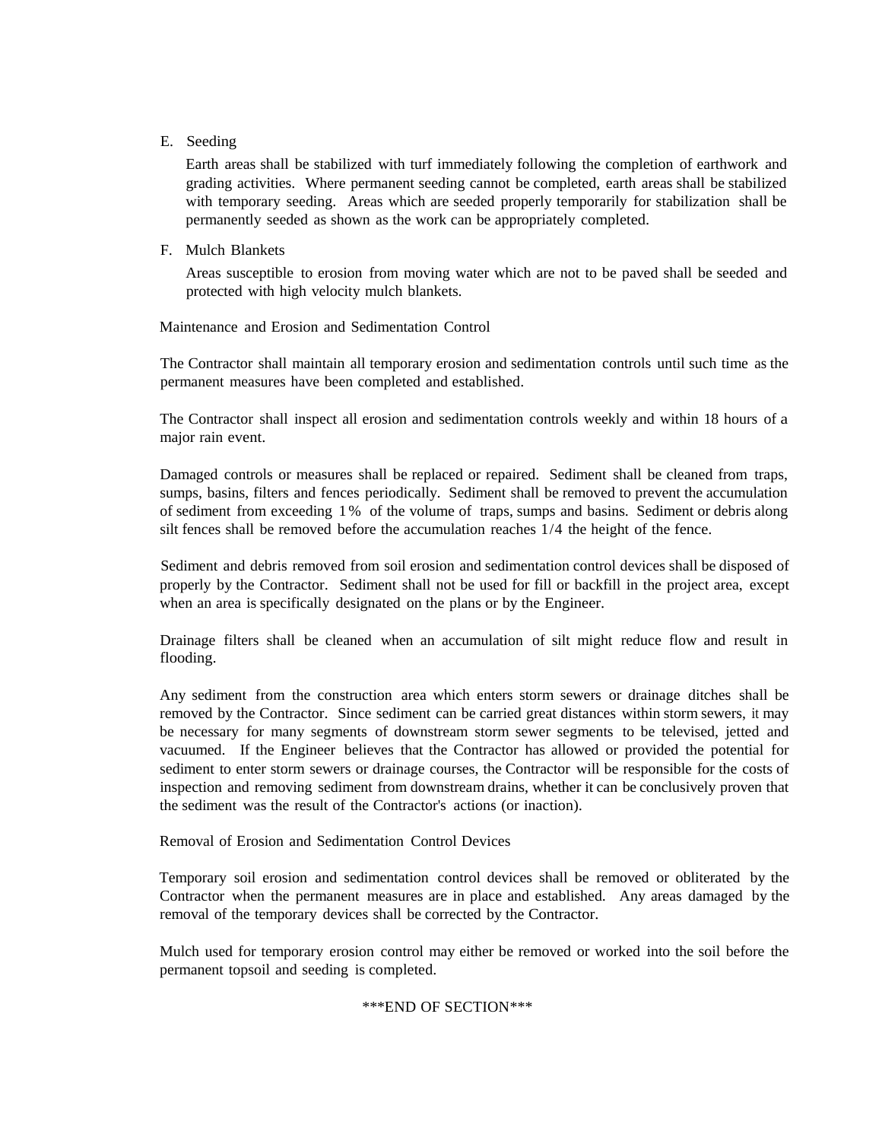# E. Seeding

Earth areas shall be stabilized with turf immediately following the completion of earthwork and grading activities. Where permanent seeding cannot be completed, earth areas shall be stabilized with temporary seeding. Areas which are seeded properly temporarily for stabilization shall be permanently seeded as shown as the work can be appropriately completed.

# F. Mulch Blankets

Areas susceptible to erosion from moving water which are not to be paved shall be seeded and protected with high velocity mulch blankets.

Maintenance and Erosion and Sedimentation Control

The Contractor shall maintain all temporary erosion and sedimentation controls until such time as the permanent measures have been completed and established.

The Contractor shall inspect all erosion and sedimentation controls weekly and within 18 hours of a major rain event.

Damaged controls or measures shall be replaced or repaired. Sediment shall be cleaned from traps, sumps, basins, filters and fences periodically. Sediment shall be removed to prevent the accumulation of sediment from exceeding 1% of the volume of traps, sumps and basins. Sediment or debris along silt fences shall be removed before the accumulation reaches 1/4 the height of the fence.

Sediment and debris removed from soil erosion and sedimentation control devices shall be disposed of properly by the Contractor. Sediment shall not be used for fill or backfill in the project area, except when an area is specifically designated on the plans or by the Engineer.

Drainage filters shall be cleaned when an accumulation of silt might reduce flow and result in flooding.

Any sediment from the construction area which enters storm sewers or drainage ditches shall be removed by the Contractor. Since sediment can be carried great distances within storm sewers, it may be necessary for many segments of downstream storm sewer segments to be televised, jetted and vacuumed. If the Engineer believes that the Contractor has allowed or provided the potential for sediment to enter storm sewers or drainage courses, the Contractor will be responsible for the costs of inspection and removing sediment from downstream drains, whether it can be conclusively proven that the sediment was the result of the Contractor's actions (or inaction).

Removal of Erosion and Sedimentation Control Devices

Temporary soil erosion and sedimentation control devices shall be removed or obliterated by the Contractor when the permanent measures are in place and established. Any areas damaged by the removal of the temporary devices shall be corrected by the Contractor.

Mulch used for temporary erosion control may either be removed or worked into the soil before the permanent topsoil and seeding is completed.

# \*\*\*END OF SECTION\*\*\*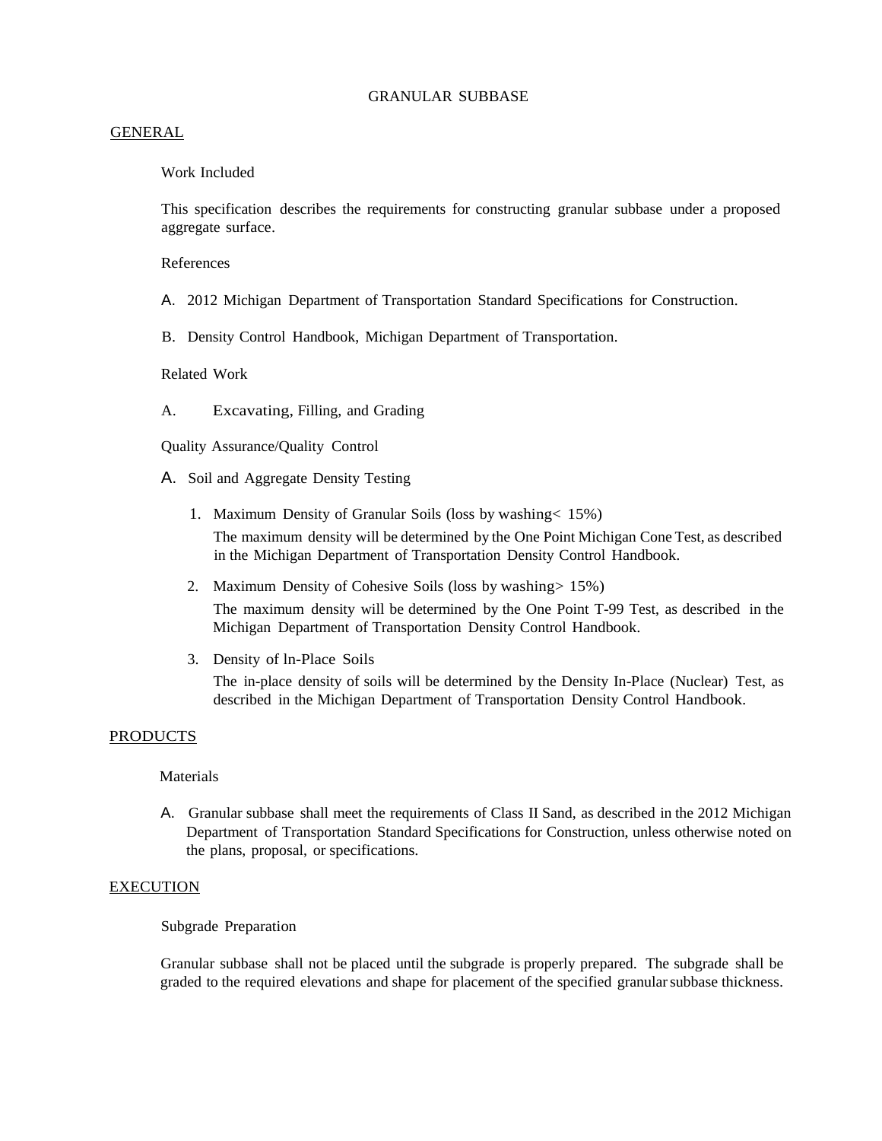#### GRANULAR SUBBASE

#### GENERAL

# Work Included

This specification describes the requirements for constructing granular subbase under a proposed aggregate surface.

References

- A. 2012 Michigan Department of Transportation Standard Specifications for Construction.
- B. Density Control Handbook, Michigan Department of Transportation.

#### Related Work

- A. Excavating, Filling, and Grading
- Quality Assurance/Quality Control
- A. Soil and Aggregate Density Testing
	- 1. Maximum Density of Granular Soils (loss by washing< 15%)

The maximum density will be determined by the One Point Michigan Cone Test, as described in the Michigan Department of Transportation Density Control Handbook.

- 2. Maximum Density of Cohesive Soils (loss by washing> 15%) The maximum density will be determined by the One Point T-99 Test, as described in the Michigan Department of Transportation Density Control Handbook.
- 3. Density of ln-Place Soils The in-place density of soils will be determined by the Density In-Place (Nuclear) Test, as described in the Michigan Department of Transportation Density Control Handbook.

### PRODUCTS

**Materials** 

A. Granular subbase shall meet the requirements of Class II Sand, as described in the 2012 Michigan Department of Transportation Standard Specifications for Construction, unless otherwise noted on the plans, proposal, or specifications.

#### **EXECUTION**

#### Subgrade Preparation

Granular subbase shall not be placed until the subgrade is properly prepared. The subgrade shall be graded to the required elevations and shape for placement of the specified granularsubbase thickness.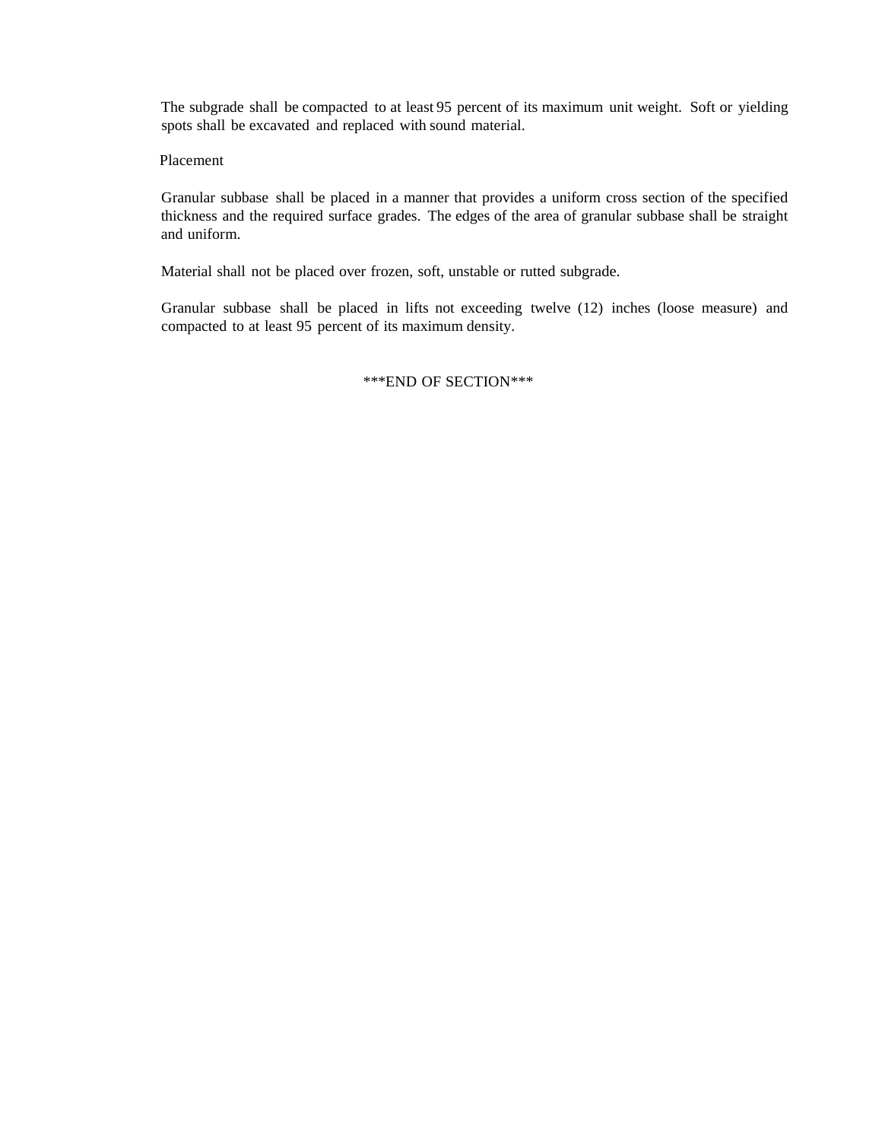The subgrade shall be compacted to at least 95 percent of its maximum unit weight. Soft or yielding spots shall be excavated and replaced with sound material.

### Placement

Granular subbase shall be placed in a manner that provides a uniform cross section of the specified thickness and the required surface grades. The edges of the area of granular subbase shall be straight and uniform.

Material shall not be placed over frozen, soft, unstable or rutted subgrade.

Granular subbase shall be placed in lifts not exceeding twelve (12) inches (loose measure) and compacted to at least 95 percent of its maximum density.

\*\*\*END OF SECTION\*\*\*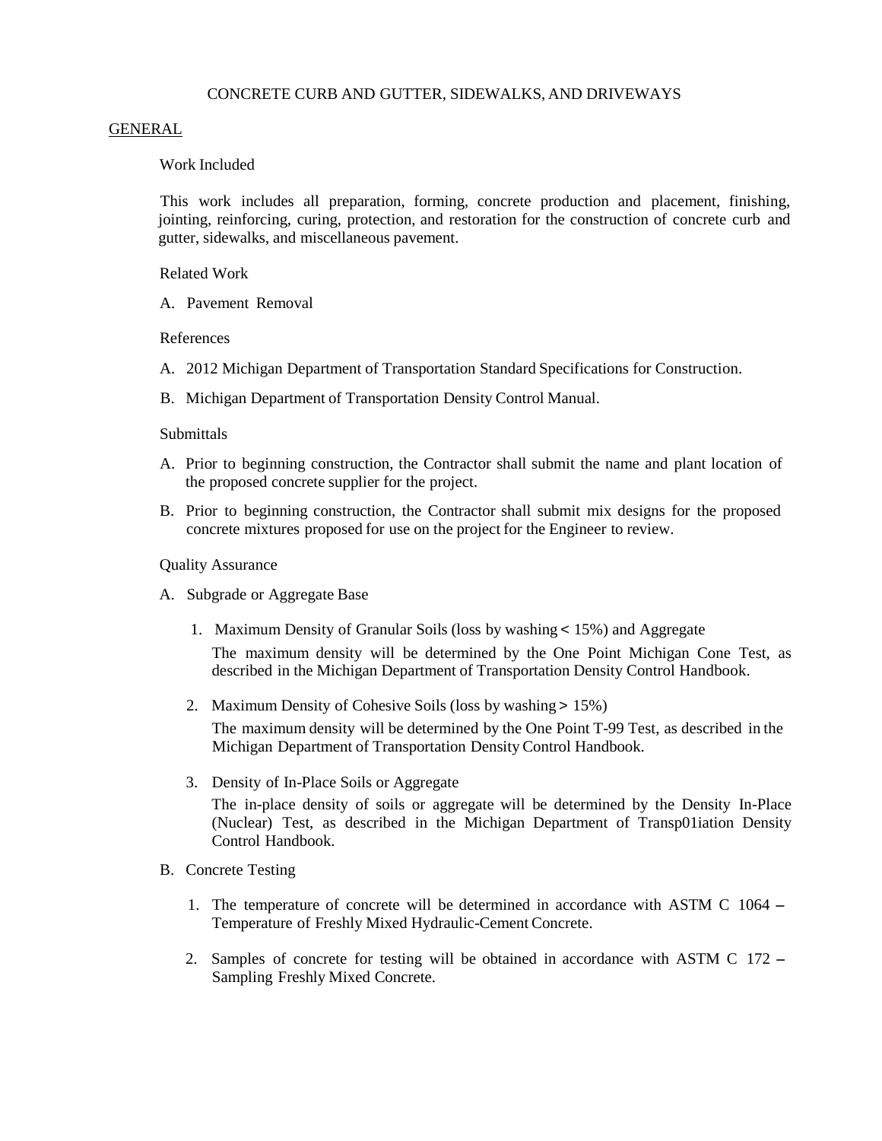# CONCRETE CURB AND GUTTER, SIDEWALKS, AND DRIVEWAYS

### GENERAL

### Work Included

This work includes all preparation, forming, concrete production and placement, finishing, jointing, reinforcing, curing, protection, and restoration for the construction of concrete curb and gutter, sidewalks, and miscellaneous pavement.

#### Related Work

A. Pavement Removal

#### References

- A. 2012 Michigan Department of Transportation Standard Specifications for Construction.
- B. Michigan Department of Transportation Density Control Manual.

#### Submittals

- A. Prior to beginning construction, the Contractor shall submit the name and plant location of the proposed concrete supplier for the project.
- B. Prior to beginning construction, the Contractor shall submit mix designs for the proposed concrete mixtures proposed for use on the project for the Engineer to review.

# Quality Assurance

- A. Subgrade or Aggregate Base
	- 1. Maximum Density of Granular Soils (loss by washing < 15%) and Aggregate The maximum density will be determined by the One Point Michigan Cone Test, as described in the Michigan Department of Transportation Density Control Handbook.
	- 2. Maximum Density of Cohesive Soils (loss by washing > 15%) The maximum density will be determined by the One Point T-99 Test, as described in the Michigan Department of Transportation Density Control Handbook.
	- 3. Density of In-Place Soils or Aggregate The in-place density of soils or aggregate will be determined by the Density In-Place (Nuclear) Test, as described in the Michigan Department of Transp01iation Density Control Handbook.
- B. Concrete Testing
	- 1. The temperature of concrete will be determined in accordance with ASTM C 1064 Temperature of Freshly Mixed Hydraulic-Cement Concrete.
	- 2. Samples of concrete for testing will be obtained in accordance with ASTM C 172 Sampling Freshly Mixed Concrete.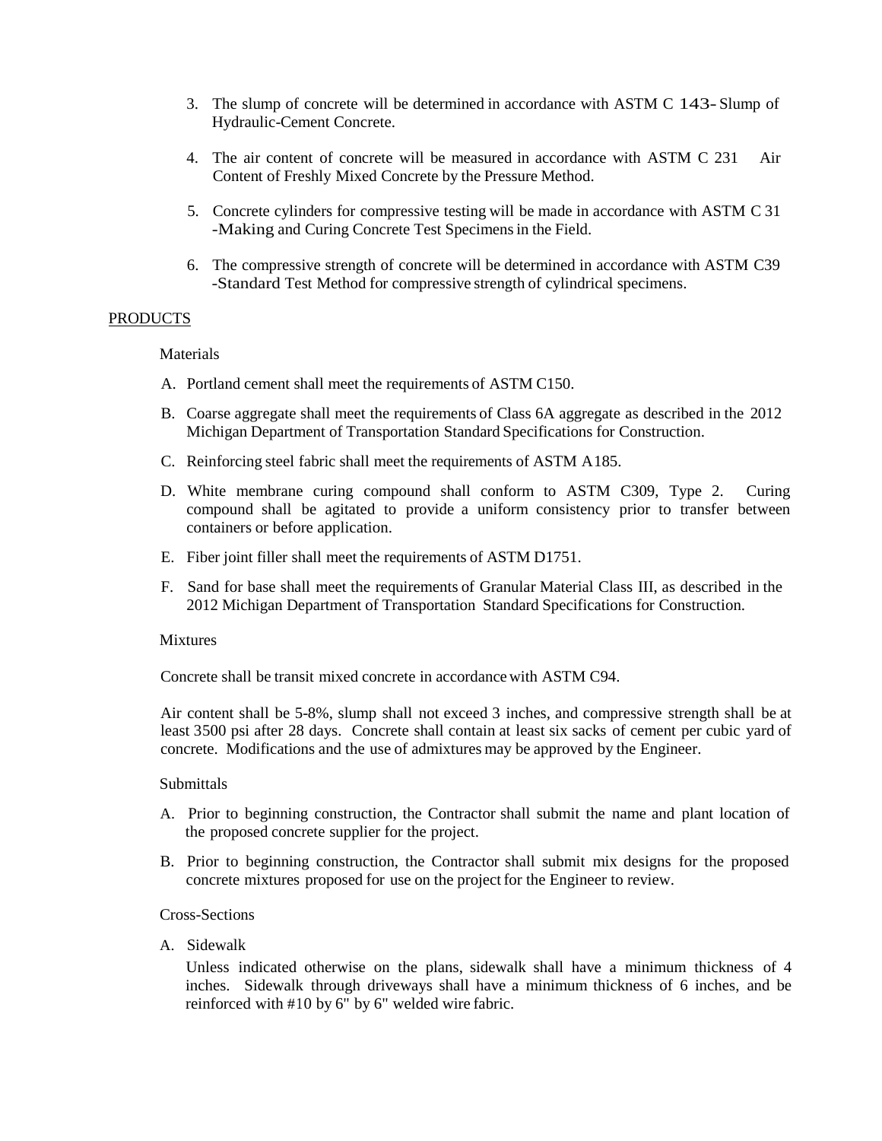- 3. The slump of concrete will be determined in accordance with ASTM C 143- Slump of Hydraulic-Cement Concrete.
- 4. The air content of concrete will be measured in accordance with ASTM C 231 Air Content of Freshly Mixed Concrete by the Pressure Method.
- 5. Concrete cylinders for compressive testing will be made in accordance with ASTM C 31 -Making and Curing Concrete Test Specimens in the Field.
- 6. The compressive strength of concrete will be determined in accordance with ASTM C39 -Standard Test Method for compressive strength of cylindrical specimens.

### PRODUCTS

### Materials

- A. Portland cement shall meet the requirements of ASTM C150.
- B. Coarse aggregate shall meet the requirements of Class 6A aggregate as described in the 2012 Michigan Department of Transportation Standard Specifications for Construction.
- C. Reinforcing steel fabric shall meet the requirements of ASTM A185.
- D. White membrane curing compound shall conform to ASTM C309, Type 2. Curing compound shall be agitated to provide a uniform consistency prior to transfer between containers or before application.
- E. Fiber joint filler shall meet the requirements of ASTM D1751.
- F. Sand for base shall meet the requirements of Granular Material Class III, as described in the 2012 Michigan Department of Transportation Standard Specifications for Construction.

### Mixtures

Concrete shall be transit mixed concrete in accordancewith ASTM C94.

Air content shall be 5-8%, slump shall not exceed 3 inches, and compressive strength shall be at least 3500 psi after 28 days. Concrete shall contain at least six sacks of cement per cubic yard of concrete. Modifications and the use of admixtures may be approved by the Engineer.

### **Submittals**

- A. Prior to beginning construction, the Contractor shall submit the name and plant location of the proposed concrete supplier for the project.
- B. Prior to beginning construction, the Contractor shall submit mix designs for the proposed concrete mixtures proposed for use on the project for the Engineer to review.

#### Cross-Sections

### A. Sidewalk

Unless indicated otherwise on the plans, sidewalk shall have a minimum thickness of 4 inches. Sidewalk through driveways shall have a minimum thickness of 6 inches, and be reinforced with #10 by 6" by 6" welded wire fabric.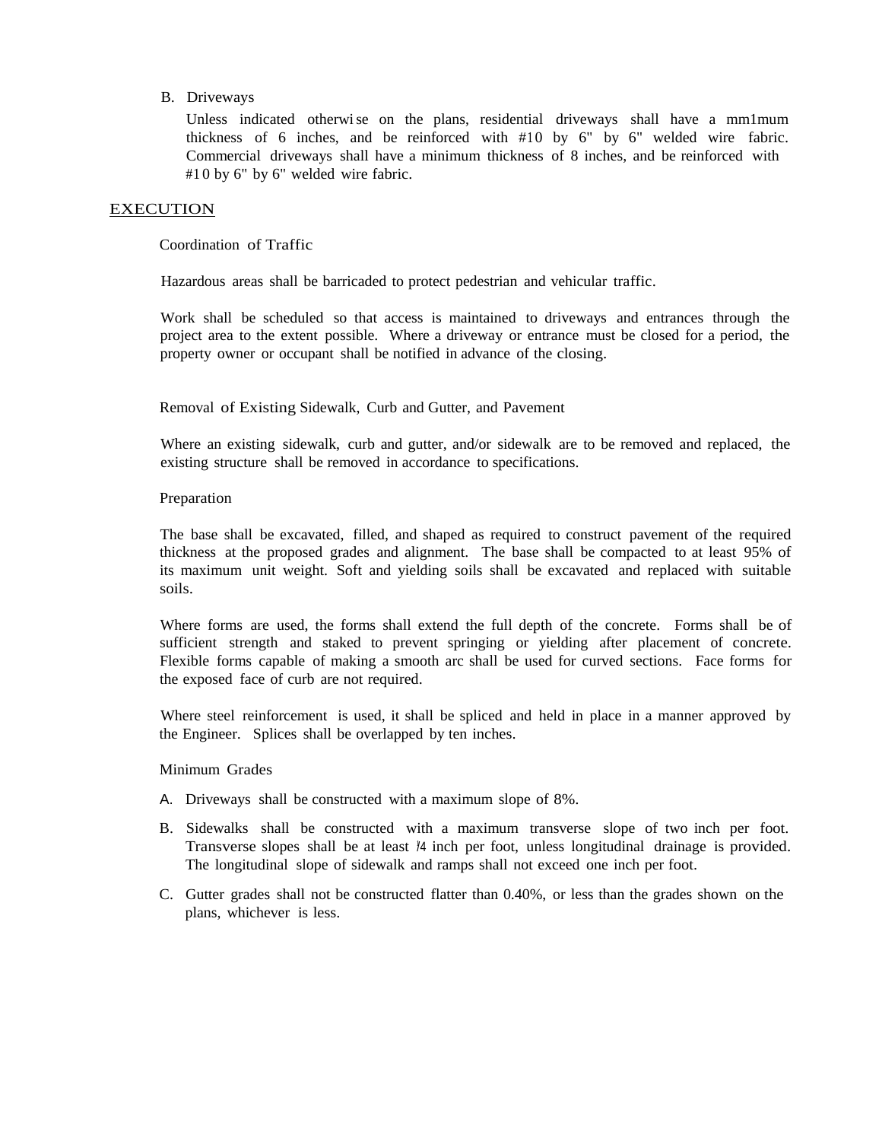# B. Driveways

Unless indicated otherwise on the plans, residential driveways shall have a mm1mum thickness of 6 inches, and be reinforced with  $#10$  by 6" by 6" welded wire fabric. Commercial driveways shall have a minimum thickness of 8 inches, and be reinforced with #10 by 6" by 6" welded wire fabric.

### **EXECUTION**

Coordination of Traffic

Hazardous areas shall be barricaded to protect pedestrian and vehicular traffic.

Work shall be scheduled so that access is maintained to driveways and entrances through the project area to the extent possible. Where a driveway or entrance must be closed for a period, the property owner or occupant shall be notified in advance of the closing.

Removal of Existing Sidewalk, Curb and Gutter, and Pavement

Where an existing sidewalk, curb and gutter, and/or sidewalk are to be removed and replaced, the existing structure shall be removed in accordance to specifications.

### Preparation

The base shall be excavated, filled, and shaped as required to construct pavement of the required thickness at the proposed grades and alignment. The base shall be compacted to at least 95% of its maximum unit weight. Soft and yielding soils shall be excavated and replaced with suitable soils.

Where forms are used, the forms shall extend the full depth of the concrete. Forms shall be of sufficient strength and staked to prevent springing or yielding after placement of concrete. Flexible forms capable of making a smooth arc shall be used for curved sections. Face forms for the exposed face of curb are not required.

Where steel reinforcement is used, it shall be spliced and held in place in a manner approved by the Engineer. Splices shall be overlapped by ten inches.

Minimum Grades

- A. Driveways shall be constructed with a maximum slope of 8%.
- B. Sidewalks shall be constructed with a maximum transverse slope of two inch per foot. Transverse slopes shall be at least <sup>1</sup> /4 inch per foot, unless longitudinal drainage is provided. The longitudinal slope of sidewalk and ramps shall not exceed one inch per foot.
- C. Gutter grades shall not be constructed flatter than 0.40%, or less than the grades shown on the plans, whichever is less.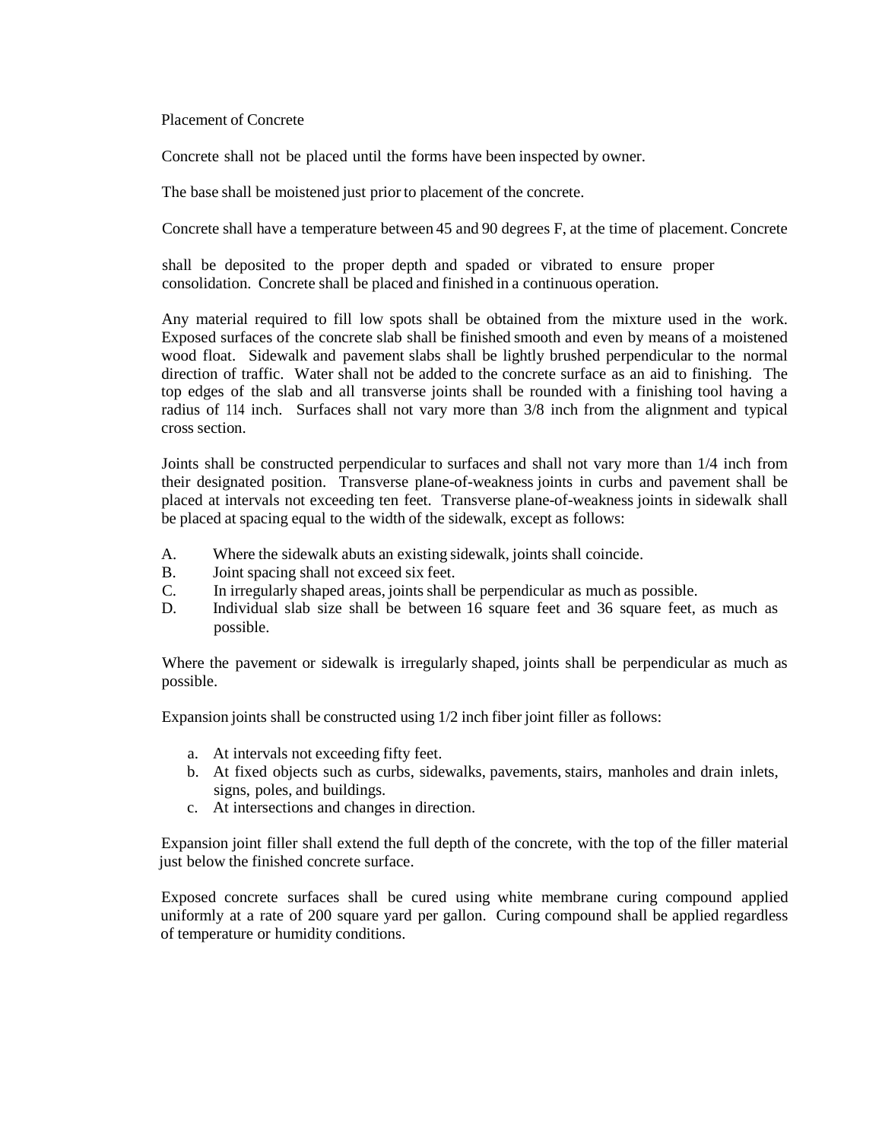# Placement of Concrete

Concrete shall not be placed until the forms have been inspected by owner.

The base shall be moistened just prior to placement of the concrete.

Concrete shall have a temperature between 45 and 90 degrees F, at the time of placement. Concrete

shall be deposited to the proper depth and spaded or vibrated to ensure proper consolidation. Concrete shall be placed and finished in a continuous operation.

Any material required to fill low spots shall be obtained from the mixture used in the work. Exposed surfaces of the concrete slab shall be finished smooth and even by means of a moistened wood float. Sidewalk and pavement slabs shall be lightly brushed perpendicular to the normal direction of traffic. Water shall not be added to the concrete surface as an aid to finishing. The top edges of the slab and all transverse joints shall be rounded with a finishing tool having a radius of 114 inch. Surfaces shall not vary more than 3/8 inch from the alignment and typical cross section.

Joints shall be constructed perpendicular to surfaces and shall not vary more than 1/4 inch from their designated position. Transverse plane-of-weakness joints in curbs and pavement shall be placed at intervals not exceeding ten feet. Transverse plane-of-weakness joints in sidewalk shall be placed at spacing equal to the width of the sidewalk, except as follows:

- A. Where the sidewalk abuts an existing sidewalk, joints shall coincide.
- B. Joint spacing shall not exceed six feet.
- C. In irregularly shaped areas, joints shall be perpendicular as much as possible.
- D. Individual slab size shall be between 16 square feet and 36 square feet, as much as possible.

Where the pavement or sidewalk is irregularly shaped, joints shall be perpendicular as much as possible.

Expansion joints shall be constructed using 1/2 inch fiber joint filler as follows:

- a. At intervals not exceeding fifty feet.
- b. At fixed objects such as curbs, sidewalks, pavements, stairs, manholes and drain inlets, signs, poles, and buildings.
- c. At intersections and changes in direction.

Expansion joint filler shall extend the full depth of the concrete, with the top of the filler material just below the finished concrete surface.

Exposed concrete surfaces shall be cured using white membrane curing compound applied uniformly at a rate of 200 square yard per gallon. Curing compound shall be applied regardless of temperature or humidity conditions.